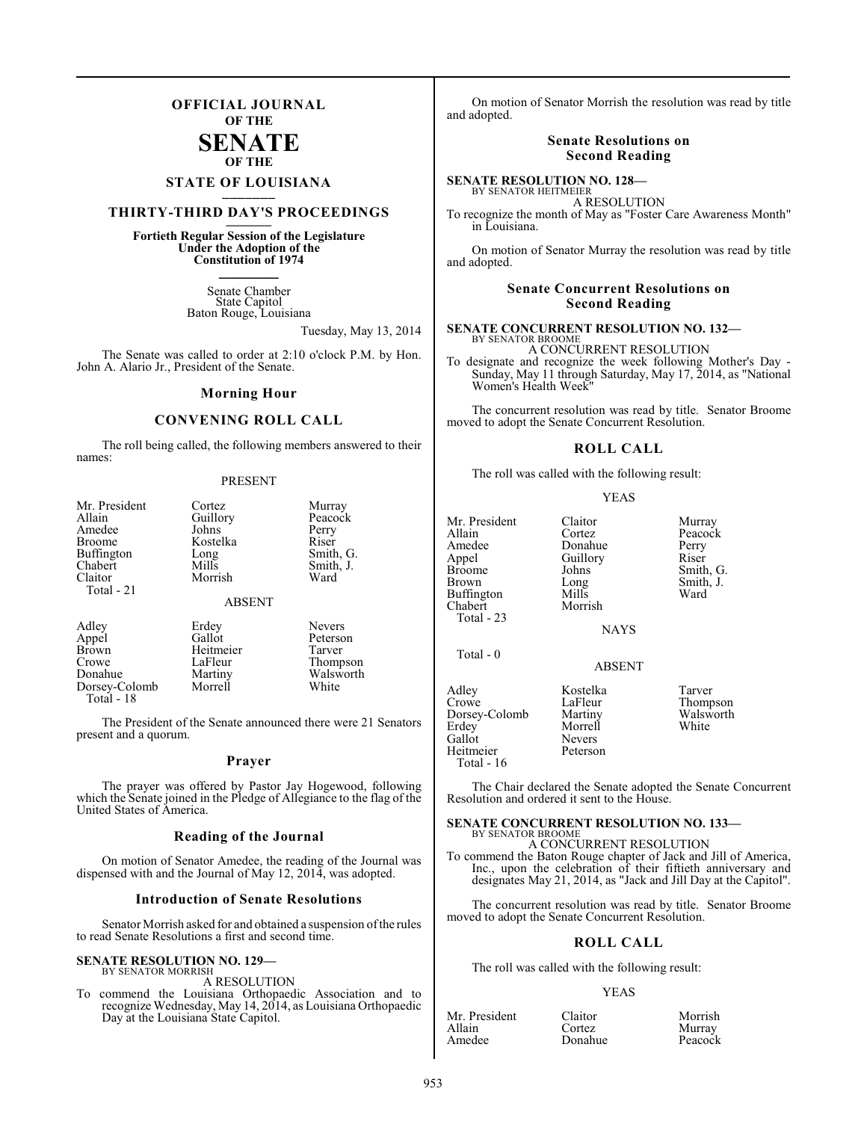## **OFFICIAL JOURNAL OF THE**

### **SENATE OF THE**

# **STATE OF LOUISIANA \_\_\_\_\_\_\_**

# **THIRTY-THIRD DAY'S PROCEEDINGS \_\_\_\_\_\_\_**

## **Fortieth Regular Session of the Legislature Under the Adoption of the Constitution of 1974 \_\_\_\_\_\_\_**

Senate Chamber State Capitol Baton Rouge, Louisiana

Tuesday, May 13, 2014

The Senate was called to order at 2:10 o'clock P.M. by Hon. John A. Alario Jr., President of the Senate.

#### **Morning Hour**

## **CONVENING ROLL CALL**

The roll being called, the following members answered to their names:

#### PRESENT

| Mr. President<br>Allain<br>Amedee<br><b>Broome</b><br><b>Buffington</b><br>Chabert<br>Claitor<br>Total - 21 | Cortez<br>Guillory<br>Johns<br>Kostelka<br>Long<br>Mills<br>Morrish | Murray<br>Peacock<br>Perry<br>Riser<br>Smith, G.<br>Smith, J.<br>Ward |
|-------------------------------------------------------------------------------------------------------------|---------------------------------------------------------------------|-----------------------------------------------------------------------|
|                                                                                                             | <b>ABSENT</b>                                                       |                                                                       |
| Adley<br>Appel<br><b>Brown</b><br>Crowe<br>Donahue                                                          | Erdey<br>Gallot<br>Heitmeier<br>LaFleur<br>Martiny                  | <b>Nevers</b><br>Peterson<br>Tarver<br>Thompson<br>Walsworth          |

Dorsey-Colomb Morrell White Total - 18

The President of the Senate announced there were 21 Senators present and a quorum.

#### **Prayer**

The prayer was offered by Pastor Jay Hogewood, following which the Senate joined in the Pledge of Allegiance to the flag of the United States of America.

#### **Reading of the Journal**

On motion of Senator Amedee, the reading of the Journal was dispensed with and the Journal of May 12, 2014, was adopted.

#### **Introduction of Senate Resolutions**

Senator Morrish asked for and obtained a suspension of the rules to read Senate Resolutions a first and second time.

#### **SENATE RESOLUTION NO. 129—** BY SENATOR MORRISH

A RESOLUTION

To commend the Louisiana Orthopaedic Association and to recognize Wednesday, May 14, 2014, as Louisiana Orthopaedic Day at the Louisiana State Capitol.

On motion of Senator Morrish the resolution was read by title and adopted.

#### **Senate Resolutions on Second Reading**

**SENATE RESOLUTION NO. 128—** BY SENATOR HEITMEIER

A RESOLUTION

To recognize the month of May as "Foster Care Awareness Month" in Louisiana.

On motion of Senator Murray the resolution was read by title and adopted.

#### **Senate Concurrent Resolutions on Second Reading**

**SENATE CONCURRENT RESOLUTION NO. 132—** BY SENATOR BROOME

A CONCURRENT RESOLUTION To designate and recognize the week following Mother's Day - Sunday, May 11 through Saturday, May 17, 2014, as "National Women's Health Week"

The concurrent resolution was read by title. Senator Broome moved to adopt the Senate Concurrent Resolution.

#### **ROLL CALL**

The roll was called with the following result:

#### YEAS

| Mr. President<br>Allain<br>Amedee<br>Appel<br>Broome<br>Brown<br>Buffington<br>Chabert<br>Total - 23 | Claitor<br>Cortez<br>Donahue<br>Guillory<br>Johns<br>Long<br>Mills<br>Morrish<br><b>NAYS</b> | Murray<br>Peacock<br>Perry<br>Riser<br>Smith, G.<br>Smith, J.<br>Ward |
|------------------------------------------------------------------------------------------------------|----------------------------------------------------------------------------------------------|-----------------------------------------------------------------------|
| Total - 0                                                                                            | <b>ABSENT</b>                                                                                |                                                                       |
| Adley<br>Crowe<br>Dorsey-Colomb<br>Erdev<br>Gallot<br>Heitmeier<br>Total - 16                        | Kostelka<br>LaFleur<br>Martiny<br>Morrell<br><b>Nevers</b><br>Peterson                       | Tarver<br>Thompson<br>Walsworth<br>White                              |

The Chair declared the Senate adopted the Senate Concurrent Resolution and ordered it sent to the House.

#### **SENATE CONCURRENT RESOLUTION NO. 133—** BY SENATOR BROOME

#### A CONCURRENT RESOLUTION

To commend the Baton Rouge chapter of Jack and Jill of America, Inc., upon the celebration of their fiftieth anniversary and designates May 21, 2014, as "Jack and Jill Day at the Capitol".

The concurrent resolution was read by title. Senator Broome moved to adopt the Senate Concurrent Resolution.

#### **ROLL CALL**

The roll was called with the following result:

#### YEAS

| Mr. President | Claitor | Morrish |
|---------------|---------|---------|
| Allain        | Cortez  | Murray  |
| Amedee        | Donahue | Peacock |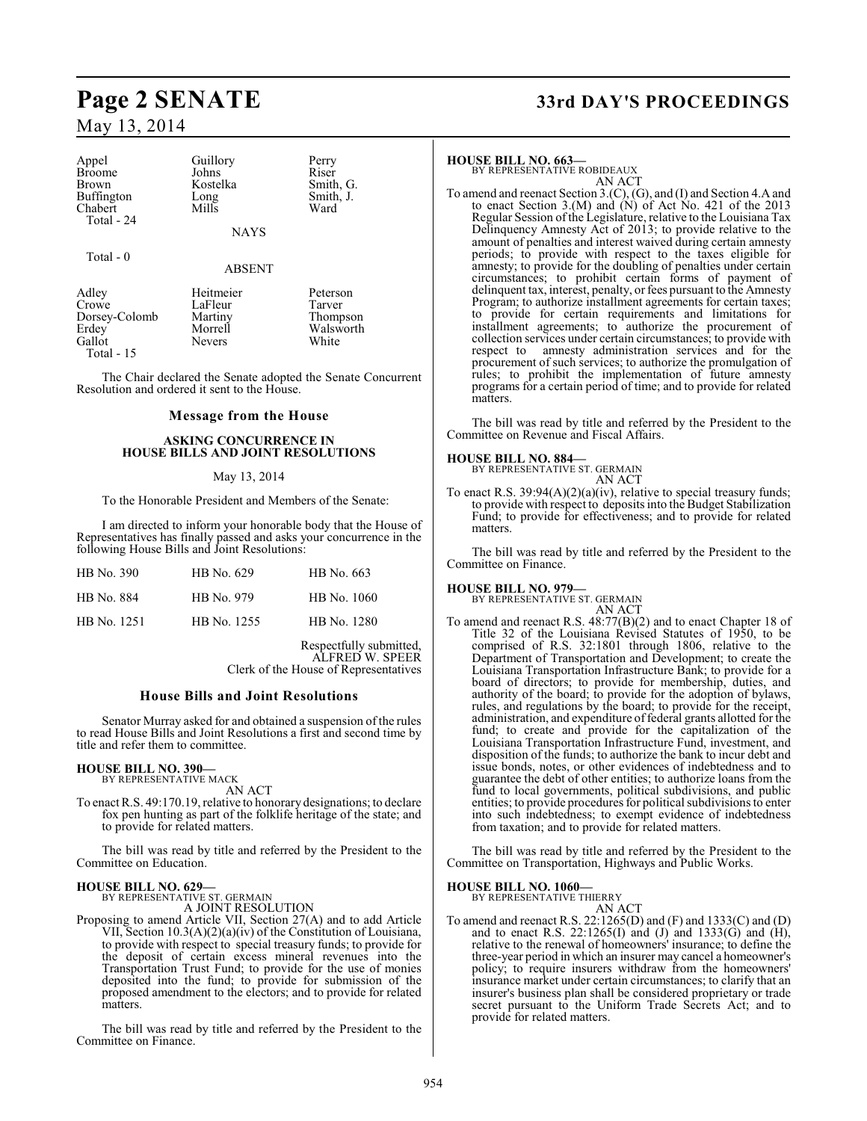| Appel<br><b>Broome</b><br><b>Brown</b><br>Buffington<br>Chabert<br>Total - 24 | Guillory<br>Johns<br>Kostelka<br>Long<br>Mills              | Perry<br>Riser<br>Smith, G.<br>Smith, J.<br>Ward     |
|-------------------------------------------------------------------------------|-------------------------------------------------------------|------------------------------------------------------|
|                                                                               | <b>NAYS</b>                                                 |                                                      |
| $Total - 0$                                                                   | <b>ABSENT</b>                                               |                                                      |
| Adley<br>Crowe<br>Dorsey-Colomb<br>Erdey<br>Gallot<br>Total $-15$             | Heitmeier<br>LaFleur<br>Martiny<br>Morrell<br><b>Nevers</b> | Peterson<br>Tarver<br>Thompson<br>Walsworth<br>White |

The Chair declared the Senate adopted the Senate Concurrent Resolution and ordered it sent to the House.

#### **Message from the House**

#### **ASKING CONCURRENCE IN HOUSE BILLS AND JOINT RESOLUTIONS**

#### May 13, 2014

To the Honorable President and Members of the Senate:

I am directed to inform your honorable body that the House of Representatives has finally passed and asks your concurrence in the following House Bills and Joint Resolutions:

| HB No. 390  | HB No. 629  | HB No. 663  |
|-------------|-------------|-------------|
| HB No. 884  | HB No. 979  | HB No. 1060 |
| HB No. 1251 | HB No. 1255 | HB No. 1280 |

Respectfully submitted, ALFRED W. SPEER Clerk of the House of Representatives

#### **House Bills and Joint Resolutions**

Senator Murray asked for and obtained a suspension of the rules to read House Bills and Joint Resolutions a first and second time by title and refer them to committee.

# **HOUSE BILL NO. 390—** BY REPRESENTATIVE MACK AN ACT

To enact R.S. 49:170.19, relative to honorary designations; to declare fox pen hunting as part of the folklife heritage of the state; and to provide for related matters.

The bill was read by title and referred by the President to the Committee on Education.

### **HOUSE BILL NO. 629—**

BY REPRESENTATIVE ST. GERMAIN A JOINT RESOLUTION

Proposing to amend Article VII, Section 27(A) and to add Article VII, Section 10.3(A)(2)(a)(iv) of the Constitution of Louisiana, to provide with respect to special treasury funds; to provide for the deposit of certain excess mineral revenues into the Transportation Trust Fund; to provide for the use of monies deposited into the fund; to provide for submission of the proposed amendment to the electors; and to provide for related matters.

The bill was read by title and referred by the President to the Committee on Finance.

# **Page 2 SENATE 33rd DAY'S PROCEEDINGS**

#### **HOUSE BILL NO. 663—**

BY REPRESENTATIVE ROBIDEAUX AN ACT

To amend and reenact Section 3.(C), (G), and (I) and Section 4.A and to enact Section 3.(M) and  $(N)$  of Act No. 421 of the 2013 Regular Session of the Legislature, relative to the Louisiana Tax Delinquency Amnesty Act of 2013; to provide relative to the amount of penalties and interest waived during certain amnesty periods; to provide with respect to the taxes eligible for amnesty; to provide for the doubling of penalties under certain circumstances; to prohibit certain forms of payment of delinquent tax, interest, penalty, or fees pursuant to the Amnesty Program; to authorize installment agreements for certain taxes; to provide for certain requirements and limitations for installment agreements; to authorize the procurement of collection services under certain circumstances; to provide with respect to amnesty administration services and for the procurement of such services; to authorize the promulgation of rules; to prohibit the implementation of future amnesty programs for a certain period of time; and to provide for related matters.

The bill was read by title and referred by the President to the Committee on Revenue and Fiscal Affairs.

# **HOUSE BILL NO. 884—** BY REPRESENTATIVE ST. GERMAIN

AN ACT

To enact R.S.  $39:94(A)(2)(a)(iv)$ , relative to special treasury funds; to provide with respect to deposits into the Budget Stabilization Fund; to provide for effectiveness; and to provide for related matters.

The bill was read by title and referred by the President to the Committee on Finance.

#### **HOUSE BILL NO. 979—**

BY REPRESENTATIVE ST. GERMAIN AN ACT

To amend and reenact R.S. 48:77(B)(2) and to enact Chapter 18 of Title 32 of the Louisiana Revised Statutes of 1950, to be comprised of R.S. 32:1801 through 1806, relative to the Department of Transportation and Development; to create the Louisiana Transportation Infrastructure Bank; to provide for a board of directors; to provide for membership, duties, and authority of the board; to provide for the adoption of bylaws, rules, and regulations by the board; to provide for the receipt, administration, and expenditure of federal grants allotted for the fund; to create and provide for the capitalization of the Louisiana Transportation Infrastructure Fund, investment, and disposition of the funds; to authorize the bank to incur debt and issue bonds, notes, or other evidences of indebtedness and to guarantee the debt of other entities; to authorize loans from the fund to local governments, political subdivisions, and public entities; to provide procedures for political subdivisions to enter into such indebtedness; to exempt evidence of indebtedness from taxation; and to provide for related matters.

The bill was read by title and referred by the President to the Committee on Transportation, Highways and Public Works.

#### **HOUSE BILL NO. 1060—**

BY REPRESENTATIVE THIERRY

AN ACT

To amend and reenact R.S. 22:1265(D) and (F) and 1333(C) and (D) and to enact R.S. 22:1265(I) and (J) and 1333(G) and (H), relative to the renewal of homeowners' insurance; to define the three-year period in which an insurer may cancel a homeowner's policy; to require insurers withdraw from the homeowners' insurance market under certain circumstances; to clarify that an insurer's business plan shall be considered proprietary or trade secret pursuant to the Uniform Trade Secrets Act; and to provide for related matters.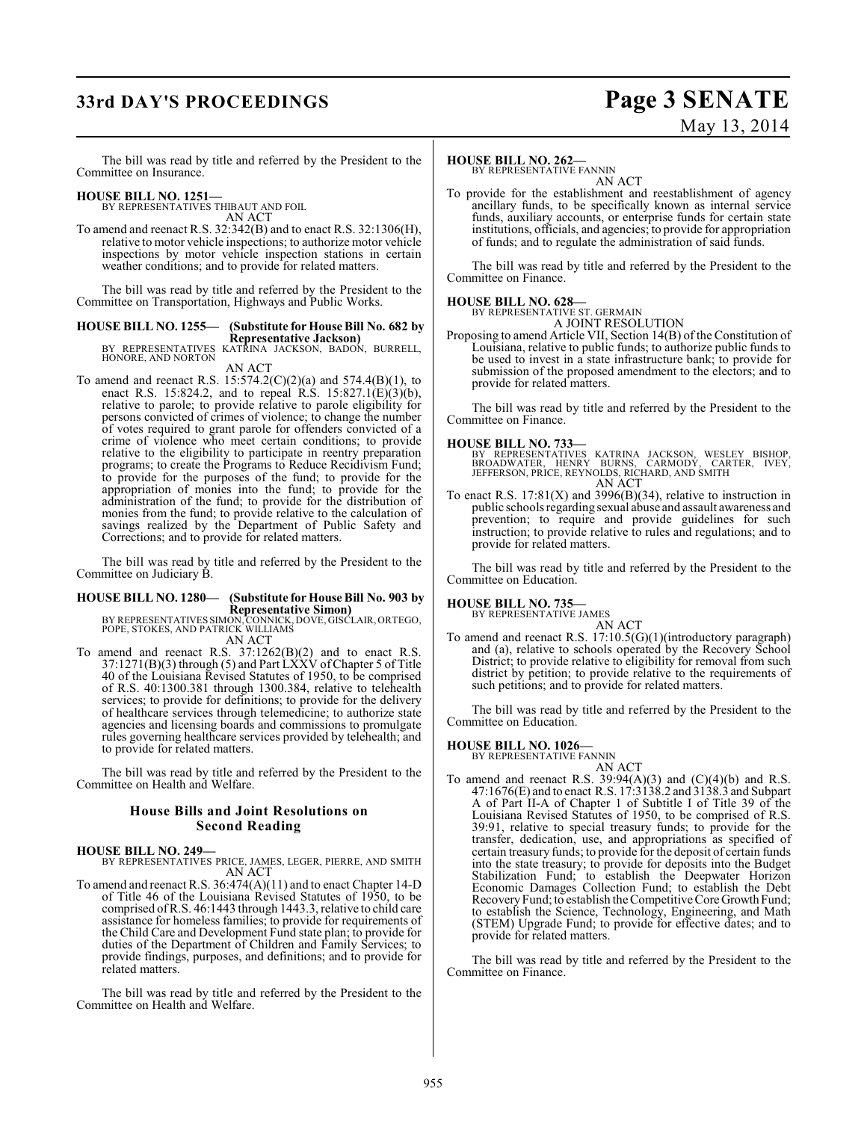# **33rd DAY'S PROCEEDINGS Page 3 SENATE**

# May 13, 2014

The bill was read by title and referred by the President to the Committee on Insurance.

**HOUSE BILL NO. 1251—** BY REPRESENTATIVES THIBAUT AND FOIL AN ACT

To amend and reenact R.S. 32:342(B) and to enact R.S. 32:1306(H), relative to motor vehicle inspections; to authorize motor vehicle inspections by motor vehicle inspection stations in certain weather conditions; and to provide for related matters.

The bill was read by title and referred by the President to the Committee on Transportation, Highways and Public Works.

# **HOUSE BILL NO. 1255— (Substitute for House Bill No. 682 by**

**Representative Jackson)** BY REPRESENTATIVES KATRINA JACKSON, BADON, BURRELL, HONORE, AND NORTON

### AN ACT

To amend and reenact R.S.  $15:574.2(C)(2)(a)$  and  $574.4(B)(1)$ , to enact R.S. 15:824.2, and to repeal R.S. 15:827.1(E)(3)(b), relative to parole; to provide relative to parole eligibility for persons convicted of crimes of violence; to change the number of votes required to grant parole for offenders convicted of a crime of violence who meet certain conditions; to provide relative to the eligibility to participate in reentry preparation programs; to create the Programs to Reduce Recidivism Fund; to provide for the purposes of the fund; to provide for the appropriation of monies into the fund; to provide for the administration of the fund; to provide for the distribution of monies from the fund; to provide relative to the calculation of savings realized by the Department of Public Safety and Corrections; and to provide for related matters.

The bill was read by title and referred by the President to the Committee on Judiciary B.

# **HOUSE BILL NO. 1280— (Substitute for House Bill No. 903 by**

**Representative Simon)**<br>BY REPRESENTATIVES SIMON, CONNICK, DOVE, GISCLAIR, ORTEGO,<br>POPE, STOKES, AND PATRICK WILLIAMS<br>AN ACT

To amend and reenact R.S. 37:1262(B)(2) and to enact R.S. 37:1271(B)(3) through (5) and Part LXXV ofChapter 5 of Title 40 of the Louisiana Revised Statutes of 1950, to be comprised of R.S. 40:1300.381 through 1300.384, relative to telehealth services; to provide for definitions; to provide for the delivery of healthcare services through telemedicine; to authorize state agencies and licensing boards and commissions to promulgate rules governing healthcare services provided by telehealth; and to provide for related matters.

The bill was read by title and referred by the President to the Committee on Health and Welfare.

### **House Bills and Joint Resolutions on Second Reading**

#### **HOUSE BILL NO. 249—**

BY REPRESENTATIVES PRICE, JAMES, LEGER, PIERRE, AND SMITH AN ACT

To amend and reenact R.S. 36:474(A)(11) and to enact Chapter 14-D of Title 46 of the Louisiana Revised Statutes of 1950, to be comprised of R.S. 46:1443 through 1443.3, relative to child care assistance for homeless families; to provide for requirements of the Child Care and Development Fund state plan; to provide for duties of the Department of Children and Family Services; to provide findings, purposes, and definitions; and to provide for related matters.

The bill was read by title and referred by the President to the Committee on Health and Welfare.

### **HOUSE BILL NO. 262—**

BY REPRESENTATIVE FANNIN

AN ACT To provide for the establishment and reestablishment of agency ancillary funds, to be specifically known as internal service funds, auxiliary accounts, or enterprise funds for certain state institutions, officials, and agencies; to provide for appropriation of funds; and to regulate the administration of said funds.

The bill was read by title and referred by the President to the Committee on Finance.

#### **HOUSE BILL NO. 628—**

BY REPRESENTATIVE ST. GERMAIN A JOINT RESOLUTION

Proposing to amend Article VII, Section 14(B) of the Constitution of Louisiana, relative to public funds; to authorize public funds to be used to invest in a state infrastructure bank; to provide for submission of the proposed amendment to the electors; and to provide for related matters.

The bill was read by title and referred by the President to the Committee on Finance.

#### **HOUSE BILL NO. 733—**

- BY REPRESENTATIVES KATRINA JACKSON, WESLEY BISHOP,<br>BROADWATER, HENRY BURNS, CARMODY, CARTER, IVEY,<br>JEFFERSON,PRICE,REYNOLDS,RICHARD,AND SMITH<br>AN ACT
- To enact R.S.  $17:81(X)$  and  $3996(B)(34)$ , relative to instruction in public schools regarding sexual abuse and assault awareness and prevention; to require and provide guidelines for such instruction; to provide relative to rules and regulations; and to provide for related matters.

The bill was read by title and referred by the President to the Committee on Education.

#### **HOUSE BILL NO. 735—**

BY REPRESENTATIVE JAMES

AN ACT To amend and reenact R.S. 17:10.5(G)(1)(introductory paragraph) and (a), relative to schools operated by the Recovery School District; to provide relative to eligibility for removal from such district by petition; to provide relative to the requirements of such petitions; and to provide for related matters.

The bill was read by title and referred by the President to the Committee on Education.

#### **HOUSE BILL NO. 1026—**

BY REPRESENTATIVE FANNIN AN ACT

To amend and reenact R.S.  $39:94(A)(3)$  and  $(C)(4)(b)$  and R.S. 47:1676(E) and to enact R.S. 17:3138.2 and 3138.3 and Subpart A of Part II-A of Chapter 1 of Subtitle I of Title 39 of the Louisiana Revised Statutes of 1950, to be comprised of R.S. 39:91, relative to special treasury funds; to provide for the transfer, dedication, use, and appropriations as specified of certain treasury funds; to provide for the deposit of certain funds into the state treasury; to provide for deposits into the Budget Stabilization Fund; to establish the Deepwater Horizon Economic Damages Collection Fund; to establish the Debt Recovery Fund; to establish the Competitive Core Growth Fund; to establish the Science, Technology, Engineering, and Math (STEM) Upgrade Fund; to provide for effective dates; and to provide for related matters.

The bill was read by title and referred by the President to the Committee on Finance.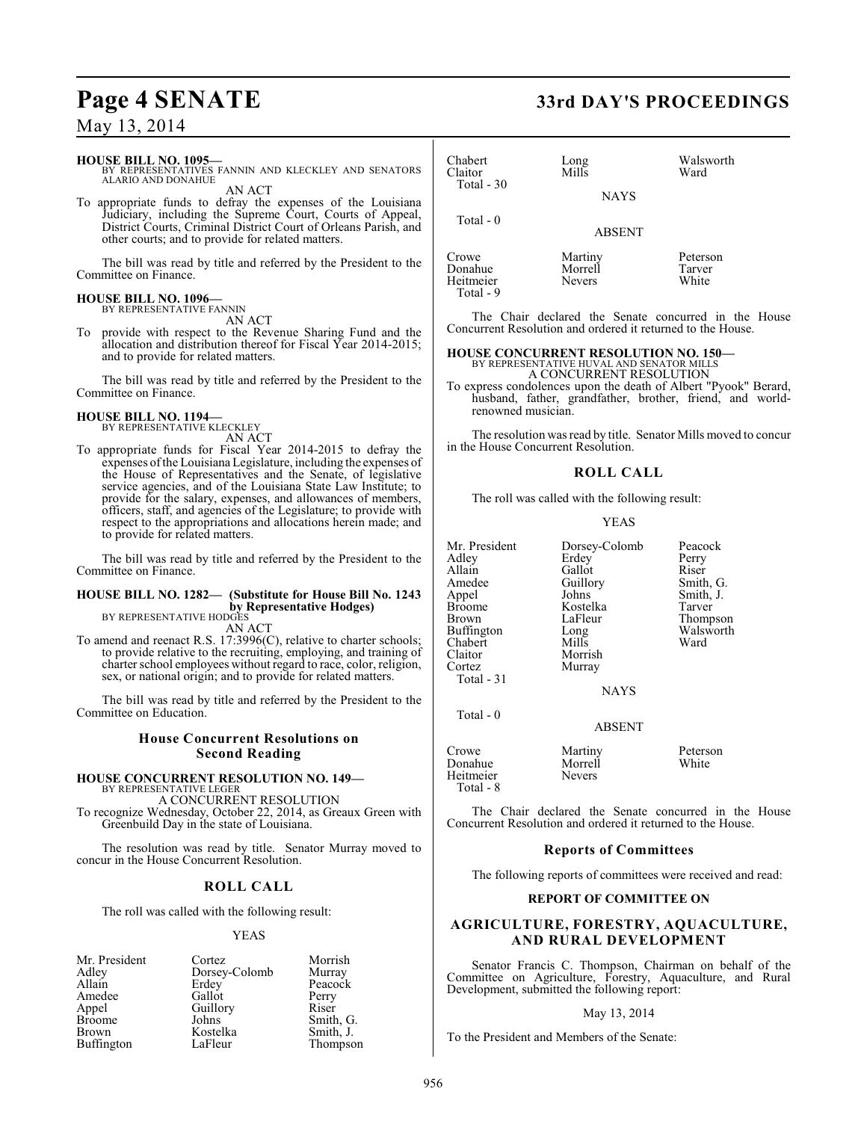#### **HOUSE BILL NO. 1095—**

BY REPRESENTATIVES FANNIN AND KLECKLEY AND SENATORS ALARIO AND DONAHUE AN ACT

To appropriate funds to defray the expenses of the Louisiana Judiciary, including the Supreme Court, Courts of Appeal, District Courts, Criminal District Court of Orleans Parish, and other courts; and to provide for related matters.

The bill was read by title and referred by the President to the Committee on Finance.

#### **HOUSE BILL NO. 1096—**

BY REPRESENTATIVE FANNIN AN ACT

To provide with respect to the Revenue Sharing Fund and the allocation and distribution thereof for Fiscal Year 2014-2015; and to provide for related matters.

The bill was read by title and referred by the President to the Committee on Finance.

#### **HOUSE BILL NO. 1194—** BY REPRESENTATIVE KLECKLEY

AN ACT

To appropriate funds for Fiscal Year 2014-2015 to defray the expenses of the Louisiana Legislature, including the expenses of the House of Representatives and the Senate, of legislative service agencies, and of the Louisiana State Law Institute; to provide for the salary, expenses, and allowances of members, officers, staff, and agencies of the Legislature; to provide with respect to the appropriations and allocations herein made; and to provide for related matters.

The bill was read by title and referred by the President to the Committee on Finance.

## **HOUSE BILL NO. 1282— (Substitute for House Bill No. 1243 by Representative Hodges)** BY REPRESENTATIVE HODGES

AN ACT

To amend and reenact R.S. 17:3996(C), relative to charter schools; to provide relative to the recruiting, employing, and training of charter school employees without regard to race, color, religion, sex, or national origin; and to provide for related matters.

The bill was read by title and referred by the President to the Committee on Education.

#### **House Concurrent Resolutions on Second Reading**

# **HOUSE CONCURRENT RESOLUTION NO. 149—** BY REPRESENTATIVE LEGER

A CONCURRENT RESOLUTION

To recognize Wednesday, October 22, 2014, as Greaux Green with Greenbuild Day in the state of Louisiana.

The resolution was read by title. Senator Murray moved to concur in the House Concurrent Resolution.

### **ROLL CALL**

The roll was called with the following result:

#### YEAS

| Mr. President | Cortez        | Morrish   |
|---------------|---------------|-----------|
| Adley         | Dorsey-Colomb | Murray    |
| Allain        | Erdey         | Peacock   |
| Amedee        | Gallot        | Perry     |
| Appel         | Guillory      | Riser     |
| <b>Broome</b> | Johns         | Smith, G. |
| <b>Brown</b>  | Kostelka      | Smith, J. |
| Buffington    | LaFleur       | Thompson  |

# **Page 4 SENATE 33rd DAY'S PROCEEDINGS**

| Chabert<br>Claitor<br>Total - 30 | Long<br>Mills<br><b>NAYS</b>        | Walsworth<br>Ward           |
|----------------------------------|-------------------------------------|-----------------------------|
| Total $-0$                       | <b>ABSENT</b>                       |                             |
| Crowe<br>Donahue<br>Heitmeier    | Martiny<br>Morrell<br><b>Nevers</b> | Peterson<br>Tarver<br>White |

The Chair declared the Senate concurred in the House Concurrent Resolution and ordered it returned to the House.

#### **HOUSE CONCURRENT RESOLUTION NO. 150—**

BY REPRESENTATIVE HUVAL AND SENATOR MILLS A CONCURRENT RESOLUTION

To express condolences upon the death of Albert "Pyook" Berard, husband, father, grandfather, brother, friend, and worldrenowned musician.

The resolution was read by title. Senator Mills moved to concur in the House Concurrent Resolution.

#### **ROLL CALL**

The roll was called with the following result:

#### YEAS

| Mr. President | Dorsey-Colomb | Peacock   |
|---------------|---------------|-----------|
| Adley         | Erdey         | Perry     |
| Allain        | Gallot        | Riser     |
| Amedee        | Guillory      | Smith, G. |
| Appel         | Johns         | Smith, J. |
| Broome        | Kostelka      | Tarver    |
| Brown         | LaFleur       | Thompson  |
| Buffington    | Long          | Walsworth |
| Chabert       | Mills         | Ward      |
| Claitor       | Morrish       |           |
| Cortez        | Murray        |           |
| Total - 31    |               |           |
|               | <b>NAYS</b>   |           |
|               |               |           |

Total - 0

Total - 9

ABSENT

Crowe Martiny Peterson<br>
Donahue Morrell White Morrell<br>Nevers Heitmeier Total - 8

The Chair declared the Senate concurred in the House Concurrent Resolution and ordered it returned to the House.

#### **Reports of Committees**

The following reports of committees were received and read:

#### **REPORT OF COMMITTEE ON**

#### **AGRICULTURE, FORESTRY, AQUACULTURE, AND RURAL DEVELOPMENT**

Senator Francis C. Thompson, Chairman on behalf of the Committee on Agriculture, Forestry, Aquaculture, and Rural Development, submitted the following report:

#### May 13, 2014

To the President and Members of the Senate: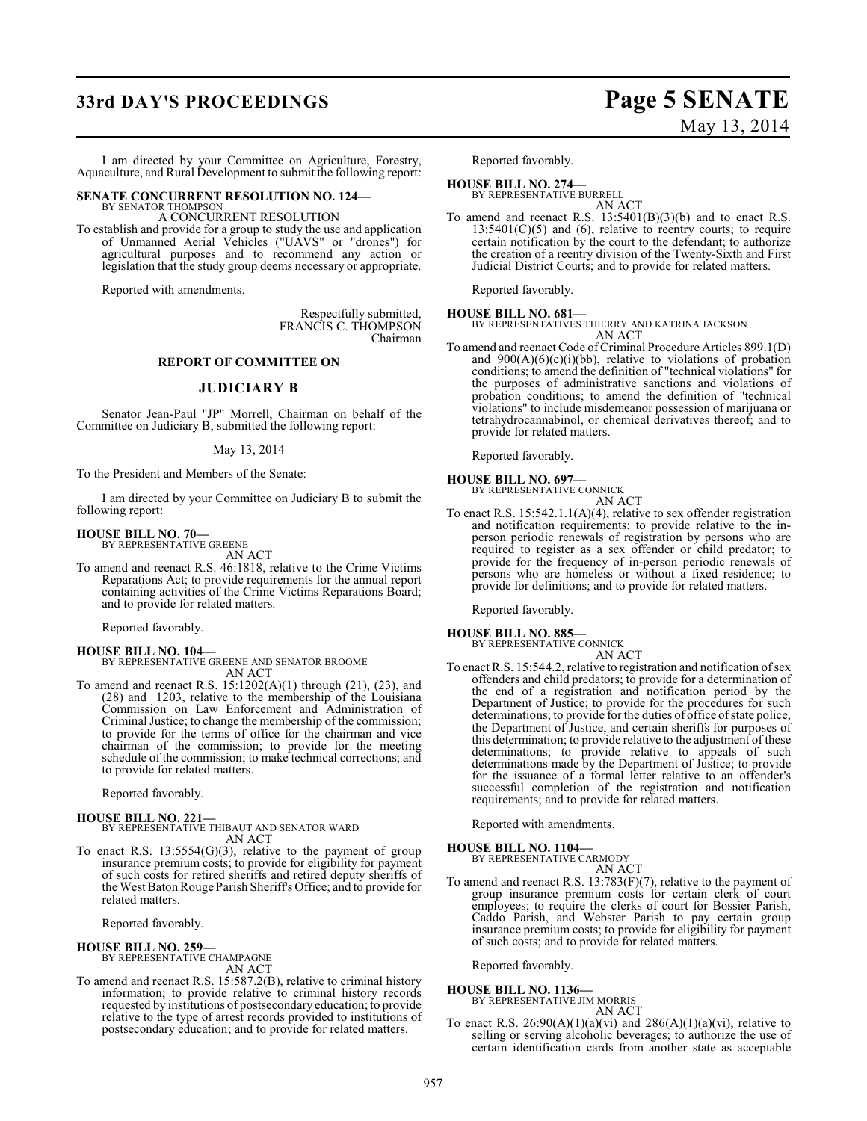# **33rd DAY'S PROCEEDINGS Page 5 SENATE**

I am directed by your Committee on Agriculture, Forestry, Aquaculture, and Rural Development to submit the following report:

# **SENATE CONCURRENT RESOLUTION NO. 124—** BY SENATOR THOMPSON

A CONCURRENT RESOLUTION

To establish and provide for a group to study the use and application of Unmanned Aerial Vehicles ("UAVS" or "drones") for agricultural purposes and to recommend any action or legislation that the study group deems necessary or appropriate.

Reported with amendments.

Respectfully submitted, FRANCIS C. THOMPSON Chairman

#### **REPORT OF COMMITTEE ON**

#### **JUDICIARY B**

Senator Jean-Paul "JP" Morrell, Chairman on behalf of the Committee on Judiciary B, submitted the following report:

#### May 13, 2014

To the President and Members of the Senate:

I am directed by your Committee on Judiciary B to submit the following report:

#### **HOUSE BILL NO. 70—**

BY REPRESENTATIVE GREENE AN ACT

To amend and reenact R.S. 46:1818, relative to the Crime Victims Reparations Act; to provide requirements for the annual report containing activities of the Crime Victims Reparations Board; and to provide for related matters.

Reported favorably.

**HOUSE BILL NO. 104—** BY REPRESENTATIVE GREENE AND SENATOR BROOME AN ACT

To amend and reenact R.S.  $15:1202(A)(1)$  through (21), (23), and (28) and 1203, relative to the membership of the Louisiana Commission on Law Enforcement and Administration of Criminal Justice; to change the membership of the commission; to provide for the terms of office for the chairman and vice chairman of the commission; to provide for the meeting schedule of the commission; to make technical corrections; and to provide for related matters.

Reported favorably.

#### **HOUSE BILL NO. 221—**

BY REPRESENTATIVE THIBAUT AND SENATOR WARD AN ACT

To enact R.S.  $13:5554(G)(3)$ , relative to the payment of group insurance premium costs; to provide for eligibility for payment of such costs for retired sheriffs and retired deputy sheriffs of the West Baton Rouge Parish Sheriff's Office; and to provide for related matters.

Reported favorably.

**HOUSE BILL NO. 259—** BY REPRESENTATIVE CHAMPAGNE AN ACT

To amend and reenact R.S. 15:587.2(B), relative to criminal history information; to provide relative to criminal history records requested by institutions of postsecondary education; to provide relative to the type of arrest records provided to institutions of postsecondary education; and to provide for related matters.

Reported favorably.

**HOUSE BILL NO. 274—** BY REPRESENTATIVE BURRELL

AN ACT To amend and reenact R.S.  $13:5401(B)(3)(b)$  and to enact R.S.  $13:5401(C)(5)$  and  $(6)$ , relative to reentry courts; to require certain notification by the court to the defendant; to authorize the creation of a reentry division of the Twenty-Sixth and First Judicial District Courts; and to provide for related matters.

Reported favorably.

**HOUSE BILL NO. 681—** BY REPRESENTATIVES THIERRY AND KATRINA JACKSON

- AN ACT
- To amend and reenact Code of Criminal Procedure Articles 899.1(D) and  $900(A)(6)(c)(i)(bb)$ , relative to violations of probation conditions; to amend the definition of "technical violations" for the purposes of administrative sanctions and violations of probation conditions; to amend the definition of "technical violations" to include misdemeanor possession of marijuana or tetrahydrocannabinol, or chemical derivatives thereof; and to provide for related matters.

Reported favorably.

# **HOUSE BILL NO. 697—** BY REPRESENTATIVE CONNICK

AN ACT

To enact R.S. 15:542.1.1(A)(4), relative to sex offender registration and notification requirements; to provide relative to the inperson periodic renewals of registration by persons who are required to register as a sex offender or child predator; to provide for the frequency of in-person periodic renewals of persons who are homeless or without a fixed residence; to provide for definitions; and to provide for related matters.

Reported favorably.

#### **HOUSE BILL NO. 885—**

BY REPRESENTATIVE CONNICK AN ACT

To enact R.S. 15:544.2, relative to registration and notification of sex offenders and child predators; to provide for a determination of the end of a registration and notification period by the Department of Justice; to provide for the procedures for such determinations; to provide for the duties of office of state police, the Department of Justice, and certain sheriffs for purposes of this determination; to provide relative to the adjustment of these determinations; to provide relative to appeals of such determinations made by the Department of Justice; to provide for the issuance of a formal letter relative to an offender's successful completion of the registration and notification requirements; and to provide for related matters.

Reported with amendments.

#### **HOUSE BILL NO. 1104—**

BY REPRESENTATIVE CARMODY AN ACT

To amend and reenact R.S. 13:783(F)(7), relative to the payment of group insurance premium costs for certain clerk of court employees; to require the clerks of court for Bossier Parish, Caddo Parish, and Webster Parish to pay certain group insurance premium costs; to provide for eligibility for payment of such costs; and to provide for related matters.

Reported favorably.

#### **HOUSE BILL NO. 1136—**

BY REPRESENTATIVE JIM MORRIS AN ACT

To enact R.S.  $26:90(A)(1)(a)(vi)$  and  $286(A)(1)(a)(vi)$ , relative to selling or serving alcoholic beverages; to authorize the use of certain identification cards from another state as acceptable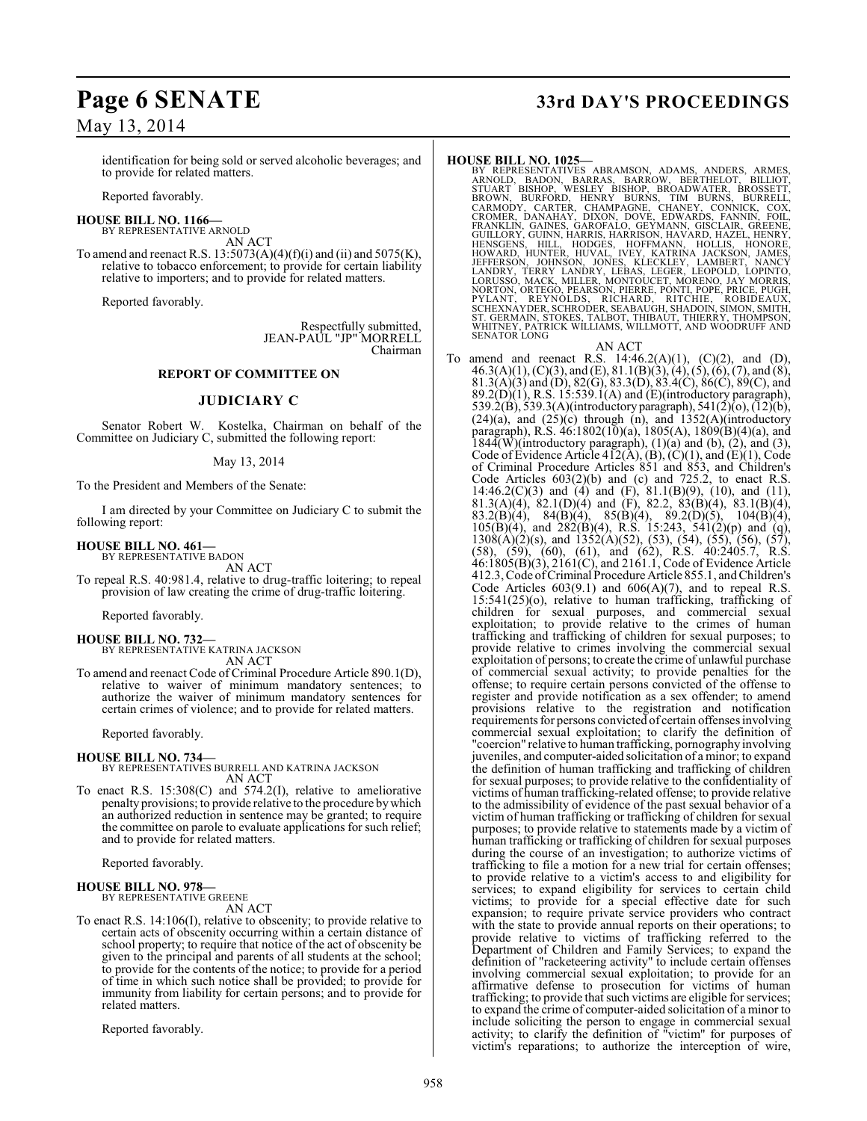# **Page 6 SENATE 33rd DAY'S PROCEEDINGS**

identification for being sold or served alcoholic beverages; and to provide for related matters.

Reported favorably.

**HOUSE BILL NO. 1166—** BY REPRESENTATIVE ARNOLD

AN ACT

To amend and reenact R.S.  $13:5073(A)(4)(f)(i)$  and  $(ii)$  and  $5075(K)$ , relative to tobacco enforcement; to provide for certain liability relative to importers; and to provide for related matters.

Reported favorably.

Respectfully submitted, JEAN-PAUL "JP" MORRELL Chairman

### **REPORT OF COMMITTEE ON**

### **JUDICIARY C**

Senator Robert W. Kostelka, Chairman on behalf of the Committee on Judiciary C, submitted the following report:

#### May 13, 2014

To the President and Members of the Senate:

I am directed by your Committee on Judiciary C to submit the following report:

# **HOUSE BILL NO. 461—** BY REPRESENTATIVE BADON

AN ACT

To repeal R.S. 40:981.4, relative to drug-traffic loitering; to repeal provision of law creating the crime of drug-traffic loitering.

Reported favorably.

**HOUSE BILL NO. 732—** BY REPRESENTATIVE KATRINA JACKSON AN ACT

To amend and reenact Code of Criminal Procedure Article 890.1(D), relative to waiver of minimum mandatory sentences; to authorize the waiver of minimum mandatory sentences for certain crimes of violence; and to provide for related matters.

Reported favorably.

#### **HOUSE BILL NO. 734—**

BY REPRESENTATIVES BURRELL AND KATRINA JACKSON AN ACT

To enact R.S. 15:308(C) and 574.2(I), relative to ameliorative penalty provisions; to provide relative to the procedure by which an authorized reduction in sentence may be granted; to require the committee on parole to evaluate applications for such relief; and to provide for related matters.

Reported favorably.

# **HOUSE BILL NO. 978—** BY REPRESENTATIVE GREENE

AN ACT

To enact R.S. 14:106(I), relative to obscenity; to provide relative to certain acts of obscenity occurring within a certain distance of school property; to require that notice of the act of obscenity be given to the principal and parents of all students at the school; to provide for the contents of the notice; to provide for a period of time in which such notice shall be provided; to provide for immunity from liability for certain persons; and to provide for related matters.

Reported favorably.

HOUSE BILL NO. 1025—<br>
BY REPRESENTATIVES ABRAMSON, ADAMS, ANDERS, ARMES, ARNOLD, BADON, BARRAS, BARROW, BERTHELOT, BILLIOT,<br>
STUART BISHOP, WESLEY BISHOP, BROADWATER, BROSSETT,<br>
BROWN, BURFORD, HENRY BURNS, TIM BURNS, BURR

AN ACT

To amend and reenact R.S.  $14:46.2(A)(1)$ ,  $(C)(2)$ , and  $(D)$ ,  $46.3(A)(1), (C)(3), and (E), 81.1(B)(3), (4), (5), (6), (7), and (8),$ 81.3(A)(3) and (D), 82(G), 83.3(D), 83.4(C), 86(C), 89(C), and  $89.2(D)(1)$ , R.S. 15:539.1(A) and (E)(introductory paragraph), 539.2(B), 539.3(A)(introductory paragraph), 541(2)(o), (12)(b),  $(24)(a)$ , and  $(25)(c)$  through (n), and  $1352(A)$ (introductory paragraph), R.S. 46:1802(10)(a), 1805(A), 1809(B)(4)(a), and  $1844(W)$ (introductory paragraph),  $(1)(a)$  and  $(b)$ ,  $(2)$ , and  $(3)$ , Code of Evidence Article  $4\overline{12}(\overline{A}), (\overline{B}), (\overline{C})(1),$  and  $(\overline{E})(1),$  Code of Criminal Procedure Articles 851 and 853, and Children's Code Articles  $603(2)(b)$  and (c) and 725.2, to enact R.S. 14:46.2(C)(3) and (4) and (F), 81.1(B)(9), (10), and (11), 81.3(A)(4), 82.1(D)(4) and (F), 82.2, 83(B)(4), 83.1(B)(4), 83.2(B)(4), 84(B)(4), 85(B)(4), 89.2(D)(5), 104(B)(4),  $105(B)(4)$ , and  $282(B)(4)$ , R.S. 15:243, 541(2)(p) and (q),  $1308(A)(2)(s)$ , and  $1352(A)(52)$ , (53), (54), (55), (56), (57), (58), (59), (60), (61), and (62), R.S. 40:2405.7, R.S. 46:1805(B)(3), 2161(C), and 2161.1, Code of Evidence Article 412.3, Code of Criminal Procedure Article 855.1, and Children's Code Articles  $603(9.1)$  and  $606(A)(7)$ , and to repeal R.S. 15:541(25)(o), relative to human trafficking, trafficking of children for sexual purposes, and commercial sexual exploitation; to provide relative to the crimes of human trafficking and trafficking of children for sexual purposes; to provide relative to crimes involving the commercial sexual exploitation of persons; to create the crime of unlawful purchase of commercial sexual activity; to provide penalties for the offense; to require certain persons convicted of the offense to register and provide notification as a sex offender; to amend provisions relative to the registration and notification requirements for persons convicted of certain offenses involving commercial sexual exploitation; to clarify the definition of "coercion" relative to human trafficking, pornography involving juveniles, and computer-aided solicitation of a minor; to expand the definition of human trafficking and trafficking of children for sexual purposes; to provide relative to the confidentiality of victims of human trafficking-related offense; to provide relative to the admissibility of evidence of the past sexual behavior of a victim of human trafficking or trafficking of children for sexual purposes; to provide relative to statements made by a victim of human trafficking or trafficking of children for sexual purposes during the course of an investigation; to authorize victims of trafficking to file a motion for a new trial for certain offenses; to provide relative to a victim's access to and eligibility for services; to expand eligibility for services to certain child victims; to provide for a special effective date for such expansion; to require private service providers who contract with the state to provide annual reports on their operations; to provide relative to victims of trafficking referred to the Department of Children and Family Services; to expand the definition of "racketeering activity" to include certain offenses involving commercial sexual exploitation; to provide for an affirmative defense to prosecution for victims of human trafficking; to provide that such victims are eligible for services; to expand the crime of computer-aided solicitation of a minor to include soliciting the person to engage in commercial sexual activity; to clarify the definition of "victim" for purposes of victim's reparations; to authorize the interception of wire,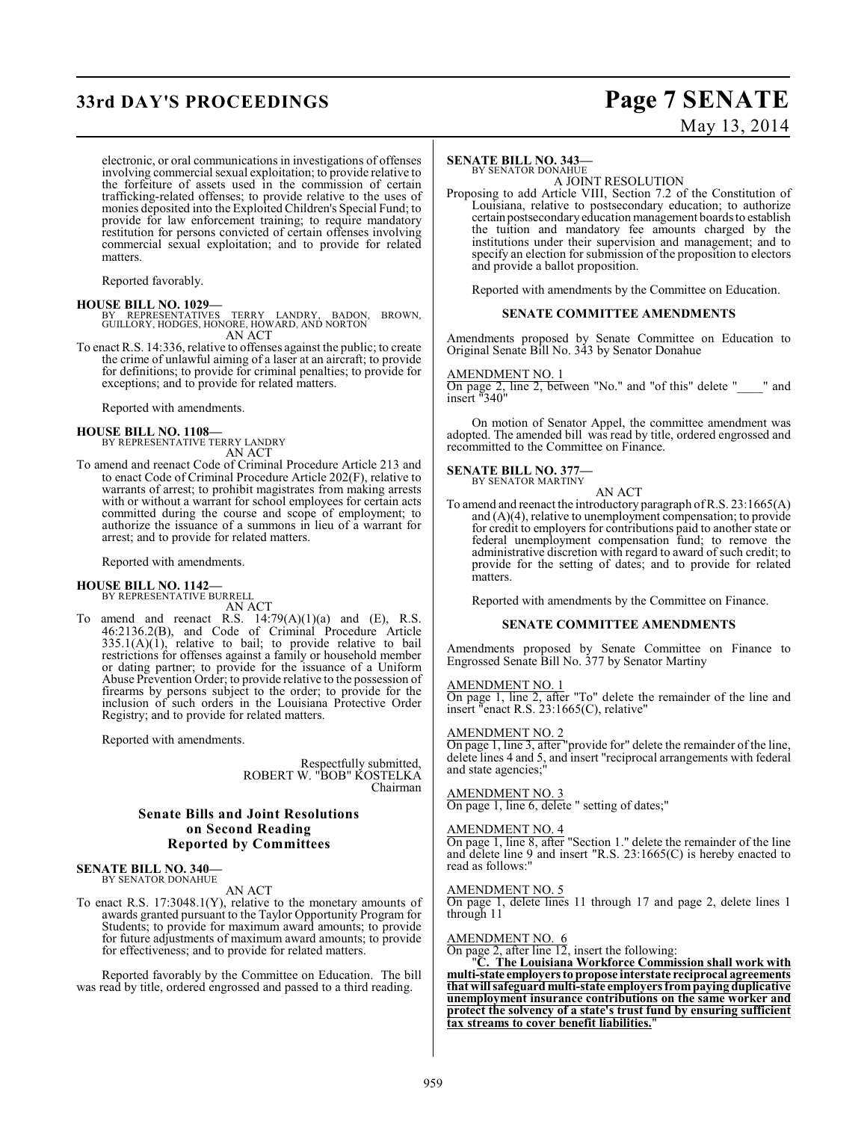# **33rd DAY'S PROCEEDINGS Page 7 SENATE**

# May 13, 2014

electronic, or oral communications in investigations of offenses involving commercial sexual exploitation; to provide relative to the forfeiture of assets used in the commission of certain trafficking-related offenses; to provide relative to the uses of monies deposited into the Exploited Children's Special Fund; to provide for law enforcement training; to require mandatory restitution for persons convicted of certain offenses involving commercial sexual exploitation; and to provide for related matters.

Reported favorably.

**HOUSE BILL NO. 1029—** BY REPRESENTATIVES TERRY LANDRY, BADON, BROWN, GUILLORY, HODGES, HONORE, HOWARD, AND NORTON AN ACT

To enact R.S. 14:336, relative to offenses against the public; to create the crime of unlawful aiming of a laser at an aircraft; to provide for definitions; to provide for criminal penalties; to provide for exceptions; and to provide for related matters.

Reported with amendments.

# **HOUSE BILL NO. 1108—** BY REPRESENTATIVE TERRY LANDRY

AN ACT

To amend and reenact Code of Criminal Procedure Article 213 and to enact Code of Criminal Procedure Article 202(F), relative to warrants of arrest; to prohibit magistrates from making arrests with or without a warrant for school employees for certain acts committed during the course and scope of employment; to authorize the issuance of a summons in lieu of a warrant for arrest; and to provide for related matters.

Reported with amendments.

#### **HOUSE BILL NO. 1142—**

BY REPRESENTATIVE BURRELL

AN ACT

To amend and reenact R.S.  $14:79(A)(1)(a)$  and (E), R.S. 46:2136.2(B), and Code of Criminal Procedure Article  $335.1(A)(1)$ , relative to bail; to provide relative to bail restrictions for offenses against a family or household member or dating partner; to provide for the issuance of a Uniform Abuse Prevention Order; to provide relative to the possession of firearms by persons subject to the order; to provide for the inclusion of such orders in the Louisiana Protective Order Registry; and to provide for related matters.

Reported with amendments.

Respectfully submitted, ROBERT W. "BOB" KOSTELKA Chairman

### **Senate Bills and Joint Resolutions on Second Reading Reported by Committees**

#### **SENATE BILL NO. 340—** BY SENATOR DONAHUE

AN ACT

To enact R.S. 17:3048.1(Y), relative to the monetary amounts of awards granted pursuant to the Taylor Opportunity Program for Students; to provide for maximum award amounts; to provide for future adjustments of maximum award amounts; to provide for effectiveness; and to provide for related matters.

Reported favorably by the Committee on Education. The bill was read by title, ordered engrossed and passed to a third reading.

#### **SENATE BILL NO. 343—** BY SENATOR DONAHUE

A JOINT RESOLUTION

Proposing to add Article VIII, Section 7.2 of the Constitution of Louisiana, relative to postsecondary education; to authorize certain postsecondary education management boards to establish the tuition and mandatory fee amounts charged by the institutions under their supervision and management; and to specify an election for submission of the proposition to electors and provide a ballot proposition.

Reported with amendments by the Committee on Education.

#### **SENATE COMMITTEE AMENDMENTS**

Amendments proposed by Senate Committee on Education to Original Senate Bill No. 343 by Senator Donahue

#### AMENDMENT NO. 1

On page 2, line 2, between "No." and "of this" delete "\_\_\_\_" and insert "340"

On motion of Senator Appel, the committee amendment was adopted. The amended bill was read by title, ordered engrossed and recommitted to the Committee on Finance.

# **SENATE BILL NO. 377—** BY SENATOR MARTINY

AN ACT

To amend and reenact the introductory paragraph of R.S. 23:1665(A) and (A)(4), relative to unemployment compensation; to provide for credit to employers for contributions paid to another state or federal unemployment compensation fund; to remove the administrative discretion with regard to award of such credit; to provide for the setting of dates; and to provide for related matters.

Reported with amendments by the Committee on Finance.

#### **SENATE COMMITTEE AMENDMENTS**

Amendments proposed by Senate Committee on Finance to Engrossed Senate Bill No. 377 by Senator Martiny

#### AMENDMENT NO. 1

On page 1, line 2, after "To" delete the remainder of the line and insert "enact R.S. 23:1665(C), relative"

#### AMENDMENT NO. 2

On page 1, line 3, after "provide for" delete the remainder of the line, delete lines 4 and 5, and insert "reciprocal arrangements with federal and state agencies;

#### AMENDMENT NO. 3

On page 1, line 6, delete " setting of dates;"

#### AMENDMENT NO. 4

On page 1, line 8, after "Section 1." delete the remainder of the line and delete line 9 and insert "R.S. 23:1665(C) is hereby enacted to read as follows:"

#### AMENDMENT NO. 5

On page 1, delete lines 11 through 17 and page 2, delete lines 1 through 11

#### AMENDMENT NO. 6

On page 2, after line 12, insert the following:

"**C. The Louisiana Workforce Commission shall work with multi-state employers to propose interstate reciprocal agreements that will safeguard multi-state employers from paying duplicative unemployment insurance contributions on the same worker and protect the solvency of a state's trust fund by ensuring sufficient tax streams to cover benefit liabilities.**"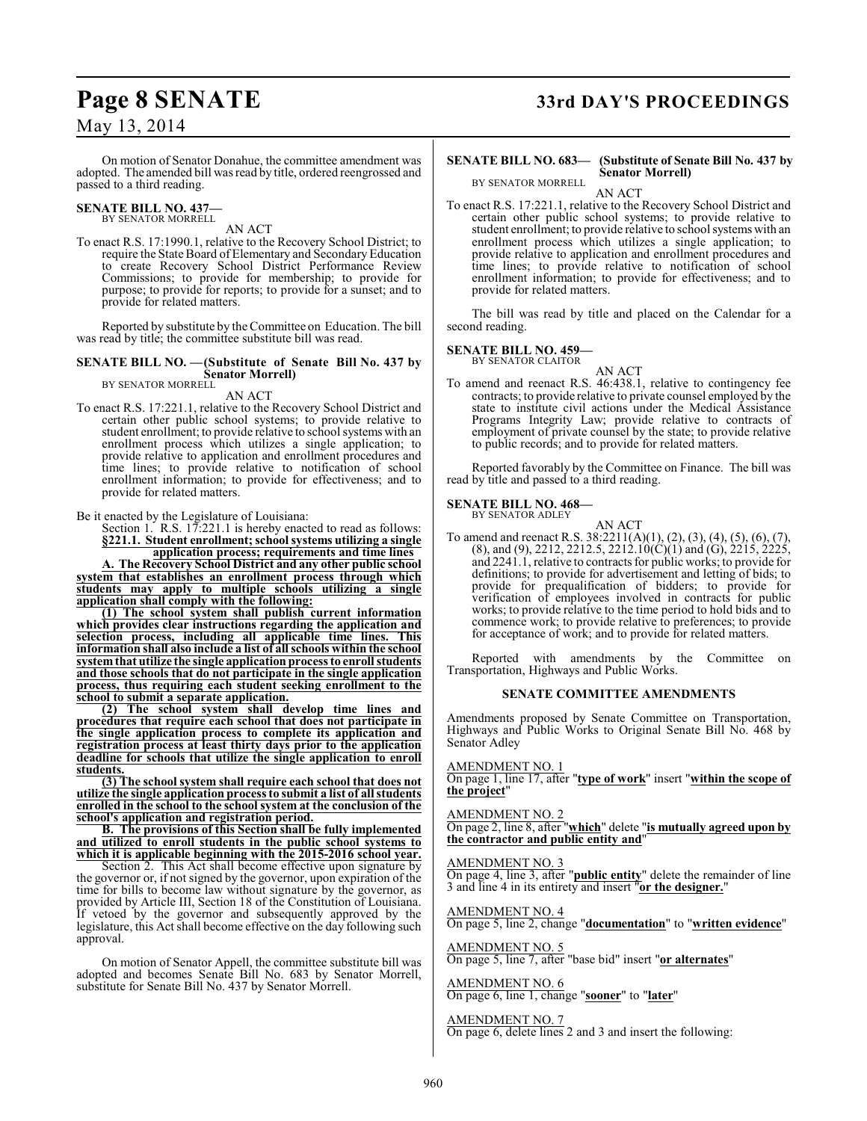On motion of Senator Donahue, the committee amendment was adopted. The amended bill was read by title, ordered reengrossed and passed to a third reading.

#### **SENATE BILL NO. 437—** BY SENATOR MORRELL

AN ACT

To enact R.S. 17:1990.1, relative to the Recovery School District; to require the State Board of Elementary and Secondary Education to create Recovery School District Performance Review Commissions; to provide for membership; to provide for purpose; to provide for reports; to provide for a sunset; and to provide for related matters.

Reported by substitute by the Committee on Education. The bill was read by title; the committee substitute bill was read.

#### **SENATE BILL NO. —(Substitute of Senate Bill No. 437 by Senator Morrell)** BY SENATOR MORRELL

AN ACT

To enact R.S. 17:221.1, relative to the Recovery School District and certain other public school systems; to provide relative to student enrollment; to provide relative to school systems with an enrollment process which utilizes a single application; to provide relative to application and enrollment procedures and time lines; to provide relative to notification of school enrollment information; to provide for effectiveness; and to provide for related matters.

Be it enacted by the Legislature of Louisiana:

Section 1. R.S. 17:221.1 is hereby enacted to read as follows: **§221.1. Student enrollment; school systems utilizing a single application process; requirements and time lines**

**A. The Recovery School District and any other public school system that establishes an enrollment process through which students may apply to multiple schools utilizing a single application shall comply with the following:**

**(1) The school system shall publish current information which provides clear instructions regarding the application and selection process, including all applicable time lines. This information shall also include a list of all schools within the school system that utilize the single application processto enroll students and those schools that do not participate in the single application process, thus requiring each student seeking enrollment to the school to submit a separate application.**

**(2) The school system shall develop time lines and procedures that require each school that does not participate in the single application process to complete its application and registration process at least thirty days prior to the application deadline for schools that utilize the single application to enroll students.**

**(3) The school system shall require each school that does not utilize the single application process to submit a list of all students enrolled in the school to the school system at the conclusion of the school's application and registration period.**

**B. The provisions of this Section shall be fully implemented and utilized to enroll students in the public school systems to which it is applicable beginning with the 2015-2016 school year.**

Section 2. This Act shall become effective upon signature by the governor or, if not signed by the governor, upon expiration of the time for bills to become law without signature by the governor, as provided by Article III, Section 18 of the Constitution of Louisiana. If vetoed by the governor and subsequently approved by the legislature, this Act shall become effective on the day following such approval.

On motion of Senator Appell, the committee substitute bill was adopted and becomes Senate Bill No. 683 by Senator Morrell, substitute for Senate Bill No. 437 by Senator Morrell.

# **Page 8 SENATE 33rd DAY'S PROCEEDINGS**

#### **SENATE BILL NO. 683— (Substitute of Senate Bill No. 437 by Senator Morrell)** BY SENATOR MORRELL

AN ACT

To enact R.S. 17:221.1, relative to the Recovery School District and certain other public school systems; to provide relative to student enrollment; to provide relative to school systems with an enrollment process which utilizes a single application; to provide relative to application and enrollment procedures and time lines; to provide relative to notification of school enrollment information; to provide for effectiveness; and to provide for related matters.

The bill was read by title and placed on the Calendar for a second reading.

### **SENATE BILL NO. 459—**

BY SENATOR CLAITOR AN ACT

To amend and reenact R.S. 46:438.1, relative to contingency fee contracts; to provide relative to private counsel employed by the state to institute civil actions under the Medical Assistance Programs Integrity Law; provide relative to contracts of employment of private counsel by the state; to provide relative to public records; and to provide for related matters.

Reported favorably by the Committee on Finance. The bill was read by title and passed to a third reading.

### **SENATE BILL NO. 468—**

BY SENATOR ADLEY

AN ACT To amend and reenact R.S. 38:2211(A)(1), (2), (3), (4), (5), (6), (7),  $(8)$ , and  $(9)$ , 2212, 2212.5, 2212.10 $(C)(1)$  and  $(G)$ , 2215, 2225, and 2241.1, relative to contracts for public works; to provide for definitions; to provide for advertisement and letting of bids; to provide for prequalification of bidders; to provide for verification of employees involved in contracts for public works; to provide relative to the time period to hold bids and to commence work; to provide relative to preferences; to provide for acceptance of work; and to provide for related matters.

Reported with amendments by the Committee on Transportation, Highways and Public Works.

#### **SENATE COMMITTEE AMENDMENTS**

Amendments proposed by Senate Committee on Transportation, Highways and Public Works to Original Senate Bill No. 468 by Senator Adley

#### AMENDMENT NO. 1

On page 1, line 17, after "**type of work**" insert "**within the scope of the project**"

#### AMENDMENT NO. 2

On page 2, line 8, after "**which**" delete "**is mutually agreed upon by the contractor and public entity and**"

#### AMENDMENT NO. 3

On page 4, line 3, after "**public entity**" delete the remainder of line 3 and line 4 in its entirety and insert "**or the designer.**"

#### AMENDMENT NO. 4

On page 5, line 2, change "**documentation**" to "**written evidence**"

#### AMENDMENT NO. 5

On page 5, line 7, after "base bid" insert "**or alternates**"

#### AMENDMENT NO. 6 On page 6, line 1, change "**sooner**" to "**later**"

# AMENDMENT NO. 7

On page 6, delete lines 2 and 3 and insert the following: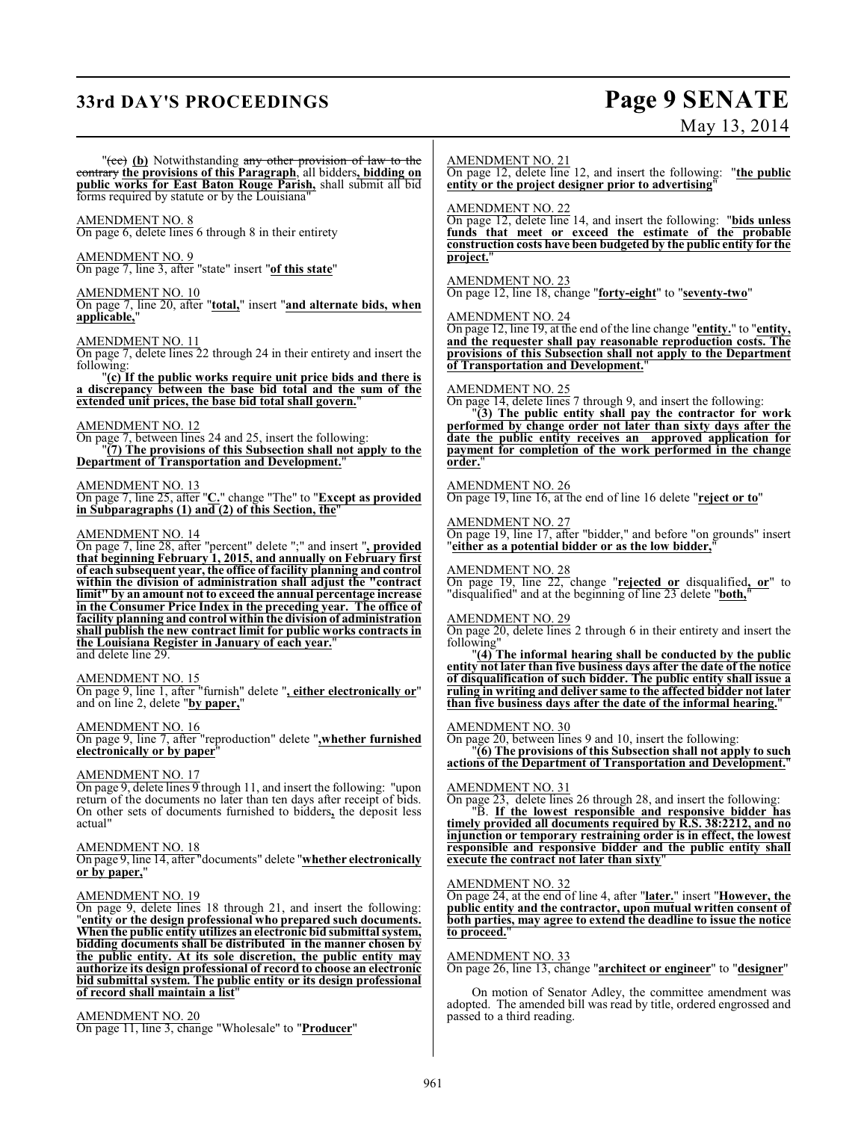# **33rd DAY'S PROCEEDINGS Page 9 SENATE**

# May 13, 2014

"(ce) (b) Notwithstanding any other provision of law to the contrary **the provisions of this Paragraph**, all bidders**, bidding on public works for East Baton Rouge Parish,** shall submit all bid forms required by statute or by the Louisiana"

#### AMENDMENT NO. 8

On page 6, delete lines 6 through 8 in their entirety

#### AMENDMENT NO. 9

On page 7, line 3, after "state" insert "**of this state**"

#### AMENDMENT NO. 10

On page 7, line 20, after "**total,**" insert "**and alternate bids, when applicable,**"

#### AMENDMENT NO. 11

On page 7, delete lines 22 through 24 in their entirety and insert the following:

"**(c) If the public works require unit price bids and there is a discrepancy between the base bid total and the sum of the extended unit prices, the base bid total shall govern.**"

#### AMENDMENT NO. 12

On page 7, between lines 24 and 25, insert the following: "**(7) The provisions of this Subsection shall not apply to the Department of Transportation and Development.**"

### AMENDMENT NO. 13

On page 7, line 25, after "**C.**" change "The" to "**Except as provided in Subparagraphs (1) and (2) of this Section, the**"

#### AMENDMENT NO. 14

On page 7, line 28, after "percent" delete ";" and insert "**, provided that beginning February 1, 2015, and annually on February first of each subsequent year, the office of facility planning and control within the division of administration shall adjust the "contract limit" by an amount not to exceed the annual percentage increase in the Consumer Price Index in the preceding year. The office of facility planning and control within the division of administration shall publish the new contract limit for public works contracts in the Louisiana Register in January of each year.**" and delete line 29.

#### AMENDMENT NO. 15

On page 9, line 1, after "furnish" delete "**, either electronically or**" and on line 2, delete "**by paper,**"

### AMENDMENT NO. 16

On page 9, line 7, after "reproduction" delete "**,whether furnished electronically or by paper**"

#### AMENDMENT NO. 17

On page 9, delete lines 9 through 11, and insert the following: "upon return of the documents no later than ten days after receipt of bids. On other sets of documents furnished to bidders**,** the deposit less actual"

#### AMENDMENT NO. 18

On page 9, line 14, after "documents" delete "**whether electronically or by paper,**"

#### AMENDMENT NO. 19

On page 9, delete lines 18 through 21, and insert the following: "**entity or the design professional who prepared such documents. When the public entity utilizes an electronic bid submittal system, bidding documents shall be distributed in the manner chosen by the public entity. At its sole discretion, the public entity may authorize its design professional of record to choose an electronic bid submittal system. The public entity or its design professional of record shall maintain a list**"

AMENDMENT NO. 20 On page 11, line 3, change "Wholesale" to "**Producer**"

#### AMENDMENT NO. 21

On page 12, delete line 12, and insert the following: "**the public entity or the project designer prior to advertising**"

#### AMENDMENT NO. 22

On page 12, delete line 14, and insert the following: "**bids unless funds that meet or exceed the estimate of the probable construction costs have been budgeted by the public entity for the project.**"

#### AMENDMENT NO. 23

On page 12, line 18, change "**forty-eight**" to "**seventy-two**"

#### AMENDMENT NO. 24

On page 12, line 19, at the end of the line change "**entity.**" to "**entity, and the requester shall pay reasonable reproduction costs. The provisions of this Subsection shall not apply to the Department of Transportation and Development.**"

#### AMENDMENT NO. 25

On page 14, delete lines 7 through 9, and insert the following:

"**(3) The public entity shall pay the contractor for work performed by change order not later than sixty days after the date the public entity receives an approved application for payment for completion of the work performed in the change** order.

#### AMENDMENT NO. 26

On page 19, line 16, at the end of line 16 delete "**reject or to**"

#### AMENDMENT NO. 27

On page 19, line 17, after "bidder," and before "on grounds" insert "**either as a potential bidder or as the low bidder,**"

#### AMENDMENT NO. 28

On page 19, line 22, change "**rejected or** disqualified**, or**" to "disqualified" and at the beginning of line 23 delete "**both,**"

#### AMENDMENT NO. 29

On page 20, delete lines 2 through 6 in their entirety and insert the following"

"**(4) The informal hearing shall be conducted by the public entity not later than five business days after the date of the notice of disqualification of such bidder. The public entity shall issue a ruling in writing and deliver same to the affected bidder not later than five business days after the date of the informal hearing.**"

#### AMENDMENT NO. 30

On page 20, between lines 9 and 10, insert the following:

"**(6) The provisions of this Subsection shall not apply to such actions of the Department of Transportation and Development.**"

#### AMENDMENT NO. 31

On page 23, delete lines 26 through 28, and insert the following:

"B. **If the lowest responsible and responsive bidder has timely provided all documents required by R.S. 38:2212, and no injunction or temporary restraining order is in effect, the lowest responsible and responsive bidder and the public entity shall execute the contract not later than sixty**"

#### AMENDMENT NO. 32

On page 24, at the end of line 4, after "**later.**" insert "**However, the public entity and the contractor, upon mutual written consent of both parties, may agree to extend the deadline to issue the notice** to proceed.

#### AMENDMENT NO. 33

On page 26, line 13, change "**architect or engineer**" to "**designer**"

On motion of Senator Adley, the committee amendment was adopted. The amended bill was read by title, ordered engrossed and passed to a third reading.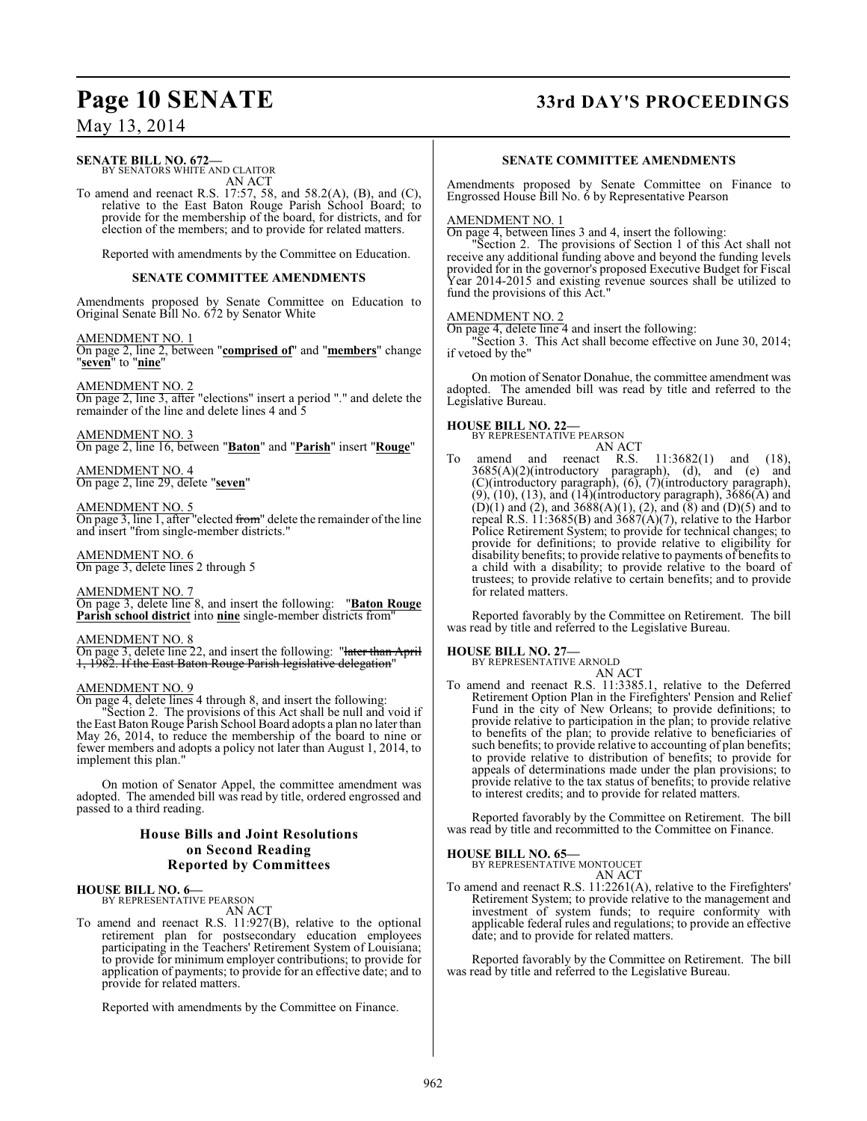# **Page 10 SENATE 33rd DAY'S PROCEEDINGS**

May 13, 2014

#### **SENATE BILL NO. 672—** BY SENATORS WHITE AND CLAITOR

AN ACT

To amend and reenact R.S. 17:57, 58, and 58.2(A), (B), and (C), relative to the East Baton Rouge Parish School Board; to provide for the membership of the board, for districts, and for election of the members; and to provide for related matters.

Reported with amendments by the Committee on Education.

#### **SENATE COMMITTEE AMENDMENTS**

Amendments proposed by Senate Committee on Education to Original Senate Bill No. 672 by Senator White

#### AMENDMENT NO. 1

On page 2, line 2, between "**comprised of**" and "**members**" change "**seven**" to "**nine**"

#### AMENDMENT NO. 2

On page 2, line 3, after "elections" insert a period "." and delete the remainder of the line and delete lines 4 and 5

AMENDMENT NO. 3 On page 2, line 16, between "**Baton**" and "**Parish**" insert "**Rouge**"

AMENDMENT NO. 4 On page 2, line 29, delete "**seven**"

#### AMENDMENT NO. 5

On page 3, line 1, after "elected from" delete the remainder of the line and insert "from single-member districts."

AMENDMENT NO. 6 On page 3, delete lines 2 through 5

## AMENDMENT NO. 7

On page 3, delete line 8, and insert the following: "**Baton Rouge Parish school district** into **nine** single-member districts from"

### AMENDMENT NO. 8

On page 3, delete line 22, and insert the following: "later than April 1, 1982. If the East Baton Rouge Parish legislative delegation"

#### AMENDMENT NO. 9

On page 4, delete lines 4 through 8, and insert the following:

"Section 2. The provisions of this Act shall be null and void if the East Baton Rouge Parish School Board adopts a plan no later than May 26, 2014, to reduce the membership of the board to nine or fewer members and adopts a policy not later than August 1, 2014, to implement this plan."

On motion of Senator Appel, the committee amendment was adopted. The amended bill was read by title, ordered engrossed and passed to a third reading.

#### **House Bills and Joint Resolutions on Second Reading Reported by Committees**

#### **HOUSE BILL NO. 6—**

BY REPRESENTATIVE PEARSON AN ACT

To amend and reenact R.S. 11:927(B), relative to the optional retirement plan for postsecondary education employees participating in the Teachers' Retirement System of Louisiana; to provide for minimum employer contributions; to provide for application of payments; to provide for an effective date; and to provide for related matters.

Reported with amendments by the Committee on Finance.

### **SENATE COMMITTEE AMENDMENTS**

Amendments proposed by Senate Committee on Finance to Engrossed House Bill No. 6 by Representative Pearson

#### AMENDMENT NO. 1

On page 4, between lines 3 and 4, insert the following:

"Section 2. The provisions of Section 1 of this Act shall not receive any additional funding above and beyond the funding levels provided for in the governor's proposed Executive Budget for Fiscal Year 2014-2015 and existing revenue sources shall be utilized to fund the provisions of this Act."

#### AMENDMENT NO. 2

On page 4, delete line 4 and insert the following: "Section 3. This Act shall become effective on June 30, 2014;

if vetoed by the"

On motion of Senator Donahue, the committee amendment was adopted. The amended bill was read by title and referred to the Legislative Bureau.

# **HOUSE BILL NO. 22—** BY REPRESENTATIVE PEARSON

AN ACT amend and reenact R.S.  $11:3682(1)$  and  $(18)$ ,  $3685(A)(2)$ (introductory paragraph), (d), and (e) and (C)(introductory paragraph), (6), (7)(introductory paragraph), (9), (10), (13), and (14)(introductory paragraph), 3686(A) and  $(D)(1)$  and  $(2)$ , and  $3688(A)(1)$ ,  $(2)$ , and  $(8)$  and  $(D)(5)$  and to repeal R.S. 11:3685(B) and 3687(A)(7), relative to the Harbor Police Retirement System; to provide for technical changes; to provide for definitions; to provide relative to eligibility for disability benefits; to provide relative to payments of benefits to a child with a disability; to provide relative to the board of trustees; to provide relative to certain benefits; and to provide for related matters.

Reported favorably by the Committee on Retirement. The bill was read by title and referred to the Legislative Bureau.

# **HOUSE BILL NO. 27—** BY REPRESENTATIVE ARNOLD

AN ACT To amend and reenact R.S. 11:3385.1, relative to the Deferred Retirement Option Plan in the Firefighters' Pension and Relief Fund in the city of New Orleans; to provide definitions; to provide relative to participation in the plan; to provide relative to benefits of the plan; to provide relative to beneficiaries of such benefits; to provide relative to accounting of plan benefits; to provide relative to distribution of benefits; to provide for appeals of determinations made under the plan provisions; to provide relative to the tax status of benefits; to provide relative to interest credits; and to provide for related matters.

Reported favorably by the Committee on Retirement. The bill was read by title and recommitted to the Committee on Finance.

**HOUSE BILL NO. 65—** BY REPRESENTATIVE MONTOUCET AN ACT

To amend and reenact R.S. 11:2261(A), relative to the Firefighters' Retirement System; to provide relative to the management and investment of system funds; to require conformity with applicable federal rules and regulations; to provide an effective date; and to provide for related matters.

Reported favorably by the Committee on Retirement. The bill was read by title and referred to the Legislative Bureau.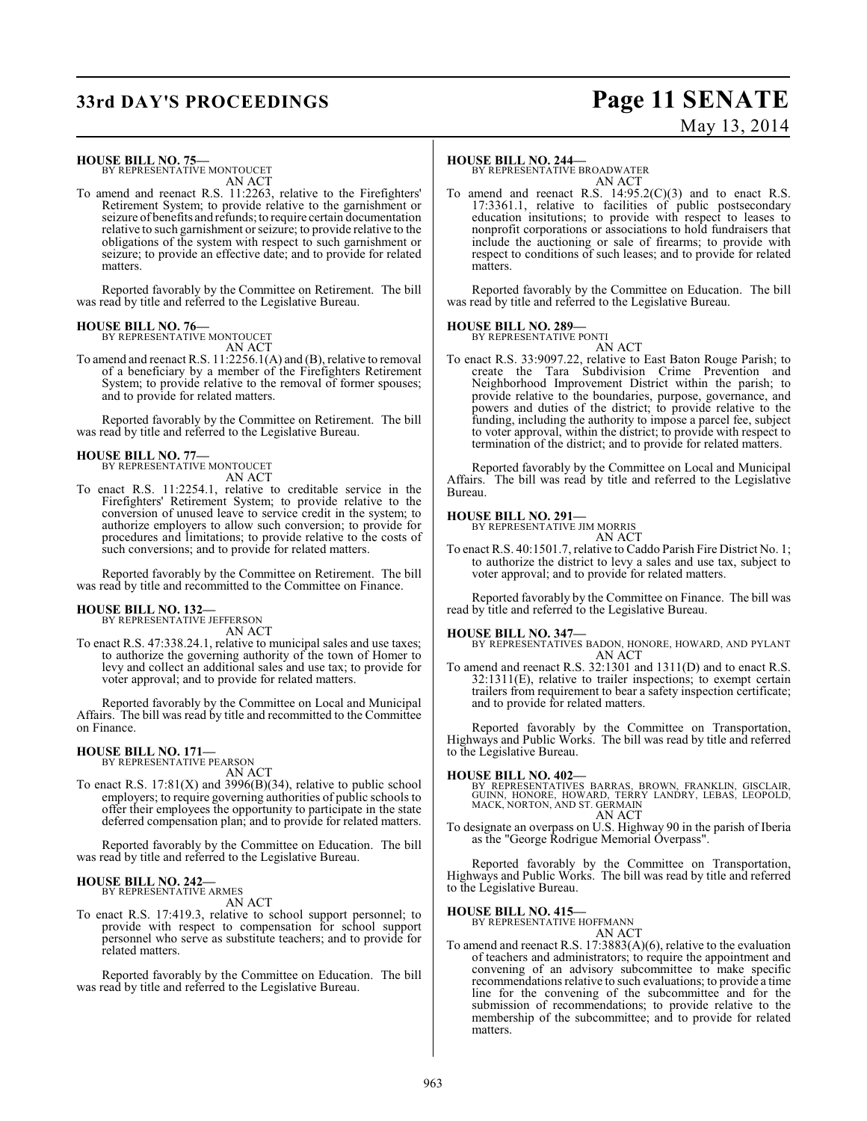# **33rd DAY'S PROCEEDINGS Page 11 SENATE**

# May 13, 2014

#### **HOUSE BILL NO. 75—**

BY REPRESENTATIVE MONTOUCET AN ACT

To amend and reenact R.S. 11:2263, relative to the Firefighters' Retirement System; to provide relative to the garnishment or seizure of benefits and refunds; to require certain documentation relative to such garnishment or seizure; to provide relative to the obligations of the system with respect to such garnishment or seizure; to provide an effective date; and to provide for related matters.

Reported favorably by the Committee on Retirement. The bill was read by title and referred to the Legislative Bureau.

#### **HOUSE BILL NO. 76—** BY REPRESENTATIVE MONTOUCET

AN ACT

To amend and reenact R.S. 11:2256.1(A) and (B), relative to removal of a beneficiary by a member of the Firefighters Retirement System; to provide relative to the removal of former spouses; and to provide for related matters.

Reported favorably by the Committee on Retirement. The bill was read by title and referred to the Legislative Bureau.

#### **HOUSE BILL NO. 77—**

BY REPRESENTATIVE MONTOUCET AN ACT

To enact R.S. 11:2254.1, relative to creditable service in the Firefighters' Retirement System; to provide relative to the conversion of unused leave to service credit in the system; to authorize employers to allow such conversion; to provide for procedures and limitations; to provide relative to the costs of such conversions; and to provide for related matters.

Reported favorably by the Committee on Retirement. The bill was read by title and recommitted to the Committee on Finance.

#### **HOUSE BILL NO. 132—**

BY REPRESENTATIVE JEFFERSON AN ACT

To enact R.S. 47:338.24.1, relative to municipal sales and use taxes; to authorize the governing authority of the town of Homer to levy and collect an additional sales and use tax; to provide for voter approval; and to provide for related matters.

Reported favorably by the Committee on Local and Municipal Affairs. The bill was read by title and recommitted to the Committee on Finance.

#### **HOUSE BILL NO. 171—**

BY REPRESENTATIVE PEARSON AN ACT

To enact R.S.  $17:81(X)$  and  $3996(B)(34)$ , relative to public school employers; to require governing authorities of public schools to offer their employees the opportunity to participate in the state deferred compensation plan; and to provide for related matters.

Reported favorably by the Committee on Education. The bill was read by title and referred to the Legislative Bureau.

#### **HOUSE BILL NO. 242—** BY REPRESENTATIVE ARMES

AN ACT

To enact R.S. 17:419.3, relative to school support personnel; to provide with respect to compensation for school support personnel who serve as substitute teachers; and to provide for related matters.

Reported favorably by the Committee on Education. The bill was read by title and referred to the Legislative Bureau.

#### **HOUSE BILL NO. 244—**

BY REPRESENTATIVE BROADWATER AN ACT

To amend and reenact R.S.  $14:95.2(C)(3)$  and to enact R.S. 17:3361.1, relative to facilities of public postsecondary education insitutions; to provide with respect to leases to nonprofit corporations or associations to hold fundraisers that include the auctioning or sale of firearms; to provide with respect to conditions of such leases; and to provide for related matters.

Reported favorably by the Committee on Education. The bill was read by title and referred to the Legislative Bureau.

#### **HOUSE BILL NO. 289—**

BY REPRESENTATIVE PONTI AN ACT

To enact R.S. 33:9097.22, relative to East Baton Rouge Parish; to create the Tara Subdivision Crime Prevention and Neighborhood Improvement District within the parish; to provide relative to the boundaries, purpose, governance, and powers and duties of the district; to provide relative to the funding, including the authority to impose a parcel fee, subject to voter approval, within the district; to provide with respect to termination of the district; and to provide for related matters.

Reported favorably by the Committee on Local and Municipal Affairs. The bill was read by title and referred to the Legislative Bureau.

#### **HOUSE BILL NO. 291—**

BY REPRESENTATIVE JIM MORRIS AN ACT

To enact R.S. 40:1501.7, relative to Caddo Parish Fire District No. 1; to authorize the district to levy a sales and use tax, subject to voter approval; and to provide for related matters.

Reported favorably by the Committee on Finance. The bill was read by title and referred to the Legislative Bureau.

#### **HOUSE BILL NO. 347—**

BY REPRESENTATIVES BADON, HONORE, HOWARD, AND PYLANT AN ACT

To amend and reenact R.S. 32:1301 and 1311(D) and to enact R.S. 32:1311(E), relative to trailer inspections; to exempt certain trailers from requirement to bear a safety inspection certificate; and to provide for related matters.

Reported favorably by the Committee on Transportation, Highways and Public Works. The bill was read by title and referred to the Legislative Bureau.

#### **HOUSE BILL NO. 402—**

BY REPRESENTATIVES BARRAS, BROWN, FRANKLIN, GISCLAIR,<br>GUINN, HONORE, HOWARD, TERRY LANDRY, LEBAS, LEOPOLD,<br>MACK,NORTON,AND ST. GERMAIN AN ACT

To designate an overpass on U.S. Highway 90 in the parish of Iberia as the "George Rodrigue Memorial Overpass".

Reported favorably by the Committee on Transportation, Highways and Public Works. The bill was read by title and referred to the Legislative Bureau.

#### **HOUSE BILL NO. 415—**

BY REPRESENTATIVE HOFFMANN AN ACT

- To amend and reenact R.S. 17:3883(A)(6), relative to the evaluation
- of teachers and administrators; to require the appointment and convening of an advisory subcommittee to make specific recommendations relative to such evaluations; to provide a time line for the convening of the subcommittee and for the submission of recommendations; to provide relative to the membership of the subcommittee; and to provide for related matters.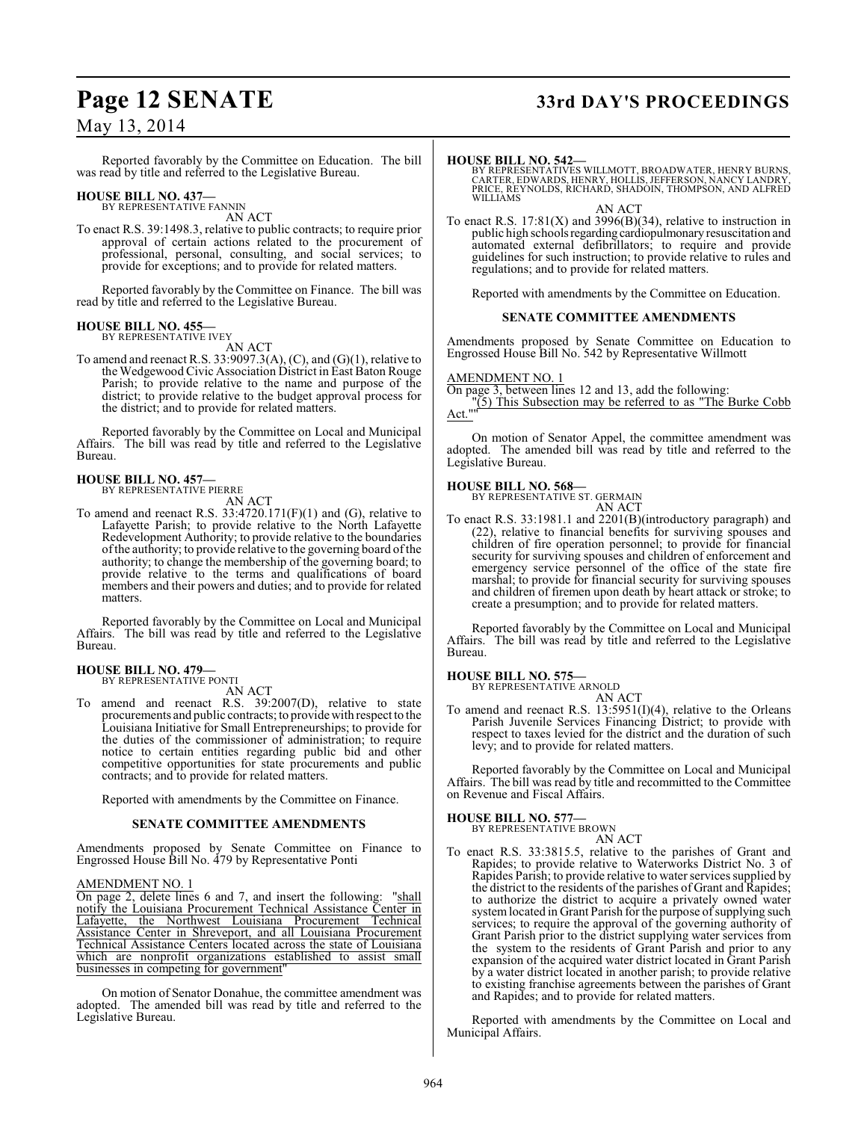Reported favorably by the Committee on Education. The bill was read by title and referred to the Legislative Bureau.

# **HOUSE BILL NO. 437—** BY REPRESENTATIVE FANNIN

AN ACT

To enact R.S. 39:1498.3, relative to public contracts; to require prior approval of certain actions related to the procurement of professional, personal, consulting, and social services; to provide for exceptions; and to provide for related matters.

Reported favorably by the Committee on Finance. The bill was read by title and referred to the Legislative Bureau.

#### **HOUSE BILL NO. 455—** BY REPRESENTATIVE IVEY

AN ACT

To amend and reenact R.S. 33:9097.3(A), (C), and  $(G)(1)$ , relative to the Wedgewood Civic Association District in East Baton Rouge Parish; to provide relative to the name and purpose of the district; to provide relative to the budget approval process for the district; and to provide for related matters.

Reported favorably by the Committee on Local and Municipal Affairs. The bill was read by title and referred to the Legislative Bureau.

# **HOUSE BILL NO. 457—** BY REPRESENTATIVE PIERRE

AN ACT

To amend and reenact R.S. 33:4720.171(F)(1) and (G), relative to Lafayette Parish; to provide relative to the North Lafayette Redevelopment Authority; to provide relative to the boundaries of the authority; to provide relative to the governing board of the authority; to change the membership of the governing board; to provide relative to the terms and qualifications of board members and their powers and duties; and to provide for related matters.

Reported favorably by the Committee on Local and Municipal Affairs. The bill was read by title and referred to the Legislative Bureau.

# **HOUSE BILL NO. 479—** BY REPRESENTATIVE PONTI

AN ACT

To amend and reenact R.S. 39:2007(D), relative to state procurements and public contracts; to provide with respect to the Louisiana Initiative for Small Entrepreneurships; to provide for the duties of the commissioner of administration; to require notice to certain entities regarding public bid and other competitive opportunities for state procurements and public contracts; and to provide for related matters.

Reported with amendments by the Committee on Finance.

#### **SENATE COMMITTEE AMENDMENTS**

Amendments proposed by Senate Committee on Finance to Engrossed House Bill No. 479 by Representative Ponti

#### AMENDMENT NO. 1

On page 2, delete lines 6 and 7, and insert the following: "shall notify the Louisiana Procurement Technical Assistance Center in Lafayette, the Northwest Louisiana Procurement Technical Assistance Center in Shreveport, and all Louisiana Procurement Technical Assistance Centers located across the state of Louisiana which are nonprofit organizations established to assist small businesses in competing for government"

On motion of Senator Donahue, the committee amendment was adopted. The amended bill was read by title and referred to the Legislative Bureau.

# **Page 12 SENATE 33rd DAY'S PROCEEDINGS**

#### **HOUSE BILL NO. 542—**

BY REPRESENTATIVES WILLMOTT, BROADWATER, HENRY BURNS,<br>CARTER, EDWARDS, HENRY, HOLLIS, JEFFERSON, NANCY LANDRY,<br>PRICE, REYNOLDS, RICHARD, SHADOIN, THOMPSON, AND ALFRED WILLIAMS

AN ACT

To enact R.S.  $17:81(X)$  and  $3996(B)(34)$ , relative to instruction in public high schools regarding cardiopulmonary resuscitation and automated external defibrillators; to require and provide guidelines for such instruction; to provide relative to rules and regulations; and to provide for related matters.

Reported with amendments by the Committee on Education.

#### **SENATE COMMITTEE AMENDMENTS**

Amendments proposed by Senate Committee on Education to Engrossed House Bill No. 542 by Representative Willmott

#### AMENDMENT NO. 1

On page 3, between lines 12 and 13, add the following:

"(5) This Subsection may be referred to as "The Burke Cobb Act.""

On motion of Senator Appel, the committee amendment was adopted. The amended bill was read by title and referred to the Legislative Bureau.

#### **HOUSE BILL NO. 568—**

BY REPRESENTATIVE ST. GERMAIN AN ACT

To enact R.S. 33:1981.1 and 2201(B)(introductory paragraph) and (22), relative to financial benefits for surviving spouses and children of fire operation personnel; to provide for financial security for surviving spouses and children of enforcement and emergency service personnel of the office of the state fire marshal; to provide for financial security for surviving spouses and children of firemen upon death by heart attack or stroke; to create a presumption; and to provide for related matters.

Reported favorably by the Committee on Local and Municipal Affairs. The bill was read by title and referred to the Legislative Bureau.

#### **HOUSE BILL NO. 575—**

BY REPRESENTATIVE ARNOLD

AN ACT To amend and reenact R.S. 13:5951(I)(4), relative to the Orleans Parish Juvenile Services Financing District; to provide with respect to taxes levied for the district and the duration of such levy; and to provide for related matters.

Reported favorably by the Committee on Local and Municipal Affairs. The bill was read by title and recommitted to the Committee on Revenue and Fiscal Affairs.

#### **HOUSE BILL NO. 577—**

BY REPRESENTATIVE BROWN AN ACT

To enact R.S. 33:3815.5, relative to the parishes of Grant and Rapides; to provide relative to Waterworks District No. 3 of Rapides Parish; to provide relative to water services supplied by the district to the residents of the parishes of Grant and Rapides; to authorize the district to acquire a privately owned water system located in Grant Parish for the purpose of supplying such services; to require the approval of the governing authority of Grant Parish prior to the district supplying water services from the system to the residents of Grant Parish and prior to any expansion of the acquired water district located in Grant Parish by a water district located in another parish; to provide relative to existing franchise agreements between the parishes of Grant and Rapides; and to provide for related matters.

Reported with amendments by the Committee on Local and Municipal Affairs.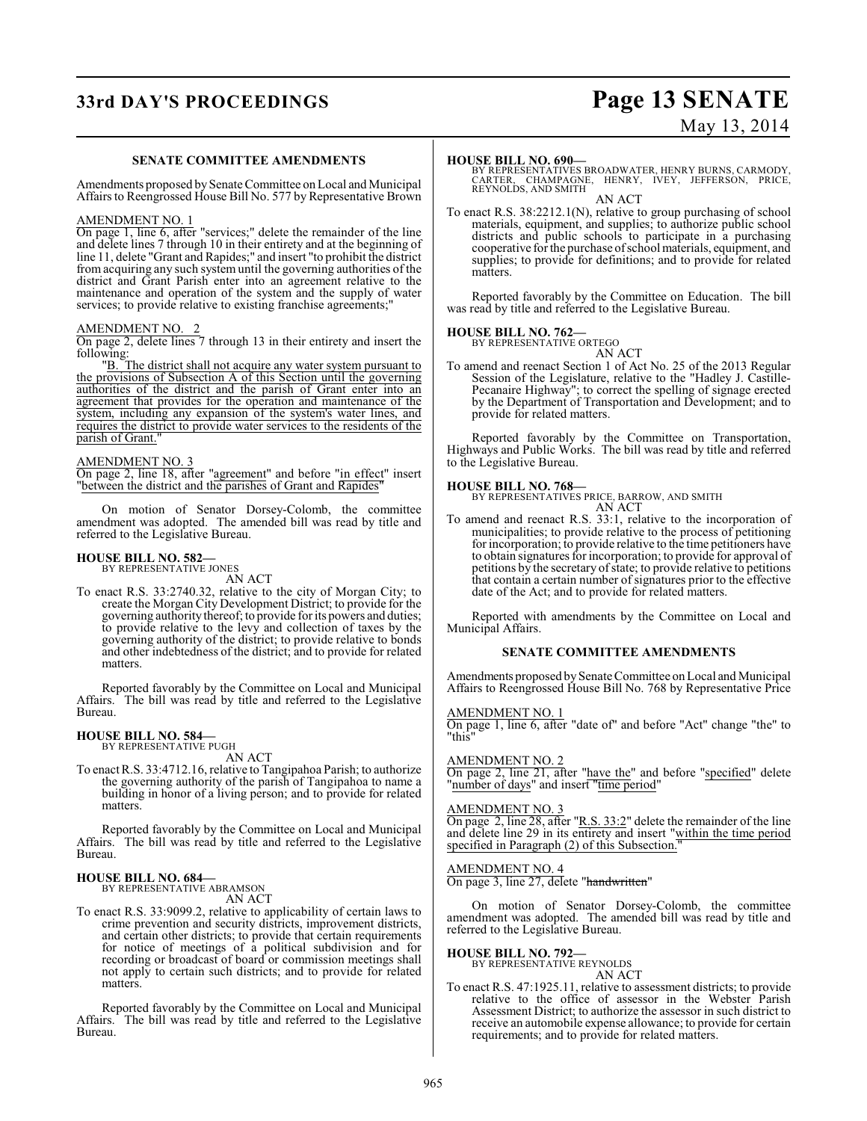# **33rd DAY'S PROCEEDINGS Page 13 SENATE**

# May 13, 2014

#### **SENATE COMMITTEE AMENDMENTS**

Amendments proposed by Senate Committee on Local and Municipal Affairs to Reengrossed House Bill No. 577 by Representative Brown

#### AMENDMENT NO. 1

On page 1, line 6, after "services;" delete the remainder of the line and delete lines 7 through 10 in their entirety and at the beginning of line 11, delete "Grant and Rapides;" and insert "to prohibit the district from acquiring any such system until the governing authorities of the district and Grant Parish enter into an agreement relative to the maintenance and operation of the system and the supply of water services; to provide relative to existing franchise agreements;

#### AMENDMENT NO. 2

On page 2, delete lines 7 through 13 in their entirety and insert the following:

"B. The district shall not acquire any water system pursuant to the provisions of Subsection A of this Section until the governing authorities of the district and the parish of Grant enter into an agreement that provides for the operation and maintenance of the system, including any expansion of the system's water lines, and requires the district to provide water services to the residents of the parish of Grant.

#### AMENDMENT NO. 3

On page 2, line 18, after "agreement" and before "in effect" insert "between the district and the parishes of Grant and Rapides"

On motion of Senator Dorsey-Colomb, the committee amendment was adopted. The amended bill was read by title and referred to the Legislative Bureau.

# **HOUSE BILL NO. 582—** BY REPRESENTATIVE JONES

AN ACT

To enact R.S. 33:2740.32, relative to the city of Morgan City; to create the Morgan City Development District; to provide for the governing authority thereof; to provide for its powers and duties; to provide relative to the levy and collection of taxes by the governing authority of the district; to provide relative to bonds and other indebtedness of the district; and to provide for related matters.

Reported favorably by the Committee on Local and Municipal Affairs. The bill was read by title and referred to the Legislative Bureau.

#### **HOUSE BILL NO. 584—**

BY REPRESENTATIVE PUGH AN ACT

To enact R.S. 33:4712.16, relative to Tangipahoa Parish; to authorize the governing authority of the parish of Tangipahoa to name a building in honor of a living person; and to provide for related matters.

Reported favorably by the Committee on Local and Municipal Affairs. The bill was read by title and referred to the Legislative Bureau.

#### **HOUSE BILL NO. 684—** BY REPRESENTATIVE ABRAMSON

AN ACT

To enact R.S. 33:9099.2, relative to applicability of certain laws to crime prevention and security districts, improvement districts, and certain other districts; to provide that certain requirements for notice of meetings of a political subdivision and for recording or broadcast of board or commission meetings shall not apply to certain such districts; and to provide for related matters.

Reported favorably by the Committee on Local and Municipal Affairs. The bill was read by title and referred to the Legislative Bureau.

**HOUSE BILL NO. 690—** BY REPRESENTATIVES BROADWATER, HENRY BURNS, CARMODY, CARTER, CHAMPAGNE, HENRY, IVEY, JEFFERSON, PRICE, REYNOLDS, AND SMITH AN ACT

To enact R.S. 38:2212.1(N), relative to group purchasing of school materials, equipment, and supplies; to authorize public school districts and public schools to participate in a purchasing cooperative for the purchase of school materials, equipment, and supplies; to provide for definitions; and to provide for related matters.

Reported favorably by the Committee on Education. The bill was read by title and referred to the Legislative Bureau.

#### **HOUSE BILL NO. 762—**

BY REPRESENTATIVE ORTEGO

AN ACT To amend and reenact Section 1 of Act No. 25 of the 2013 Regular Session of the Legislature, relative to the "Hadley J. Castille-Pecanaire Highway"; to correct the spelling of signage erected by the Department of Transportation and Development; and to provide for related matters.

Reported favorably by the Committee on Transportation, Highways and Public Works. The bill was read by title and referred to the Legislative Bureau.

**HOUSE BILL NO. 768—** BY REPRESENTATIVES PRICE, BARROW, AND SMITH AN ACT

To amend and reenact R.S. 33:1, relative to the incorporation of municipalities; to provide relative to the process of petitioning for incorporation; to provide relative to the time petitioners have to obtain signatures for incorporation; to provide for approval of petitions by the secretary of state; to provide relative to petitions that contain a certain number of signatures prior to the effective date of the Act; and to provide for related matters.

Reported with amendments by the Committee on Local and Municipal Affairs.

#### **SENATE COMMITTEE AMENDMENTS**

Amendments proposed by Senate Committee on Local and Municipal Affairs to Reengrossed House Bill No. 768 by Representative Price

#### AMENDMENT NO. 1

On page 1, line 6, after "date of" and before "Act" change "the" to "this"

#### AMENDMENT NO. 2

On page 2, line 21, after "have the" and before "specified" delete "number of days" and insert "time period"

#### AMENDMENT NO. 3

On page 2, line 28, after "R.S. 33:2" delete the remainder of the line and delete line 29 in its entirety and insert "within the time period specified in Paragraph (2) of this Subsection.

#### AMENDMENT NO. 4

On page 3, line 27, delete "handwritten"

On motion of Senator Dorsey-Colomb, the committee amendment was adopted. The amended bill was read by title and referred to the Legislative Bureau.

#### **HOUSE BILL NO. 792—**

BY REPRESENTATIVE REYNOLDS AN ACT

To enact R.S. 47:1925.11, relative to assessment districts; to provide relative to the office of assessor in the Webster Parish Assessment District; to authorize the assessor in such district to receive an automobile expense allowance; to provide for certain requirements; and to provide for related matters.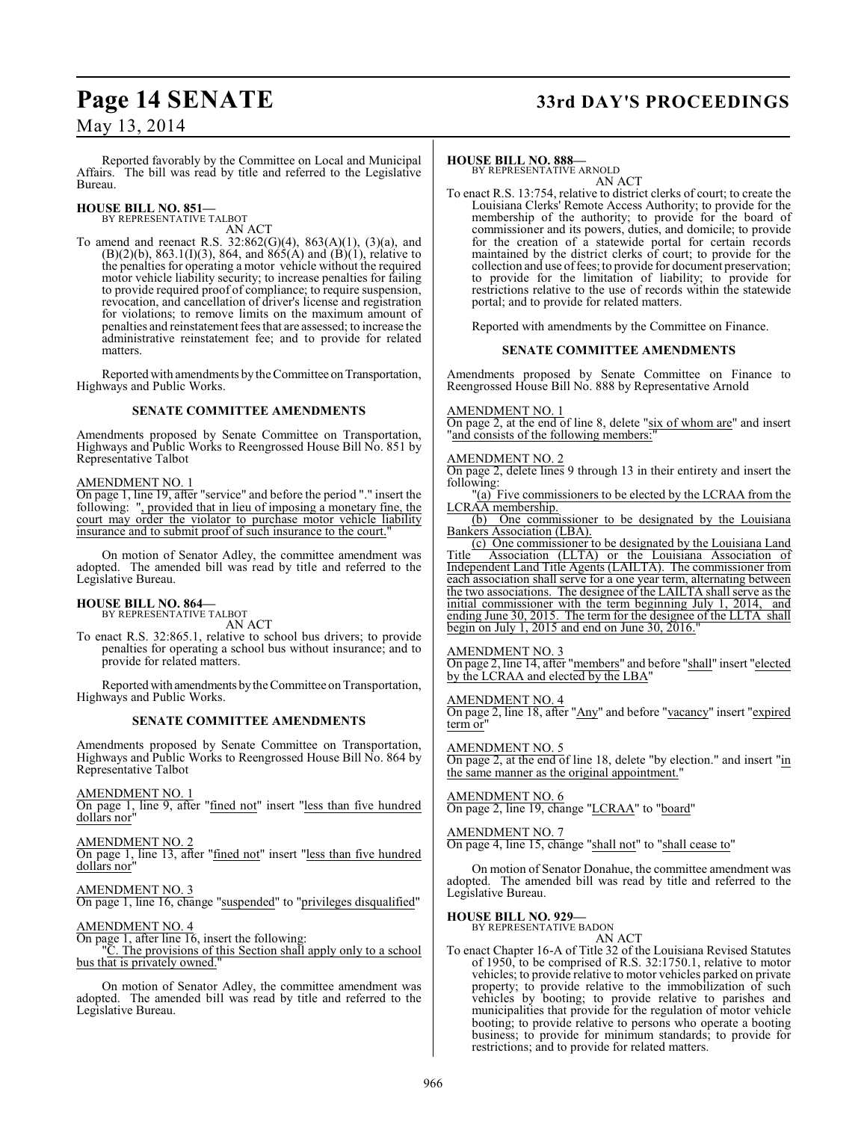Reported favorably by the Committee on Local and Municipal Affairs. The bill was read by title and referred to the Legislative Bureau.

**HOUSE BILL NO. 851—** BY REPRESENTATIVE TALBOT

AN ACT

To amend and reenact R.S. 32:862(G)(4), 863(A)(1), (3)(a), and  $(B)(2)(b)$ , 863.1(I)(3), 864, and 865(A) and  $(B)(1)$ , relative to the penalties for operating a motor vehicle without the required motor vehicle liability security; to increase penalties for failing to provide required proof of compliance; to require suspension, revocation, and cancellation of driver's license and registration for violations; to remove limits on the maximum amount of penalties and reinstatement fees that are assessed; to increase the administrative reinstatement fee; and to provide for related matters.

Reported with amendments by the Committee on Transportation, Highways and Public Works.

#### **SENATE COMMITTEE AMENDMENTS**

Amendments proposed by Senate Committee on Transportation, Highways and Public Works to Reengrossed House Bill No. 851 by Representative Talbot

#### AMENDMENT NO. 1

On page 1, line 19, after "service" and before the period "." insert the following: ", provided that in lieu of imposing a monetary fine, the court may order the violator to purchase motor vehicle liability insurance and to submit proof of such insurance to the court.

On motion of Senator Adley, the committee amendment was adopted. The amended bill was read by title and referred to the Legislative Bureau.

#### **HOUSE BILL NO. 864—**

BY REPRESENTATIVE TALBOT AN ACT

To enact R.S. 32:865.1, relative to school bus drivers; to provide penalties for operating a school bus without insurance; and to provide for related matters.

Reported with amendments by the Committee on Transportation, Highways and Public Works.

#### **SENATE COMMITTEE AMENDMENTS**

Amendments proposed by Senate Committee on Transportation, Highways and Public Works to Reengrossed House Bill No. 864 by Representative Talbot

AMENDMENT NO. 1

On page 1, line 9, after "fined not" insert "less than five hundred dollars nor"

AMENDMENT NO. 2

On page 1, line 13, after "fined not" insert "less than five hundred dollars nor"

AMENDMENT NO. 3

On page 1, line 16, change "suspended" to "privileges disqualified"

#### AMENDMENT NO. 4

On page 1, after line 16, insert the following:<br>"C. The provisions of this Section shall

. The provisions of this Section shall apply only to a school bus that is privately owned."

On motion of Senator Adley, the committee amendment was adopted. The amended bill was read by title and referred to the Legislative Bureau.

# **Page 14 SENATE 33rd DAY'S PROCEEDINGS**

#### **HOUSE BILL NO. 888—**

BY REPRESENTATIVE ARNOLD AN ACT

To enact R.S. 13:754, relative to district clerks of court; to create the Louisiana Clerks' Remote Access Authority; to provide for the membership of the authority; to provide for the board of commissioner and its powers, duties, and domicile; to provide for the creation of a statewide portal for certain records maintained by the district clerks of court; to provide for the collection and use of fees; to provide for document preservation; to provide for the limitation of liability; to provide for restrictions relative to the use of records within the statewide portal; and to provide for related matters.

Reported with amendments by the Committee on Finance.

#### **SENATE COMMITTEE AMENDMENTS**

Amendments proposed by Senate Committee on Finance to Reengrossed House Bill No. 888 by Representative Arnold

#### AMENDMENT NO. 1

On page 2, at the end of line 8, delete "six of whom are" and insert and consists of the following members:

#### AMENDMENT NO. 2

On page 2, delete lines 9 through 13 in their entirety and insert the following:

"(a) Five commissioners to be elected by the LCRAA from the LCRAA membership.

(b) One commissioner to be designated by the Louisiana Bankers Association (LBA).

(c) One commissioner to be designated by the Louisiana Land Title Association (LLTA) or the Louisiana Association of Independent Land Title Agents (LAILTA). The commissioner from each association shall serve for a one year term, alternating between the two associations. The designee of the LAILTA shall serve as the initial commissioner with the term beginning July 1, 2014, and ending June 30, 2015. The term for the designee of the LLTA shall begin on July 1, 2015 and end on June 30, 2016."

#### AMENDMENT NO. 3

On page 2, line 14, after "members" and before "shall" insert "elected by the LCRAA and elected by the LBA"

AMENDMENT NO. 4

On page 2, line 18, after "Any" and before "vacancy" insert "expired term or

## AMENDMENT NO. 5

On page 2, at the end of line 18, delete "by election." and insert "in the same manner as the original appointment."

#### AMENDMENT NO. 6 On page 2, line 19, change "LCRAA" to "board"

AMENDMENT NO. 7

On page 4, line 15, change "shall not" to "shall cease to"

On motion of Senator Donahue, the committee amendment was adopted. The amended bill was read by title and referred to the Legislative Bureau.

# **HOUSE BILL NO. 929—** BY REPRESENTATIVE BADON

AN ACT

To enact Chapter 16-A of Title 32 of the Louisiana Revised Statutes of 1950, to be comprised of R.S. 32:1750.1, relative to motor vehicles; to provide relative to motor vehicles parked on private property; to provide relative to the immobilization of such vehicles by booting; to provide relative to parishes and municipalities that provide for the regulation of motor vehicle booting; to provide relative to persons who operate a booting business; to provide for minimum standards; to provide for restrictions; and to provide for related matters.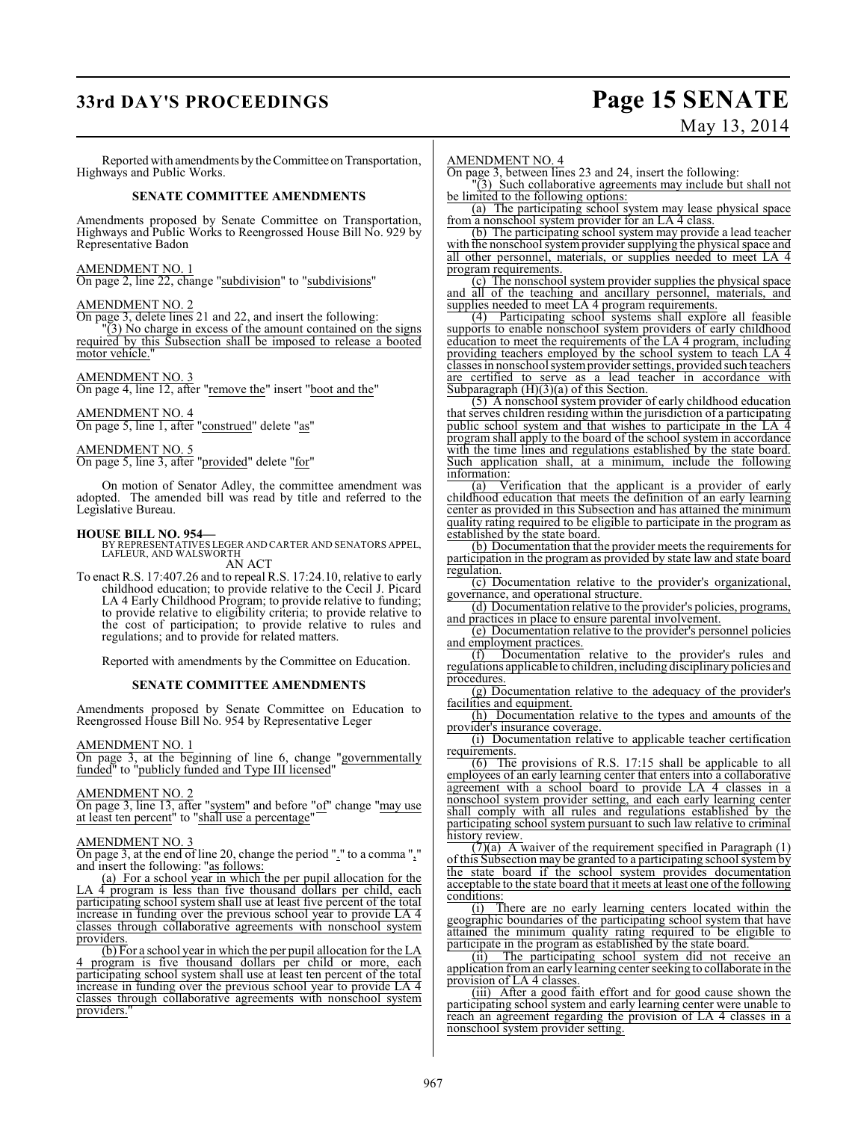# **33rd DAY'S PROCEEDINGS Page 15 SENATE**

# May 13, 2014

Reported with amendments by the Committee on Transportation, Highways and Public Works.

#### **SENATE COMMITTEE AMENDMENTS**

Amendments proposed by Senate Committee on Transportation, Highways and Public Works to Reengrossed House Bill No. 929 by Representative Badon

#### AMENDMENT NO. 1

On page 2, line 22, change "subdivision" to "subdivisions"

#### AMENDMENT NO. 2

On page 3, delete lines 21 and 22, and insert the following:

 $\overline{1}(3)$  No charge in excess of the amount contained on the signs required by this Subsection shall be imposed to release a booted motor vehicle."

#### AMENDMENT NO. 3

On page 4, line 12, after "remove the" insert "boot and the"

#### AMENDMENT NO. 4 On page 5, line 1, after "construed" delete "as"

### AMENDMENT NO. 5

On page 5, line 3, after "provided" delete "for"

On motion of Senator Adley, the committee amendment was adopted. The amended bill was read by title and referred to the Legislative Bureau.

#### **HOUSE BILL NO. 954—**

BY REPRESENTATIVES LEGER AND CARTER AND SENATORS APPEL, LAFLEUR, AND WALSWORTH

AN ACT

To enact R.S. 17:407.26 and to repeal R.S. 17:24.10, relative to early childhood education; to provide relative to the Cecil J. Picard LA 4 Early Childhood Program; to provide relative to funding; to provide relative to eligibility criteria; to provide relative to the cost of participation; to provide relative to rules and regulations; and to provide for related matters.

Reported with amendments by the Committee on Education.

#### **SENATE COMMITTEE AMENDMENTS**

Amendments proposed by Senate Committee on Education to Reengrossed House Bill No. 954 by Representative Leger

#### AMENDMENT NO. 1

On page 3, at the beginning of line 6, change "governmentally funded" to "publicly funded and Type III licensed'

AMENDMENT NO. 2

On page 3, line 13, after "system" and before "of" change "may use at least ten percent<sup>"</sup> to "shall use a percentage"

#### AMENDMENT NO. 3

On page 3, at the end of line 20, change the period "." to a comma "," and insert the following: "as follows:

(a) For a school year in which the per pupil allocation for the LA 4 program is less than five thousand dollars per child, each participating school system shall use at least five percent of the total increase in funding over the previous school year to provide LA 4 classes through collaborative agreements with nonschool system providers.

(b) For a school year in which the per pupil allocation for the LA program is five thousand dollars per child or more, each participating school system shall use at least ten percent of the total increase in funding over the previous school year to provide LA 4 classes through collaborative agreements with nonschool system providers."

AMENDMENT NO. 4

On page 3, between lines 23 and 24, insert the following:

"(3) Such collaborative agreements may include but shall not be limited to the following options:

(a) The participating school system may lease physical space from a nonschool system provider for an LA 4 class.

(b) The participating school system may provide a lead teacher with the nonschool system provider supplying the physical space and all other personnel, materials, or supplies needed to meet LA 4 program requirements.

(c) The nonschool system provider supplies the physical space and all of the teaching and ancillary personnel, materials, and supplies needed to meet LA 4 program requirements.

(4) Participating school systems shall explore all feasible supports to enable nonschool system providers of early childhood education to meet the requirements of the LA 4 program, including providing teachers employed by the school system to teach LA 4 classes in nonschool system provider settings, provided such teachers are certified to serve as a lead teacher in accordance with Subparagraph (H)(3)(a) of this Section.

(5) A nonschool system provider of early childhood education that serves children residing within the jurisdiction of a participating public school system and that wishes to participate in the LA 4 program shall apply to the board of the school system in accordance with the time lines and regulations established by the state board. Such application shall, at a minimum, include the following  $\frac{\text{information:}}{\text{(a)} \quad \text{V}\text{}}$ 

Verification that the applicant is a provider of early childhood education that meets the definition of an early learning center as provided in this Subsection and has attained the minimum quality rating required to be eligible to participate in the program as established by the state board.

(b) Documentation that the provider meets the requirements for participation in the program as provided by state law and state board regulation.

(c) Documentation relative to the provider's organizational, governance, and operational structure.

(d) Documentation relative to the provider's policies, programs, and practices in place to ensure parental involvement.

(e) Documentation relative to the provider's personnel policies and employment practices.

(f) Documentation relative to the provider's rules and regulations applicable to children, including disciplinary policies and procedures.

(g) Documentation relative to the adequacy of the provider's facilities and equipment.

(h) Documentation relative to the types and amounts of the provider's insurance coverage.

(i) Documentation relative to applicable teacher certification requirements.

(6) The provisions of R.S. 17:15 shall be applicable to all employees of an early learning center that enters into a collaborative agreement with a school board to provide LA 4 classes in a nonschool system provider setting, and each early learning center shall comply with all rules and regulations established by the participating school system pursuant to such law relative to criminal history review.

 $(7)(a)$  A waiver of the requirement specified in Paragraph  $(1)$ of this Subsection may be granted to a participating school system by the state board if the school system provides documentation acceptable to the state board that it meets at least one of the following conditions:

(i) There are no early learning centers located within the geographic boundaries of the participating school system that have attained the minimum quality rating required to be eligible to participate in the program as established by the state board.

(ii) The participating school system did not receive an application from an early learning center seeking to collaborate in the provision of LA 4 classes.

(iii) After a good faith effort and for good cause shown the participating school system and early learning center were unable to reach an agreement regarding the provision of LA 4 classes in a nonschool system provider setting.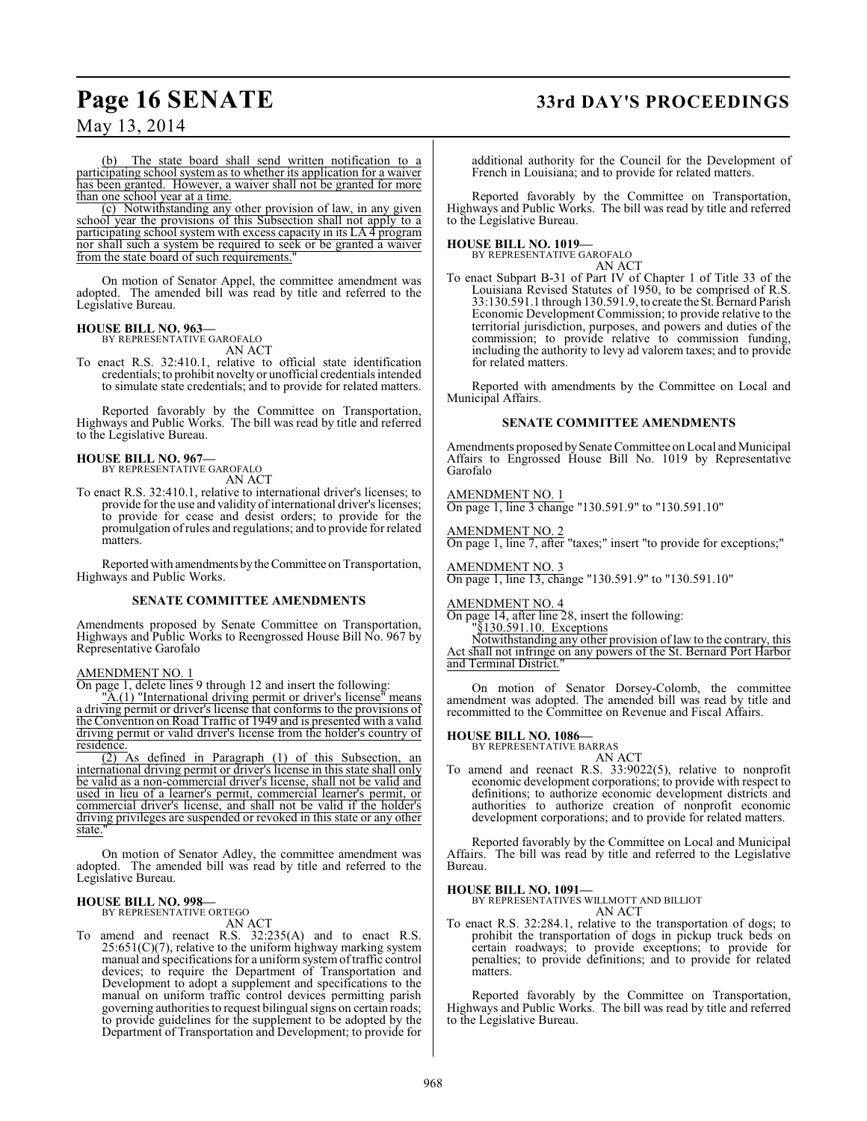# **Page 16 SENATE 33rd DAY'S PROCEEDINGS**

May 13, 2014

The state board shall send written notification to a participating school system as to whether its application for a waiver has been granted. However, a waiver shall not be granted for more than one school year at a time.

(c) Notwithstanding any other provision of law, in any given school year the provisions of this Subsection shall not apply to a participating school system with excess capacity in its LA 4 program nor shall such a system be required to seek or be granted a waiver from the state board of such requirements."

On motion of Senator Appel, the committee amendment was adopted. The amended bill was read by title and referred to the Legislative Bureau.

#### **HOUSE BILL NO. 963—**

BY REPRESENTATIVE GAROFALO

AN ACT To enact R.S. 32:410.1, relative to official state identification credentials; to prohibit novelty or unofficial credentials intended

to simulate state credentials; and to provide for related matters.

Reported favorably by the Committee on Transportation, Highways and Public Works. The bill was read by title and referred to the Legislative Bureau.

#### **HOUSE BILL NO. 967—**

BY REPRESENTATIVE GAROFALO AN ACT

To enact R.S. 32:410.1, relative to international driver's licenses; to provide for the use and validity of international driver's licenses; to provide for cease and desist orders; to provide for the promulgation of rules and regulations; and to provide for related matters.

Reported with amendments by the Committee on Transportation, Highways and Public Works.

#### **SENATE COMMITTEE AMENDMENTS**

Amendments proposed by Senate Committee on Transportation, Highways and Public Works to Reengrossed House Bill No. 967 by Representative Garofalo

#### AMENDMENT NO. 1

On page 1, delete lines 9 through 12 and insert the following:

 $\mathbb{A}(1)$  "International driving permit or driver's license" means a driving permit or driver's license that conforms to the provisions of the Convention on Road Traffic of 1949 and is presented with a valid driving permit or valid driver's license from the holder's country of residence.

(2) As defined in Paragraph (1) of this Subsection, an international driving permit or driver's license in this state shall only be valid as a non-commercial driver's license, shall not be valid and used in lieu of a learner's permit, commercial learner's permit, or commercial driver's license, and shall not be valid if the holder's driving privileges are suspended or revoked in this state or any other state.

On motion of Senator Adley, the committee amendment was adopted. The amended bill was read by title and referred to the Legislative Bureau.

# **HOUSE BILL NO. 998—** BY REPRESENTATIVE ORTEGO

AN ACT

To amend and reenact R.S. 32:235(A) and to enact R.S.  $25:651(C)(7)$ , relative to the uniform highway marking system manual and specifications for a uniform system of traffic control devices; to require the Department of Transportation and Development to adopt a supplement and specifications to the manual on uniform traffic control devices permitting parish governing authorities to request bilingual signs on certain roads; to provide guidelines for the supplement to be adopted by the Department of Transportation and Development; to provide for

additional authority for the Council for the Development of French in Louisiana; and to provide for related matters.

Reported favorably by the Committee on Transportation, Highways and Public Works. The bill was read by title and referred to the Legislative Bureau.

**HOUSE BILL NO. 1019—** BY REPRESENTATIVE GAROFALO AN ACT

To enact Subpart B-31 of Part IV of Chapter 1 of Title 33 of the Louisiana Revised Statutes of 1950, to be comprised of R.S. 33:130.591.1 through 130.591.9, to create the St. Bernard Parish Economic Development Commission; to provide relative to the territorial jurisdiction, purposes, and powers and duties of the commission; to provide relative to commission funding, including the authority to levy ad valorem taxes; and to provide for related matters.

Reported with amendments by the Committee on Local and Municipal Affairs.

#### **SENATE COMMITTEE AMENDMENTS**

Amendments proposed by Senate Committee on Local and Municipal Affairs to Engrossed House Bill No. 1019 by Representative Garofalo

AMENDMENT NO. 1 On page 1, line 3 change "130.591.9" to "130.591.10"

AMENDMENT NO. 2 On page 1, line 7, after "taxes;" insert "to provide for exceptions;"

AMENDMENT NO. 3 On page 1, line 13, change "130.591.9" to "130.591.10"

AMENDMENT NO. 4

On page 14, after line 28, insert the following:

§130.591.10. Exceptions

Notwithstanding any other provision of law to the contrary, this Act shall not infringe on any powers of the St. Bernard Port Harbor and Terminal District.

On motion of Senator Dorsey-Colomb, the committee amendment was adopted. The amended bill was read by title and recommitted to the Committee on Revenue and Fiscal Affairs.

#### **HOUSE BILL NO. 1086—**

BY REPRESENTATIVE BARRAS AN ACT

To amend and reenact R.S. 33:9022(5), relative to nonprofit economic development corporations; to provide with respect to definitions; to authorize economic development districts and authorities to authorize creation of nonprofit economic development corporations; and to provide for related matters.

Reported favorably by the Committee on Local and Municipal Affairs. The bill was read by title and referred to the Legislative Bureau.

#### **HOUSE BILL NO. 1091—**

BY REPRESENTATIVES WILLMOTT AND BILLIOT AN ACT

To enact R.S. 32:284.1, relative to the transportation of dogs; to prohibit the transportation of dogs in pickup truck beds on certain roadways; to provide exceptions; to provide for penalties; to provide definitions; and to provide for related matters.

Reported favorably by the Committee on Transportation, Highways and Public Works. The bill was read by title and referred to the Legislative Bureau.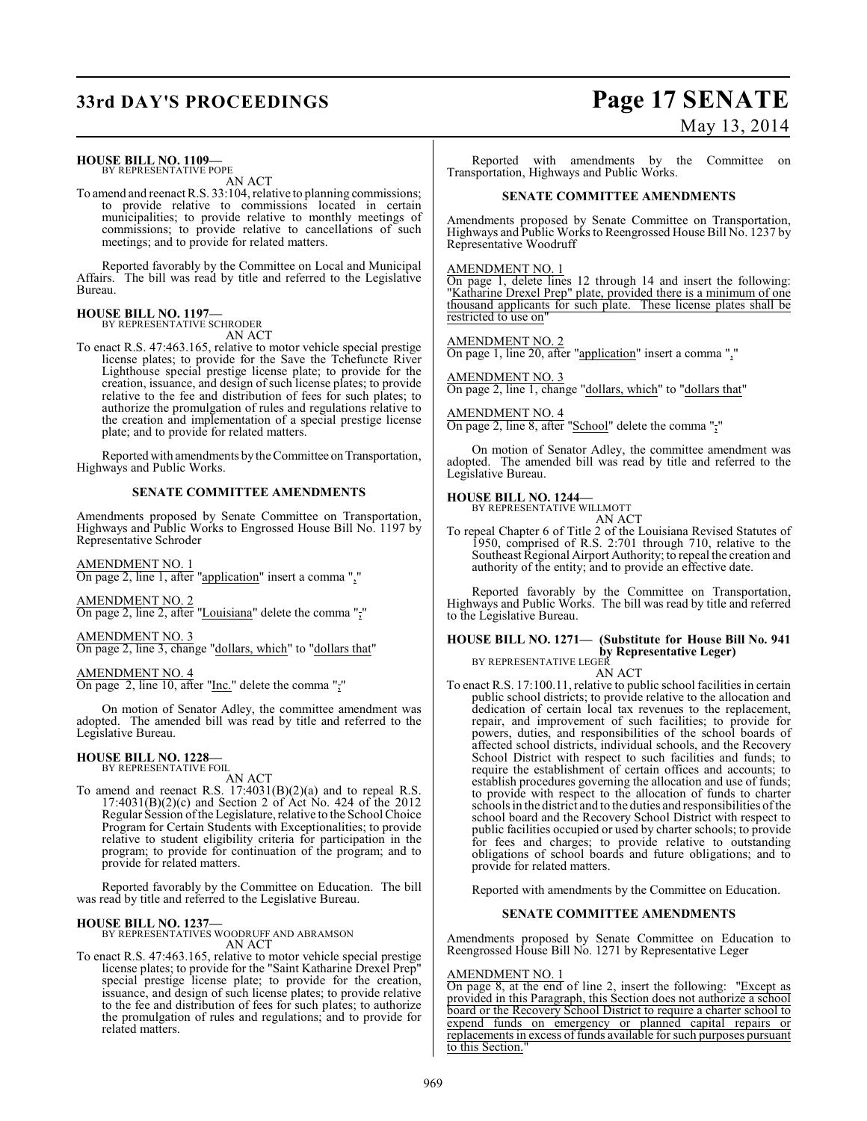# **33rd DAY'S PROCEEDINGS Page 17 SENATE**

#### **HOUSE BILL NO. 1109—** BY REPRESENTATIVE POPE

AN ACT

To amend and reenact R.S. 33:104, relative to planning commissions; to provide relative to commissions located in certain municipalities; to provide relative to monthly meetings of commissions; to provide relative to cancellations of such meetings; and to provide for related matters.

Reported favorably by the Committee on Local and Municipal Affairs. The bill was read by title and referred to the Legislative Bureau.

#### **HOUSE BILL NO. 1197—** BY REPRESENTATIVE SCHRODER

AN ACT

To enact R.S. 47:463.165, relative to motor vehicle special prestige license plates; to provide for the Save the Tchefuncte River Lighthouse special prestige license plate; to provide for the creation, issuance, and design of such license plates; to provide relative to the fee and distribution of fees for such plates; to authorize the promulgation of rules and regulations relative to the creation and implementation of a special prestige license plate; and to provide for related matters.

Reported with amendments by the Committee on Transportation, Highways and Public Works.

#### **SENATE COMMITTEE AMENDMENTS**

Amendments proposed by Senate Committee on Transportation, Highways and Public Works to Engrossed House Bill No. 1197 by Representative Schroder

#### AMENDMENT NO. 1

On page 2, line 1, after "application" insert a comma ","

AMENDMENT NO. 2 On page 2, line 2, after "Louisiana" delete the comma ","

AMENDMENT NO. 3

On page 2, line 3, change "dollars, which" to "dollars that"

## AMENDMENT NO. 4

On page 2, line 10, after "Inc." delete the comma ","

On motion of Senator Adley, the committee amendment was adopted. The amended bill was read by title and referred to the Legislative Bureau.

#### **HOUSE BILL NO. 1228—**

BY REPRESENTATIVE FOIL AN ACT

To amend and reenact R.S. 17:4031(B)(2)(a) and to repeal R.S. 17:4031(B)(2)(c) and Section 2 of Act No. 424 of the 2012 Regular Session of the Legislature, relative to the School Choice Program for Certain Students with Exceptionalities; to provide relative to student eligibility criteria for participation in the program; to provide for continuation of the program; and to provide for related matters.

Reported favorably by the Committee on Education. The bill was read by title and referred to the Legislative Bureau.

#### **HOUSE BILL NO. 1237—**

BY REPRESENTATIVES WOODRUFF AND ABRAMSON AN ACT

To enact R.S. 47:463.165, relative to motor vehicle special prestige license plates; to provide for the "Saint Katharine Drexel Prep" special prestige license plate; to provide for the creation, issuance, and design of such license plates; to provide relative to the fee and distribution of fees for such plates; to authorize the promulgation of rules and regulations; and to provide for related matters.

# May 13, 2014

Reported with amendments by the Committee on Transportation, Highways and Public Works.

#### **SENATE COMMITTEE AMENDMENTS**

Amendments proposed by Senate Committee on Transportation, Highways and Public Works to Reengrossed House Bill No. 1237 by Representative Woodruff

AMENDMENT NO. 1

On page 1, delete lines 12 through 14 and insert the following: "Katharine Drexel Prep" plate, provided there is a minimum of one thousand applicants for such plate. These license plates shall be restricted to use on"

AMENDMENT NO. 2

On page 1, line 20, after "application" insert a comma ","

AMENDMENT NO. 3 On page 2, line 1, change "dollars, which" to "dollars that"

AMENDMENT NO. 4

On page 2, line 8, after "School" delete the comma ","

On motion of Senator Adley, the committee amendment was adopted. The amended bill was read by title and referred to the Legislative Bureau.

# **HOUSE BILL NO. 1244—** BY REPRESENTATIVE WILLMOTT

AN ACT

To repeal Chapter 6 of Title 2 of the Louisiana Revised Statutes of 1950, comprised of R.S. 2:701 through 710, relative to the Southeast Regional Airport Authority; to repeal the creation and authority of the entity; and to provide an effective date.

Reported favorably by the Committee on Transportation, Highways and Public Works. The bill was read by title and referred to the Legislative Bureau.

## **HOUSE BILL NO. 1271— (Substitute for House Bill No. 941 by Representative Leger)**<br>BY REPRESENTATIVE LEGER

AN ACT

To enact R.S. 17:100.11, relative to public school facilities in certain public school districts; to provide relative to the allocation and dedication of certain local tax revenues to the replacement, repair, and improvement of such facilities; to provide for powers, duties, and responsibilities of the school boards of affected school districts, individual schools, and the Recovery School District with respect to such facilities and funds; to require the establishment of certain offices and accounts; to establish procedures governing the allocation and use of funds; to provide with respect to the allocation of funds to charter schools in the district and to the duties and responsibilities of the school board and the Recovery School District with respect to public facilities occupied or used by charter schools; to provide for fees and charges; to provide relative to outstanding obligations of school boards and future obligations; and to provide for related matters.

Reported with amendments by the Committee on Education.

#### **SENATE COMMITTEE AMENDMENTS**

Amendments proposed by Senate Committee on Education to Reengrossed House Bill No. 1271 by Representative Leger

#### AMENDMENT NO. 1

On page 8, at the end of line 2, insert the following: "Except as provided in this Paragraph, this Section does not authorize a school board or the Recovery School District to require a charter school to expend funds on emergency or planned capital repairs or replacements in excess of funds available for such purposes pursuant to this Section.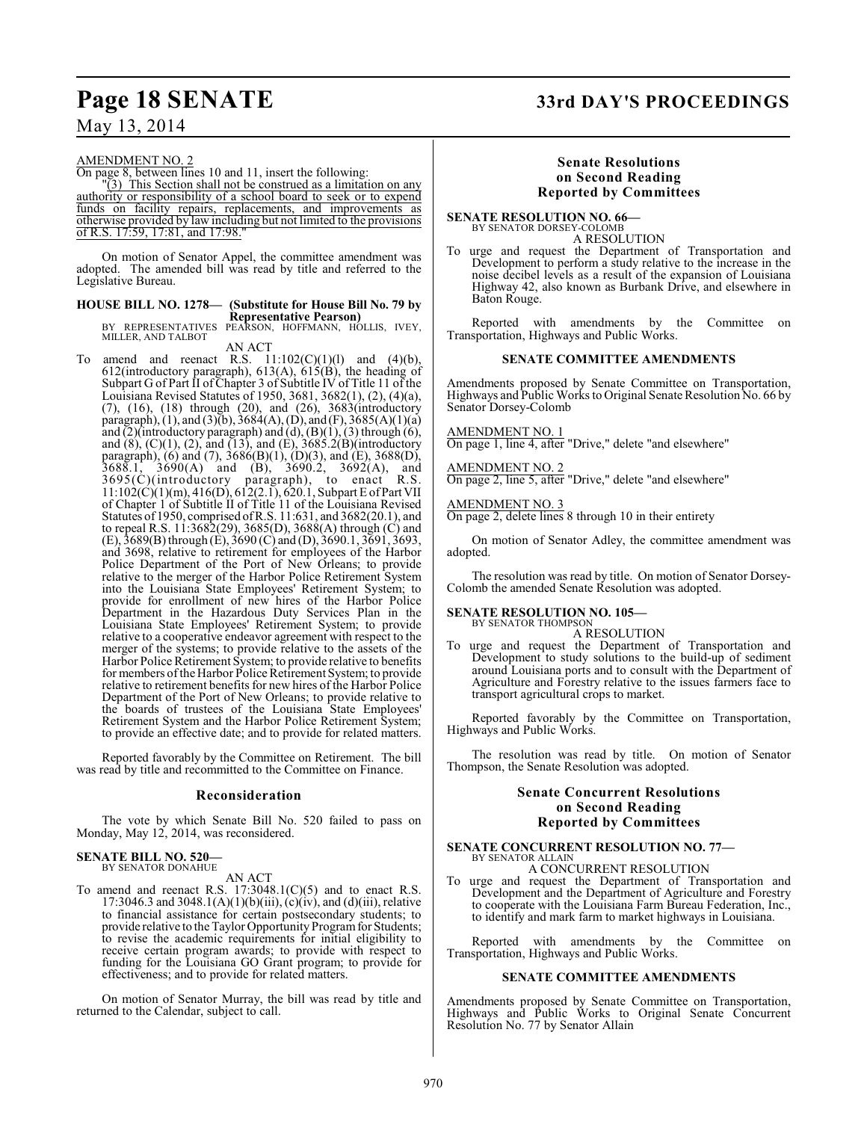#### AMENDMENT NO. 2

On page 8, between lines 10 and 11, insert the following:

 $\sqrt{3}$ ) This Section shall not be construed as a limitation on any authority or responsibility of a school board to seek or to expend funds on facility repairs, replacements, and improvements as otherwise provided by law including but not limited to the provisions of R.S. 17:59, 17:81, and 17:98."

On motion of Senator Appel, the committee amendment was adopted. The amended bill was read by title and referred to the Legislative Bureau.

# **HOUSE BILL NO. 1278— (Substitute for House Bill No. 79 by**

**Representative Pearson)**<br>BY REPRESENTATIVES PEARSON, HOFFMANN, HOLLIS, IVEY,<br>MILLER, AND TALBOT

AN ACT<br>To amend and reenact R.S. 11 To amend and reenact R.S.  $11:102(C)(1)(1)$  and  $(4)(b)$ , 612(introductory paragraph), 613(A), 615(B), the heading of Subpart G of Part II of Chapter 3 of Subtitle IV of Title 11 of the Louisiana Revised Statutes of 1950, 3681, 3682(1), (2), (4)(a), (7), (16), (18) through (20), and (26), 3683(introductory paragraph), (1), and (3)(b), 3684(A), (D), and (F), 3685(A)(1)(a) and  $(2)$ (introductory paragraph) and  $(d)$ ,  $(B)(1)$ ,  $(3)$  through  $(6)$ , and  $(8)$ ,  $(C)(1)$ ,  $(2)$ , and  $(13)$ , and  $(E)$ , 3685.2 $(B)$ (introductory paragraph), (6) and (7), 3686(B)(1), (D)(3), and (E), 3688(D),  $3688.1, 3690(A)$  and  $(B), 3690.2, 3692(A),$  and 3695(C)(introductory paragraph), to enact R.S. 11:102(C)(1)(m), 416(D), 612(2.1), 620.1, Subpart E of Part VII of Chapter 1 of Subtitle II of Title 11 of the Louisiana Revised Statutes of 1950, comprised ofR.S. 11:631, and 3682(20.1), and to repeal R.S. 11:3682(29), 3685(D), 3688(A) through (C) and (E), 3689(B) through (E), 3690 (C) and (D), 3690.1, 3691, 3693, and 3698, relative to retirement for employees of the Harbor Police Department of the Port of New Orleans; to provide relative to the merger of the Harbor Police Retirement System into the Louisiana State Employees' Retirement System; to provide for enrollment of new hires of the Harbor Police Department in the Hazardous Duty Services Plan in the Louisiana State Employees' Retirement System; to provide relative to a cooperative endeavor agreement with respect to the merger of the systems; to provide relative to the assets of the Harbor Police Retirement System; to provide relative to benefits for members of the Harbor Police Retirement System; to provide relative to retirement benefits for new hires of the Harbor Police Department of the Port of New Orleans; to provide relative to the boards of trustees of the Louisiana State Employees' Retirement System and the Harbor Police Retirement System; to provide an effective date; and to provide for related matters.

Reported favorably by the Committee on Retirement. The bill was read by title and recommitted to the Committee on Finance.

#### **Reconsideration**

The vote by which Senate Bill No. 520 failed to pass on Monday, May 12, 2014, was reconsidered.

#### **SENATE BILL NO. 520—** BY SENATOR DONAHUE

AN ACT

To amend and reenact R.S. 17:3048.1(C)(5) and to enact R.S. 17:3046.3 and 3048.1(A)(1)(b)(iii), (c)(iv), and (d)(iii), relative to financial assistance for certain postsecondary students; to provide relative to the Taylor Opportunity Program for Students; to revise the academic requirements for initial eligibility to receive certain program awards; to provide with respect to funding for the Louisiana GO Grant program; to provide for effectiveness; and to provide for related matters.

On motion of Senator Murray, the bill was read by title and returned to the Calendar, subject to call.

# **Page 18 SENATE 33rd DAY'S PROCEEDINGS**

#### **Senate Resolutions on Second Reading Reported by Committees**

**SENATE RESOLUTION NO. 66—** BY SENATOR DORSEY-COLOMB A RESOLUTION

To urge and request the Department of Transportation and Development to perform a study relative to the increase in the noise decibel levels as a result of the expansion of Louisiana Highway 42, also known as Burbank Drive, and elsewhere in Baton Rouge.

Reported with amendments by the Committee on Transportation, Highways and Public Works.

#### **SENATE COMMITTEE AMENDMENTS**

Amendments proposed by Senate Committee on Transportation, Highways and Public Works to Original Senate Resolution No. 66 by Senator Dorsey-Colomb

#### AMENDMENT NO. 1

On page 1, line 4, after "Drive," delete "and elsewhere"

#### AMENDMENT NO. 2

On page 2, line 5, after "Drive," delete "and elsewhere"

#### AMENDMENT NO. 3

On page 2, delete lines 8 through 10 in their entirety

On motion of Senator Adley, the committee amendment was adopted.

The resolution was read by title. On motion of Senator Dorsey-Colomb the amended Senate Resolution was adopted.

#### **SENATE RESOLUTION NO. 105—** BY SENATOR THOMPSON

A RESOLUTION

To urge and request the Department of Transportation and Development to study solutions to the build-up of sediment around Louisiana ports and to consult with the Department of Agriculture and Forestry relative to the issues farmers face to transport agricultural crops to market.

Reported favorably by the Committee on Transportation, Highways and Public Works.

The resolution was read by title. On motion of Senator Thompson, the Senate Resolution was adopted.

#### **Senate Concurrent Resolutions on Second Reading Reported by Committees**

## **SENATE CONCURRENT RESOLUTION NO. 77—** BY SENATOR ALLAIN A CONCURRENT RESOLUTION

To urge and request the Department of Transportation and Development and the Department of Agriculture and Forestry to cooperate with the Louisiana Farm Bureau Federation, Inc., to identify and mark farm to market highways in Louisiana.

Reported with amendments by the Committee on Transportation, Highways and Public Works.

#### **SENATE COMMITTEE AMENDMENTS**

Amendments proposed by Senate Committee on Transportation, Highways and Public Works to Original Senate Concurrent Resolution No. 77 by Senator Allain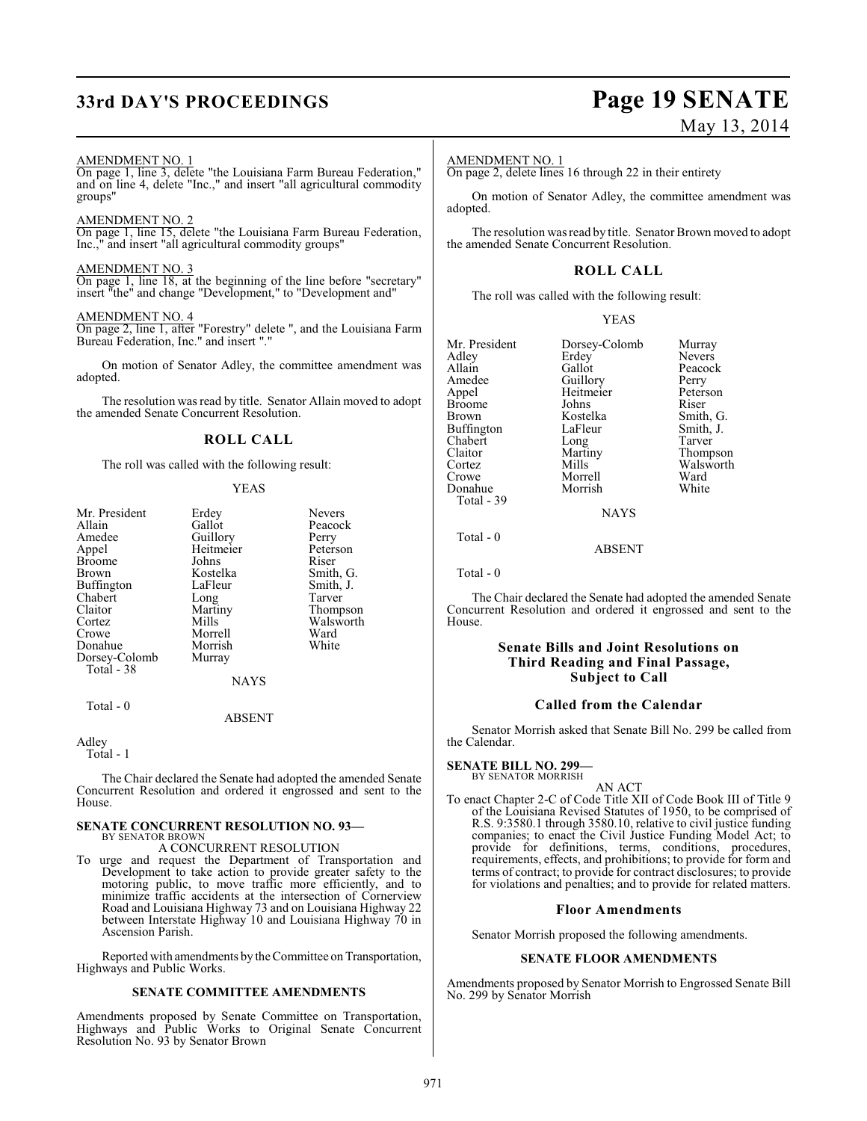# **33rd DAY'S PROCEEDINGS Page 19 SENATE**

# May 13, 2014

#### AMENDMENT NO. 1

On page 1, line 3, delete "the Louisiana Farm Bureau Federation," and on line 4, delete "Inc.," and insert "all agricultural commodity groups"

#### AMENDMENT NO. 2

On page 1, line 15, delete "the Louisiana Farm Bureau Federation, Inc.," and insert "all agricultural commodity groups"

#### AMENDMENT NO. 3

On page 1, line 18, at the beginning of the line before "secretary" insert "the" and change "Development," to "Development and"

#### AMENDMENT NO. 4

On page 2, line 1, after "Forestry" delete ", and the Louisiana Farm Bureau Federation, Inc." and insert "."

On motion of Senator Adley, the committee amendment was adopted.

The resolution was read by title. Senator Allain moved to adopt the amended Senate Concurrent Resolution.

#### **ROLL CALL**

The roll was called with the following result:

#### YEAS

| Mr. President | Erdey       | <b>Nevers</b> |
|---------------|-------------|---------------|
| Allain        | Gallot      | Peacock       |
| Amedee        | Guillory    | Perry         |
| Appel         | Heitmeier   | Peterson      |
| Broome        | Johns       | Riser         |
| Brown         | Kostelka    | Smith, G.     |
| Buffington    | LaFleur     | Smith, J.     |
| Chabert       | Long        | Tarver        |
| Claitor       | Martiny     | Thompson      |
| Cortez        | Mills       | Walsworth     |
| Crowe         | Morrell     | Ward          |
| Donahue       | Morrish     | White         |
| Dorsey-Colomb | Murray      |               |
| Total - 38    |             |               |
|               | <b>NAYS</b> |               |
|               |             |               |

Total - 0

Adley

Total - 1

The Chair declared the Senate had adopted the amended Senate Concurrent Resolution and ordered it engrossed and sent to the House.

ABSENT

# **SENATE CONCURRENT RESOLUTION NO. 93—** BY SENATOR BROWN

A CONCURRENT RESOLUTION

To urge and request the Department of Transportation and Development to take action to provide greater safety to the motoring public, to move traffic more efficiently, and to minimize traffic accidents at the intersection of Cornerview Road and Louisiana Highway 73 and on Louisiana Highway 22 between Interstate Highway 10 and Louisiana Highway 70 in Ascension Parish.

Reported with amendments by the Committee on Transportation, Highways and Public Works.

#### **SENATE COMMITTEE AMENDMENTS**

Amendments proposed by Senate Committee on Transportation, Highways and Public Works to Original Senate Concurrent Resolution No. 93 by Senator Brown

#### AMENDMENT NO. 1

On page 2, delete lines 16 through 22 in their entirety

On motion of Senator Adley, the committee amendment was adopted.

The resolution was read by title. Senator Brown moved to adopt the amended Senate Concurrent Resolution.

### **ROLL CALL**

The roll was called with the following result:

| <b>YEAS</b> |
|-------------|
|             |

| Mr. President<br>Adley<br>Allain<br>Amedee<br>Appel<br>Broome<br>Brown<br>Buffington<br>Chabert<br>Claitor<br>Cortez | Dorsey-Colomb<br>Erdey<br>Gallot<br>Guillory<br>Heitmeier<br>Johns<br>Kostelka<br>LaFleur<br>Long<br>Martiny<br>Mills | Murray<br><b>Nevers</b><br>Peacock<br>Perry<br>Peterson<br>Riser<br>Smith, G.<br>Smith, J.<br>Tarver<br>Walsworth |
|----------------------------------------------------------------------------------------------------------------------|-----------------------------------------------------------------------------------------------------------------------|-------------------------------------------------------------------------------------------------------------------|
|                                                                                                                      |                                                                                                                       | Thompson                                                                                                          |
| Crowe<br>Donahue<br>Total - 39                                                                                       | Morrell<br>Morrish                                                                                                    | Ward<br>White                                                                                                     |
|                                                                                                                      |                                                                                                                       |                                                                                                                   |

**NAYS** 

#### ABSENT

Total - 0

Total - 0

The Chair declared the Senate had adopted the amended Senate Concurrent Resolution and ordered it engrossed and sent to the House.

### **Senate Bills and Joint Resolutions on Third Reading and Final Passage, Subject to Call**

#### **Called from the Calendar**

Senator Morrish asked that Senate Bill No. 299 be called from the Calendar.

#### **SENATE BILL NO. 299—**

BY SENATOR MORRISH AN ACT

To enact Chapter 2-C of Code Title XII of Code Book III of Title 9 of the Louisiana Revised Statutes of 1950, to be comprised of R.S. 9:3580.1 through 3580.10, relative to civil justice funding companies; to enact the Civil Justice Funding Model Act; to provide for definitions, terms, conditions, procedures, requirements, effects, and prohibitions; to provide for form and terms of contract; to provide for contract disclosures; to provide for violations and penalties; and to provide for related matters.

#### **Floor Amendments**

Senator Morrish proposed the following amendments.

#### **SENATE FLOOR AMENDMENTS**

Amendments proposed by Senator Morrish to Engrossed Senate Bill No. 299 by Senator Morrish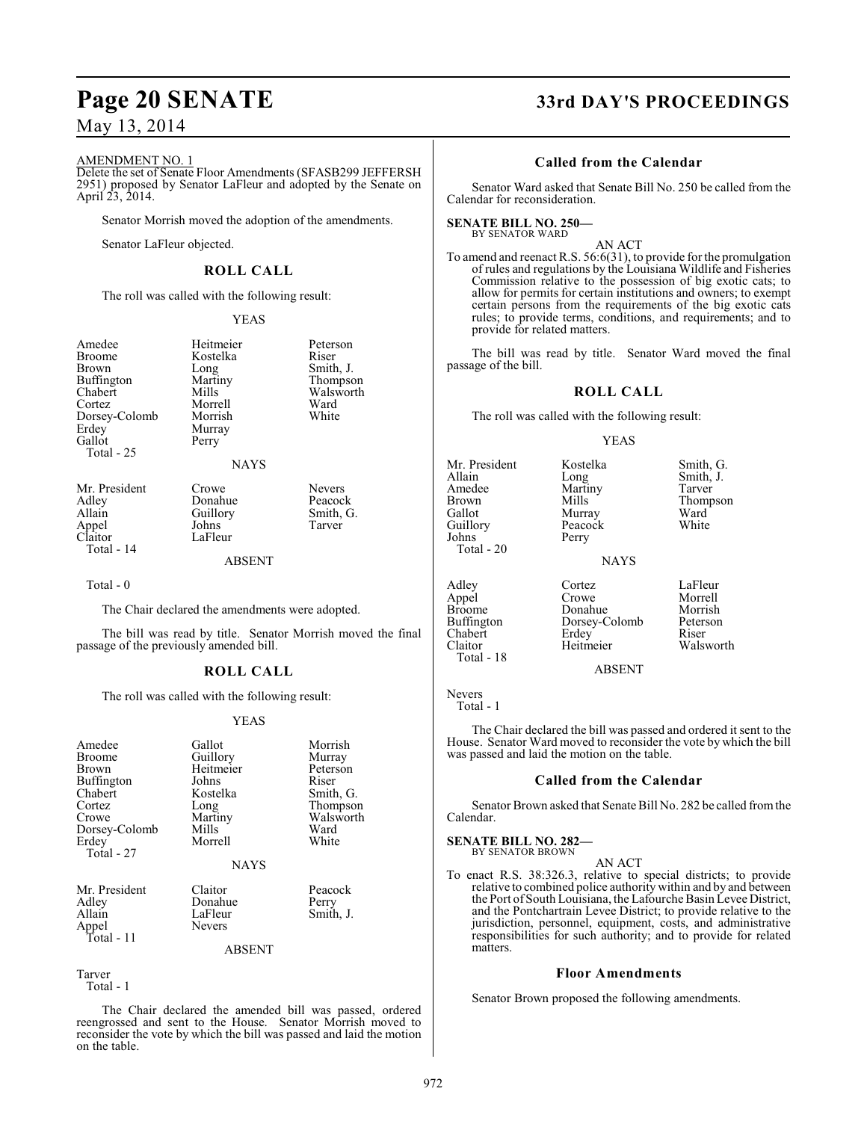#### AMENDMENT NO. 1

Delete the set of Senate Floor Amendments (SFASB299 JEFFERSH 2951) proposed by Senator LaFleur and adopted by the Senate on April 23, 2014.

Senator Morrish moved the adoption of the amendments.

Senator LaFleur objected.

## **ROLL CALL**

The roll was called with the following result:

#### YEAS

| Amedee<br>Broome<br>Brown<br>Buffington<br>Chabert<br>Cortez<br>Dorsey-Colomb<br>Erdev<br>Gallot<br>Total - 25 | Heitmeier<br>Kostelka<br>Long<br>Martiny<br>Mills<br>Morrell<br>Morrish<br>Murray<br>Perry<br><b>NAYS</b> | Peterson<br>Riser<br>Smith, J.<br>Thompson<br>Walsworth<br>Ward<br>White |
|----------------------------------------------------------------------------------------------------------------|-----------------------------------------------------------------------------------------------------------|--------------------------------------------------------------------------|
| Mr. President                                                                                                  | Crowe                                                                                                     | <b>Nevers</b>                                                            |
| Adlev                                                                                                          | Donahue                                                                                                   | Peacock                                                                  |

Appel<br>Claitor

Total - 14

Allain Guillory Smith, G.<br>Appel Johns Tarver LaFleur

#### ABSENT

Total - 0

The Chair declared the amendments were adopted.

The bill was read by title. Senator Morrish moved the final passage of the previously amended bill.

#### **ROLL CALL**

The roll was called with the following result:

#### YEAS

| Amedee<br><b>Broome</b><br>Brown<br>Buffington | Gallot<br>Guillory<br>Heitmeier<br>Johns | Morrish<br>Murray<br>Peterson<br>Riser |
|------------------------------------------------|------------------------------------------|----------------------------------------|
| Chabert                                        | Kostelka                                 | Smith, G.                              |
| Cortez                                         | Long                                     | Thompson                               |
| Crowe                                          | Martiny                                  | Walsworth                              |
| Dorsey-Colomb                                  | Mills                                    | Ward                                   |
| Erdey                                          | Morrell                                  | White                                  |
| Total - 27                                     |                                          |                                        |
|                                                | <b>NAYS</b>                              |                                        |
| Mr. President                                  | Claitor                                  | Peacock                                |
| Adley                                          | Donahue                                  | Perry                                  |
| Allain                                         | LaFleur                                  | Smith, J.                              |
| Appel                                          | Nevers                                   |                                        |
| Total - 11                                     |                                          |                                        |
|                                                | ABSENT                                   |                                        |

Tarver Total - 1

The Chair declared the amended bill was passed, ordered reengrossed and sent to the House. Senator Morrish moved to reconsider the vote by which the bill was passed and laid the motion on the table.

# **Page 20 SENATE 33rd DAY'S PROCEEDINGS**

### **Called from the Calendar**

Senator Ward asked that Senate Bill No. 250 be called from the Calendar for reconsideration.

#### **SENATE BILL NO. 250—** BY SENATOR WARD

AN ACT

To amend and reenact R.S. 56:6(31), to provide for the promulgation of rules and regulations by the Louisiana Wildlife and Fisheries Commission relative to the possession of big exotic cats; to allow for permits for certain institutions and owners; to exempt certain persons from the requirements of the big exotic cats rules; to provide terms, conditions, and requirements; and to provide for related matters.

The bill was read by title. Senator Ward moved the final passage of the bill.

#### **ROLL CALL**

The roll was called with the following result:

#### YEAS

| Mr. President<br>Allain<br>Amedee<br><b>Brown</b><br>Gallot<br>Guillory<br>Johns<br>Total - 20 | Kostelka<br>Long<br>Martiny<br>Mills<br>Murray<br>Peacock<br>Perry | Smith, G.<br>Smith, J.<br>Tarver<br>Thompson<br>Ward<br>White |
|------------------------------------------------------------------------------------------------|--------------------------------------------------------------------|---------------------------------------------------------------|
|                                                                                                | <b>NAYS</b>                                                        |                                                               |
| Adley<br>Appel<br><b>Broome</b><br>Buffington<br>Chabert                                       | Cortez<br>Crowe<br>Donahue<br>Dorsey-Colomb<br>Frdev               | LaFleur<br>Morrell<br>Morrish<br>Peterson<br>Riser            |

Adley Cortez LaFleur<br>
Appel Crowe Morrell<br>
Broome Donahue Morrish Broome Donahue Morrish<br>Buffington Dorsey-Colomb Peterson Buffington Dorsey-Colomb Peters<br>Chabert Erdev Riser Chabert Erdey<br>Claitor Heitmeier

Morrell<br>Morrish Walsworth

#### ABSENT

Nevers Total - 1

Total - 18

The Chair declared the bill was passed and ordered it sent to the House. Senator Ward moved to reconsider the vote by which the bill was passed and laid the motion on the table.

#### **Called from the Calendar**

Senator Brown asked that Senate Bill No. 282 be called from the Calendar.

# **SENATE BILL NO. 282—** BY SENATOR BROWN

AN ACT

To enact R.S. 38:326.3, relative to special districts; to provide relative to combined police authority within and by and between the Port of South Louisiana, the Lafourche Basin Levee District, and the Pontchartrain Levee District; to provide relative to the jurisdiction, personnel, equipment, costs, and administrative responsibilities for such authority; and to provide for related matters.

#### **Floor Amendments**

Senator Brown proposed the following amendments.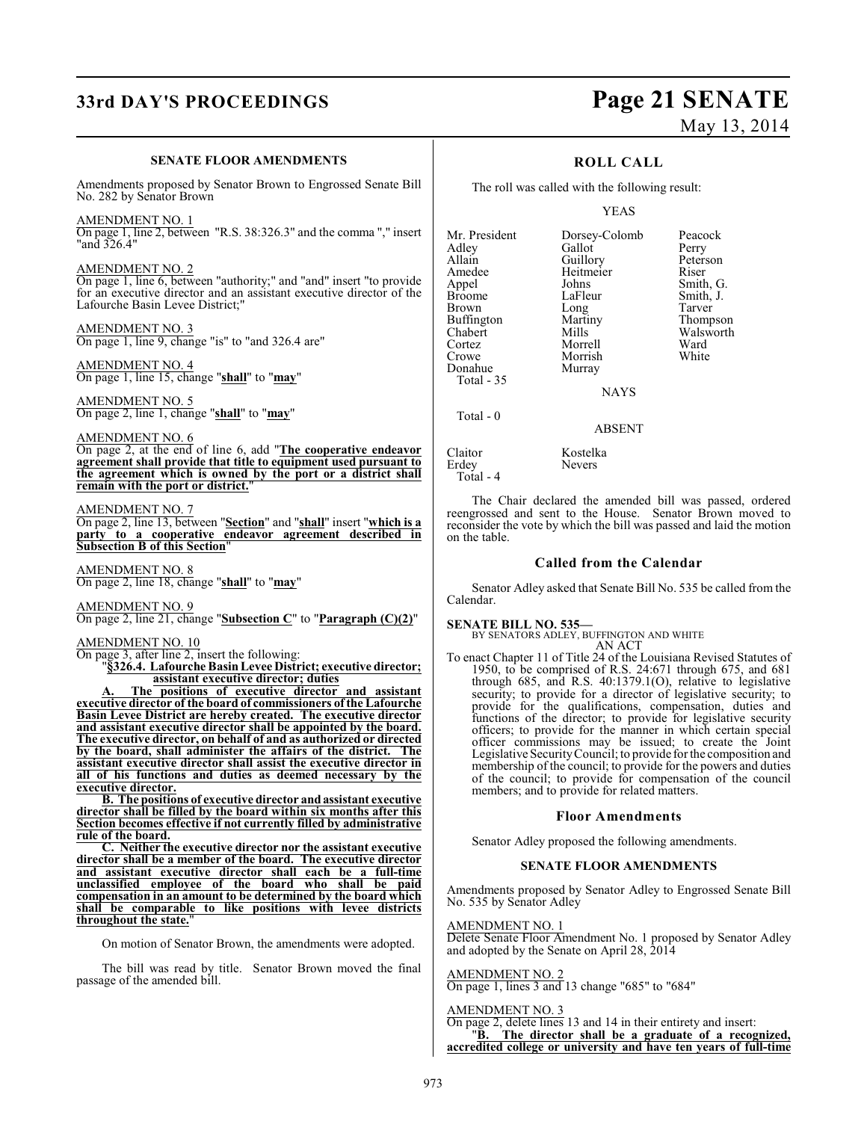# **33rd DAY'S PROCEEDINGS Page 21 SENATE**

# May 13, 2014

#### **SENATE FLOOR AMENDMENTS**

Amendments proposed by Senator Brown to Engrossed Senate Bill No. 282 by Senator Brown

AMENDMENT NO. 1 On page 1, line 2, between "R.S. 38:326.3" and the comma "," insert "and 326.4"

AMENDMENT NO. 2 On page 1, line 6, between "authority;" and "and" insert "to provide for an executive director and an assistant executive director of the Lafourche Basin Levee District;

AMENDMENT NO. 3 On page 1, line 9, change "is" to "and 326.4 are"

AMENDMENT NO. 4 On page 1, line 15, change "**shall**" to "**may**"

AMENDMENT NO. 5 On page 2, line 1, change "**shall**" to "**may**"

#### AMENDMENT NO. 6

On page 2, at the end of line 6, add "**The cooperative endeavor agreement shall provide that title to equipment used pursuant to the agreement which is owned by the port or a district shall remain with the port or district.**"

#### AMENDMENT NO. 7

On page 2, line 13, between "**Section**" and "**shall**" insert "**which is a party to a cooperative endeavor agreement described in Subsection B of this Section**"

AMENDMENT NO. 8 On page 2, line 18, change "**shall**" to "**may**"

AMENDMENT NO. 9 On page 2, line 21, change "**Subsection C**" to "**Paragraph (C)(2)**"

AMENDMENT NO. 10 On page 3, after line 2, insert the following:

"**§326.4. Lafourche Basin Levee District; executive director; assistant executive director; duties**

**A. The positions of executive director and assistant executive director of the board of commissioners of the Lafourche Basin Levee District are hereby created. The executive director and assistant executive director shall be appointed by the board. The executive director, on behalf of and as authorized or directed by the board, shall administer the affairs of the district. The assistant executive director shall assist the executive director in all of his functions and duties as deemed necessary by the executive director.**

**B. The positions of executive director andassistant executive director shall be filled by the board within six months after this Section becomes effective if not currently filled by administrative rule of the board.**

**C. Neither the executive director nor the assistant executive director shall be a member of the board. The executive director and assistant executive director shall each be a full-time unclassified employee of the board who shall be paid compensation in an amount to be determined by the board which shall be comparable to like positions with levee districts throughout the state.**"

On motion of Senator Brown, the amendments were adopted.

The bill was read by title. Senator Brown moved the final passage of the amended bill.

### **ROLL CALL**

The roll was called with the following result:

Morrish<br>Murray

YEAS

Mr. President Dorsey-Colomb Peacock<br>Adley Gallot Perry Adley Gallot<br>Allain Guillory Allain Guillory Peterson<br>Amedee Heitmeier Riser Amedee Heitmeier<br>Appel Johns Appel Johns Smith, G.<br>Broome LaFleur Smith, J. Broome LaFleur Smith, J.<br>Brown Long Tarver Buffington Martin<br>Chabert Mills Chabert Mills Walsworth<br>
Cortez Morrell Ward Cortez Morrell Ward Donahue Total - 35 Total - 0

Long Tarver<br>
Martiny Thompson

NAYS

#### ABSENT

Claitor Kostelka<br>Erdev Nevers Erdey Total - 4

The Chair declared the amended bill was passed, ordered reengrossed and sent to the House. Senator Brown moved to reconsider the vote by which the bill was passed and laid the motion on the table.

#### **Called from the Calendar**

Senator Adley asked that Senate Bill No. 535 be called from the Calendar.

#### **SENATE BILL NO. 535—**

BY SENATORS ADLEY, BUFFINGTON AND WHITE AN ACT

To enact Chapter 11 of Title 24 of the Louisiana Revised Statutes of 1950, to be comprised of R.S. 24:671 through 675, and 681 through 685, and R.S. 40:1379.1(O), relative to legislative security; to provide for a director of legislative security; to provide for the qualifications, compensation, duties and functions of the director; to provide for legislative security officers; to provide for the manner in which certain special officer commissions may be issued; to create the Joint Legislative Security Council; to provide for the composition and membership of the council; to provide for the powers and duties of the council; to provide for compensation of the council members; and to provide for related matters.

#### **Floor Amendments**

Senator Adley proposed the following amendments.

#### **SENATE FLOOR AMENDMENTS**

Amendments proposed by Senator Adley to Engrossed Senate Bill No. 535 by Senator Adley

#### AMENDMENT NO. 1

Delete Senate Floor Amendment No. 1 proposed by Senator Adley and adopted by the Senate on April 28, 2014

AMENDMENT NO. 2 On page 1, lines 3 and 13 change "685" to "684"

#### AMENDMENT NO. 3

On page 2, delete lines 13 and 14 in their entirety and insert: "**B. The director shall be a graduate of a recognized, accredited college or university and have ten years of full-time**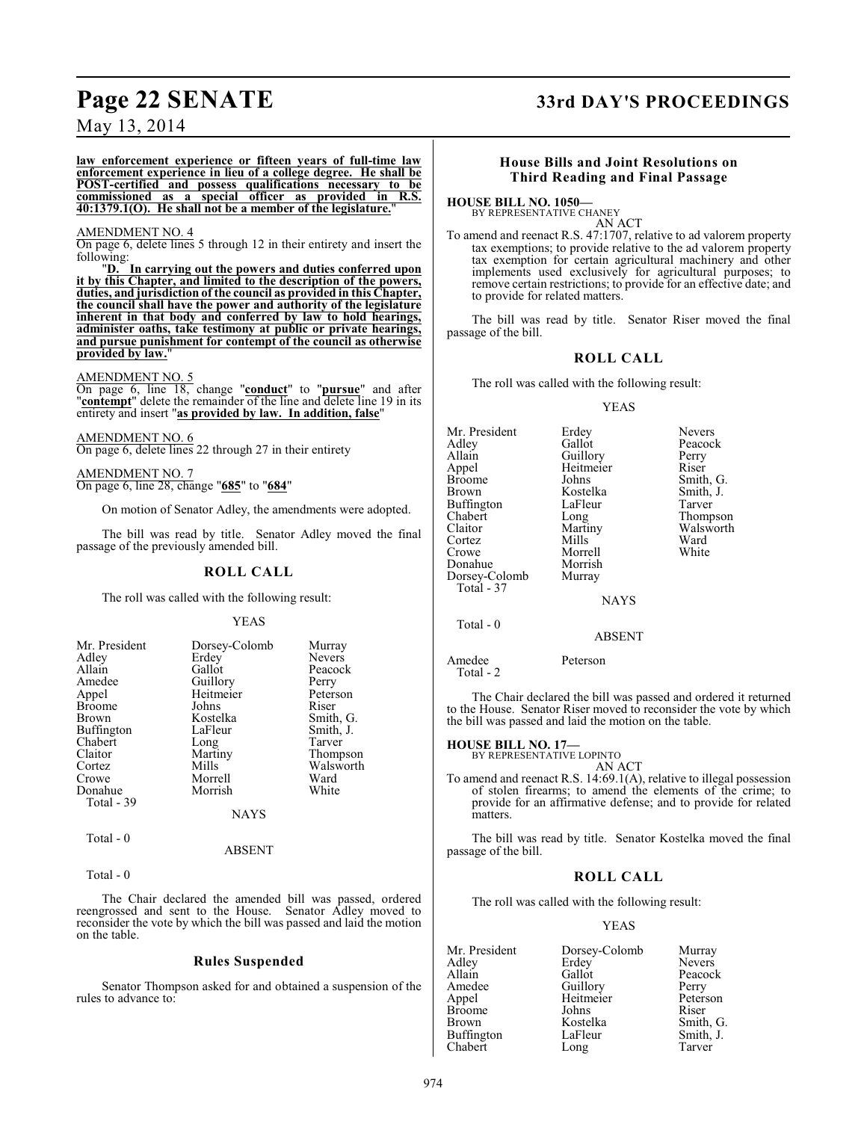# **Page 22 SENATE 33rd DAY'S PROCEEDINGS**

## May 13, 2014

**law enforcement experience or fifteen years of full-time law enforcement experience in lieu of a college degree. He shall be POST-certified and possess qualifications necessary to be commissioned as a special officer as provided in R.S. 40:1379.1(O). He shall not be a member of the legislature.**"

#### AMENDMENT NO. 4

On page 6, delete lines 5 through 12 in their entirety and insert the following:<br>"D.

In carrying out the powers and duties conferred upon **it by this Chapter, and limited to the description of the powers, duties, and jurisdiction of the council as provided in this Chapter, the council shall have the power and authority of the legislature inherent in that body and conferred by law to hold hearings, administer oaths, take testimony at public or private hearings, and pursue punishment for contempt of the council as otherwise provided by law.**"

#### AMENDMENT NO. 5

On page 6, line 18, change "**conduct**" to "**pursue**" and after "**contempt**" delete the remainder of the line and delete line 19 in its entirety and insert "**as provided by law. In addition, false**"

AMENDMENT NO. 6 On page 6, delete lines 22 through 27 in their entirety

AMENDMENT NO. 7 On page 6, line 28, change "**685**" to "**684**"

On motion of Senator Adley, the amendments were adopted.

The bill was read by title. Senator Adley moved the final passage of the previously amended bill.

#### **ROLL CALL**

The roll was called with the following result:

#### YEAS

| Mr. President | Dorsey-Colomb | Murray        |
|---------------|---------------|---------------|
| Adley         | Erdey         | <b>Nevers</b> |
| Allain        | Gallot        | Peacock       |
| Amedee        | Guillory      | Perry         |
| Appel         | Heitmeier     | Peterson      |
| <b>Broome</b> | Johns         | Riser         |
| Brown         | Kostelka      | Smith, G.     |
| Buffington    | LaFleur       | Smith, J.     |
| Chabert       | Long          | Tarver        |
| Claitor       | Martiny       | Thompson      |
| Cortez        | Mills         | Walsworth     |
| Crowe         | Morrell       | Ward          |
| Donahue       | Morrish       | White         |
| Total - 39    |               |               |
|               | <b>NAYS</b>   |               |

### $Total - 0$

Total - 0

The Chair declared the amended bill was passed, ordered reengrossed and sent to the House. Senator Adley moved to reconsider the vote by which the bill was passed and laid the motion on the table.

ABSENT

#### **Rules Suspended**

Senator Thompson asked for and obtained a suspension of the rules to advance to:

#### **House Bills and Joint Resolutions on Third Reading and Final Passage**

**HOUSE BILL NO. 1050—** BY REPRESENTATIVE CHANEY

AN ACT

To amend and reenact R.S. 47:1707, relative to ad valorem property tax exemptions; to provide relative to the ad valorem property tax exemption for certain agricultural machinery and other implements used exclusively for agricultural purposes; to remove certain restrictions; to provide for an effective date; and to provide for related matters.

The bill was read by title. Senator Riser moved the final passage of the bill.

#### **ROLL CALL**

The roll was called with the following result:

#### YEAS

| Mr. President<br>Adley<br>Allain<br>Appel<br><b>Broome</b><br><b>Brown</b><br><b>Buffington</b><br>Chabert<br>Claitor<br>Cortez<br>Crowe<br>Donahue<br>Dorsey-Colomb | Erdey<br>Gallot<br>Guillory<br>Heitmeier<br>Johns<br>Kostelka<br>LaFleur<br>Long<br>Martiny<br>Mills<br>Morrell<br>Morrish<br>Murray | <b>Nevers</b><br>Peacock<br>Perry<br>Riser<br>Smith, G.<br>Smith, J.<br>Tarver<br>Thompson<br>Walsworth<br>Ward<br>White |
|----------------------------------------------------------------------------------------------------------------------------------------------------------------------|--------------------------------------------------------------------------------------------------------------------------------------|--------------------------------------------------------------------------------------------------------------------------|
| Total - 37                                                                                                                                                           |                                                                                                                                      |                                                                                                                          |

NAYS

ABSENT

Amedee Peterson

Total - 2

Total - 0

The Chair declared the bill was passed and ordered it returned to the House. Senator Riser moved to reconsider the vote by which the bill was passed and laid the motion on the table.

#### **HOUSE BILL NO. 17—**

BY REPRESENTATIVE LOPINTO AN ACT

To amend and reenact R.S. 14:69.1(A), relative to illegal possession of stolen firearms; to amend the elements of the crime; to provide for an affirmative defense; and to provide for related matters.

The bill was read by title. Senator Kostelka moved the final passage of the bill.

#### **ROLL CALL**

The roll was called with the following result:

#### YEAS

| Mr. President     | Dorsey-Colomb | Murray        |
|-------------------|---------------|---------------|
| Adley             | Erdey         | <b>Nevers</b> |
| Allain            | Gallot        | Peacock       |
| Amedee            | Guillory      | Perry         |
| Appel             | Heitmeier     | Peterson      |
| <b>Broome</b>     | Johns         | Riser         |
| Brown             | Kostelka      | Smith, G.     |
| <b>Buffington</b> | LaFleur       | Smith, J.     |
| Chabert           | Long          | Tarver        |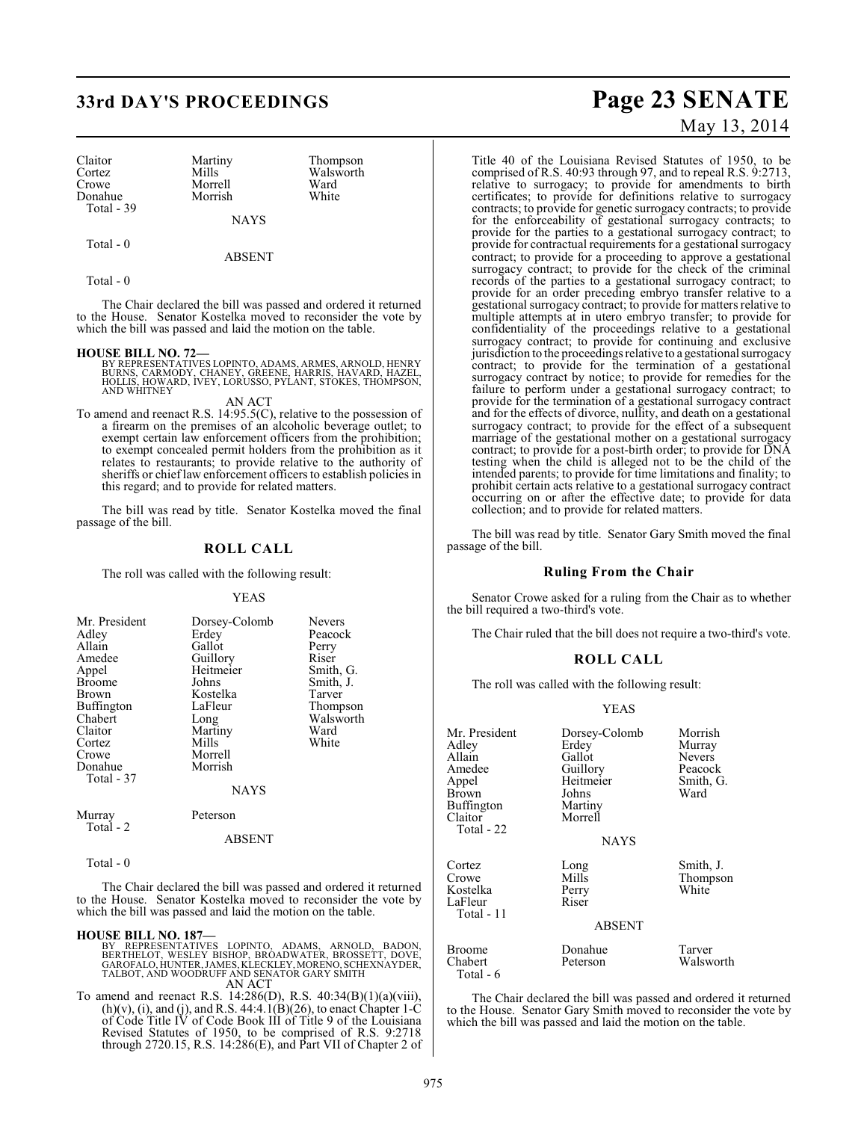# **33rd DAY'S PROCEEDINGS Page 23 SENATE**

Claitor Martiny Thompson<br>Cortez Mills Walsworth Cortez Mills Walsworth<br>
Crowe Morrell Ward Donahue Total - 39

Morrell Ward<br>
Morrish White

NAYS

Total - 0

ABSENT

Total - 0

The Chair declared the bill was passed and ordered it returned to the House. Senator Kostelka moved to reconsider the vote by which the bill was passed and laid the motion on the table.

#### **HOUSE BILL NO. 72—**

BY REPRESENTATIVES LOPINTO, ADAMS, ARMES, ARNOLD, HENRY<br>BURNS, CARMODY, CHANEY, GREENE, HARRIS, HAVARD, HAZEL,<br>HOLLIS, HOWARD, IVEY, LORUSSO, PYLANT, STOKES, THOMPSON, AND WHITNEY

#### AN ACT

To amend and reenact R.S. 14:95.5(C), relative to the possession of a firearm on the premises of an alcoholic beverage outlet; to exempt certain law enforcement officers from the prohibition; to exempt concealed permit holders from the prohibition as it relates to restaurants; to provide relative to the authority of sheriffs or chief law enforcement officers to establish policies in this regard; and to provide for related matters.

The bill was read by title. Senator Kostelka moved the final passage of the bill.

#### **ROLL CALL**

The roll was called with the following result:

#### YEAS

| Mr. President<br>Adley<br>Allain<br>Amedee<br>Appel<br><b>Broome</b><br>Brown<br>Buffington<br>Chabert<br>Claitor<br>Cortez<br>Crowe<br>Donahue<br>Total - 37 | Dorsey-Colomb<br>Erdey<br>Gallot<br>Guillory<br>Heitmeier<br>Johns<br>Kostelka<br>LaFleur<br>Long<br>Martiny<br>Mills<br>Morrell<br>Morrish<br><b>NAYS</b> | Nevers<br>Peacock<br>Perry<br>Riser<br>Smith, G.<br>Smith, J.<br>Tarver<br>Thompson<br>Walsworth<br>Ward<br>White |
|---------------------------------------------------------------------------------------------------------------------------------------------------------------|------------------------------------------------------------------------------------------------------------------------------------------------------------|-------------------------------------------------------------------------------------------------------------------|
| Murray<br>Total - 2                                                                                                                                           | Peterson                                                                                                                                                   |                                                                                                                   |

#### ABSENT

Total - 0

The Chair declared the bill was passed and ordered it returned to the House. Senator Kostelka moved to reconsider the vote by which the bill was passed and laid the motion on the table.

#### **HOUSE BILL NO. 187—**

BY REPRESENTATIVES LOPINTO, ADAMS, ARNOLD, BADON,<br>BERTHELOT, WESLEY BISHOP, BROADWATER, BROSSETT, DOVE,<br>GAROFALO,HUNTER,JAMES,KLECKLEY,MORENO,SCHEXNAYDER,<br>TALBOT,AND WOODRUFFAND SENATOR GARY SMITH AN ACT

To amend and reenact R.S. 14:286(D), R.S. 40:34(B)(1)(a)(viii),  $(h)(v)$ , (i), and (j), and R.S. 44:4.1(B)(26), to enact Chapter 1-C of Code Title IV of Code Book III of Title 9 of the Louisiana Revised Statutes of 1950, to be comprised of R.S. 9:2718 through 2720.15, R.S. 14:286 $(E)$ , and Part VII of Chapter 2 of

# May 13, 2014

Title 40 of the Louisiana Revised Statutes of 1950, to be comprised of R.S. 40:93 through 97, and to repeal R.S. 9:2713, relative to surrogacy; to provide for amendments to birth certificates; to provide for definitions relative to surrogacy contracts; to provide for genetic surrogacy contracts; to provide for the enforceability of gestational surrogacy contracts; to provide for the parties to a gestational surrogacy contract; to provide for contractual requirements for a gestational surrogacy contract; to provide for a proceeding to approve a gestational surrogacy contract; to provide for the check of the criminal records of the parties to a gestational surrogacy contract; to provide for an order preceding embryo transfer relative to a gestational surrogacy contract; to provide for matters relative to multiple attempts at in utero embryo transfer; to provide for confidentiality of the proceedings relative to a gestational surrogacy contract; to provide for continuing and exclusive jurisdiction to the proceedings relative to a gestational surrogacy contract; to provide for the termination of a gestational surrogacy contract by notice; to provide for remedies for the failure to perform under a gestational surrogacy contract; to provide for the termination of a gestational surrogacy contract and for the effects of divorce, nullity, and death on a gestational surrogacy contract; to provide for the effect of a subsequent marriage of the gestational mother on a gestational surrogacy contract; to provide for a post-birth order; to provide for DNA testing when the child is alleged not to be the child of the intended parents; to provide for time limitations and finality; to prohibit certain acts relative to a gestational surrogacy contract occurring on or after the effective date; to provide for data collection; and to provide for related matters.

The bill was read by title. Senator Gary Smith moved the final passage of the bill.

#### **Ruling From the Chair**

Senator Crowe asked for a ruling from the Chair as to whether the bill required a two-third's vote.

The Chair ruled that the bill does not require a two-third's vote.

### **ROLL CALL**

The roll was called with the following result:

#### YEAS

| Mr. President<br>Adley<br>Allain<br>Amedee<br>Appel<br>Brown<br>Buffington<br>Claitor<br>Total - 22 | Dorsey-Colomb<br>Erdey<br>Gallot<br>Guillory<br>Heitmeier<br>Johns<br>Martiny<br>Morrell<br><b>NAYS</b> | Morrish<br>Murray<br><b>Nevers</b><br>Peacock<br>Smith, G.<br>Ward |
|-----------------------------------------------------------------------------------------------------|---------------------------------------------------------------------------------------------------------|--------------------------------------------------------------------|
| Cortez<br>Crowe<br>Kostelka<br>LaFleur<br>Total - 11                                                | Long<br>Mills<br>Perry<br>Riser<br><b>ABSENT</b>                                                        | Smith, J.<br>Thompson<br>White                                     |
| Broome<br>Chabert                                                                                   | Donahue<br>Peterson                                                                                     | Tarver<br>Walsworth                                                |

The Chair declared the bill was passed and ordered it returned to the House. Senator Gary Smith moved to reconsider the vote by which the bill was passed and laid the motion on the table.

Total - 6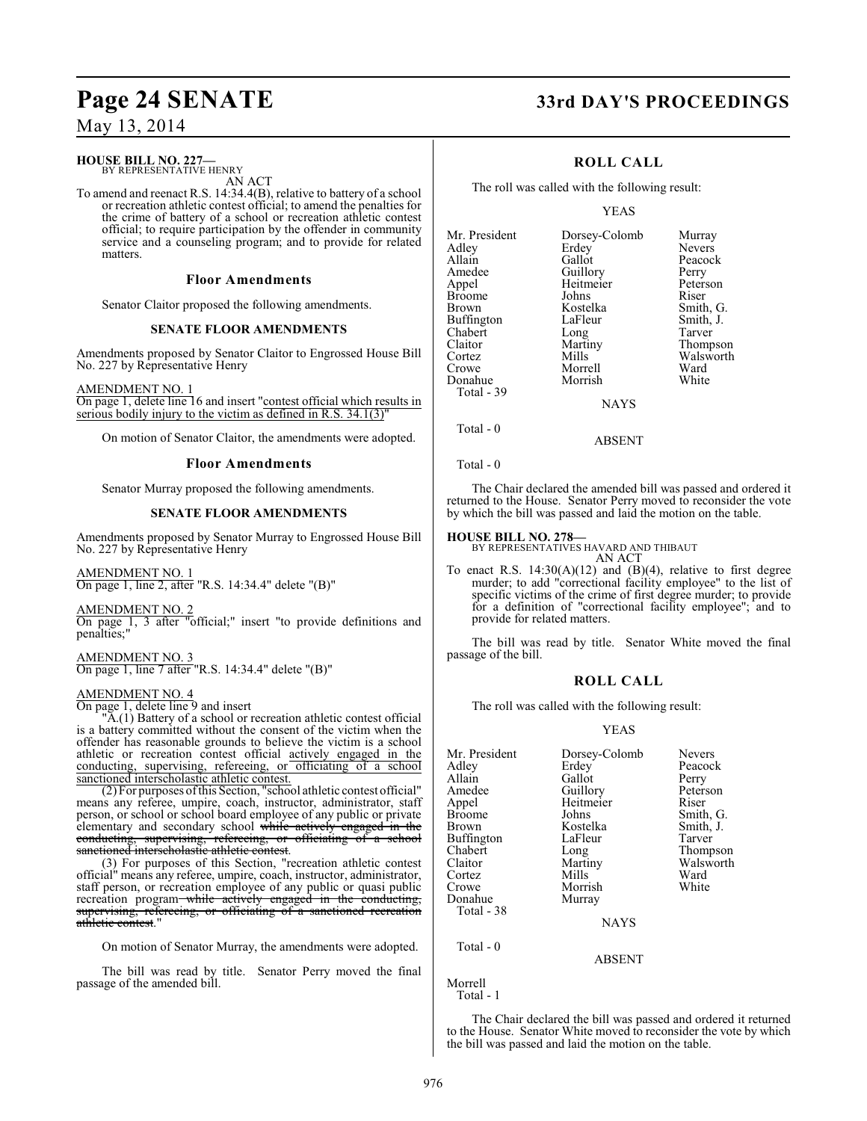# **HOUSE BILL NO. 227—**

BY REPRESENTATIVE HENRY

AN ACT To amend and reenact R.S. 14:34.4(B), relative to battery of a school or recreation athletic contest official; to amend the penalties for the crime of battery of a school or recreation athletic contest official; to require participation by the offender in community service and a counseling program; and to provide for related matters.

#### **Floor Amendments**

Senator Claitor proposed the following amendments.

#### **SENATE FLOOR AMENDMENTS**

Amendments proposed by Senator Claitor to Engrossed House Bill No. 227 by Representative Henry

AMENDMENT NO. 1

On page 1, delete line 16 and insert "contest official which results in serious bodily injury to the victim as defined in R.S. 34.1(3)"

On motion of Senator Claitor, the amendments were adopted.

#### **Floor Amendments**

Senator Murray proposed the following amendments.

#### **SENATE FLOOR AMENDMENTS**

Amendments proposed by Senator Murray to Engrossed House Bill No. 227 by Representative Henry

AMENDMENT NO. 1  $\overline{On}$  page 1, line 2, after "R.S. 14:34.4" delete "(B)"

AMENDMENT NO. 2

On page 1, 3 after "official;" insert "to provide definitions and penalties;"

AMENDMENT NO. 3 On page 1, line 7 after "R.S. 14:34.4" delete "(B)"

### AMENDMENT NO. 4

On page 1, delete line 9 and insert

"A.(1) Battery of a school or recreation athletic contest official is a battery committed without the consent of the victim when the offender has reasonable grounds to believe the victim is a school athletic or recreation contest official actively engaged in the conducting, supervising, refereeing, or officiating of a school sanctioned interscholastic athletic contest.

(2) For purposes of this Section, "school athletic contest official" means any referee, umpire, coach, instructor, administrator, staff person, or school or school board employee of any public or private elementary and secondary school while actively engaged in the conducting, supervising, refereeing, or officiating of a school sanctioned interscholastic athletic contest.

(3) For purposes of this Section, "recreation athletic contest official" means any referee, umpire, coach, instructor, administrator, staff person, or recreation employee of any public or quasi public recreation program while actively engaged in the conducting, supervising, refereeing, or officiating of a sanctioned recreation athletic contest."

On motion of Senator Murray, the amendments were adopted.

The bill was read by title. Senator Perry moved the final passage of the amended bill.

# **Page 24 SENATE 33rd DAY'S PROCEEDINGS**

Murray<br>Nevers

Peacock Perry Peterson<br>Riser

Smith, G. Smith, J. Tarver Thompson Walsworth<br>Ward

## **ROLL CALL**

The roll was called with the following result:

#### YEAS

| Mr. President | Dorsey-Colomb | Murray  |
|---------------|---------------|---------|
| Adley         | Erdey         | Nevers  |
| Allain        | Gallot        | Peacoc  |
| Amedee        | Guillory      | Perry   |
| Appel         | Heitmeier     | Petersc |
| Broome        | Johns         | Riser   |
| Brown         | Kostelka      | Smith,  |
| Buffington    | LaFleur       | Smith,  |
| Chabert       | Long          | Tarver  |
| Claitor       | Martiny       | Thomp   |
| Cortez        | Mills         | Walsw   |
| Crowe         | Morrell       | Ward    |
| Donahue       | Morrish       | White   |
| Total - 39    |               |         |
|               |               |         |

**NAYS** 

Total - 0

Total - 0

The Chair declared the amended bill was passed and ordered it returned to the House. Senator Perry moved to reconsider the vote by which the bill was passed and laid the motion on the table.

ABSENT

#### **HOUSE BILL NO. 278—**

BY REPRESENTATIVES HAVARD AND THIBAUT AN ACT

To enact R.S.  $14:30(A)(12)$  and  $(B)(4)$ , relative to first degree murder; to add "correctional facility employee" to the list of specific victims of the crime of first degree murder; to provide for a definition of "correctional facility employee"; and to provide for related matters.

The bill was read by title. Senator White moved the final passage of the bill.

#### **ROLL CALL**

The roll was called with the following result:

#### YEAS

| Dorsey-Colomb<br>Erdev<br>Gallot                                                                                      | <b>Nevers</b><br>Peacock<br>Perry                                                               |
|-----------------------------------------------------------------------------------------------------------------------|-------------------------------------------------------------------------------------------------|
| Guillory<br>Heitmeier<br>Johns<br>Kostelka<br>LaFleur<br>Long<br>Martiny<br>Mills<br>Morrish<br>Murray<br><b>NAYS</b> | Peterson<br>Riser<br>Smith, G.<br>Smith, J.<br>Tarver<br>Thompson<br>Walsworth<br>Ward<br>White |
| <b>ABSENT</b>                                                                                                         |                                                                                                 |
|                                                                                                                       |                                                                                                 |

The Chair declared the bill was passed and ordered it returned to the House. Senator White moved to reconsider the vote by which the bill was passed and laid the motion on the table.

Morrell Total - 1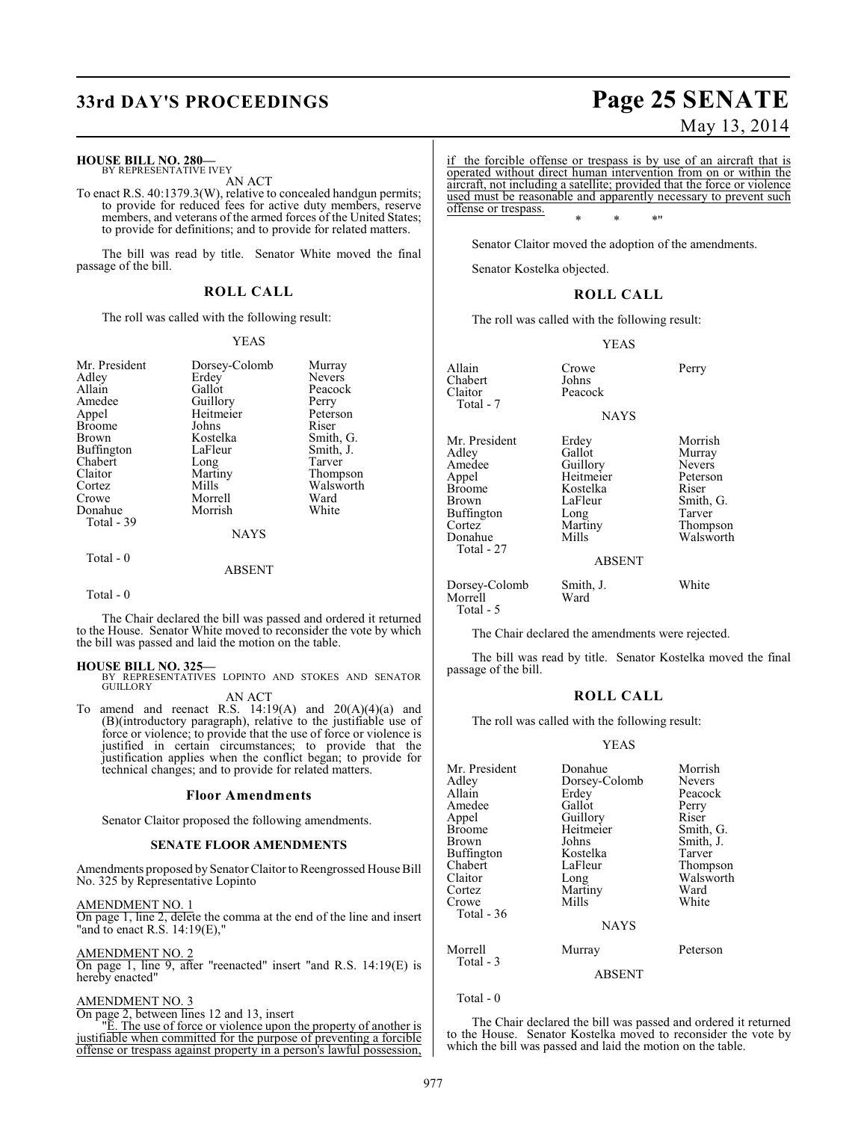# **33rd DAY'S PROCEEDINGS Page 25 SENATE**

#### **HOUSE BILL NO. 280—**

BY REPRESENTATIVE IVEY AN ACT

To enact R.S. 40:1379.3(W), relative to concealed handgun permits; to provide for reduced fees for active duty members, reserve members, and veterans of the armed forces of the United States; to provide for definitions; and to provide for related matters.

The bill was read by title. Senator White moved the final passage of the bill.

#### **ROLL CALL**

The roll was called with the following result:

#### YEAS

| Mr. President     | Dorsey-Colomb | Murray        |
|-------------------|---------------|---------------|
| Adley             | Erdey         | <b>Nevers</b> |
| Allain            | Gallot        | Peacock       |
| Amedee            | Guillory      | Perry         |
| Appel             | Heitmeier     | Peterson      |
| <b>Broome</b>     | Johns         | Riser         |
| Brown             | Kostelka      | Smith, G.     |
| <b>Buffington</b> | LaFleur       | Smith, J.     |
| Chabert           | Long          | Tarver        |
| Claitor           | Martiny       | Thompson      |
| Cortez            | Mills         | Walsworth     |
| Crowe             | Morrell       | Ward          |
| Donahue           | Morrish       | White         |
| Total - 39        |               |               |
|                   | <b>NAYS</b>   |               |
| Total - 0         |               |               |

#### ABSENT

Total - 0

The Chair declared the bill was passed and ordered it returned to the House. Senator White moved to reconsider the vote by which the bill was passed and laid the motion on the table.

**HOUSE BILL NO. 325—** BY REPRESENTATIVES LOPINTO AND STOKES AND SENATOR **GUILLORY** 

AN ACT

To amend and reenact R.S.  $14:19(A)$  and  $20(A)(4)(a)$  and (B)(introductory paragraph), relative to the justifiable use of force or violence; to provide that the use of force or violence is justified in certain circumstances; to provide that the justification applies when the conflict began; to provide for technical changes; and to provide for related matters.

#### **Floor Amendments**

Senator Claitor proposed the following amendments.

#### **SENATE FLOOR AMENDMENTS**

Amendments proposed by Senator Claitor to Reengrossed House Bill No. 325 by Representative Lopinto

AMENDMENT NO. 1

On page 1, line 2, delete the comma at the end of the line and insert "and to enact R.S. 14:19(E),"

AMENDMENT NO. 2

On page 1, line 9, after "reenacted" insert "and R.S. 14:19(E) is hereby enacted"

#### AMENDMENT NO. 3

On page 2, between lines 12 and 13, insert

"E. The use of force or violence upon the property of another is justifiable when committed for the purpose of preventing a forcible offense or trespass against property in a person's lawful possession,

# May 13, 2014

if the forcible offense or trespass is by use of an aircraft that is operated without direct human intervention from on or within the aircraft, not including a satellite; provided that the force or violence used must be reasonable and apparently necessary to prevent such offense or trespass.

\* \* \*"

Senator Claitor moved the adoption of the amendments.

Senator Kostelka objected.

#### **ROLL CALL**

The roll was called with the following result:

#### YEAS

Allain Crowe Perry<br>
Chabert Johns Perry Chabert<br>Claitor Peacock Total - 7 **NAYS** Mr. President Erdey Morrish<br>Adley Gallot Murray Adley Gallot Murray Amedee Guillory Nevers<br>
Appel Heitmeier Peterson Appel Heitmeier Peters<br>Broome Kostelka Riser Broome Kostelka<br>Brown LaFleur LaFleur Smith, G.<br>Long Tarver Buffington Long<br>Cortez Martiny Cortez Martiny Thompson Walsworth Total - 27 ABSENT Dorsey-Colomb Smith, J. White

Morrell Total - 5

The Chair declared the amendments were rejected.

The bill was read by title. Senator Kostelka moved the final passage of the bill.

#### **ROLL CALL**

The roll was called with the following result:

#### YEAS

| Mr. President<br>Adley<br>Allain<br>Amedee<br>Appel<br>Broome<br>Brown<br>Buffington<br>Chabert<br>Claitor<br>Cortez<br>Crowe<br>Total - 36 | Donahue<br>Dorsey-Colomb<br>Erdey<br>Gallot<br>Guillory<br>Heitmeier<br>Johns<br>Kostelka<br>LaFleur<br>Long<br>Martiny<br>Mills<br><b>NAYS</b> | Morrish<br><b>Nevers</b><br>Peacock<br>Perry<br>Riser<br>Smith, G.<br>Smith, J.<br>Tarver<br>Thompson<br>Walsworth<br>Ward<br>White |
|---------------------------------------------------------------------------------------------------------------------------------------------|-------------------------------------------------------------------------------------------------------------------------------------------------|-------------------------------------------------------------------------------------------------------------------------------------|
| Morrell<br>Total - 3                                                                                                                        | Murray                                                                                                                                          | Peterson                                                                                                                            |
|                                                                                                                                             | <b>ABSENT</b>                                                                                                                                   |                                                                                                                                     |

Total - 0

The Chair declared the bill was passed and ordered it returned to the House. Senator Kostelka moved to reconsider the vote by which the bill was passed and laid the motion on the table.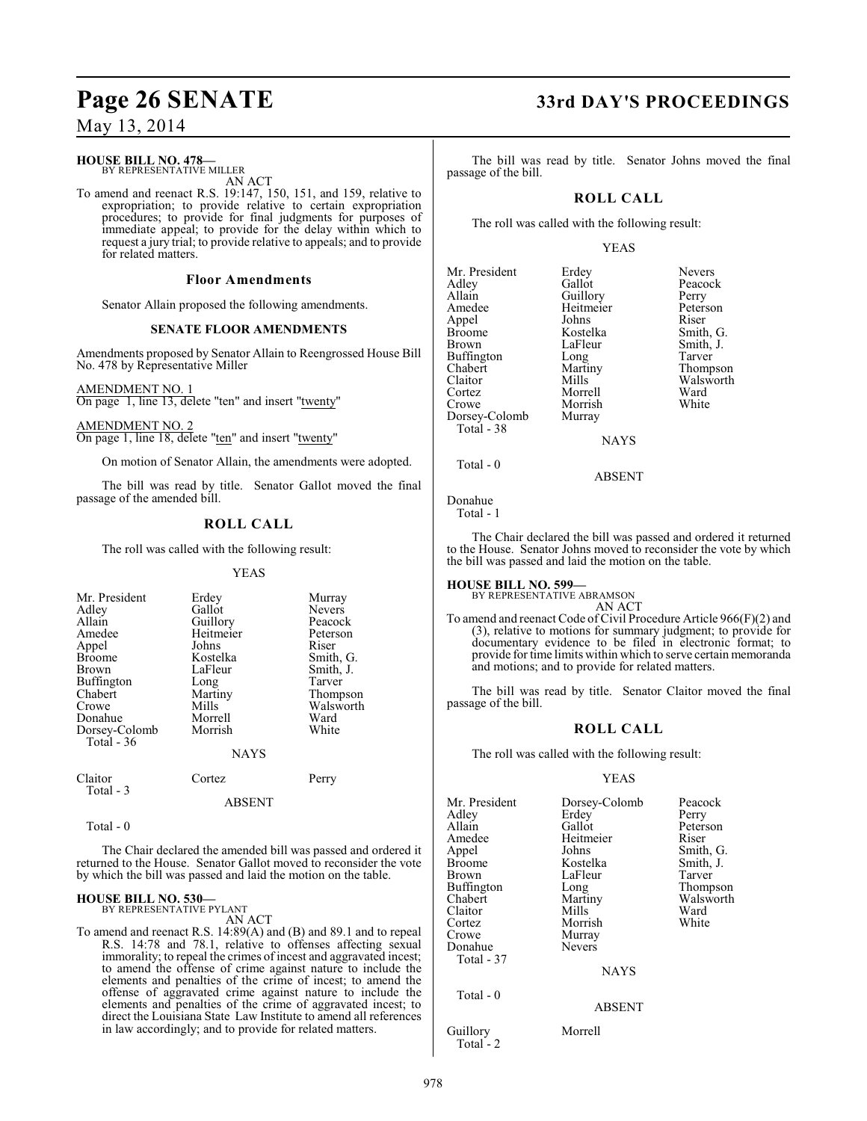## **HOUSE BILL NO. 478—**

BY REPRESENTATIVE MILLER AN ACT

To amend and reenact R.S. 19:147, 150, 151, and 159, relative to expropriation; to provide relative to certain expropriation procedures; to provide for final judgments for purposes of immediate appeal; to provide for the delay within which to request a jury trial; to provide relative to appeals; and to provide for related matters.

#### **Floor Amendments**

Senator Allain proposed the following amendments.

#### **SENATE FLOOR AMENDMENTS**

Amendments proposed by Senator Allain to Reengrossed House Bill No. 478 by Representative Miller

AMENDMENT NO. 1 On page 1, line 13, delete "ten" and insert "twenty"

AMENDMENT NO. 2 On page 1, line 18, delete "ten" and insert "twenty"

On motion of Senator Allain, the amendments were adopted.

The bill was read by title. Senator Gallot moved the final passage of the amended bill.

## **ROLL CALL**

The roll was called with the following result:

#### YEAS

| Mr. President<br>Adley<br>Allain | Erdey<br>Gallot<br>Guillory | Murray<br>Nevers<br>Peacock |
|----------------------------------|-----------------------------|-----------------------------|
| Amedee                           | Heitmeier                   | Peterson                    |
| Appel                            | Johns                       | Riser                       |
| <b>Broome</b>                    | Kostelka                    | Smith, G.                   |
| Brown                            | LaFleur                     | Smith, J.                   |
| <b>Buffington</b>                | Long                        | Tarver                      |
| Chabert                          | Martiny                     | Thompson                    |
| Crowe                            | Mills                       | Walsworth                   |
| Donahue                          | Morrell                     | Ward                        |
| Dorsey-Colomb                    | Morrish                     | White                       |
| Total - 36                       |                             |                             |
|                                  | <b>NAYS</b>                 |                             |
| Claitor<br>Total - 3             | Cortez                      | Perry                       |
|                                  | ABSENT                      |                             |

Total - 0

The Chair declared the amended bill was passed and ordered it returned to the House. Senator Gallot moved to reconsider the vote by which the bill was passed and laid the motion on the table.

# **HOUSE BILL NO. 530—** BY REPRESENTATIVE PYLANT

AN ACT

To amend and reenact R.S. 14:89(A) and (B) and 89.1 and to repeal R.S. 14:78 and 78.1, relative to offenses affecting sexual immorality; to repeal the crimes of incest and aggravated incest; to amend the offense of crime against nature to include the elements and penalties of the crime of incest; to amend the offense of aggravated crime against nature to include the elements and penalties of the crime of aggravated incest; to direct the Louisiana State Law Institute to amend all references in law accordingly; and to provide for related matters.

# **Page 26 SENATE 33rd DAY'S PROCEEDINGS**

The bill was read by title. Senator Johns moved the final passage of the bill.

## **ROLL CALL**

The roll was called with the following result:

#### YEAS

| Mr. President | Erdey       | <b>Nevers</b> |
|---------------|-------------|---------------|
| Adley         | Gallot      | Peacod        |
| Allain        | Guillory    | Perry         |
| Amedee        | Heitmeier   | Peters        |
| Appel         | Johns       | Riser         |
| <b>Broome</b> | Kostelka    | Smith,        |
| Brown         | LaFleur     | Smith,        |
| Buffington    | Long        | Tarver        |
| Chabert       | Martiny     | Thomp         |
| Claitor       | Mills       | Walsw         |
| Cortez        | Morrell     | Ward          |
| Crowe         | Morrish     | White         |
| Dorsey-Colomb | Murray      |               |
| Total - 38    |             |               |
|               | <b>NAYS</b> |               |
|               |             |               |

rdey Nevers<br>allot Peacoc Peacock<br>Perry eitmeier Peterson<br>
htms Riser ostelka Smith, G.<br>aFleur Smith, J. aFleur Smith, J.<br>
ong Tarver Partiny Thompson<br>Partish Martin Martin Martin Martin<br>Martin Martin Martin Martin Martin Martin Martin Martin Martin Martin Martin Martin Martin Martin Martin Marti Iills Walsworth<br>Iorrell Ward

**NAYS** 

#### ABSENT

Donahue Total - 1

 $Total - 0$ 

The Chair declared the bill was passed and ordered it returned to the House. Senator Johns moved to reconsider the vote by which the bill was passed and laid the motion on the table.

# **HOUSE BILL NO. 599—** BY REPRESENTATIVE ABRAMSON

AN ACT

To amend and reenact Code of Civil Procedure Article 966(F)(2) and (3), relative to motions for summary judgment; to provide for documentary evidence to be filed in electronic format; to provide for time limits within which to serve certain memoranda and motions; and to provide for related matters.

The bill was read by title. Senator Claitor moved the final passage of the bill.

#### **ROLL CALL**

The roll was called with the following result:

#### YEAS

| Mr. President<br>Adlev<br>Allain<br>Amedee<br>Appel<br>Broome<br>Brown<br>Buffington<br>Chabert<br>Claitor<br>Cortez<br>Crowe<br>Donahue<br>Total - 37 | Dorsey-Colomb<br>Erdey<br>Gallot<br>Heitmeier<br>Johns<br>Kostelka<br>LaFleur<br>Long<br>Martiny<br>Mills<br>Morrish<br>Murray<br><b>Nevers</b><br><b>NAYS</b> | Peacock<br>Perry<br>Peterson<br>Riser<br>Smith, G.<br>Smith, J.<br>Tarver<br>Thompson<br>Walsworth<br>Ward<br>White |
|--------------------------------------------------------------------------------------------------------------------------------------------------------|----------------------------------------------------------------------------------------------------------------------------------------------------------------|---------------------------------------------------------------------------------------------------------------------|
|                                                                                                                                                        |                                                                                                                                                                |                                                                                                                     |
| Total - 0                                                                                                                                              | <b>ABSENT</b>                                                                                                                                                  |                                                                                                                     |

Guillory Morrell Total<sup>-</sup>2

978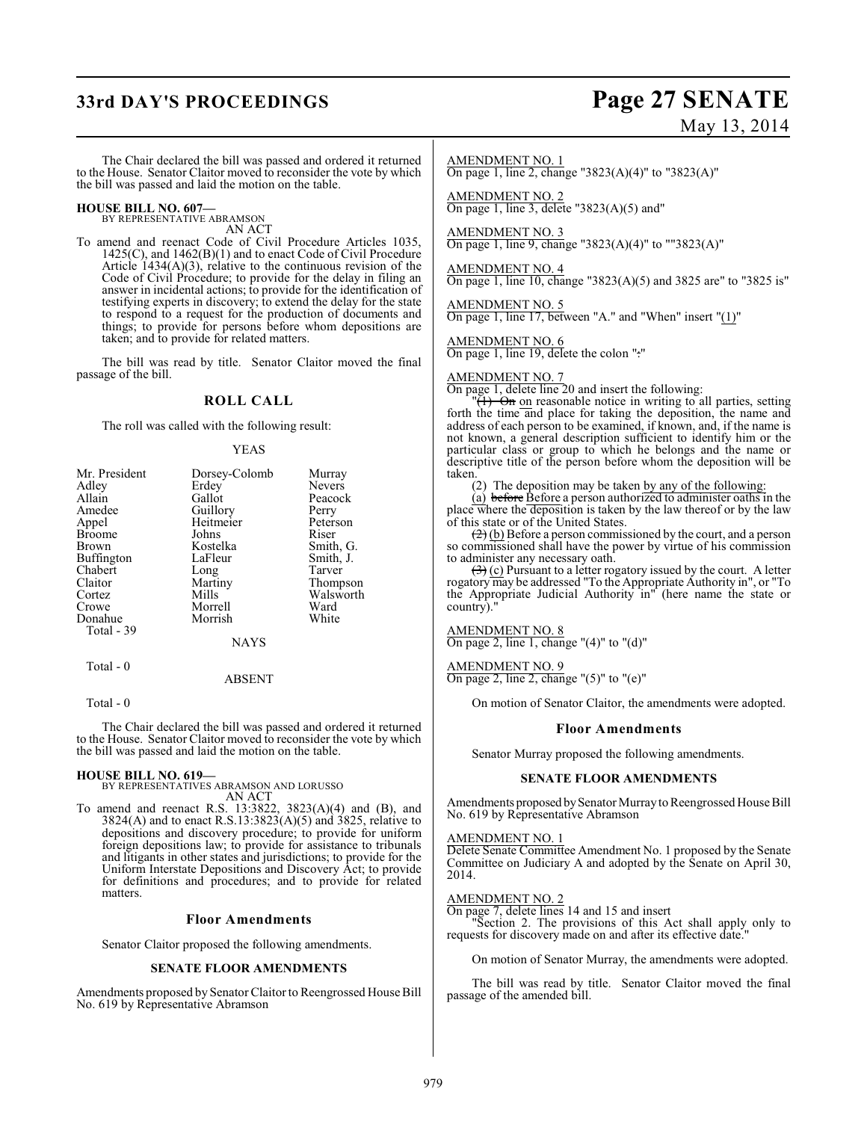# **33rd DAY'S PROCEEDINGS Page 27 SENATE**

# May 13, 2014

The Chair declared the bill was passed and ordered it returned to the House. Senator Claitor moved to reconsider the vote by which the bill was passed and laid the motion on the table.

# **HOUSE BILL NO. 607—** BY REPRESENTATIVE ABRAMSON

AN ACT

To amend and reenact Code of Civil Procedure Articles 1035, 1425(C), and 1462(B)(1) and to enact Code of Civil Procedure Article  $1434(A)(3)$ , relative to the continuous revision of the Code of Civil Procedure; to provide for the delay in filing an answer in incidental actions; to provide for the identification of testifying experts in discovery; to extend the delay for the state to respond to a request for the production of documents and things; to provide for persons before whom depositions are taken; and to provide for related matters.

The bill was read by title. Senator Claitor moved the final passage of the bill.

## **ROLL CALL**

The roll was called with the following result:

#### YEAS

| Mr. President<br>Adley | Dorsey-Colomb<br>Erdey | Murray<br><b>Nevers</b> |
|------------------------|------------------------|-------------------------|
| Allain                 | Gallot                 | Peacock                 |
| Amedee                 | Guillory               | Perry                   |
| Appel                  | Heitmeier              | Peterson                |
| <b>Broome</b>          | Johns                  | Riser                   |
| Brown                  | Kostelka               | Smith, G.               |
| Buffington             | LaFleur                | Smith, J.               |
| Chabert                | Long                   | Tarver                  |
| Claitor                | Martiny                | Thompson                |
| Cortez                 | Mills                  | Walsworth               |
| Crowe                  | Morrell                | Ward                    |
| Donahue<br>Total - 39  | Morrish                | White                   |
|                        | <b>NAYS</b>            |                         |
| $Total = 0$            |                        |                         |

#### ABSENT

Total - 0

The Chair declared the bill was passed and ordered it returned to the House. Senator Claitor moved to reconsider the vote by which the bill was passed and laid the motion on the table.

#### **HOUSE BILL NO. 619—**

BY REPRESENTATIVES ABRAMSON AND LORUSSO AN ACT

To amend and reenact R.S. 13:3822, 3823(A)(4) and (B), and 3824(A) and to enact R.S.13:3823(A)(5) and 3825, relative to depositions and discovery procedure; to provide for uniform foreign depositions law; to provide for assistance to tribunals and litigants in other states and jurisdictions; to provide for the Uniform Interstate Depositions and Discovery Act; to provide for definitions and procedures; and to provide for related matters.

#### **Floor Amendments**

Senator Claitor proposed the following amendments.

#### **SENATE FLOOR AMENDMENTS**

Amendments proposed by Senator Claitor to Reengrossed House Bill No. 619 by Representative Abramson

#### AMENDMENT NO. 1

On page 1, line 2, change "3823(A)(4)" to "3823(A)"

AMENDMENT NO. 2 On page 1, line 3, delete " $3823(A)(5)$  and"

## AMENDMENT NO. 3

On page 1, line 9, change "3823(A)(4)" to ""3823(A)"

#### AMENDMENT NO. 4

On page 1, line 10, change "3823(A)(5) and 3825 are" to "3825 is"

AMENDMENT NO. 5 On page 1, line 17, between "A." and "When" insert " $(1)$ "

AMENDMENT NO. 6 On page 1, line 19, delete the colon ":"

#### AMENDMENT NO. 7

On page 1, delete line 20 and insert the following:

 $\sqrt[n]{(1)}$  On on reasonable notice in writing to all parties, setting forth the time and place for taking the deposition, the name and address of each person to be examined, if known, and, if the name is not known, a general description sufficient to identify him or the particular class or group to which he belongs and the name or descriptive title of the person before whom the deposition will be taken.

(2) The deposition may be taken by any of the following:

(a) before Before a person authorized to administer oaths in the place where the deposition is taken by the law thereof or by the law of this state or of the United States.

 $\left(\frac{2}{2}\right)$  (b) Before a person commissioned by the court, and a person so commissioned shall have the power by virtue of his commission to administer any necessary oath.

 $\left(\frac{1}{2}\right)$  (c) Pursuant to a letter rogatory issued by the court. A letter rogatory may be addressed "To the Appropriate Authority in", or "To the Appropriate Judicial Authority in" (here name the state or country).'

#### AMENDMENT NO. 8

On page 2, line 1, change " $(4)$ " to " $(d)$ "

#### AMENDMENT NO. 9

On page 2, line 2, change "(5)" to "(e)"

On motion of Senator Claitor, the amendments were adopted.

#### **Floor Amendments**

Senator Murray proposed the following amendments.

#### **SENATE FLOOR AMENDMENTS**

Amendments proposed by Senator Murray to Reengrossed House Bill No. 619 by Representative Abramson

#### AMENDMENT NO. 1

Delete Senate Committee Amendment No. 1 proposed by the Senate Committee on Judiciary A and adopted by the Senate on April 30, 2014.

#### AMENDMENT NO. 2

On page 7, delete lines 14 and 15 and insert "Section 2. The provisions of this Act shall apply only to requests for discovery made on and after its effective date."

On motion of Senator Murray, the amendments were adopted.

The bill was read by title. Senator Claitor moved the final passage of the amended bill.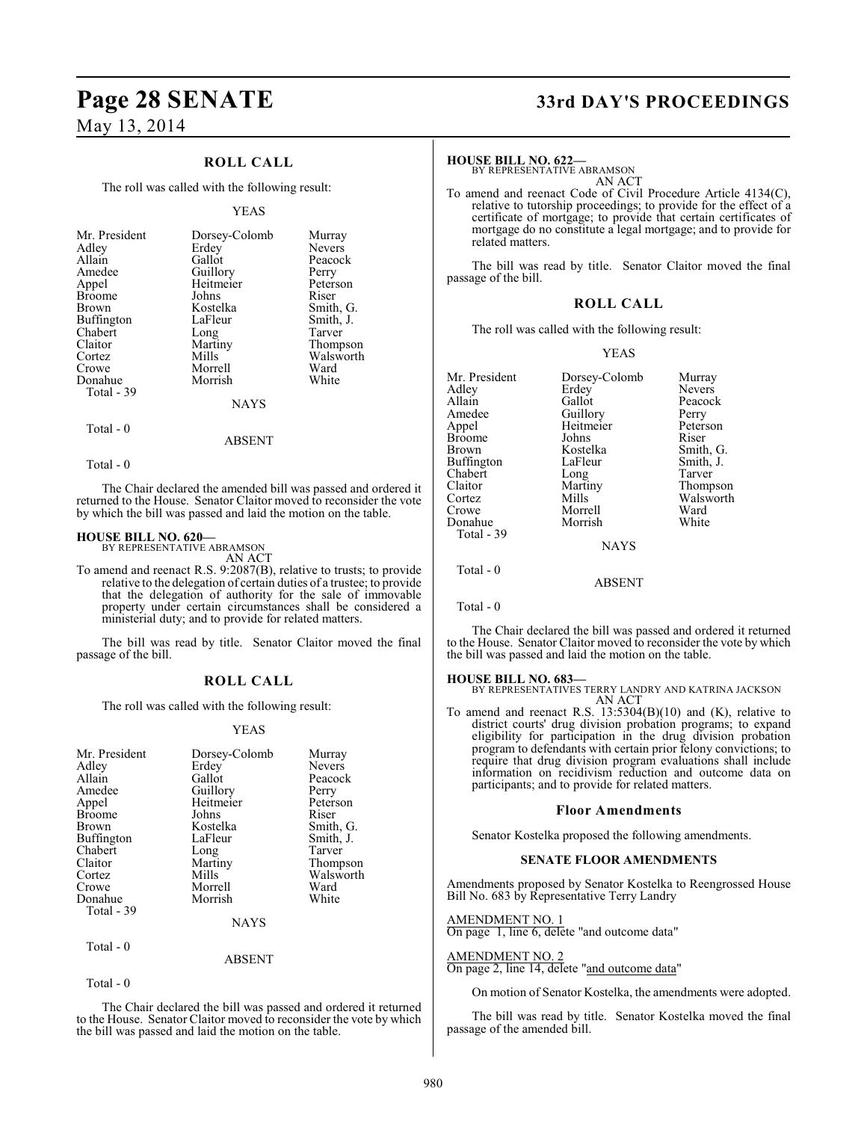## **ROLL CALL**

The roll was called with the following result:

#### YEAS

| Mr. President     | Dorsey-Colomb | Murray        |
|-------------------|---------------|---------------|
| Adley             | Erdey         | <b>Nevers</b> |
| Allain            | Gallot        | Peacock       |
| Amedee            | Guillory      | Perry         |
| Appel             | Heitmeier     | Peterson      |
| <b>Broome</b>     | Johns         | Riser         |
| <b>Brown</b>      | Kostelka      | Smith, G.     |
| <b>Buffington</b> | LaFleur       | Smith, J.     |
| Chabert           | Long          | Tarver        |
| Claitor           | Martiny       | Thompson      |
| Cortez            | Mills         | Walsworth     |
| Crowe             | Morrell       | Ward          |
| Donahue           | Morrish       | White         |
| Total - 39        | <b>NAYS</b>   |               |

Total - 0

Total - 0

The Chair declared the amended bill was passed and ordered it returned to the House. Senator Claitor moved to reconsider the vote by which the bill was passed and laid the motion on the table.

ABSENT

**HOUSE BILL NO. 620—** BY REPRESENTATIVE ABRAMSON

AN ACT To amend and reenact R.S. 9:2087(B), relative to trusts; to provide relative to the delegation of certain duties of a trustee; to provide that the delegation of authority for the sale of immovable property under certain circumstances shall be considered a ministerial duty; and to provide for related matters.

The bill was read by title. Senator Claitor moved the final passage of the bill.

## **ROLL CALL**

The roll was called with the following result:

#### YEAS

| Mr. President<br>Adley<br>Allain<br>Amedee<br>Appel<br><b>Broome</b><br><b>Brown</b><br><b>Buffington</b><br>Chabert<br>Claitor<br>Cortez | Dorsey-Colomb<br>Erdey<br>Gallot<br>Guillory<br>Heitmeier<br>Johns<br>Kostelka<br>LaFleur<br>Long<br>Martiny<br>Mills | Murray<br><b>Nevers</b><br>Peacock<br>Perry<br>Peterson<br>Riser<br>Smith, G.<br>Smith, J.<br>Tarver<br>Thompson<br>Walsworth |
|-------------------------------------------------------------------------------------------------------------------------------------------|-----------------------------------------------------------------------------------------------------------------------|-------------------------------------------------------------------------------------------------------------------------------|
| Crowe                                                                                                                                     | Morrell                                                                                                               | Ward                                                                                                                          |
| Donahue<br>Total - 39                                                                                                                     | Morrish                                                                                                               | White                                                                                                                         |
|                                                                                                                                           | NAYS                                                                                                                  |                                                                                                                               |

 $Total - 0$ 

ABSENT

Total - 0

The Chair declared the bill was passed and ordered it returned to the House. Senator Claitor moved to reconsider the vote by which the bill was passed and laid the motion on the table.

# **Page 28 SENATE 33rd DAY'S PROCEEDINGS**

#### **HOUSE BILL NO. 622—**

BY REPRESENTATIVE ABRAMSON AN ACT

To amend and reenact Code of Civil Procedure Article 4134(C), relative to tutorship proceedings; to provide for the effect of a certificate of mortgage; to provide that certain certificates of mortgage do no constitute a legal mortgage; and to provide for related matters.

The bill was read by title. Senator Claitor moved the final passage of the bill.

## **ROLL CALL**

The roll was called with the following result:

#### YEAS

| Mr. President | Dorsey-Colomb | Murray    |
|---------------|---------------|-----------|
| Adlev         | Erdey         | Nevers    |
| Allain        | Gallot        | Peacock   |
| Amedee        | Guillory      | Perry     |
| Appel         | Heitmeier     | Peterson  |
| Broome        | Johns         | Riser     |
| Brown         | Kostelka      | Smith, G. |
| Buffington    | LaFleur       | Smith, J. |
| Chabert       | Long          | Tarver    |
| Claitor       | Martiny       | Thompson  |
| Cortez        | Mills         | Walsworth |
| Crowe         | Morrell       | Ward      |
| Donahue       | Morrish       | White     |
| Total - 39    |               |           |
|               | <b>NAYS</b>   |           |
| Total - 0     |               |           |
|               | <b>ABSENT</b> |           |

Total - 0

The Chair declared the bill was passed and ordered it returned to the House. Senator Claitor moved to reconsider the vote by which the bill was passed and laid the motion on the table.

#### **HOUSE BILL NO. 683—**

BY REPRESENTATIVES TERRY LANDRY AND KATRINA JACKSON AN ACT

To amend and reenact R.S.  $13:5304(B)(10)$  and (K), relative to district courts' drug division probation programs; to expand eligibility for participation in the drug division probation program to defendants with certain prior felony convictions; to require that drug division program evaluations shall include information on recidivism reduction and outcome data on participants; and to provide for related matters.

#### **Floor Amendments**

Senator Kostelka proposed the following amendments.

#### **SENATE FLOOR AMENDMENTS**

Amendments proposed by Senator Kostelka to Reengrossed House Bill No. 683 by Representative Terry Landry

AMENDMENT NO. 1

On page 1, line 6, delete "and outcome data"

AMENDMENT NO. 2 On page 2, line 14, delete "and outcome data"

On motion of Senator Kostelka, the amendments were adopted.

The bill was read by title. Senator Kostelka moved the final passage of the amended bill.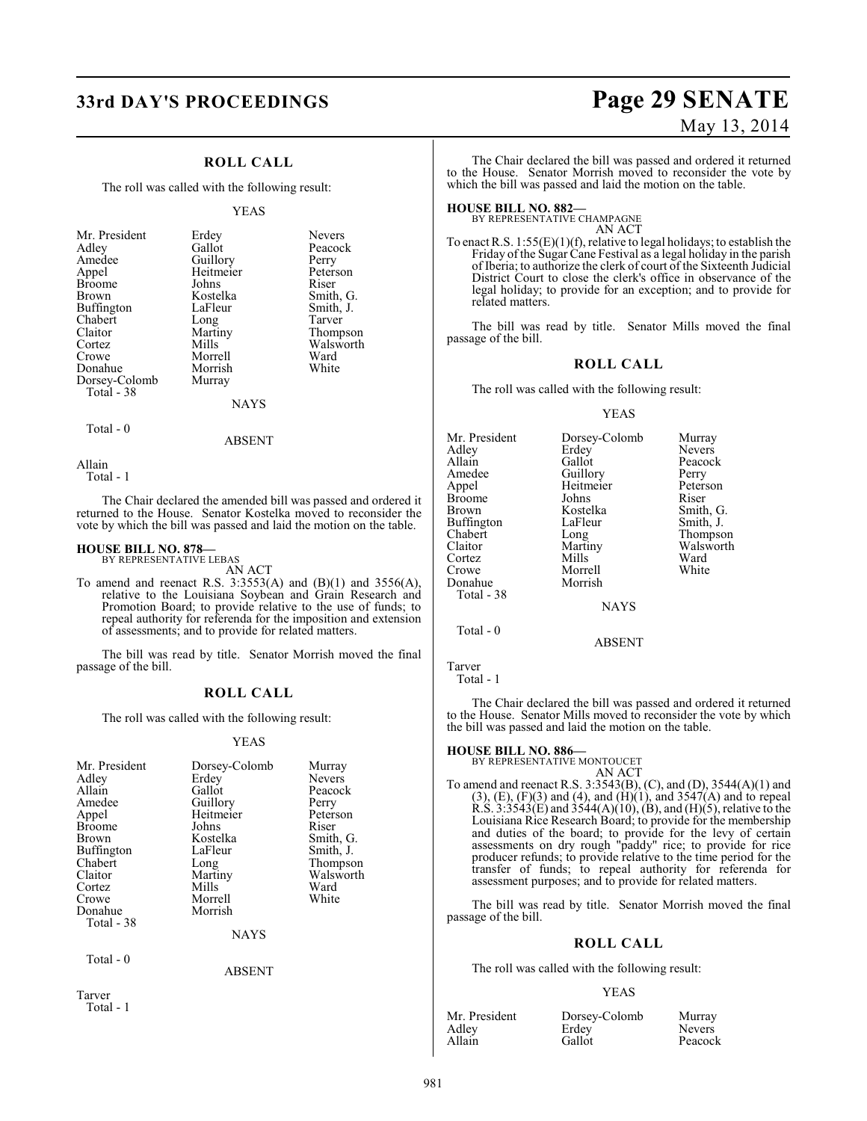# **33rd DAY'S PROCEEDINGS Page 29 SENATE**

## **ROLL CALL**

The roll was called with the following result:

#### YEAS

| Mr. President | Erdey          | <b>Nevers</b> |
|---------------|----------------|---------------|
| Adley         | Gallot         | Peacock       |
| Amedee        | Guillory       | Perry         |
| Appel         | Heitmeier      | Peterson      |
| <b>Broome</b> | Johns          | Riser         |
| Brown         | Kostelka       | Smith, G.     |
| Buffington    | LaFleur        | Smith, J.     |
| Chabert       | Long           | Tarver        |
| Claitor       | Martiny        | Thompson      |
| Cortez        | Mills          | Walsworth     |
| Crowe         | Morrell        | Ward          |
| Donahue       | Morrish        | White         |
| Dorsey-Colomb | Murray         |               |
| Total - 38    |                |               |
|               | <b>NTA NZC</b> |               |

#### NAYS

ABSENT

Total - 0

Allain

Total - 1

The Chair declared the amended bill was passed and ordered it returned to the House. Senator Kostelka moved to reconsider the vote by which the bill was passed and laid the motion on the table.

#### **HOUSE BILL NO. 878—** BY REPRESENTATIVE LEBAS

AN ACT

To amend and reenact R.S. 3:3553(A) and (B)(1) and 3556(A), relative to the Louisiana Soybean and Grain Research and Promotion Board; to provide relative to the use of funds; to repeal authority for referenda for the imposition and extension of assessments; and to provide for related matters.

The bill was read by title. Senator Morrish moved the final passage of the bill.

### **ROLL CALL**

The roll was called with the following result:

#### YEAS

| Mr. President<br>Adley<br>Allain<br>Amedee<br>Appel<br><b>Broome</b><br>Brown<br><b>Buffington</b><br>Chabert<br>Claitor<br>Cortez<br>Crowe<br>Donahue<br>Total - 38 | Dorsey-Colomb<br>Erdey<br>Gallot<br>Guillory<br>Heitmeier<br>Johns<br>Kostelka<br>LaFleur<br>Long<br>Martiny<br>Mills<br>Morrell<br>Morrish<br><b>NAYS</b> | Murray<br>Nevers<br>Peacock<br>Perry<br>Peterson<br>Riser<br>Smith, G.<br>Smith, J.<br>Thompson<br>Walsworth<br>Ward<br>White |
|----------------------------------------------------------------------------------------------------------------------------------------------------------------------|------------------------------------------------------------------------------------------------------------------------------------------------------------|-------------------------------------------------------------------------------------------------------------------------------|
| Total $-0$                                                                                                                                                           | <b>ABSENT</b>                                                                                                                                              |                                                                                                                               |

Tarver Total - 1

# May 13, 2014

The Chair declared the bill was passed and ordered it returned to the House. Senator Morrish moved to reconsider the vote by which the bill was passed and laid the motion on the table.

**HOUSE BILL NO. 882—** BY REPRESENTATIVE CHAMPAGNE AN ACT

To enact R.S.  $1:55(E)(1)(f)$ , relative to legal holidays; to establish the Friday of the Sugar Cane Festival as a legal holiday in the parish of Iberia; to authorize the clerk of court of the Sixteenth Judicial District Court to close the clerk's office in observance of the legal holiday; to provide for an exception; and to provide for related matters.

The bill was read by title. Senator Mills moved the final passage of the bill.

#### **ROLL CALL**

The roll was called with the following result:

#### YEAS

| Mr. President | Dorsey-Colomb | Murray        |
|---------------|---------------|---------------|
| Adley         | Erdey         | <b>Nevers</b> |
| Allain        | Gallot        | Peacock       |
| Amedee        | Guillory      | Perry         |
| Appel         | Heitmeier     | Peterson      |
| <b>Broome</b> | Johns         | Riser         |
| Brown         | Kostelka      | Smith, G.     |
| Buffington    | LaFleur       | Smith, J.     |
| Chabert       | Long          | Thompson      |
| Claitor       | Martiny       | Walsworth     |
| Cortez        | Mills         | Ward          |
| Crowe         | Morrell       | White         |
| Donahue       | Morrish       |               |
| Total - 38    |               |               |
|               | <b>NAYS</b>   |               |

Tarver

Total - 1

Total - 0

The Chair declared the bill was passed and ordered it returned to the House. Senator Mills moved to reconsider the vote by which the bill was passed and laid the motion on the table.

ABSENT

#### **HOUSE BILL NO. 886—**

BY REPRESENTATIVE MONTOUCET

AN ACT To amend and reenact R.S. 3:3543(B), (C), and (D), 3544(A)(1) and  $(3)$ ,  $(E)$ ,  $(F)(3)$  and  $(4)$ , and  $(H)(1)$ , and  $3547(A)$  and to repeal R.S.  $3:3543(E)$  and  $3544(A)(10)$ , (B), and (H)(5), relative to the Louisiana Rice Research Board; to provide for the membership and duties of the board; to provide for the levy of certain assessments on dry rough "paddy" rice; to provide for rice producer refunds; to provide relative to the time period for the transfer of funds; to repeal authority for referenda for assessment purposes; and to provide for related matters.

The bill was read by title. Senator Morrish moved the final passage of the bill.

### **ROLL CALL**

The roll was called with the following result:

#### YEAS

| Mr. President | Dorsey-Colomb | Murray        |
|---------------|---------------|---------------|
| Adlev         | Erdey         | <b>Nevers</b> |
| Allain        | Gallot        | Peacock       |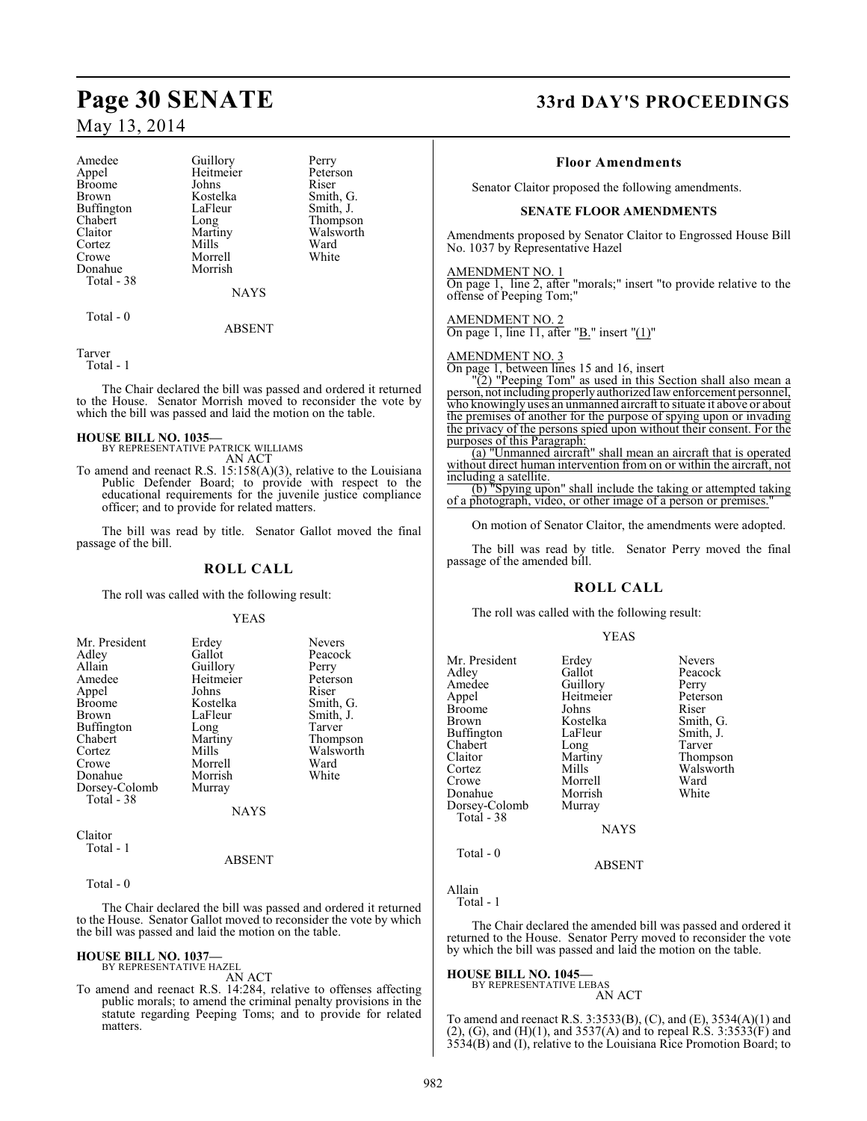| Amedee        | Guillory    | Perry     |
|---------------|-------------|-----------|
| Appel         | Heitmeier   | Peterson  |
| <b>Broome</b> | Johns       | Riser     |
| Brown         | Kostelka    | Smith, G. |
| Buffington    | LaFleur     | Smith, J. |
| Chabert       | Long        | Thompson  |
| Claitor       | Martiny     | Walsworth |
| Cortez        | Mills       | Ward      |
| Crowe         | Morrell     | White     |
| Donahue       | Morrish     |           |
| Total - 38    |             |           |
|               | <b>NAYS</b> |           |
| Total - 0     |             |           |

ABSENT

Tarver Total - 1

The Chair declared the bill was passed and ordered it returned to the House. Senator Morrish moved to reconsider the vote by which the bill was passed and laid the motion on the table.

#### **HOUSE BILL NO. 1035—**

BY REPRESENTATIVE PATRICK WILLIAMS AN ACT

To amend and reenact R.S. 15:158(A)(3), relative to the Louisiana Public Defender Board; to provide with respect to the educational requirements for the juvenile justice compliance officer; and to provide for related matters.

The bill was read by title. Senator Gallot moved the final passage of the bill.

## **ROLL CALL**

The roll was called with the following result:

#### YEAS

| Mr. President     | Erdey       | <b>Nevers</b> |
|-------------------|-------------|---------------|
| Adley             | Gallot      | Peacock       |
| Allain            | Guillory    | Perry         |
| Amedee            | Heitmeier   | Peterson      |
| Appel             | Johns       | Riser         |
| <b>Broome</b>     | Kostelka    | Smith, G.     |
| Brown             | LaFleur     | Smith, J.     |
| <b>Buffington</b> | Long        | Tarver        |
| Chabert           | Martiny     | Thompson      |
| Cortez            | Mills       | Walsworth     |
| Crowe             | Morrell     | Ward          |
| Donahue           | Morrish     | White         |
| Dorsey-Colomb     | Murray      |               |
| Total - 38        | <b>NAYS</b> |               |
|                   |             |               |
| Claitor           |             |               |

Claitor Total - 1

#### ABSENT

Total - 0

The Chair declared the bill was passed and ordered it returned to the House. Senator Gallot moved to reconsider the vote by which the bill was passed and laid the motion on the table.

#### **HOUSE BILL NO. 1037—** BY REPRESENTATIVE HAZEL

AN ACT

To amend and reenact R.S. 14:284, relative to offenses affecting public morals; to amend the criminal penalty provisions in the statute regarding Peeping Toms; and to provide for related matters.

# **Page 30 SENATE 33rd DAY'S PROCEEDINGS**

#### **Floor Amendments**

Senator Claitor proposed the following amendments.

#### **SENATE FLOOR AMENDMENTS**

Amendments proposed by Senator Claitor to Engrossed House Bill No. 1037 by Representative Hazel

AMENDMENT NO. 1

On page 1, line 2, after "morals;" insert "to provide relative to the offense of Peeping Tom;"

#### AMENDMENT NO. 2

On page 1, line 11, after " $\underline{B}$ ." insert " $(1)$ "

#### AMENDMENT NO. 3

On page 1, between lines 15 and 16, insert

"(2) "Peeping Tom" as used in this Section shall also mean a person, not including properly authorized law enforcement personnel, who knowingly uses an unmanned aircraft to situate it above or about the premises of another for the purpose of spying upon or invading the privacy of the persons spied upon without their consent. For the purposes of this Paragraph:

(a) "Unmanned aircraft" shall mean an aircraft that is operated without direct human intervention from on or within the aircraft, not including a satellite.

(b) "Spying upon" shall include the taking or attempted taking of a photograph, video, or other image of a person or premises."

On motion of Senator Claitor, the amendments were adopted.

The bill was read by title. Senator Perry moved the final passage of the amended bill.

#### **ROLL CALL**

The roll was called with the following result:

#### YEAS

| Mr. President<br>Adlev<br>Amedee<br>Appel<br><b>Broome</b><br>Brown<br>Buffington<br>Chabert<br>Claitor<br>Cortez<br>Crowe<br>Donahue<br>Dorsey-Colomb<br>Total - 38 | Erdey<br>Gallot<br>Guillory<br>Heitmeier<br>Johns<br>Kostelka<br>LaFleur<br>Long<br>Martiny<br>Mills<br>Morrell<br>Morrish<br>Murray<br><b>NAYS</b> | <b>Nevers</b><br>Peacock<br>Perry<br>Peterson<br>Riser<br>Smith, G.<br>Smith, J.<br>Tarver<br>Thompson<br>Walsworth<br>Ward<br>White |
|----------------------------------------------------------------------------------------------------------------------------------------------------------------------|-----------------------------------------------------------------------------------------------------------------------------------------------------|--------------------------------------------------------------------------------------------------------------------------------------|
| Total - 0                                                                                                                                                            |                                                                                                                                                     |                                                                                                                                      |
|                                                                                                                                                                      | ABSENT                                                                                                                                              |                                                                                                                                      |

Allain Total - 1

The Chair declared the amended bill was passed and ordered it returned to the House. Senator Perry moved to reconsider the vote by which the bill was passed and laid the motion on the table.

#### **HOUSE BILL NO. 1045—** BY REPRESENTATIVE LEBAS

AN ACT

To amend and reenact R.S. 3:3533(B), (C), and (E), 3534(A)(1) and  $(2)$ , (G), and (H)(1), and 3537(A) and to repeal R.S. 3:3533(F) and 3534(B) and (I), relative to the Louisiana Rice Promotion Board; to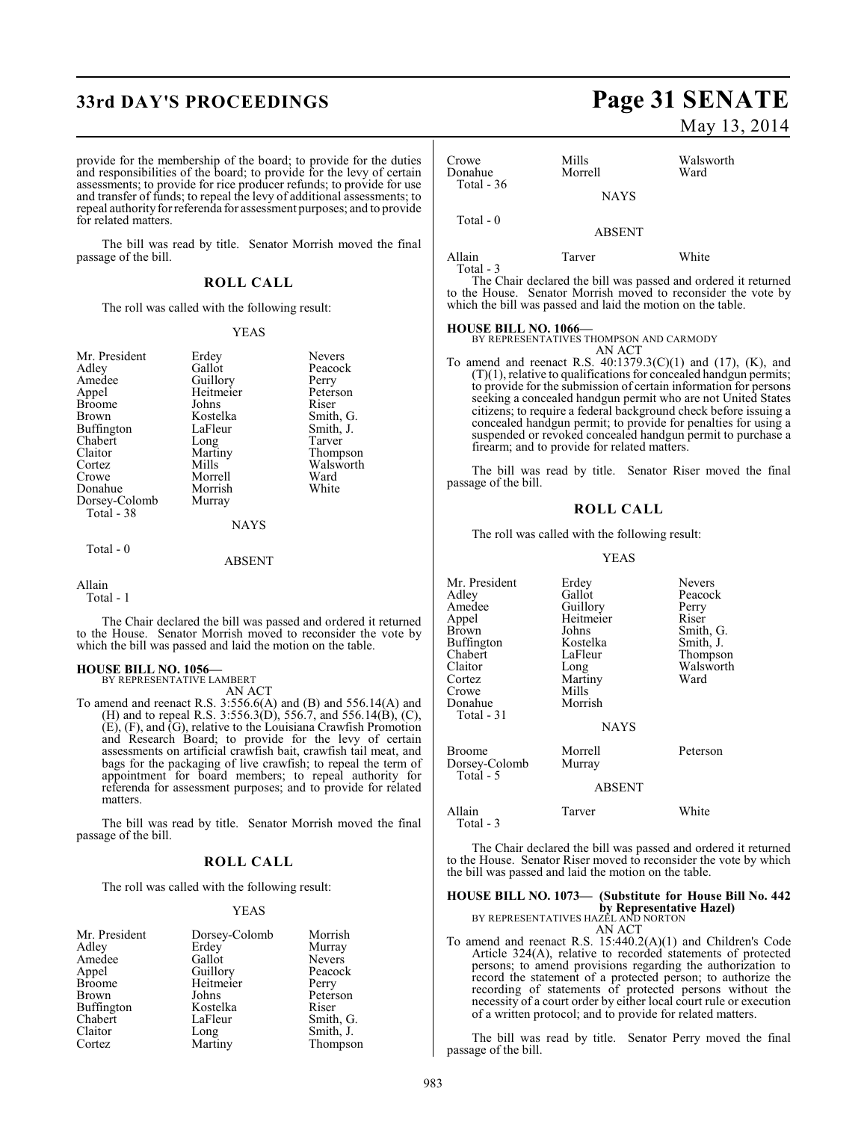# **33rd DAY'S PROCEEDINGS Page 31 SENATE**

provide for the membership of the board; to provide for the duties and responsibilities of the board; to provide for the levy of certain assessments; to provide for rice producer refunds; to provide for use and transfer of funds; to repeal the levy of additional assessments; to repeal authority for referenda for assessment purposes; and to provide for related matters.

The bill was read by title. Senator Morrish moved the final passage of the bill.

#### **ROLL CALL**

The roll was called with the following result:

#### YEAS

| Mr. President<br>Adley<br>Amedee<br>Appel<br><b>Broome</b><br>Brown<br>Buffington<br>Chabert<br>Claitor | Erdey<br>Gallot<br>Guillory<br>Heitmeier<br>Johns<br>Kostelka<br>LaFleur<br>Long<br>Martiny | <b>Nevers</b><br>Peacock<br>Perry<br>Peterson<br>Riser<br>Smith, G.<br>Smith, J.<br>Tarver<br>Thompson |
|---------------------------------------------------------------------------------------------------------|---------------------------------------------------------------------------------------------|--------------------------------------------------------------------------------------------------------|
|                                                                                                         |                                                                                             |                                                                                                        |
|                                                                                                         |                                                                                             |                                                                                                        |
|                                                                                                         |                                                                                             |                                                                                                        |
|                                                                                                         |                                                                                             |                                                                                                        |
| Cortez                                                                                                  | Mills                                                                                       | Walsworth                                                                                              |
| Crowe                                                                                                   | Morrell                                                                                     | Ward                                                                                                   |
| Donahue                                                                                                 | Morrish                                                                                     | White                                                                                                  |
| Dorsey-Colomb                                                                                           | Murray                                                                                      |                                                                                                        |
| Total - 38                                                                                              |                                                                                             |                                                                                                        |
|                                                                                                         | <b>NAYS</b>                                                                                 |                                                                                                        |

ABSENT

#### Allain

Total - 0

Total - 1

The Chair declared the bill was passed and ordered it returned to the House. Senator Morrish moved to reconsider the vote by which the bill was passed and laid the motion on the table.

# **HOUSE BILL NO. 1056—** BY REPRESENTATIVE LAMBERT

AN ACT

To amend and reenact R.S. 3:556.6(A) and (B) and 556.14(A) and (H) and to repeal R.S. 3:556.3(D), 556.7, and 556.14(B), (C), (E), (F), and (G), relative to the Louisiana Crawfish Promotion and Research Board; to provide for the levy of certain assessments on artificial crawfish bait, crawfish tail meat, and bags for the packaging of live crawfish; to repeal the term of appointment for board members; to repeal authority for referenda for assessment purposes; and to provide for related matters.

The bill was read by title. Senator Morrish moved the final passage of the bill.

#### **ROLL CALL**

The roll was called with the following result:

#### YEAS

| Mr. President     | Dorsey-Colomb | Morrish       |
|-------------------|---------------|---------------|
| Adley             | Erdey         | Murray        |
| Amedee            | Gallot        | <b>Nevers</b> |
| Appel             | Guillory      | Peacock       |
| <b>Broome</b>     | Heitmeier     | Perry         |
| <b>Brown</b>      | Johns         | Peterson      |
| <b>Buffington</b> | Kostelka      | Riser         |
| Chabert           | LaFleur       | Smith, G.     |
| Claitor           | Long          | Smith, J.     |
| Cortez            | Martiny       | Thompson      |

# May 13, 2014

## Crowe Mills Walsworth Donahue Total - 36 NAYS Total - 0 ABSENT Allain Tarver White

Total - 3

The Chair declared the bill was passed and ordered it returned to the House. Senator Morrish moved to reconsider the vote by which the bill was passed and laid the motion on the table.

**HOUSE BILL NO. 1066—** BY REPRESENTATIVES THOMPSON AND CARMODY AN ACT

To amend and reenact R.S. 40:1379.3(C)(1) and (17), (K), and (T)(1), relative to qualifications for concealed handgun permits; to provide for the submission of certain information for persons seeking a concealed handgun permit who are not United States citizens; to require a federal background check before issuing a concealed handgun permit; to provide for penalties for using a suspended or revoked concealed handgun permit to purchase a firearm; and to provide for related matters.

The bill was read by title. Senator Riser moved the final passage of the bill.

#### **ROLL CALL**

The roll was called with the following result:

#### YEAS

| Mr. President | Erdey         | <b>Nevers</b> |
|---------------|---------------|---------------|
| Adley         | Gallot        | Peacock       |
| Amedee        | Guillory      | Perry         |
| Appel         | Heitmeier     | Riser         |
| Brown         | Johns         | Smith, G.     |
| Buffington    | Kostelka      | Smith, J.     |
| Chabert       | LaFleur       | Thompson      |
| Claitor       | Long          | Walsworth     |
| Cortez        | Martiny       | Ward          |
| Crowe         | Mills         |               |
| Donahue       | Morrish       |               |
| Total - 31    |               |               |
|               | <b>NAYS</b>   |               |
| Broome        | Morrell       | Peterson      |
| Dorsey-Colomb | Murray        |               |
| Total - 5     |               |               |
|               | <b>ABSENT</b> |               |
|               |               |               |

Allain Tarver White Total - 3

The Chair declared the bill was passed and ordered it returned to the House. Senator Riser moved to reconsider the vote by which the bill was passed and laid the motion on the table.

## **HOUSE BILL NO. 1073— (Substitute for House Bill No. 442 by Representative Hazel)** BY REPRESENTATIVES HAZEL AND NORTON

- AN ACT
- To amend and reenact R.S. 15:440.2(A)(1) and Children's Code Article 324(A), relative to recorded statements of protected persons; to amend provisions regarding the authorization to record the statement of a protected person; to authorize the recording of statements of protected persons without the necessity of a court order by either local court rule or execution of a written protocol; and to provide for related matters.

The bill was read by title. Senator Perry moved the final passage of the bill.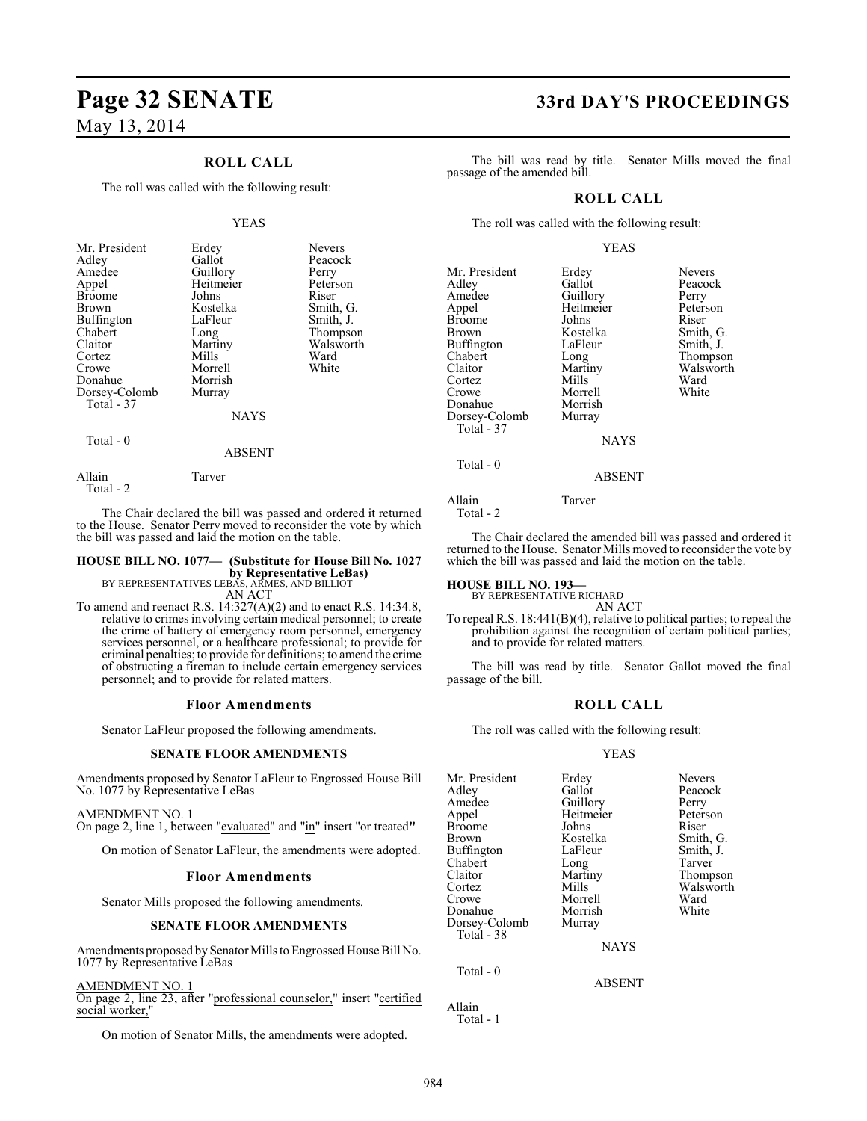## **ROLL CALL**

The roll was called with the following result:

#### YEAS

| Riser<br>Johns<br><b>Broome</b><br>Kostelka<br><b>Brown</b><br><b>Buffington</b><br>LaFleur<br>Chabert<br>Long<br>Claitor<br>Martiny<br>Mills<br>Cortez<br>Morrell<br>Crowe<br>Donahue<br>Morrish<br>Dorsey-Colomb<br>Murray<br>Total - 37 | Smith, G.<br>Smith, J.<br>Thompson<br>Walsworth<br>Ward<br>White |
|--------------------------------------------------------------------------------------------------------------------------------------------------------------------------------------------------------------------------------------------|------------------------------------------------------------------|
|--------------------------------------------------------------------------------------------------------------------------------------------------------------------------------------------------------------------------------------------|------------------------------------------------------------------|

NAYS

#### Total - 0

ABSENT

Allain Tarver Total - 2

The Chair declared the bill was passed and ordered it returned to the House. Senator Perry moved to reconsider the vote by which the bill was passed and laid the motion on the table.

## **HOUSE BILL NO. 1077— (Substitute for House Bill No. 1027 by Representative LeBas)** BY REPRESENTATIVES LEBAS, ARMES, AND BILLIOT AN ACT

To amend and reenact R.S. 14:327(A)(2) and to enact R.S. 14:34.8, relative to crimes involving certain medical personnel; to create the crime of battery of emergency room personnel, emergency services personnel, or a healthcare professional; to provide for criminal penalties; to provide for definitions; to amend the crime

personnel; and to provide for related matters.

#### **Floor Amendments**

of obstructing a fireman to include certain emergency services

Senator LaFleur proposed the following amendments.

#### **SENATE FLOOR AMENDMENTS**

Amendments proposed by Senator LaFleur to Engrossed House Bill No. 1077 by Representative LeBas

AMENDMENT NO. 1 On page 2, line 1, between "evaluated" and "in" insert "or treated**"**

On motion of Senator LaFleur, the amendments were adopted.

#### **Floor Amendments**

Senator Mills proposed the following amendments.

#### **SENATE FLOOR AMENDMENTS**

Amendments proposed by Senator Millsto Engrossed House Bill No. 1077 by Representative LeBas

AMENDMENT NO. 1

On page 2, line 23, after "professional counselor," insert "certified social worker,"

On motion of Senator Mills, the amendments were adopted.

# **Page 32 SENATE 33rd DAY'S PROCEEDINGS**

The bill was read by title. Senator Mills moved the final passage of the amended bill.

#### **ROLL CALL**

The roll was called with the following result:

#### YEAS

| Mr. President<br>Adley<br>Amedee<br>Appel<br><b>Broome</b><br><b>Brown</b><br><b>Buffington</b><br>Chabert<br>Claitor<br>Cortez<br>Crowe<br>Donahue<br>Dorsey-Colomb<br>Total - 37 | Erdey<br>Gallot<br>Guillory<br>Heitmeier<br>Johns<br>Kostelka<br>LaFleur<br>Long<br>Martiny<br>Mills<br>Morrell<br>Morrish<br>Murray<br><b>NAYS</b> | <b>Nevers</b><br>Peacock<br>Perry<br>Peterson<br>Riser<br>Smith, G.<br>Smith, J.<br>Thompson<br>Walsworth<br>Ward<br>White |
|------------------------------------------------------------------------------------------------------------------------------------------------------------------------------------|-----------------------------------------------------------------------------------------------------------------------------------------------------|----------------------------------------------------------------------------------------------------------------------------|
|                                                                                                                                                                                    |                                                                                                                                                     |                                                                                                                            |
| Total - 0                                                                                                                                                                          | <b>ABSENT</b>                                                                                                                                       |                                                                                                                            |

Allain Tarver Total - 2

The Chair declared the amended bill was passed and ordered it returned to the House. Senator Mills moved to reconsider the vote by which the bill was passed and laid the motion on the table.

**HOUSE BILL NO. 193—** BY REPRESENTATIVE RICHARD

AN ACT

To repeal R.S. 18:441(B)(4), relative to political parties; to repeal the prohibition against the recognition of certain political parties; and to provide for related matters.

The bill was read by title. Senator Gallot moved the final passage of the bill.

#### **ROLL CALL**

The roll was called with the following result:

#### YEAS

ABSENT

| Mr. President | Erdey       | <b>Nevers</b> |
|---------------|-------------|---------------|
| Adley         | Gallot      | Peacock       |
| Amedee        | Guillory    | Perry         |
| Appel         | Heitmeier   | Peterson      |
| Broome        | Johns       | Riser         |
| Brown         | Kostelka    | Smith, G.     |
| Buffington    | LaFleur     | Smith, J.     |
| Chabert       | Long        | Tarver        |
| Claitor       | Martiny     | Thompson      |
| Cortez        | Mills       | Walsworth     |
| Crowe         | Morrell     | Ward          |
| Donahue       | Morrish     | White         |
| Dorsey-Colomb | Murray      |               |
| Total - 38    |             |               |
|               | <b>NAYS</b> |               |
|               |             |               |

Total - 0

Allain Total - 1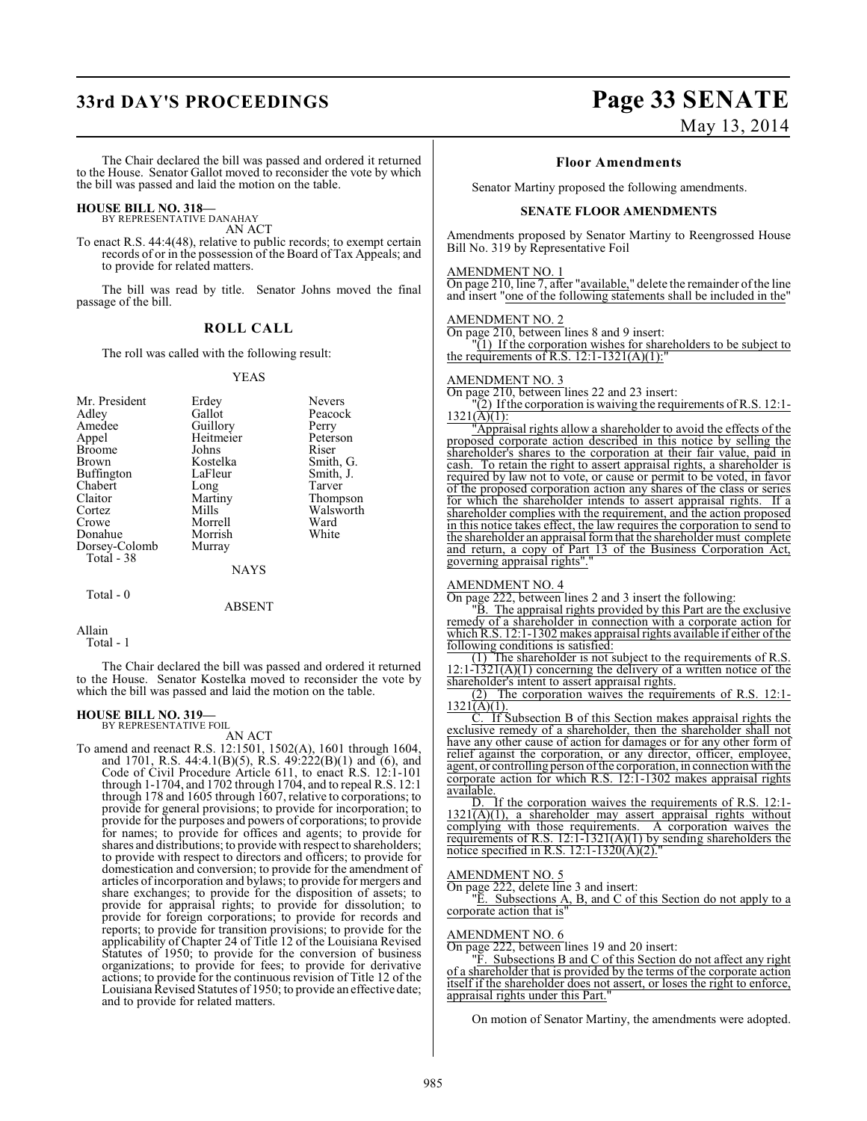# **33rd DAY'S PROCEEDINGS Page 33 SENATE**

# May 13, 2014

The Chair declared the bill was passed and ordered it returned to the House. Senator Gallot moved to reconsider the vote by which the bill was passed and laid the motion on the table.

#### **HOUSE BILL NO. 318—**

BY REPRESENTATIVE DANAHAY AN ACT

To enact R.S. 44:4(48), relative to public records; to exempt certain records of or in the possession of the Board of Tax Appeals; and to provide for related matters.

The bill was read by title. Senator Johns moved the final passage of the bill.

#### **ROLL CALL**

The roll was called with the following result:

#### YEAS

| Mr. President                            | Erdey                 | <b>Nevers</b> |
|------------------------------------------|-----------------------|---------------|
| Adley                                    | Gallot                | Peacock       |
| Amedee                                   | Guillory              | Perry         |
| Appel                                    | Heitmeier             | Peterson      |
| <b>Broome</b>                            | Johns                 | Riser         |
| Brown                                    | Kostelka              | Smith, G.     |
| Buffington                               | LaFleur               | Smith, J.     |
| Chabert                                  | Long                  | Tarver        |
| Claitor                                  | Martiny               | Thompson      |
| Cortez                                   | Mills                 | Walsworth     |
| Crowe                                    | Morrell               | Ward          |
| Donahue                                  | Morrish               | White         |
| Dorsey-Colomb<br>Total - 38<br>Total - 0 | Murray<br><b>NAYS</b> |               |

ABSENT

## Allain

Total - 1

The Chair declared the bill was passed and ordered it returned to the House. Senator Kostelka moved to reconsider the vote by which the bill was passed and laid the motion on the table.

# **HOUSE BILL NO. 319—** BY REPRESENTATIVE FOIL

AN ACT

To amend and reenact R.S. 12:1501, 1502(A), 1601 through 1604, and 1701, R.S. 44:4.1(B)(5), R.S. 49:222(B)(1) and (6), and Code of Civil Procedure Article 611, to enact R.S. 12:1-101 through 1-1704, and 1702 through 1704, and to repeal R.S. 12:1 through 178 and 1605 through 1607, relative to corporations; to provide for general provisions; to provide for incorporation; to provide for the purposes and powers of corporations; to provide for names; to provide for offices and agents; to provide for shares and distributions; to provide with respect to shareholders; to provide with respect to directors and officers; to provide for domestication and conversion; to provide for the amendment of articles of incorporation and bylaws; to provide for mergers and share exchanges; to provide for the disposition of assets; to provide for appraisal rights; to provide for dissolution; to provide for foreign corporations; to provide for records and reports; to provide for transition provisions; to provide for the applicability of Chapter 24 of Title 12 of the Louisiana Revised Statutes of 1950; to provide for the conversion of business organizations; to provide for fees; to provide for derivative actions; to provide for the continuous revision of Title 12 of the Louisiana Revised Statutes of 1950; to provide an effective date; and to provide for related matters.

#### **Floor Amendments**

Senator Martiny proposed the following amendments.

#### **SENATE FLOOR AMENDMENTS**

Amendments proposed by Senator Martiny to Reengrossed House Bill No. 319 by Representative Foil

#### AMENDMENT NO. 1

On page 210, line 7, after "available," delete the remainder of the line and insert "one of the following statements shall be included in the"

#### AMENDMENT NO. 2

On page 210, between lines 8 and 9 insert:

"(1) If the corporation wishes for shareholders to be subject to the requirements of R.S.  $12:1-1321(A)(1)$ :"

#### AMENDMENT NO. 3

On page 210, between lines 22 and 23 insert:

 $\sqrt{2}$ ) If the corporation is waiving the requirements of R.S. 12:1- $1321(\overline{A})(1)$ :

"Appraisal rights allow a shareholder to avoid the effects of the proposed corporate action described in this notice by selling the shareholder's shares to the corporation at their fair value, paid in cash. To retain the right to assert appraisal rights, a shareholder is required by law not to vote, or cause or permit to be voted, in favor of the proposed corporation action any shares of the class or series for which the shareholder intends to assert appraisal rights. If a shareholder complies with the requirement, and the action proposed in this notice takes effect, the law requires the corporation to send to the shareholder an appraisal form that the shareholder must complete and return, a copy of Part 13 of the Business Corporation Act, governing appraisal rights"."

#### AMENDMENT NO. 4

On page 222, between lines 2 and 3 insert the following:

"B. The appraisal rights provided by this Part are the exclusive remedy of a shareholder in connection with a corporate action for which R.S. 12:1-1302 makes appraisal rights available if either of the following conditions is satisfied:

(1) The shareholder is not subject to the requirements of R.S.  $12:1-\overline{1321(A)(1)}$  concerning the delivery of a written notice of the shareholder's intent to assert appraisal rights.<br>(2) The corporation waives the requi

The corporation waives the requirements of R.S. 12:1- $1321(A)(1)$ .

C. If Subsection B of this Section makes appraisal rights the exclusive remedy of a shareholder, then the shareholder shall not have any other cause of action for damages or for any other form of relief against the corporation, or any director, officer, employee, agent, or controlling person of the corporation, in connection with the corporate action for which R.S. 12:1-1302 makes appraisal rights available.

D. If the corporation waives the requirements of R.S. 12:1-  $1321(A)(1)$ , a shareholder may assert appraisal rights without complying with those requirements. A corporation waives the requirements of R.S. 12:1-1321(A)(1) by sending shareholders the notice specified in R.S. 12:1-1320(A)(2)."

#### AMENDMENT NO. 5

On page 222, delete line 3 and insert:

"E. Subsections A, B, and C of this Section do not apply to a corporate action that is"

#### AMENDMENT NO. 6

On page 222, between lines 19 and 20 insert:

"F. Subsections B and C of this Section do not affect any right of a shareholder that is provided by the terms of the corporate action itself if the shareholder does not assert, or loses the right to enforce, appraisal rights under this Part.

On motion of Senator Martiny, the amendments were adopted.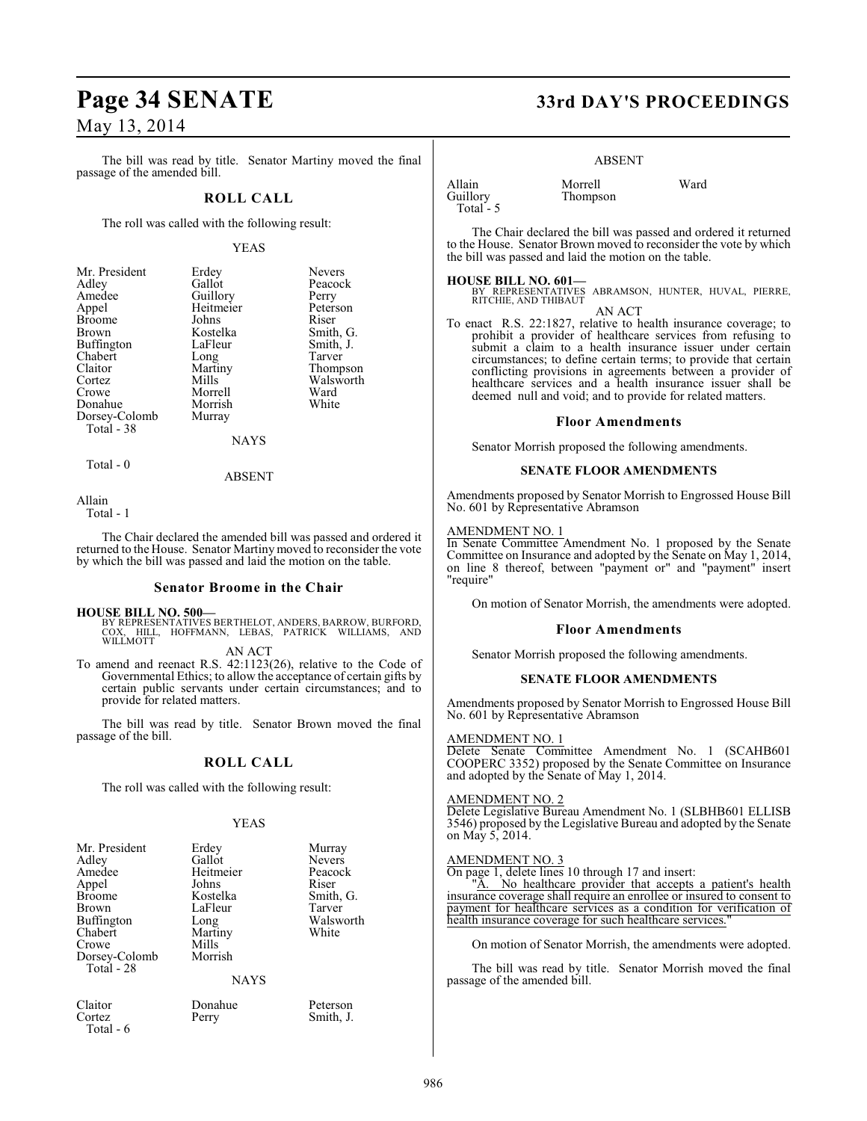The bill was read by title. Senator Martiny moved the final passage of the amended bill.

### **ROLL CALL**

The roll was called with the following result:

#### YEAS

Nevers Peacock Perry Peterson<br>Riser

Smith, G. Smith, J.<br>Tarver

Thompson Walsworth<br>Ward

| Mr. President | Erdey       | Nevers  |
|---------------|-------------|---------|
| Adley         | Gallot      | Peacod  |
| Amedee        | Guillory    | Perry   |
| Appel         | Heitmeier   | Peterso |
| <b>Broome</b> | Johns       | Riser   |
| Brown         | Kostelka    | Smith,  |
| Buffington    | LaFleur     | Smith,  |
| Chabert       | Long        | Tarver  |
| Claitor       | Martiny     | Thomp   |
| Cortez        | Mills       | Walsw   |
| Crowe         | Morrell     | Ward    |
| Donahue       | Morrish     | White   |
| Dorsey-Colomb | Murray      |         |
| Total - 38    |             |         |
|               | <b>NAYS</b> |         |
|               |             |         |

 $Total - 0$ 

ABSENT

Allain

Total - 1

The Chair declared the amended bill was passed and ordered it returned to the House. Senator Martiny moved to reconsider the vote by which the bill was passed and laid the motion on the table.

#### **Senator Broome in the Chair**

**HOUSE BILL NO. 500—**

BY REPRESENTATIVES BERTHELOT, ANDERS, BARROW, BURFORD,<br>COX, HILL, HOFFMANN, LEBAS, PATRICK WILLIAMS, AND<br>WILLMOTT AN ACT

To amend and reenact R.S. 42:1123(26), relative to the Code of Governmental Ethics; to allow the acceptance of certain gifts by certain public servants under certain circumstances; and to provide for related matters.

The bill was read by title. Senator Brown moved the final passage of the bill.

## **ROLL CALL**

The roll was called with the following result:

#### YEAS

| Mr. President | Erdey     | Murray        |
|---------------|-----------|---------------|
| Adley         | Gallot    | <b>Nevers</b> |
| Amedee        | Heitmeier | Peacocl       |
| Appel         | Johns     | Riser         |
| <b>Broome</b> | Kostelka  | Smith,        |
| Brown         | LaFleur   | Tarver        |
| Buffington    | Long      | Walswo        |
| Chabert       | Martiny   | White         |
| Crowe         | Mills     |               |
| Dorsey-Colomb | Morrish   |               |
| Total - 28    |           |               |
|               |           |               |

Heitmeier Peacock<br>Johns Riser Johns<br>Kostelka LaFleur Long Walsworth<br>
Martiny White Martiny Mills Morrish

#### NAYS

Total - 6

Claitor Donahue Peterson<br>Cortez Perry Smith, J. Smith, J.

Nevers<br>Peacock

Smith, G.<br>Tarver

# **Page 34 SENATE 33rd DAY'S PROCEEDINGS**

#### ABSENT

| Allain     | Morrell  | Ward |
|------------|----------|------|
| Guillory   | Thompson |      |
| Total $-5$ |          |      |

The Chair declared the bill was passed and ordered it returned to the House. Senator Brown moved to reconsider the vote by which the bill was passed and laid the motion on the table.

#### **HOUSE BILL NO. 601—**

BY REPRESENTATIVES ABRAMSON, HUNTER, HUVAL, PIERRE, RITCHIE, AND THIBAUT AN ACT

To enact R.S. 22:1827, relative to health insurance coverage; to prohibit a provider of healthcare services from refusing to submit a claim to a health insurance issuer under certain circumstances; to define certain terms; to provide that certain conflicting provisions in agreements between a provider of healthcare services and a health insurance issuer shall be deemed null and void; and to provide for related matters.

#### **Floor Amendments**

Senator Morrish proposed the following amendments.

#### **SENATE FLOOR AMENDMENTS**

Amendments proposed by Senator Morrish to Engrossed House Bill No. 601 by Representative Abramson

#### AMENDMENT NO. 1

In Senate Committee Amendment No. 1 proposed by the Senate Committee on Insurance and adopted by the Senate on May 1, 2014, on line 8 thereof, between "payment or" and "payment" insert "require"

On motion of Senator Morrish, the amendments were adopted.

#### **Floor Amendments**

Senator Morrish proposed the following amendments.

#### **SENATE FLOOR AMENDMENTS**

Amendments proposed by Senator Morrish to Engrossed House Bill No. 601 by Representative Abramson

#### AMENDMENT NO. 1

Delete Senate Committee Amendment No. 1 (SCAHB601 COOPERC 3352) proposed by the Senate Committee on Insurance and adopted by the Senate of May 1, 2014.

#### AMENDMENT NO. 2

Delete Legislative Bureau Amendment No. 1 (SLBHB601 ELLISB 3546) proposed by the Legislative Bureau and adopted by the Senate on May 5, 2014.

#### AMENDMENT NO. 3

On page 1, delete lines 10 through 17 and insert:

"A. No healthcare provider that accepts a patient's health insurance coverage shall require an enrollee or insured to consent to payment for healthcare services as a condition for verification of health insurance coverage for such healthcare services.

On motion of Senator Morrish, the amendments were adopted.

The bill was read by title. Senator Morrish moved the final passage of the amended bill.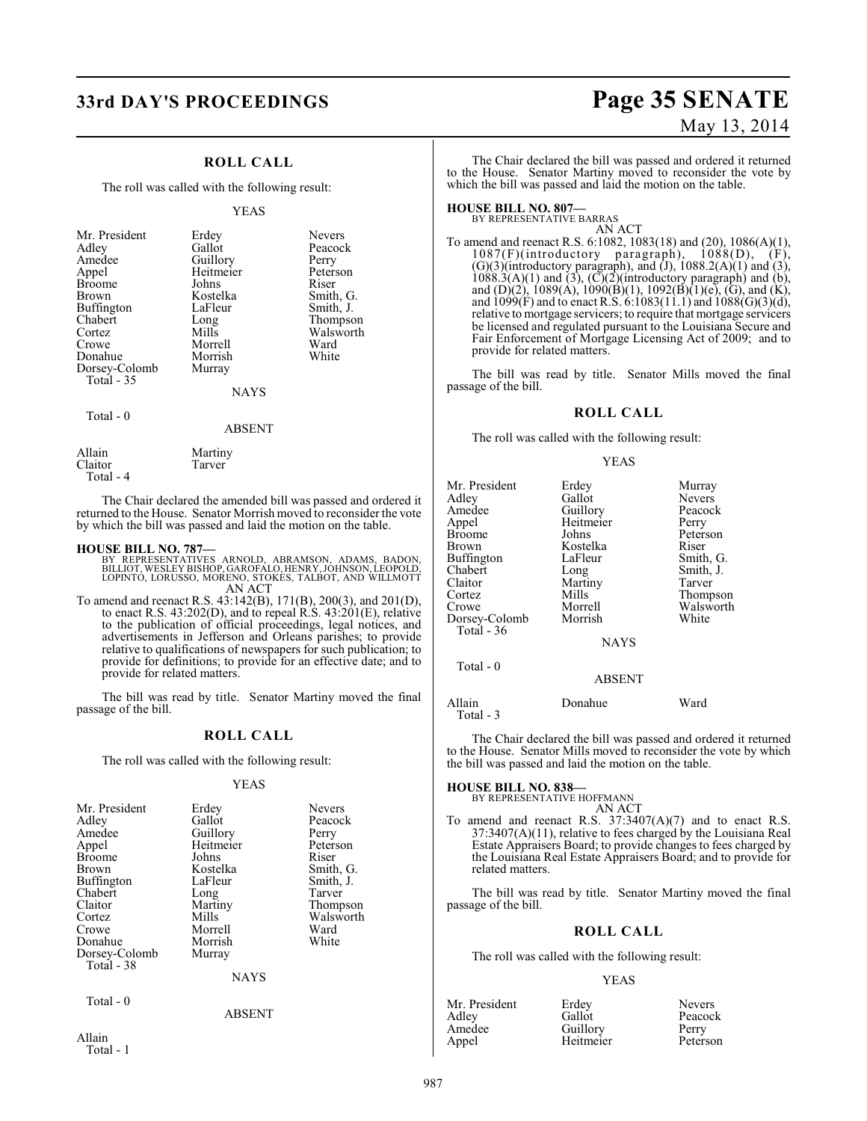# **33rd DAY'S PROCEEDINGS Page 35 SENATE**

## **ROLL CALL**

The roll was called with the following result:

#### YEAS

| Mr. President<br>Adley<br>Amedee<br>Appel<br><b>Broome</b><br>Brown<br>Buffington<br>Chabert<br>Cortez<br>Crowe | Erdey<br>Gallot<br>Guillory<br>Heitmeier<br>Johns<br>Kostelka<br>LaFleur<br>Long<br>Mills<br>Morrell | <b>Nevers</b><br>Peacock<br>Perry<br>Peterson<br>Riser<br>Smith, G.<br>Smith, J.<br>Thompson<br>Walsworth<br>Ward |
|-----------------------------------------------------------------------------------------------------------------|------------------------------------------------------------------------------------------------------|-------------------------------------------------------------------------------------------------------------------|
|                                                                                                                 |                                                                                                      |                                                                                                                   |
|                                                                                                                 |                                                                                                      |                                                                                                                   |
|                                                                                                                 |                                                                                                      |                                                                                                                   |
|                                                                                                                 |                                                                                                      |                                                                                                                   |
|                                                                                                                 |                                                                                                      |                                                                                                                   |
| Donahue                                                                                                         | Morrish                                                                                              | White                                                                                                             |
| Dorsey-Colomb<br>Total - 35                                                                                     | Murray                                                                                               |                                                                                                                   |
|                                                                                                                 | <b>NAYS</b>                                                                                          |                                                                                                                   |
|                                                                                                                 |                                                                                                      |                                                                                                                   |

#### Total - 0

#### ABSENT

Allain Martiny<br>Claitor Tarver Claitor

Total - 4

The Chair declared the amended bill was passed and ordered it returned to the House. Senator Morrish moved to reconsider the vote by which the bill was passed and laid the motion on the table.

#### **HOUSE BILL NO. 787—**

- BY REPRESENTATIVES ARNOLD, ABRAMSON, ADAMS, BADON, BILLIOT, WESLEY BISHOP, GAROFALO, HENRY, JOHNSON, LEOPOLD, LOPINTO, LORUSSO, MORENO, STOKES, TALBOT, AND WILLMOTT AN ACT
- To amend and reenact R.S. 43:142(B), 171(B), 200(3), and 201(D), to enact R.S. 43:202(D), and to repeal R.S. 43:201(E), relative to the publication of official proceedings, legal notices, and advertisements in Jefferson and Orleans parishes; to provide relative to qualifications of newspapers for such publication; to provide for definitions; to provide for an effective date; and to provide for related matters.

The bill was read by title. Senator Martiny moved the final passage of the bill.

#### **ROLL CALL**

The roll was called with the following result:

#### YEAS

| Mr. President | Erdey       | <b>Nevers</b> |
|---------------|-------------|---------------|
| Adley         | Gallot      | Peacock       |
| Amedee        | Guillory    | Perry         |
| Appel         | Heitmeier   | Peterson      |
| <b>Broome</b> | Johns       | Riser         |
| <b>Brown</b>  | Kostelka    | Smith, G.     |
| Buffington    | LaFleur     | Smith, J.     |
| Chabert       | Long        | Tarver        |
| Claitor       | Martiny     | Thompson      |
| Cortez        | Mills       | Walsworth     |
| Crowe         | Morrell     | Ward          |
| Donahue       | Morrish     | White         |
| Dorsey-Colomb | Murray      |               |
| Total - 38    |             |               |
|               | <b>NAYS</b> |               |

ABSENT

Total - 0

Allain Total - 1

# May 13, 2014

The Chair declared the bill was passed and ordered it returned to the House. Senator Martiny moved to reconsider the vote by which the bill was passed and laid the motion on the table.

**HOUSE BILL NO. 807—** BY REPRESENTATIVE BARRAS AN ACT

To amend and reenact R.S. 6:1082, 1083(18) and (20), 1086(A)(1), 1087(F)(introductory paragraph), 1088(D), (F), 1087(F)(introductory paragraph), 1088(D), (F),  $(G)(3)$ (introductory paragraph), and  $(J)$ , 1088.2(A) $(1)$  and  $(3)$ ,  $1088.3(A)(1)$  and  $(3)$ ,  $(C)(2)$ (introductory paragraph) and  $(b)$ , and (D)(2), 1089(A), 1090(B)(1), 1092(B)(1)(e), (G), and (K), and 1099(F) and to enact R.S. 6:1083(11.1) and 1088(G)(3)(d), relative to mortgage servicers; to require that mortgage servicers be licensed and regulated pursuant to the Louisiana Secure and Fair Enforcement of Mortgage Licensing Act of 2009; and to provide for related matters.

The bill was read by title. Senator Mills moved the final passage of the bill.

#### **ROLL CALL**

The roll was called with the following result:

#### YEAS

| Mr. President | Erdey         | Murray        |
|---------------|---------------|---------------|
| Adlev         | Gallot        | <b>Nevers</b> |
| Amedee        | Guillory      | Peacock       |
| Appel         | Heitmeier     | Perry         |
| Broome        | Johns         | Peterson      |
| Brown         | Kostelka      | Riser         |
| Buffington    | LaFleur       | Smith, G.     |
| Chabert       | Long          | Smith, J.     |
| Claitor       | Martiny       | Tarver        |
| Cortez        | Mills         | Thompson      |
| Crowe         | Morrell       | Walsworth     |
| Dorsey-Colomb | Morrish       | White         |
| Total $-36$   |               |               |
|               | <b>NAYS</b>   |               |
| Total - 0     |               |               |
|               | <b>ABSENT</b> |               |
|               |               |               |

Allain Donahue Ward Total - 3

The Chair declared the bill was passed and ordered it returned to the House. Senator Mills moved to reconsider the vote by which the bill was passed and laid the motion on the table.

# **HOUSE BILL NO. 838—** BY REPRESENTATIVE HOFFMANN

AN ACT

To amend and reenact R.S.  $37:3407(A)(7)$  and to enact R.S.  $37:3407(A)(11)$ , relative to fees charged by the Louisiana Real Estate Appraisers Board; to provide changes to fees charged by the Louisiana Real Estate Appraisers Board; and to provide for related matters.

The bill was read by title. Senator Martiny moved the final passage of the bill.

#### **ROLL CALL**

The roll was called with the following result:

#### YEAS

| Mr. President | Erdey     | <b>Nevers</b> |
|---------------|-----------|---------------|
| Adley         | Gallot    | Peacock       |
| Amedee        | Guillory  | Perry         |
| Appel         | Heitmeier | Peterson      |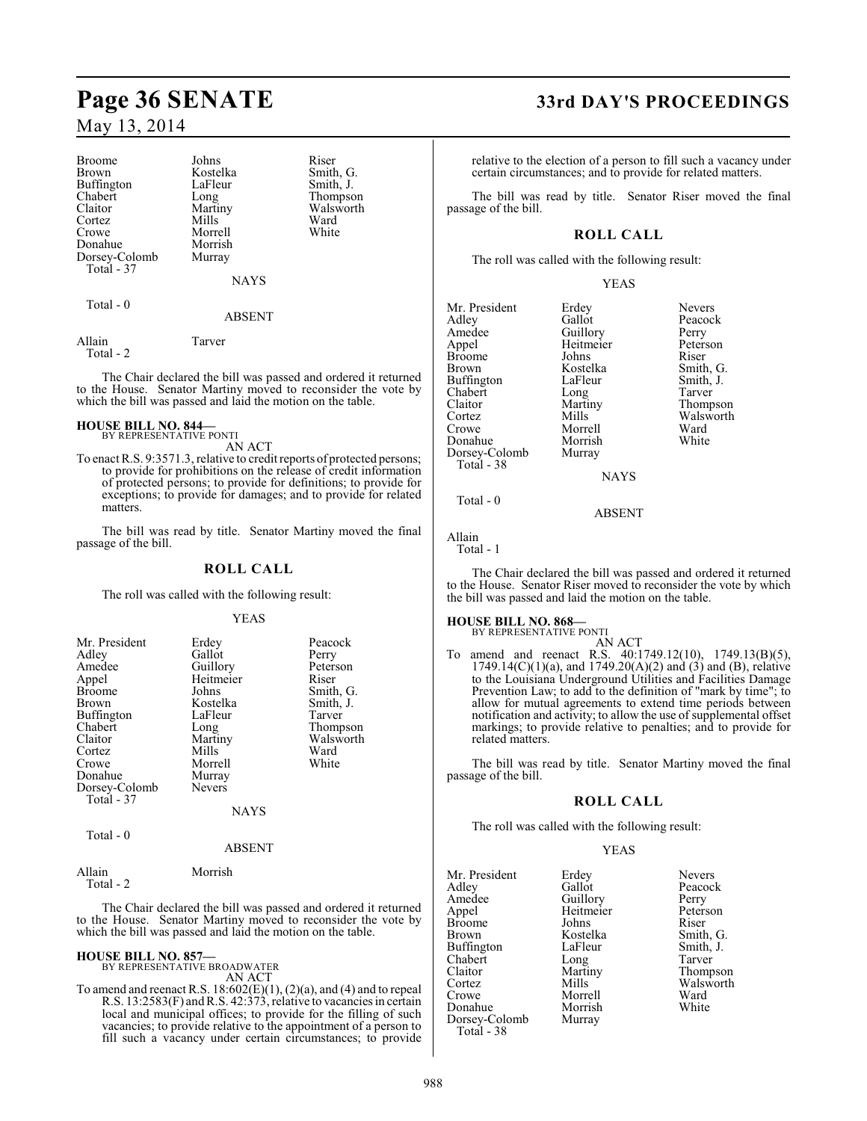| <b>Broome</b> | Johns       | Riser  |
|---------------|-------------|--------|
| <b>Brown</b>  | Kostelka    | Smith  |
| Buffington    | LaFleur     | Smith. |
| Chabert       | Long        | Thom   |
| Claitor       | Martiny     | Walsy  |
| Cortez        | Mills       | Ward   |
| Crowe         | Morrell     | White  |
| Donahue       | Morrish     |        |
| Dorsey-Colomb | Murray      |        |
| Total - 37    |             |        |
|               | <b>NAYS</b> |        |
|               |             |        |

Thompson Walsworth<br>Ward

Smith, G. Smith, J.

Total - 0

#### ABSENT

Allain Tarver Total - 2

The Chair declared the bill was passed and ordered it returned to the House. Senator Martiny moved to reconsider the vote by which the bill was passed and laid the motion on the table.

#### **HOUSE BILL NO. 844—** BY REPRESENTATIVE PONTI

AN ACT

To enact R.S. 9:3571.3, relative to credit reports of protected persons; to provide for prohibitions on the release of credit information of protected persons; to provide for definitions; to provide for exceptions; to provide for damages; and to provide for related matters

The bill was read by title. Senator Martiny moved the final passage of the bill.

#### **ROLL CALL**

The roll was called with the following result:

#### YEAS

| Mr. President<br>Adley<br>Amedee<br>Appel<br><b>Broome</b><br><b>Brown</b><br><b>Buffington</b><br>Chabert<br>Claitor<br>Cortez<br>Crowe | Erdey<br>Gallot<br>Guillory<br>Heitmeier<br>Johns<br>Kostelka<br>LaFleur<br>Long<br>Martiny<br>Mills<br>Morrell | Peacock<br>Perry<br>Peterson<br>Riser<br>Smith, G.<br>Smith, J.<br>Tarver<br>Thompson<br>Walsworth<br>Ward<br>White |
|------------------------------------------------------------------------------------------------------------------------------------------|-----------------------------------------------------------------------------------------------------------------|---------------------------------------------------------------------------------------------------------------------|
| Donahue<br>Dorsey-Colomb<br>Total - 37                                                                                                   | Murray<br><b>Nevers</b>                                                                                         |                                                                                                                     |
|                                                                                                                                          | <b>NAYS</b>                                                                                                     |                                                                                                                     |

Total - 0

#### ABSENT

Total - 2

Allain Morrish

The Chair declared the bill was passed and ordered it returned to the House. Senator Martiny moved to reconsider the vote by which the bill was passed and laid the motion on the table.

## **HOUSE BILL NO. 857—**

BY REPRESENTATIVE BROADWATER AN ACT

To amend and reenact R.S.  $18:602(E)(1)$ ,  $(2)(a)$ , and  $(4)$  and to repeal R.S. 13:2583(F) and R.S. 42:373, relative to vacancies in certain local and municipal offices; to provide for the filling of such vacancies; to provide relative to the appointment of a person to fill such a vacancy under certain circumstances; to provide

# **Page 36 SENATE 33rd DAY'S PROCEEDINGS**

relative to the election of a person to fill such a vacancy under certain circumstances; and to provide for related matters.

The bill was read by title. Senator Riser moved the final passage of the bill.

## **ROLL CALL**

The roll was called with the following result:

YEAS

Mr. President Erdey Nevers<br>Adley Gallot Peacoc Adley Gallot Peacock<br>Amedee Guillory Perry Amedee Guillory Perry<br>Appel Heitmeier Peterson Broome Johns Riser<br>Brown Kostelka Smith, G. Buffington LaFleur Smith,<br>
Chabert Long Tarver Chabert Long<br>Claitor Martiny Claitor Martiny Thompson Cortez Mills Walsworth<br>Crowe Morrell Ward Donahue Morrish<br>Dorsey-Colomb Murray Dorsey-Colomb Total - 38

Heitmeier Peters<br>Johns Riser Kostelka Smith, G.<br>LaFleur Smith, J. Morrell Ward<br>
Morrish White

Total - 0

Allain Total - 1

The Chair declared the bill was passed and ordered it returned to the House. Senator Riser moved to reconsider the vote by which the bill was passed and laid the motion on the table.

NAYS

ABSENT

## **HOUSE BILL NO. 868—**

BY REPRESENTATIVE PONTI AN ACT

To amend and reenact R.S. 40:1749.12(10), 1749.13(B)(5),  $1749.14(C)(1)(a)$ , and  $1749.20(A)(2)$  and  $(3)$  and  $(B)$ , relative to the Louisiana Underground Utilities and Facilities Damage Prevention Law; to add to the definition of "mark by time"; to allow for mutual agreements to extend time periods between notification and activity; to allow the use of supplemental offset markings; to provide relative to penalties; and to provide for related matters.

The bill was read by title. Senator Martiny moved the final passage of the bill.

## **ROLL CALL**

The roll was called with the following result:

#### YEAS

Mr. President Erdey Nevers<br>Adley Gallot Peacock Adley Gallot Peaco<br>
Amedee Guillory Perry Amedee Guillory Perry<br>Appel Heitmeier Peterson Broome Johns<br>Brown Kostelka Buffington LaFleur Smith,<br>
Chabert Long Tarver Chabert Long<br>Claitor Martiny Claitor Martiny Thompson Crowe Morrell Ward<br>
Morrish White<br>
Morrish White Donahue Morrish<br>Dorsey-Colomb Murray Dorsey-Colomb Total - 38

Heitmeier Peters<br>Johns Riser Kostelka Smith, G.<br>LaFleur Smith, J. Mills Walsworth<br>
Morrell Ward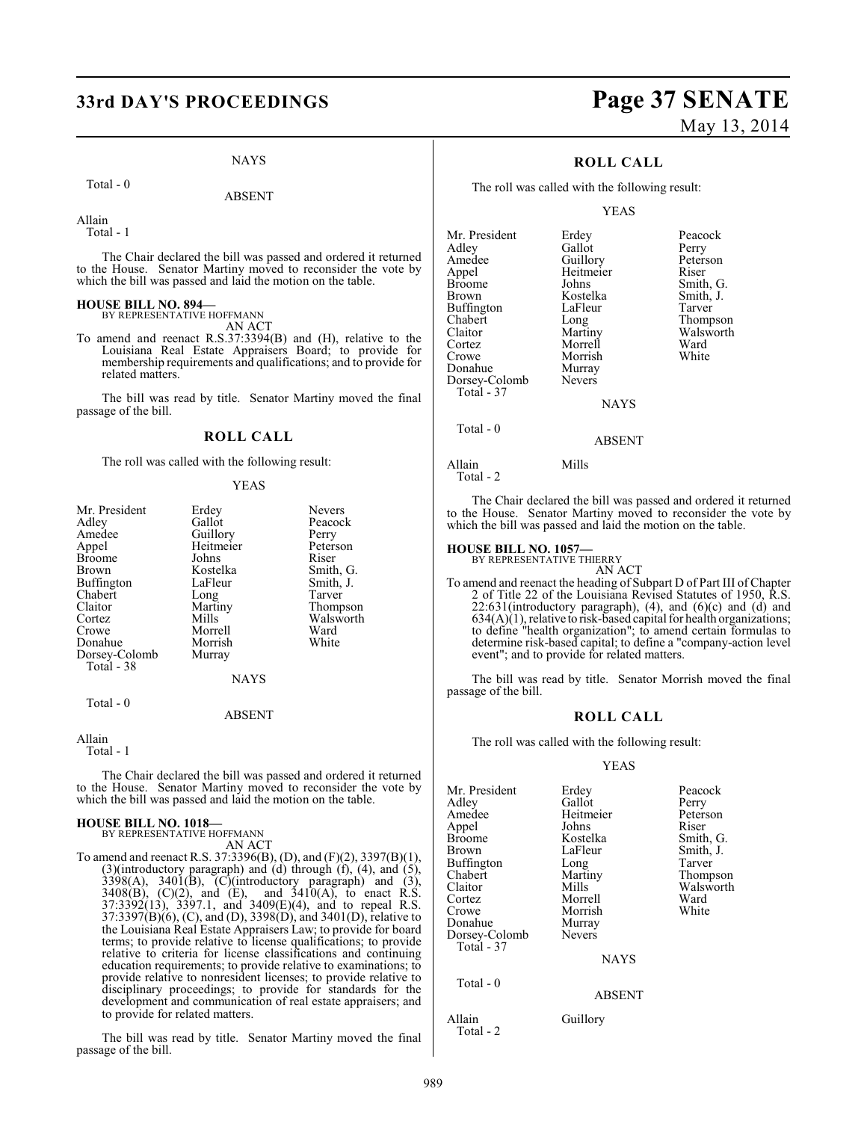# **33rd DAY'S PROCEEDINGS Page 37 SENATE**

#### NAYS

Total - 0

ABSENT

Allain

Total - 1

The Chair declared the bill was passed and ordered it returned to the House. Senator Martiny moved to reconsider the vote by which the bill was passed and laid the motion on the table.

# **HOUSE BILL NO. 894—** BY REPRESENTATIVE HOFFMANN

AN ACT

To amend and reenact R.S.37:3394(B) and (H), relative to the Louisiana Real Estate Appraisers Board; to provide for membership requirements and qualifications; and to provide for related matters.

The bill was read by title. Senator Martiny moved the final passage of the bill.

#### **ROLL CALL**

The roll was called with the following result:

#### YEAS

| Mr. President | Erdey       | <b>Nevers</b> |
|---------------|-------------|---------------|
| Adlev         | Gallot      | Peacock       |
| Amedee        | Guillory    | Perry         |
| Appel         | Heitmeier   | Peterson      |
| <b>Broome</b> | Johns       | Riser         |
| Brown         | Kostelka    | Smith, G.     |
| Buffington    | LaFleur     | Smith, J.     |
| Chabert       | Long        | Tarver        |
| Claitor       | Martiny     | Thompson      |
| Cortez        | Mills       | Walsworth     |
| Crowe         | Morrell     | Ward          |
| Donahue       | Morrish     | White         |
| Dorsey-Colomb | Murray      |               |
| Total - 38    |             |               |
|               | <b>NAYS</b> |               |
| Total - 0     |             |               |

#### ABSENT

Allain

Total - 1

The Chair declared the bill was passed and ordered it returned to the House. Senator Martiny moved to reconsider the vote by which the bill was passed and laid the motion on the table.

# **HOUSE BILL NO. 1018—** BY REPRESENTATIVE HOFFMANN

AN ACT

To amend and reenact R.S. 37:3396(B), (D), and (F)(2), 3397(B)(1), (3)(introductory paragraph) and (d) through (f), (4), and (5),  $3398(A)$ ,  $3401(B)$ ,  $(C)$ (introductory paragraph) and (3),  $3408(B)$ ,  $(C)(2)$ , and  $(E)$ , and  $3410(A)$ , to enact R.S. 37:3392(13), 3397.1, and 3409(E)(4), and to repeal R.S. 37:3397(B)(6), (C), and (D), 3398(D), and 3401(D), relative to the Louisiana Real Estate Appraisers Law; to provide for board terms; to provide relative to license qualifications; to provide relative to criteria for license classifications and continuing education requirements; to provide relative to examinations; to provide relative to nonresident licenses; to provide relative to disciplinary proceedings; to provide for standards for the development and communication of real estate appraisers; and to provide for related matters.

The bill was read by title. Senator Martiny moved the final passage of the bill.

# May 13, 2014

## **ROLL CALL**

The roll was called with the following result:

#### YEAS

| Mr. President     | Erdey         | Peacock   |
|-------------------|---------------|-----------|
| Adley             | Gallot        | Perry     |
| Amedee            | Guillory      | Peterson  |
| Appel             | Heitmeier     | Riser     |
| <b>Broome</b>     | Johns         | Smith, G. |
| Brown             | Kostelka      | Smith, J. |
| <b>Buffington</b> | LaFleur       | Tarver    |
| Chabert           | Long          | Thompson  |
| Claitor           | Martiny       | Walsworth |
| Cortez            | Morrell       | Ward      |
| Crowe             | Morrish       | White     |
| Donahue           | Murray        |           |
| Dorsey-Colomb     | <b>Nevers</b> |           |
| Total - 37        |               |           |
|                   | NAVS          |           |

NAYS

ABSENT

Total - 0

Allain Mills

Total - 2

The Chair declared the bill was passed and ordered it returned to the House. Senator Martiny moved to reconsider the vote by which the bill was passed and laid the motion on the table.

#### **HOUSE BILL NO. 1057—**

BY REPRESENTATIVE THIERRY

AN ACT To amend and reenact the heading of Subpart D of Part III of Chapter 2 of Title 22 of the Louisiana Revised Statutes of 1950, R.S.  $22:631$ (introductory paragraph),  $(4)$ , and  $(6)(c)$  and  $(d)$  and  $634(A)(1)$ , relative to risk-based capital for health organizations; to define "health organization"; to amend certain formulas to determine risk-based capital; to define a "company-action level event"; and to provide for related matters.

The bill was read by title. Senator Morrish moved the final passage of the bill.

#### **ROLL CALL**

The roll was called with the following result:

#### YEAS

| Mr. President<br>Adlev<br>Amedee<br>Appel<br>Broome<br>Brown<br>Buffington<br>Chabert<br>Claitor<br>Cortez | Erdey<br>Gallot<br>Heitmeier<br>Johns<br>Kostelka<br>LaFleur<br>Long<br>Martiny<br>Mills<br>Morrell | Peacock<br>Perry<br>Peterson<br>Riser<br>Smith, G.<br>Smith, J.<br>Tarver<br>Thompson<br>Walsworth<br>Ward |
|------------------------------------------------------------------------------------------------------------|-----------------------------------------------------------------------------------------------------|------------------------------------------------------------------------------------------------------------|
| Crowe                                                                                                      | Morrish                                                                                             | White                                                                                                      |
| Donahue<br>Dorsey-Colomb<br>Total - 37                                                                     | Murray<br><b>Nevers</b>                                                                             |                                                                                                            |
| Total - 0                                                                                                  | <b>NAYS</b>                                                                                         |                                                                                                            |
|                                                                                                            | <b>ABSENT</b>                                                                                       |                                                                                                            |
| Allain<br>Total - 2                                                                                        | Guillory                                                                                            |                                                                                                            |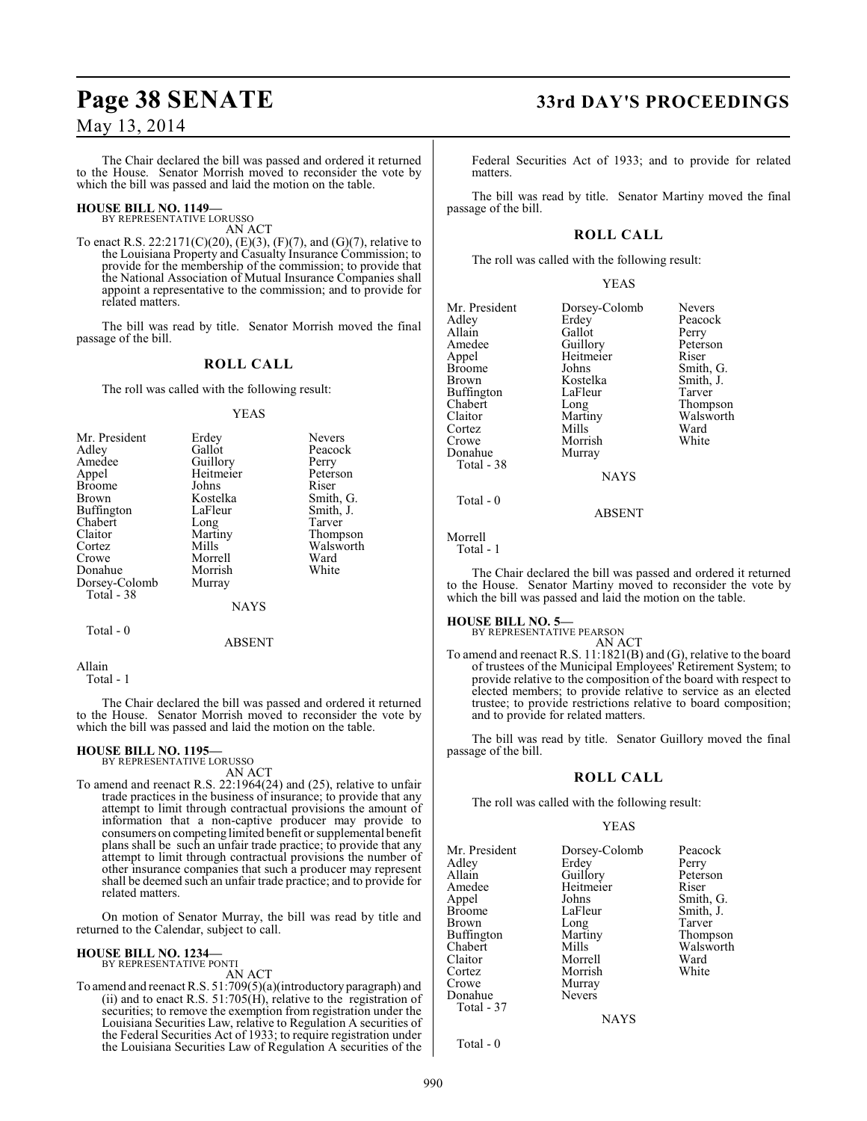The Chair declared the bill was passed and ordered it returned to the House. Senator Morrish moved to reconsider the vote by which the bill was passed and laid the motion on the table.

#### **HOUSE BILL NO. 1149—** BY REPRESENTATIVE LORUSSO

AN ACT

To enact R.S. 22:2171(C)(20), (E)(3), (F)(7), and (G)(7), relative to the Louisiana Property and Casualty Insurance Commission; to provide for the membership of the commission; to provide that the National Association of Mutual Insurance Companies shall appoint a representative to the commission; and to provide for related matters.

The bill was read by title. Senator Morrish moved the final passage of the bill.

### **ROLL CALL**

The roll was called with the following result:

#### YEAS

| Mr. President | Erdey       | <b>Nevers</b> |
|---------------|-------------|---------------|
| Adley         | Gallot      | Peacock       |
| Amedee        | Guillory    | Perry         |
| Appel         | Heitmeier   | Peterson      |
| <b>Broome</b> | Johns       | Riser         |
| <b>Brown</b>  | Kostelka    | Smith, G.     |
| Buffington    | LaFleur     | Smith, J.     |
| Chabert       | Long        | Tarver        |
| Claitor       | Martiny     | Thompson      |
| Cortez        | Mills       | Walsworth     |
| Crowe         | Morrell     | Ward          |
| Donahue       | Morrish     | White         |
| Dorsey-Colomb | Murray      |               |
| Total - 38    |             |               |
|               | <b>NAYS</b> |               |

Total - 0

ABSENT

Allain

Total - 1

The Chair declared the bill was passed and ordered it returned to the House. Senator Morrish moved to reconsider the vote by which the bill was passed and laid the motion on the table.

#### **HOUSE BILL NO. 1195—**

BY REPRESENTATIVE LORUSSO

AN ACT To amend and reenact R.S. 22:1964(24) and (25), relative to unfair trade practices in the business of insurance; to provide that any attempt to limit through contractual provisions the amount of information that a non-captive producer may provide to consumers on competing limited benefit or supplemental benefit plans shall be such an unfair trade practice; to provide that any attempt to limit through contractual provisions the number of other insurance companies that such a producer may represent shall be deemed such an unfair trade practice; and to provide for related matters.

On motion of Senator Murray, the bill was read by title and returned to the Calendar, subject to call.

#### **HOUSE BILL NO. 1234—**

BY REPRESENTATIVE PONTI AN ACT

To amend and reenact R.S. 51:709(5)(a)(introductory paragraph) and (ii) and to enact R.S.  $51:705(H)$ , relative to the registration of securities; to remove the exemption from registration under the Louisiana Securities Law, relative to Regulation A securities of the Federal Securities Act of 1933; to require registration under the Louisiana Securities Law of Regulation A securities of the

# **Page 38 SENATE 33rd DAY'S PROCEEDINGS**

Federal Securities Act of 1933; and to provide for related matters.

The bill was read by title. Senator Martiny moved the final passage of the bill.

## **ROLL CALL**

The roll was called with the following result:

YEAS

| Mr. President | Dorsey-Colomb | <b>Nevers</b>  |
|---------------|---------------|----------------|
| Adley         | Erdey         | Peacock        |
| Allain        | Gallot        | Perry          |
| Amedee        | Guillory      | Peterson       |
| Appel         | Heitmeier     | Riser          |
| <b>Broome</b> | Johns         | Smith, G       |
| Brown         | Kostelka      | Smith, J.      |
| Buffington    | LaFleur       | Tarver         |
| Chabert       | Long          | <b>Thompso</b> |
| Claitor       | Martiny       | Walswor        |
| Cortez        | Mills         | Ward           |
| Crowe         | Morrish       | White          |
| Donahue       | Murray        |                |
| Total - 38    |               |                |
|               | <b>NAYS</b>   |                |
| Total - 0     |               |                |

nith, G. mith, J.<br>arver hompson <sup>7</sup>alsworth<br><sup>7</sup>ard

Morrell Total - 1

The Chair declared the bill was passed and ordered it returned to the House. Senator Martiny moved to reconsider the vote by which the bill was passed and laid the motion on the table.

ABSENT

#### **HOUSE BILL NO. 5—**

BY REPRESENTATIVE PEARSON AN ACT

To amend and reenact R.S. 11:1821(B) and (G), relative to the board of trustees of the Municipal Employees' Retirement System; to provide relative to the composition of the board with respect to elected members; to provide relative to service as an elected trustee; to provide restrictions relative to board composition; and to provide for related matters.

The bill was read by title. Senator Guillory moved the final passage of the bill.

#### **ROLL CALL**

The roll was called with the following result:

#### YEAS

| Mr. President<br>Adley<br>Allain<br>Amedee<br>Appel<br>Broome<br>Brown<br>Buffington<br>Chabert<br>Claitor<br>Cortez<br>Crowe<br>Donahue | Dorsey-Colomb<br>Erdey<br>Guillory<br>Heitmeier<br>Johns<br>LaFleur<br>Long<br>Martiny<br>Mills<br>Morrell<br>Morrish<br>Murray<br><b>Nevers</b> | Peacock<br>Perry<br>Peterson<br>Riser<br>Smith, G.<br>Smith, J.<br>Tarver<br>Thompson<br>Walsworth<br>Ward<br>White |
|------------------------------------------------------------------------------------------------------------------------------------------|--------------------------------------------------------------------------------------------------------------------------------------------------|---------------------------------------------------------------------------------------------------------------------|
| Total - 37                                                                                                                               |                                                                                                                                                  |                                                                                                                     |
|                                                                                                                                          |                                                                                                                                                  |                                                                                                                     |
|                                                                                                                                          | <b>NAYS</b>                                                                                                                                      |                                                                                                                     |
|                                                                                                                                          |                                                                                                                                                  |                                                                                                                     |

Total - 0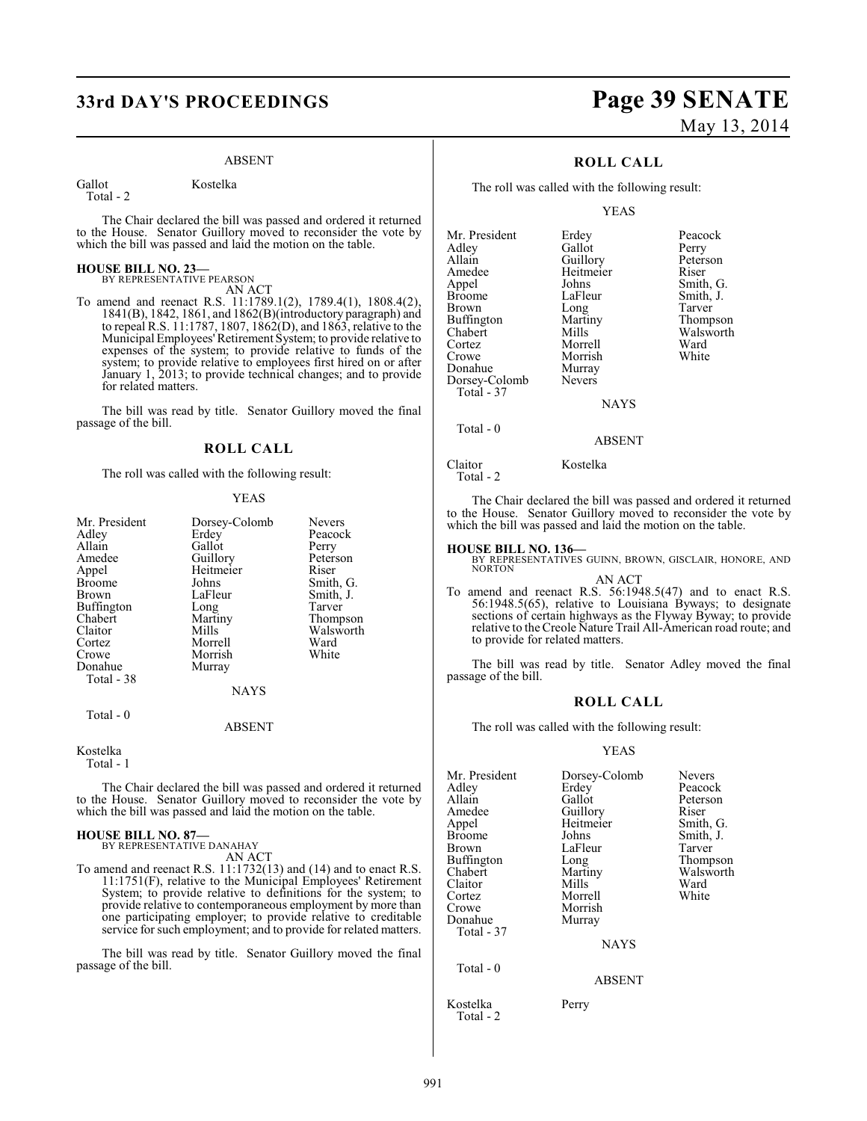# **33rd DAY'S PROCEEDINGS Page 39 SENATE**

#### ABSENT

Gallot Kostelka Total - 2

The Chair declared the bill was passed and ordered it returned to the House. Senator Guillory moved to reconsider the vote by which the bill was passed and laid the motion on the table.

#### **HOUSE BILL NO. 23—** BY REPRESENTATIVE PEARSON

AN ACT

To amend and reenact R.S. 11:1789.1(2), 1789.4(1), 1808.4(2), 1841(B), 1842, 1861, and 1862(B)(introductory paragraph) and to repeal R.S. 11:1787, 1807, 1862(D), and 1863, relative to the Municipal Employees' Retirement System; to provide relative to expenses of the system; to provide relative to funds of the system; to provide relative to employees first hired on or after January 1, 2013; to provide technical changes; and to provide for related matters.

The bill was read by title. Senator Guillory moved the final passage of the bill.

#### **ROLL CALL**

The roll was called with the following result:

#### YEAS

ABSENT

#### Kostelka Total - 1

The Chair declared the bill was passed and ordered it returned to the House. Senator Guillory moved to reconsider the vote by which the bill was passed and laid the motion on the table.

#### **HOUSE BILL NO. 87—** BY REPRESENTATIVE DANAHAY

AN ACT

To amend and reenact R.S. 11:1732(13) and (14) and to enact R.S. 11:1751(F), relative to the Municipal Employees' Retirement System; to provide relative to definitions for the system; to provide relative to contemporaneous employment by more than one participating employer; to provide relative to creditable service for such employment; and to provide for related matters.

The bill was read by title. Senator Guillory moved the final passage of the bill.

# May 13, 2014

## **ROLL CALL**

The roll was called with the following result:

YEAS

| Mr. President     | Erdey         | Peacock   |
|-------------------|---------------|-----------|
| Adley             | Gallot        | Perry     |
| Allain            | Guillory      | Peterson  |
| Amedee            | Heitmeier     | Riser     |
| Appel             | Johns         | Smith, G. |
| <b>Broome</b>     | LaFleur       | Smith, J. |
| Brown             | Long          | Tarver    |
| <b>Buffington</b> | Martiny       | Thompson  |
| Chabert           | Mills         | Walsworth |
| Cortez            | Morrell       | Ward      |
| Crowe             | Morrish       | White     |
| Donahue           | Murray        |           |
| Dorsey-Colomb     | <b>Nevers</b> |           |
| Total - 37        |               |           |
|                   | <b>NAYS</b>   |           |
|                   |               |           |

Total - 0

Claitor Kostelka Total - 2

The Chair declared the bill was passed and ordered it returned to the House. Senator Guillory moved to reconsider the vote by which the bill was passed and laid the motion on the table.

ABSENT

**HOUSE BILL NO. 136—** BY REPRESENTATIVES GUINN, BROWN, GISCLAIR, HONORE, AND NORTON AN ACT

To amend and reenact R.S. 56:1948.5(47) and to enact R.S. 56:1948.5(65), relative to Louisiana Byways; to designate sections of certain highways as the Flyway Byway; to provide relative to theCreole Nature Trail All-American road route; and to provide for related matters.

The bill was read by title. Senator Adley moved the final passage of the bill.

#### **ROLL CALL**

The roll was called with the following result:

#### YEAS

| Mr. President<br>Adley<br>Allain<br>Amedee<br>Appel<br><b>Broome</b><br><b>Brown</b><br>Buffington<br>Chabert<br>Claitor<br>Cortez<br>Crowe<br>Donahue<br>Total - 37 | Dorsey-Colomb<br>Erdey<br>Gallot<br>Guillory<br>Heitmeier<br>Johns<br>LaFleur<br>Long<br>Martiny<br>Mills<br>Morrell<br>Morrish<br>Murray<br><b>NAYS</b> | <b>Nevers</b><br>Peacock<br>Peterson<br>Riser<br>Smith, G.<br>Smith, J.<br>Tarver<br>Thompson<br>Walsworth<br>Ward<br>White |
|----------------------------------------------------------------------------------------------------------------------------------------------------------------------|----------------------------------------------------------------------------------------------------------------------------------------------------------|-----------------------------------------------------------------------------------------------------------------------------|
| Total $-0$                                                                                                                                                           | <b>ABSENT</b>                                                                                                                                            |                                                                                                                             |

Kostelka Perry Total - 2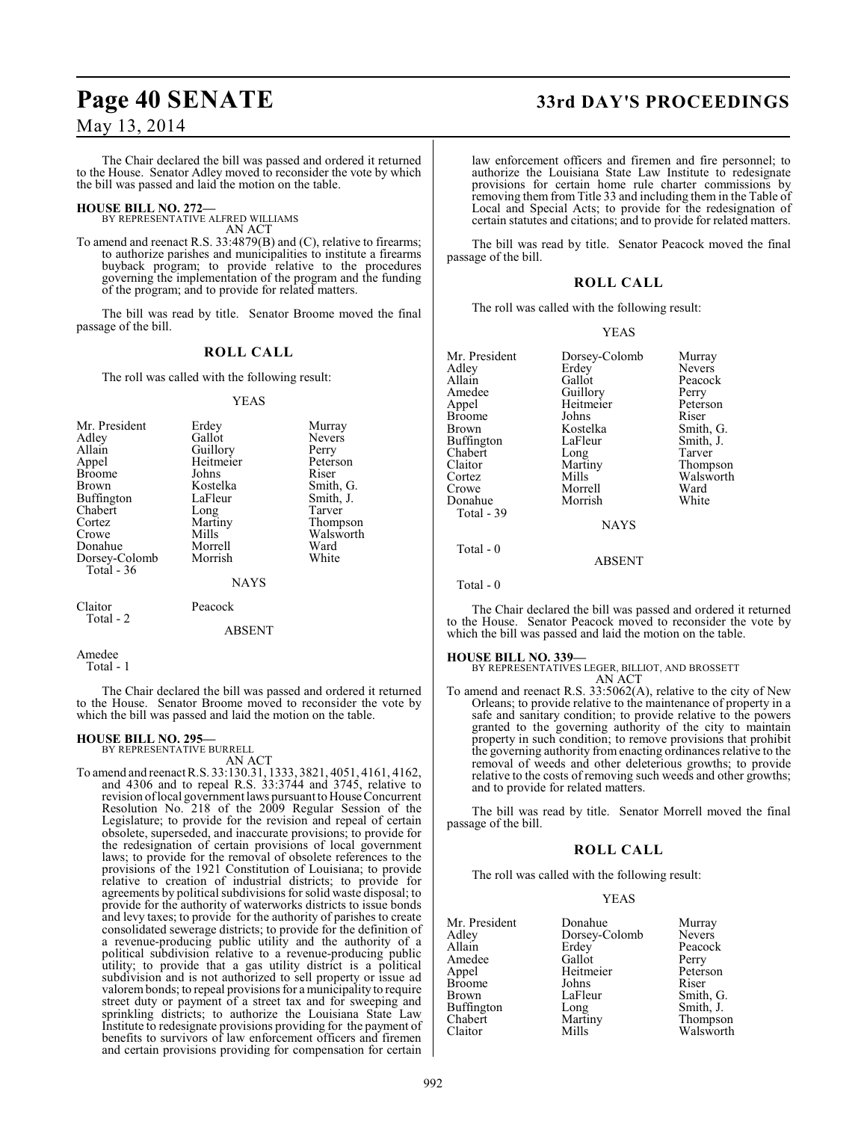The Chair declared the bill was passed and ordered it returned to the House. Senator Adley moved to reconsider the vote by which the bill was passed and laid the motion on the table.

# **HOUSE BILL NO. 272—** BY REPRESENTATIVE ALFRED WILLIAMS

AN ACT

To amend and reenact R.S. 33:4879(B) and (C), relative to firearms; to authorize parishes and municipalities to institute a firearms buyback program; to provide relative to the procedures governing the implementation of the program and the funding of the program; and to provide for related matters.

The bill was read by title. Senator Broome moved the final passage of the bill.

#### **ROLL CALL**

The roll was called with the following result:

#### YEAS

| Mr. President<br>Adley<br>Allain<br>Appel<br><b>Broome</b><br>Brown<br><b>Buffington</b><br>Chabert<br>Cortez<br>Crowe | Erdey<br>Gallot<br>Guillory<br>Heitmeier<br>Johns<br>Kostelka<br>LaFleur<br>Long<br>Martiny<br>Mills | Murray<br><b>Nevers</b><br>Perry<br>Peterson<br>Riser<br>Smith, G.<br>Smith, J.<br>Tarver<br>Thompson<br>Walsworth |
|------------------------------------------------------------------------------------------------------------------------|------------------------------------------------------------------------------------------------------|--------------------------------------------------------------------------------------------------------------------|
| Donahue                                                                                                                | Morrell<br>Morrish                                                                                   | Ward<br>White                                                                                                      |
| Dorsey-Colomb<br>Total $-36$                                                                                           | <b>NAYS</b>                                                                                          |                                                                                                                    |
| Claitor<br>Total - 2                                                                                                   | Peacock                                                                                              |                                                                                                                    |

ABSENT

```
Amedee
   Total - 1
```
The Chair declared the bill was passed and ordered it returned to the House. Senator Broome moved to reconsider the vote by which the bill was passed and laid the motion on the table.

# **HOUSE BILL NO. 295—** BY REPRESENTATIVE BURRELL

AN ACT

To amend and reenactR.S. 33:130.31, 1333, 3821, 4051, 4161, 4162, and 4306 and to repeal R.S. 33:3744 and 3745, relative to revision of local government laws pursuant to House Concurrent Resolution No. 218 of the 2009 Regular Session of the Legislature; to provide for the revision and repeal of certain obsolete, superseded, and inaccurate provisions; to provide for the redesignation of certain provisions of local government laws; to provide for the removal of obsolete references to the provisions of the 1921 Constitution of Louisiana; to provide relative to creation of industrial districts; to provide for agreements by political subdivisions for solid waste disposal; to provide for the authority of waterworks districts to issue bonds and levy taxes; to provide for the authority of parishes to create consolidated sewerage districts; to provide for the definition of a revenue-producing public utility and the authority of a political subdivision relative to a revenue-producing public utility; to provide that a gas utility district is a political subdivision and is not authorized to sell property or issue ad valorem bonds; to repeal provisions for a municipality to require street duty or payment of a street tax and for sweeping and sprinkling districts; to authorize the Louisiana State Law Institute to redesignate provisions providing for the payment of benefits to survivors of law enforcement officers and firemen and certain provisions providing for compensation for certain

# **Page 40 SENATE 33rd DAY'S PROCEEDINGS**

law enforcement officers and firemen and fire personnel; to authorize the Louisiana State Law Institute to redesignate provisions for certain home rule charter commissions by removing them from Title 33 and including them in the Table of Local and Special Acts; to provide for the redesignation of certain statutes and citations; and to provide for related matters.

The bill was read by title. Senator Peacock moved the final passage of the bill.

#### **ROLL CALL**

The roll was called with the following result:

#### YEAS

| Mr. President<br>Adley<br>Allain<br>Amedee<br>Appel<br>Broome<br>Brown<br>Buffington<br>Chabert<br>Claitor<br>Cortez<br>Crowe<br>Donahue<br>Total - 39 | Dorsey-Colomb<br>Erdev<br>Gallot<br>Guillory<br>Heitmeier<br>Johns<br>Kostelka<br>LaFleur<br>Long<br>Martiny<br>Mills<br>Morrell<br>Morrish<br><b>NAYS</b> | Murray<br><b>Nevers</b><br>Peacock<br>Perry<br>Peterson<br>Riser<br>Smith, G.<br>Smith, J.<br>Tarver<br>Thompson<br>Walsworth<br>Ward<br>White |
|--------------------------------------------------------------------------------------------------------------------------------------------------------|------------------------------------------------------------------------------------------------------------------------------------------------------------|------------------------------------------------------------------------------------------------------------------------------------------------|
|                                                                                                                                                        |                                                                                                                                                            |                                                                                                                                                |
| Total - 0                                                                                                                                              | <b>ABSENT</b>                                                                                                                                              |                                                                                                                                                |

Total - 0

The Chair declared the bill was passed and ordered it returned to the House. Senator Peacock moved to reconsider the vote by which the bill was passed and laid the motion on the table.

#### **HOUSE BILL NO. 339—**

BY REPRESENTATIVES LEGER, BILLIOT, AND BROSSETT AN ACT

To amend and reenact R.S. 33:5062(A), relative to the city of New Orleans; to provide relative to the maintenance of property in a safe and sanitary condition; to provide relative to the powers granted to the governing authority of the city to maintain property in such condition; to remove provisions that prohibit the governing authority from enacting ordinances relative to the removal of weeds and other deleterious growths; to provide relative to the costs of removing such weeds and other growths; and to provide for related matters.

The bill was read by title. Senator Morrell moved the final passage of the bill.

#### **ROLL CALL**

The roll was called with the following result:

#### YEAS

| Mr. President | Donahue       | Murray        |
|---------------|---------------|---------------|
| Adley         | Dorsey-Colomb | <b>Nevers</b> |
| Allain        | Erdey         | Peacock       |
| Amedee        | Gallot        | Perry         |
| Appel         | Heitmeier     | Peterson      |
| Broome        | Johns         | Riser         |
| Brown         | LaFleur       | Smith, G.     |
| Buffington    | Long          | Smith, J.     |
| Chabert       | Martiny       | Thompson      |
| Claitor       | Mills         | Walsworth     |
|               |               |               |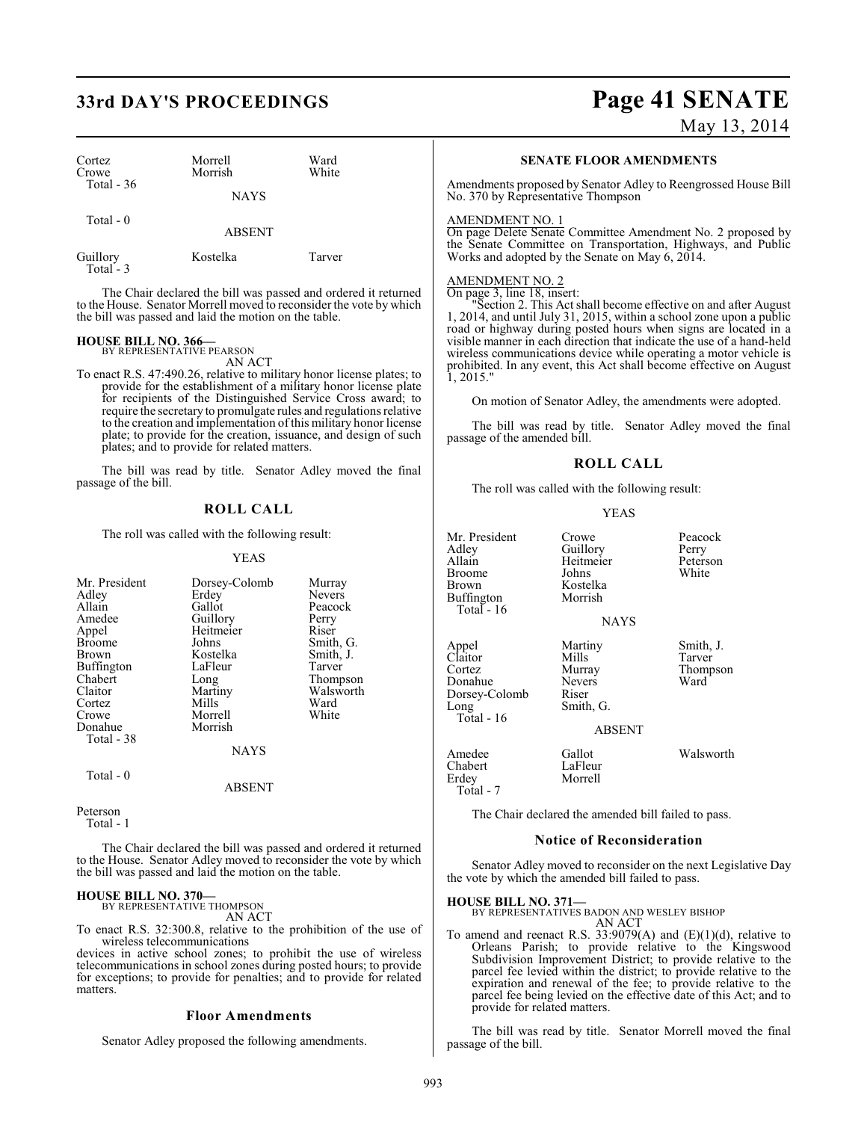# **33rd DAY'S PROCEEDINGS Page 41 SENATE**

| Cortez<br>Crowe       | Morrell<br>Morrish | Ward<br>White |  |
|-----------------------|--------------------|---------------|--|
| Total $-36$           | <b>NAYS</b>        |               |  |
| Total $-0$            | <b>ABSENT</b>      |               |  |
| Guillory<br>Total - 3 | Kostelka           | Tarver        |  |

The Chair declared the bill was passed and ordered it returned to the House. Senator Morrell moved to reconsider the vote by which the bill was passed and laid the motion on the table.

# **HOUSE BILL NO. 366—** BY REPRESENTATIVE PEARSON

AN ACT

To enact R.S. 47:490.26, relative to military honor license plates; to provide for the establishment of a military honor license plate for recipients of the Distinguished Service Cross award; to require the secretary to promulgate rules and regulations relative to the creation and implementation of this military honor license plate; to provide for the creation, issuance, and design of such plates; and to provide for related matters.

The bill was read by title. Senator Adley moved the final passage of the bill.

#### **ROLL CALL**

The roll was called with the following result:

#### YEAS

| Mr. President<br>Adley<br>Allain<br>Amedee<br>Appel<br><b>Broome</b><br><b>Brown</b><br>Buffington<br>Chabert<br>Claitor | Dorsey-Colomb<br>Erdey<br>Gallot<br>Guillory<br>Heitmeier<br>Johns<br>Kostelka<br>LaFleur<br>Long<br>Martiny | Murray<br><b>Nevers</b><br>Peacock<br>Perry<br>Riser<br>Smith, G.<br>Smith, J.<br>Tarver<br>Thompson<br>Walsworth |
|--------------------------------------------------------------------------------------------------------------------------|--------------------------------------------------------------------------------------------------------------|-------------------------------------------------------------------------------------------------------------------|
| Cortez<br>Crowe                                                                                                          | Mills<br>Morrell                                                                                             | Ward<br>White                                                                                                     |
| Donahue<br>Total - 38                                                                                                    | Morrish                                                                                                      |                                                                                                                   |
|                                                                                                                          | <b>NAYS</b>                                                                                                  |                                                                                                                   |
| Total - 0                                                                                                                | ABSENT                                                                                                       |                                                                                                                   |

Peterson

Total - 1

The Chair declared the bill was passed and ordered it returned to the House. Senator Adley moved to reconsider the vote by which the bill was passed and laid the motion on the table.

#### **HOUSE BILL NO. 370—** BY REPRESENTATIVE THOMPSON

AN ACT

To enact R.S. 32:300.8, relative to the prohibition of the use of wireless telecommunications

devices in active school zones; to prohibit the use of wireless telecommunications in school zones during posted hours; to provide for exceptions; to provide for penalties; and to provide for related matters.

#### **Floor Amendments**

Senator Adley proposed the following amendments.

# May 13, 2014

#### **SENATE FLOOR AMENDMENTS**

Amendments proposed by Senator Adley to Reengrossed House Bill No. 370 by Representative Thompson

#### AMENDMENT NO. 1

On page Delete Senate Committee Amendment No. 2 proposed by the Senate Committee on Transportation, Highways, and Public Works and adopted by the Senate on May 6, 2014.

#### AMENDMENT NO. 2

On page 3, line 18, insert: "Section 2. This Act shall become effective on and after August 1, 2014, and until July 31, 2015, within a school zone upon a public road or highway during posted hours when signs are located in a visible manner in each direction that indicate the use of a hand-held wireless communications device while operating a motor vehicle is prohibited. In any event, this Act shall become effective on August  $\overline{1, 2015}$ .

On motion of Senator Adley, the amendments were adopted.

The bill was read by title. Senator Adley moved the final passage of the amended bill.

#### **ROLL CALL**

The roll was called with the following result:

#### YEAS

Mr. President Crowe Peacock<br>Adley Guillory Perry exaller Adley<br>Allain Beitmeier Peterson Broome<br>Brown Buffington Total - 16 Appel Martiny Smith, J.<br>Claitor Mills Tarver Claitor Mills<br>Cortez Murray Donahue Never<br>Dorsey-Colomb Riser Dorsey-Colomb<br>Long Total - 16 Amedee Gallot Walsworth<br>
Chabert LaFleur Chabert<br>Erdey

Heitmeier Peters<br>Johns White Kostelka<br>Morrish **NAYS** 

Murray Thompson<br>Nevers Ward

ABSENT

Morrell Total - 7

Smith, G.

The Chair declared the amended bill failed to pass.

#### **Notice of Reconsideration**

Senator Adley moved to reconsider on the next Legislative Day the vote by which the amended bill failed to pass.

#### **HOUSE BILL NO. 371—**

BY REPRESENTATIVES BADON AND WESLEY BISHOP AN ACT

To amend and reenact R.S. 33:9079(A) and  $(E)(1)(d)$ , relative to Orleans Parish; to provide relative to the Kingswood Subdivision Improvement District; to provide relative to the parcel fee levied within the district; to provide relative to the expiration and renewal of the fee; to provide relative to the parcel fee being levied on the effective date of this Act; and to provide for related matters.

The bill was read by title. Senator Morrell moved the final passage of the bill.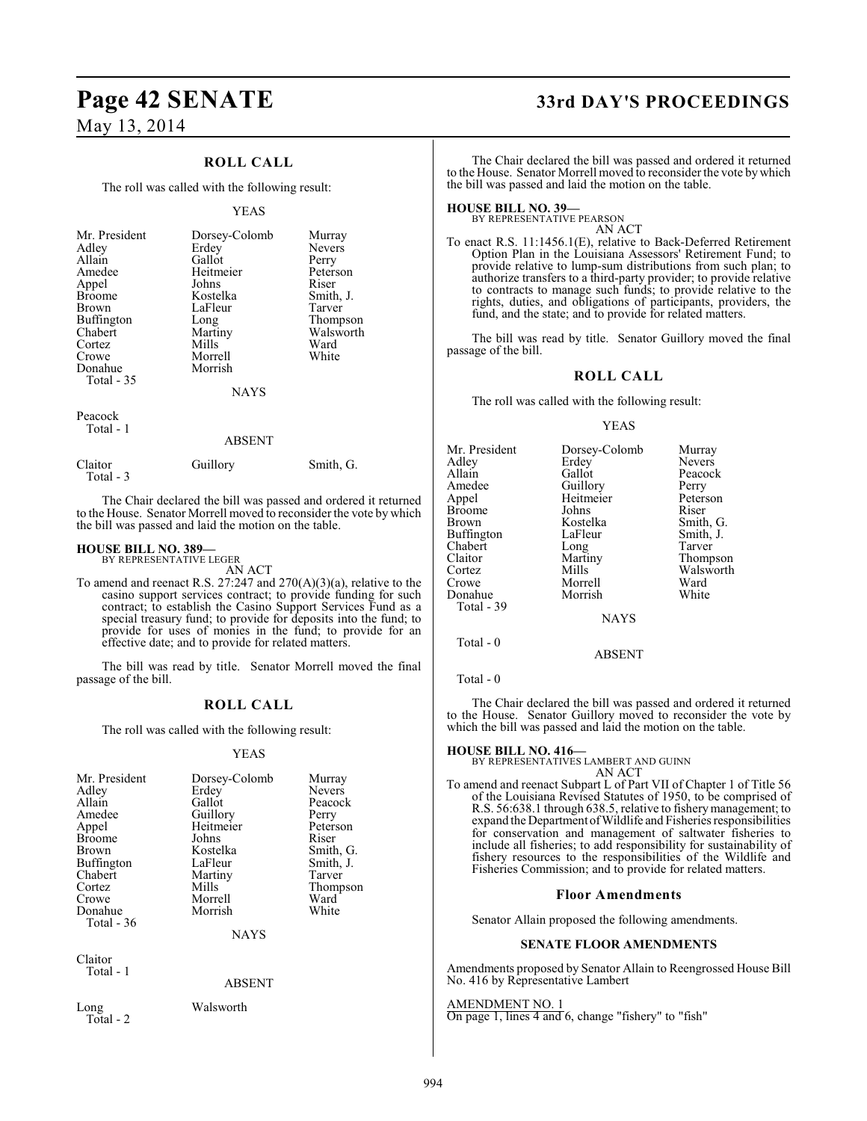## **ROLL CALL**

The roll was called with the following result:

#### YEAS

| Mr. President | Dorsey-Colomb | Murray        |
|---------------|---------------|---------------|
| Adley         | Erdey         | <b>Nevers</b> |
| Allain        | Gallot        | Perry         |
| Amedee        | Heitmeier     | Peterson      |
| Appel         | Johns         | Riser         |
| <b>Broome</b> | Kostelka      | Smith, J.     |
| Brown         | LaFleur       | Tarver        |
| Buffington    | Long          | Thompson      |
| Chabert       | Martiny       | Walsworth     |
| Cortez        | Mills         | Ward          |
| Crowe         | Morrell       | White         |
| Donahue       | Morrish       |               |
| Total - 35    |               |               |
|               | <b>NAYS</b>   |               |
| Peacock       |               |               |

Total - 1

ABSENT

Claitor Guillory Smith, G.

| Total - 3                                                      |  |  |  |  |
|----------------------------------------------------------------|--|--|--|--|
| The Chair declared the bill was passed and ordered it returned |  |  |  |  |

to the House. Senator Morrell moved to reconsider the vote by which the bill was passed and laid the motion on the table.

#### **HOUSE BILL NO. 389—** BY REPRESENTATIVE LEGER

AN ACT

To amend and reenact R.S. 27:247 and 270(A)(3)(a), relative to the casino support services contract; to provide funding for such contract; to establish the Casino Support Services Fund as a special treasury fund; to provide for deposits into the fund; to provide for uses of monies in the fund; to provide for an effective date; and to provide for related matters.

The bill was read by title. Senator Morrell moved the final passage of the bill.

#### **ROLL CALL**

The roll was called with the following result:

#### YEAS

| Mr. President<br>Adley<br>Allain<br>Amedee<br>Appel<br><b>Broome</b><br>Brown<br>Buffington<br>Chabert<br>Cortez<br>Crowe<br>Donahue<br>Total - 36 | Dorsey-Colomb<br>Erdey<br>Gallot<br>Guillory<br>Heitmeier<br>Johns<br>Kostelka<br>LaFleur<br>Martiny<br>Mills<br>Morrell<br>Morrish | Murray<br><b>Nevers</b><br>Peacock<br>Perry<br>Peterson<br>Riser<br>Smith, G.<br>Smith, J.<br>Tarver<br>Thompson<br>Ward<br>White |
|----------------------------------------------------------------------------------------------------------------------------------------------------|-------------------------------------------------------------------------------------------------------------------------------------|-----------------------------------------------------------------------------------------------------------------------------------|
|                                                                                                                                                    | <b>NAYS</b>                                                                                                                         |                                                                                                                                   |
| $\sim$ $\sim$                                                                                                                                      |                                                                                                                                     |                                                                                                                                   |

Claitor Total - 1

#### ABSENT

Long Walsworth Total - 2

# **Page 42 SENATE 33rd DAY'S PROCEEDINGS**

The Chair declared the bill was passed and ordered it returned to the House. Senator Morrell moved to reconsider the vote by which the bill was passed and laid the motion on the table.

#### **HOUSE BILL NO. 39—**

BY REPRESENTATIVE PEARSON AN ACT

To enact R.S. 11:1456.1(E), relative to Back-Deferred Retirement Option Plan in the Louisiana Assessors' Retirement Fund; to provide relative to lump-sum distributions from such plan; to authorize transfers to a third-party provider; to provide relative to contracts to manage such funds; to provide relative to the rights, duties, and obligations of participants, providers, the fund, and the state; and to provide for related matters.

The bill was read by title. Senator Guillory moved the final passage of the bill.

#### **ROLL CALL**

The roll was called with the following result:

#### YEAS

| Mr. President | Dorsey-Colomb | Murray        |
|---------------|---------------|---------------|
| Adley         | Erdey         | <b>Nevers</b> |
| Allain        | Gallot        | Peacock       |
| Amedee        | Guillory      | Perry         |
| Appel         | Heitmeier     | Peterson      |
| Broome        | Johns         | Riser         |
| Brown         | Kostelka      | Smith, G.     |
| Buffington    | LaFleur       | Smith, J.     |
| Chabert       | Long          | Tarver        |
| Claitor       | Martiny       | Thompson      |
| Cortez        | Mills         | Walsworth     |
| Crowe         | Morrell       | Ward          |
| Donahue       | Morrish       | White         |
| Total - 39    |               |               |
|               | <b>NAYS</b>   |               |
| Total - 0     |               |               |
|               |               |               |

Total - 0

The Chair declared the bill was passed and ordered it returned to the House. Senator Guillory moved to reconsider the vote by which the bill was passed and laid the motion on the table.

ABSENT

#### **HOUSE BILL NO. 416—**

BY REPRESENTATIVES LAMBERT AND GUINN

- AN ACT To amend and reenact Subpart L of Part VII of Chapter 1 of Title 56 of the Louisiana Revised Statutes of 1950, to be comprised of
	- R.S. 56:638.1 through 638.5, relative to fishery management; to expand the Department of Wildlife and Fisheries responsibilities for conservation and management of saltwater fisheries to include all fisheries; to add responsibility for sustainability of fishery resources to the responsibilities of the Wildlife and Fisheries Commission; and to provide for related matters.

#### **Floor Amendments**

Senator Allain proposed the following amendments.

#### **SENATE FLOOR AMENDMENTS**

Amendments proposed by Senator Allain to Reengrossed House Bill No. 416 by Representative Lambert

#### AMENDMENT NO. 1

On page 1, lines 4 and 6, change "fishery" to "fish"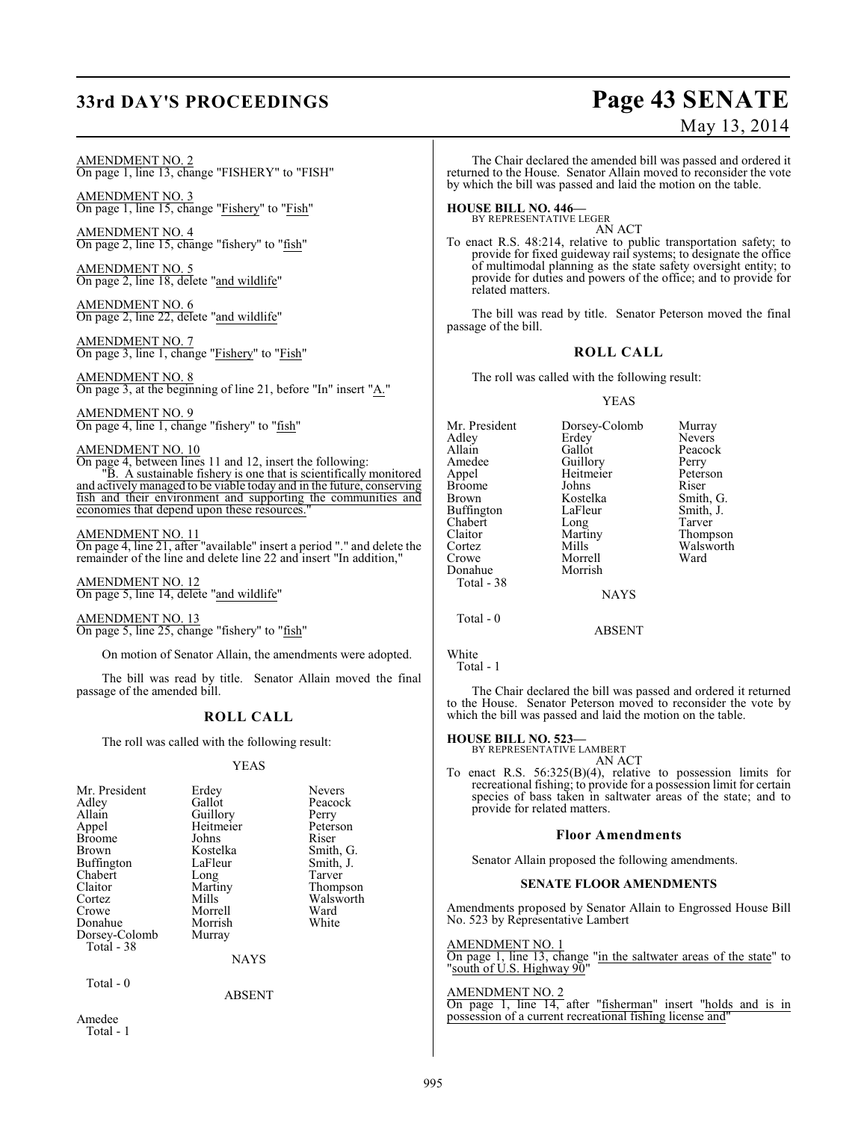# **33rd DAY'S PROCEEDINGS Page 43 SENATE**

#### AMENDMENT NO. 2 On page 1, line 13, change "FISHERY" to "FISH"

AMENDMENT NO. 3 On page 1, line 15, change "Fishery" to "Fish"

AMENDMENT NO. 4 On page 2, line 15, change "fishery" to "fish"

AMENDMENT NO. 5 On page 2, line 18, delete "and wildlife"

AMENDMENT NO. 6 On page 2, line 22, delete "and wildlife"

AMENDMENT NO. 7 On page 3, line 1, change "Fishery" to "Fish"

AMENDMENT NO. 8 On page 3, at the beginning of line 21, before "In" insert "A."

AMENDMENT NO. 9 On page 4, line 1, change "fishery" to "fish"

#### AMENDMENT NO. 10

On page 4, between lines 11 and 12, insert the following: "B. A sustainable fishery is one that is scientifically monitored and actively managed to be viable today and in the future, conserving fish and their environment and supporting the communities and economies that depend upon these resources.

#### AMENDMENT NO. 11

On page 4, line 21, after "available" insert a period "." and delete the remainder of the line and delete line 22 and insert "In addition,"

AMENDMENT NO. 12 On page 5, line 14, delete "and wildlife"

AMENDMENT NO. 13 On page 5, line 25, change "fishery" to "fish"

On motion of Senator Allain, the amendments were adopted.

The bill was read by title. Senator Allain moved the final passage of the amended bill.

#### **ROLL CALL**

The roll was called with the following result:

#### YEAS

| Mr. President     | Erdey       | <b>Nevers</b> |
|-------------------|-------------|---------------|
| Adley             | Gallot      | Peacock       |
| Allain            | Guillory    | Perry         |
| Appel             | Heitmeier   | Peterson      |
| <b>Broome</b>     | Johns       | Riser         |
| Brown             | Kostelka    | Smith, G.     |
| <b>Buffington</b> | LaFleur     | Smith, J.     |
| Chabert           | Long        | Tarver        |
| Claitor           | Martiny     | Thompson      |
| Cortez            | Mills       | Walsworth     |
| Crowe             | Morrell     | Ward          |
| Donahue           | Morrish     | White         |
| Dorsey-Colomb     | Murray      |               |
| Total - 38        |             |               |
|                   | <b>NAYS</b> |               |
| Total - 0         |             |               |
|                   | ABSENT      |               |

Amedee

Total - 1

# May 13, 2014

The Chair declared the amended bill was passed and ordered it returned to the House. Senator Allain moved to reconsider the vote by which the bill was passed and laid the motion on the table.

**HOUSE BILL NO. 446—** BY REPRESENTATIVE LEGER

AN ACT

To enact R.S. 48:214, relative to public transportation safety; to provide for fixed guideway rail systems; to designate the office of multimodal planning as the state safety oversight entity; to provide for duties and powers of the office; and to provide for related matters.

The bill was read by title. Senator Peterson moved the final passage of the bill.

#### **ROLL CALL**

The roll was called with the following result:

#### YEAS

Mr. President Dorsey-Colomb Murray<br>Adley Erdey Nevers Adley Erdey Nevers<br>Allain Gallot Peacock Allain Gallot Peaco<br>
Amedee Guillory Perry Amedee Guillory Perry<br>Appel Heitmeier Peterson Heitmeier Peters<br>Johns Riser Broome Johns Riser<br>Brown Kostelka Smith G Kostelka Smith, G.<br>LaFleur Smith, J. Buffington LaFleur Smith,<br>
Chabert Long Tarver Chabert Long<br>Claitor Martiny Claitor Martiny Thompson Cortez Mills Walsworth<br>Crowe Morrell Ward Morrell<br>Morrish Donahue Total - 38 **NAYS** 

Total - 0

White

Total - 1

The Chair declared the bill was passed and ordered it returned to the House. Senator Peterson moved to reconsider the vote by which the bill was passed and laid the motion on the table.

ABSENT

# **HOUSE BILL NO. 523—** BY REPRESENTATIVE LAMBERT

AN ACT

To enact R.S. 56:325(B)(4), relative to possession limits for recreational fishing; to provide for a possession limit for certain species of bass taken in saltwater areas of the state; and to provide for related matters.

#### **Floor Amendments**

Senator Allain proposed the following amendments.

#### **SENATE FLOOR AMENDMENTS**

Amendments proposed by Senator Allain to Engrossed House Bill No. 523 by Representative Lambert

AMENDMENT NO. 1

On page 1, line 13, change "in the saltwater areas of the state" to "south of U.S. Highway 90"

#### AMENDMENT NO. 2

On page 1, line 14, after "fisherman" insert "holds and is in possession of a current recreational fishing license and"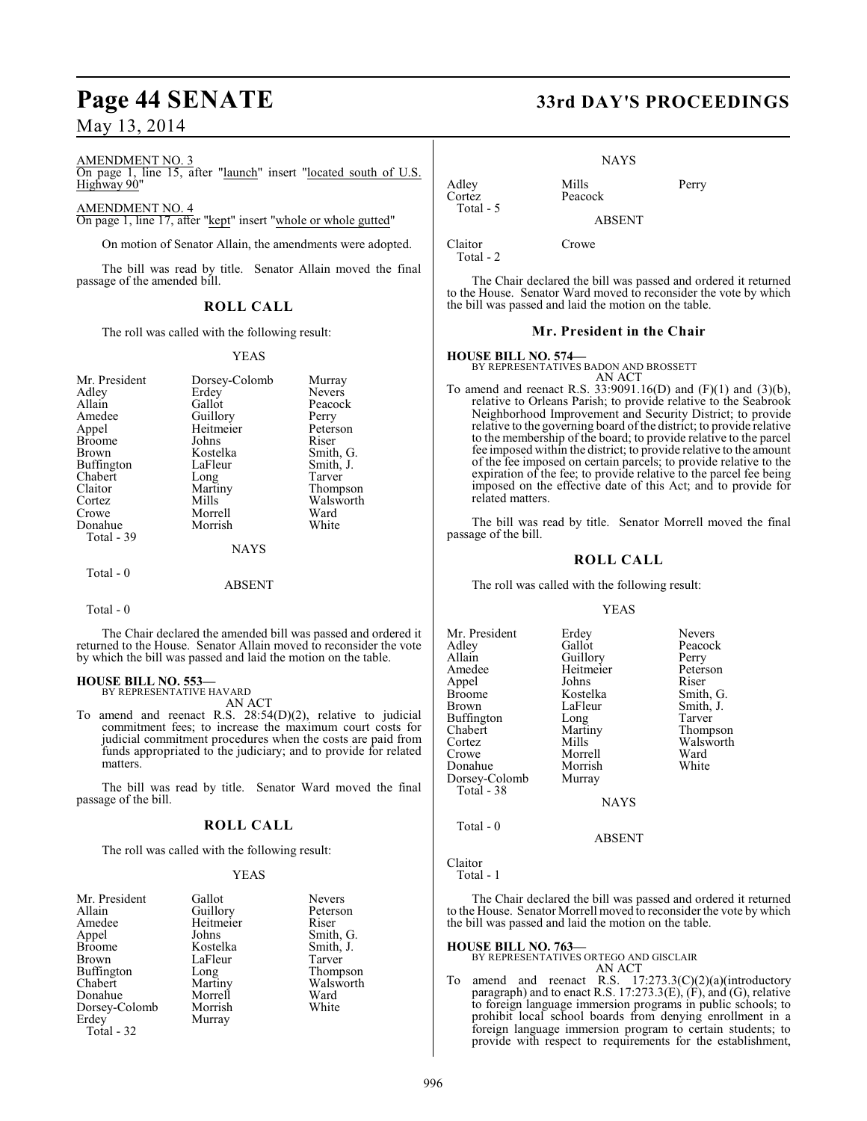# **Page 44 SENATE 33rd DAY'S PROCEEDINGS**

## May 13, 2014

#### AMENDMENT NO. 3

On page 1, line 15, after "launch" insert "located south of U.S. Highway 90"

#### AMENDMENT NO. 4

On page 1, line 17, after "kept" insert "whole or whole gutted"

On motion of Senator Allain, the amendments were adopted.

The bill was read by title. Senator Allain moved the final passage of the amended bill.

#### **ROLL CALL**

The roll was called with the following result:

#### YEAS

| Mr. President | Dorsey-Colomb | Murray        |
|---------------|---------------|---------------|
| Adley         | Erdey         | <b>Nevers</b> |
| Allain        | Gallot        | Peacock       |
| Amedee        | Guillory      | Perry         |
| Appel         | Heitmeier     | Peterson      |
| <b>Broome</b> | Johns         | Riser         |
| Brown         | Kostelka      | Smith, G.     |
| Buffington    | LaFleur       | Smith, J.     |
| Chabert       | Long          | Tarver        |
| Claitor       | Martiny       | Thompson      |
| Cortez        | Mills         | Walsworth     |
| Crowe         | Morrell       | Ward          |
| Donahue       | Morrish       | White         |
| Total - 39    |               |               |
|               | <b>NAYS</b>   |               |
|               |               |               |

#### ABSENT

Total - 0

 $Total - 0$ 

The Chair declared the amended bill was passed and ordered it returned to the House. Senator Allain moved to reconsider the vote by which the bill was passed and laid the motion on the table.

# **HOUSE BILL NO. 553—** BY REPRESENTATIVE HAVARD

AN ACT

To amend and reenact R.S. 28:54(D)(2), relative to judicial commitment fees; to increase the maximum court costs for judicial commitment procedures when the costs are paid from funds appropriated to the judiciary; and to provide for related matters.

The bill was read by title. Senator Ward moved the final passage of the bill.

#### **ROLL CALL**

The roll was called with the following result:

#### YEAS

| Mr. President     | Gallot    | <b>Nevers</b> |
|-------------------|-----------|---------------|
| Allain            | Guillory  | Peterson      |
| Amedee            | Heitmeier | Riser         |
| Appel             | Johns     | Smith, G.     |
| <b>Broome</b>     | Kostelka  | Smith, J.     |
| Brown             | LaFleur   | Tarver        |
| <b>Buffington</b> | Long      | Thompson      |
| Chabert           | Martiny   | Walsworth     |
| Donahue           | Morrell   | Ward          |
| Dorsey-Colomb     | Morrish   | White         |
| Erdey             | Murray    |               |
| <b>Total - 32</b> |           |               |

NAYS

Adley Mills Perry<br>Cortez Peacock Peacock Total - 5

ABSENT

Peacock

Claitor Crowe Total - 2

The Chair declared the bill was passed and ordered it returned to the House. Senator Ward moved to reconsider the vote by which the bill was passed and laid the motion on the table.

**Mr. President in the Chair**

**HOUSE BILL NO. 574—** BY REPRESENTATIVES BADON AND BROSSETT AN ACT

To amend and reenact R.S.  $33:9091.16(D)$  and  $(F)(1)$  and  $(3)(b)$ , relative to Orleans Parish; to provide relative to the Seabrook Neighborhood Improvement and Security District; to provide relative to the governing board of the district; to provide relative to the membership of the board; to provide relative to the parcel fee imposed within the district; to provide relative to the amount of the fee imposed on certain parcels; to provide relative to the expiration of the fee; to provide relative to the parcel fee being imposed on the effective date of this Act; and to provide for related matters.

The bill was read by title. Senator Morrell moved the final passage of the bill.

#### **ROLL CALL**

The roll was called with the following result:

YEAS

| Mr. President<br>Adley<br>Allain<br>Amedee<br>Appel<br>Broome<br>Brown<br>Buffington<br>Chabert<br>Cortez<br>Crowe<br>Donahue<br>Dorsey-Colomb<br>Total - 38 | Erdey<br>Gallot<br>Guillory<br>Heitmeier<br>Johns<br>Kostelka<br>LaFleur<br>Long<br>Martiny<br>Mills<br>Morrell<br>Morrish<br>Murray<br><b>NAYS</b> | <b>Nevers</b><br>Peacock<br>Perry<br>Peterson<br>Riser<br>Smith, G.<br>Smith, J.<br>Tarver<br>Thompson<br>Walsworth<br>Ward<br>White |
|--------------------------------------------------------------------------------------------------------------------------------------------------------------|-----------------------------------------------------------------------------------------------------------------------------------------------------|--------------------------------------------------------------------------------------------------------------------------------------|
| Total - 0                                                                                                                                                    | <b>ARSENT</b>                                                                                                                                       |                                                                                                                                      |

Claitor Total - 1

The Chair declared the bill was passed and ordered it returned to the House. Senator Morrell moved to reconsider the vote by which the bill was passed and laid the motion on the table.

**HOUSE BILL NO. 763—** BY REPRESENTATIVES ORTEGO AND GISCLAIR AN ACT

To amend and reenact R.S. 17:273.3(C)(2)(a)(introductory paragraph) and to enact R.S. 17:273.3(E), (F), and (G), relative to foreign language immersion programs in public schools; to prohibit local school boards from denying enrollment in a foreign language immersion program to certain students; to provide with respect to requirements for the establishment,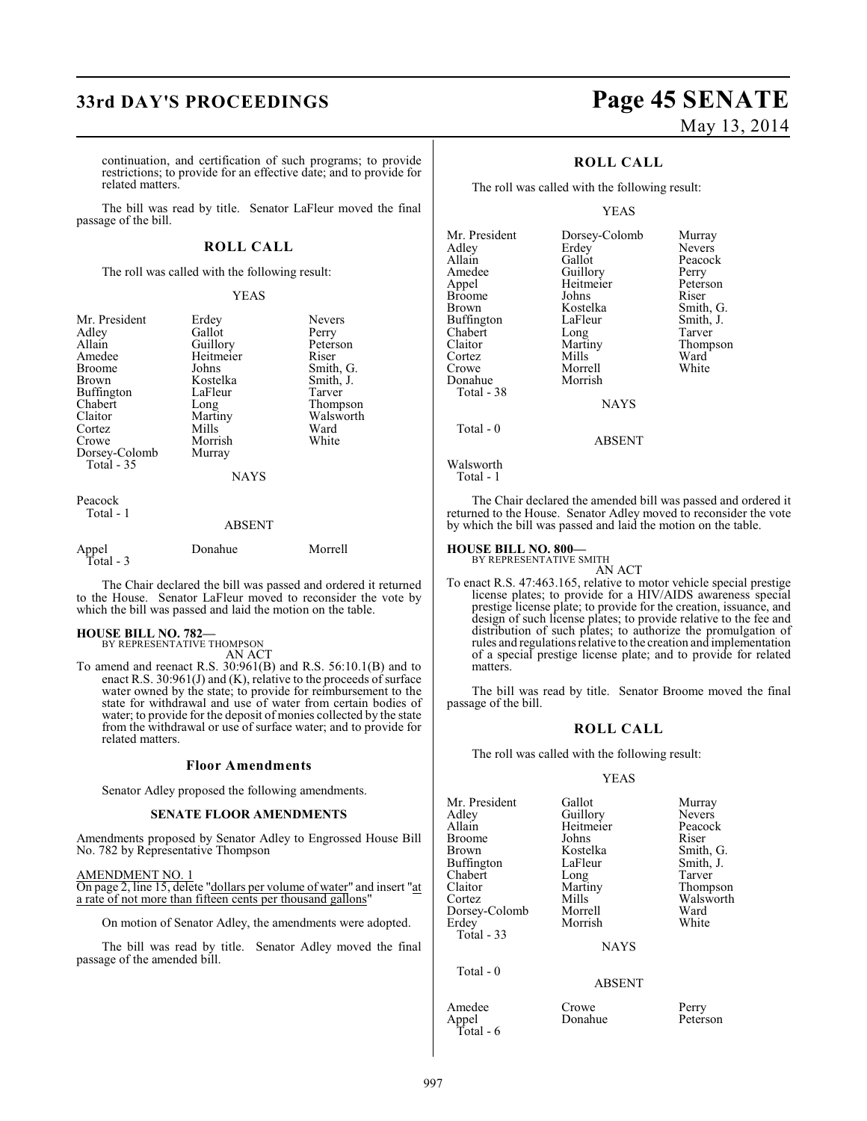# **33rd DAY'S PROCEEDINGS Page 45 SENATE**

continuation, and certification of such programs; to provide restrictions; to provide for an effective date; and to provide for related matters.

The bill was read by title. Senator LaFleur moved the final passage of the bill.

#### **ROLL CALL**

The roll was called with the following result:

#### YEAS

| Mr. President<br>Adley<br>Allain<br>Amedee<br><b>Broome</b><br><b>Brown</b><br>Buffington<br>Chabert<br>Claitor<br>Cortez<br>Crowe<br>Dorsey-Colomb<br>Total $-35$ | Erdey<br>Gallot<br>Guillory<br>Heitmeier<br>Johns<br>Kostelka<br>LaFleur<br>Long<br>Martiny<br>Mills<br>Morrish<br>Murray<br><b>NAYS</b> | <b>Nevers</b><br>Perry<br>Peterson<br>Riser<br>Smith, G.<br>Smith, J.<br>Tarver<br>Thompson<br>Walsworth<br>Ward<br>White |
|--------------------------------------------------------------------------------------------------------------------------------------------------------------------|------------------------------------------------------------------------------------------------------------------------------------------|---------------------------------------------------------------------------------------------------------------------------|
| Peacock<br>Total - 1                                                                                                                                               | <b>ABSENT</b>                                                                                                                            |                                                                                                                           |

| Appel<br>Total - 3 | Donahue | Morrell |
|--------------------|---------|---------|
|                    |         |         |

The Chair declared the bill was passed and ordered it returned to the House. Senator LaFleur moved to reconsider the vote by which the bill was passed and laid the motion on the table.

**HOUSE BILL NO. 782—** BY REPRESENTATIVE THOMPSON

AN ACT

To amend and reenact R.S. 30:961(B) and R.S. 56:10.1(B) and to enact R.S. 30:961(J) and (K), relative to the proceeds of surface water owned by the state; to provide for reimbursement to the state for withdrawal and use of water from certain bodies of water; to provide for the deposit of monies collected by the state from the withdrawal or use of surface water; and to provide for related matters.

#### **Floor Amendments**

Senator Adley proposed the following amendments.

#### **SENATE FLOOR AMENDMENTS**

Amendments proposed by Senator Adley to Engrossed House Bill No. 782 by Representative Thompson

AMENDMENT NO. 1

On page 2, line 15, delete "dollars per volume of water" and insert "at a rate of not more than fifteen cents per thousand gallons"

On motion of Senator Adley, the amendments were adopted.

The bill was read by title. Senator Adley moved the final passage of the amended bill.

# May 13, 2014

Perry Peterson Riser Smith, G. Smith, J. Tarver Thompson<br>Ward

## **ROLL CALL**

The roll was called with the following result:

#### YEAS

| Mr. President<br>Adley<br>Allain<br>Amedee<br>Appel<br><b>Broome</b><br>Brown<br>Buffington<br>Chabert<br>Claitor<br>Cortez<br>Crowe | Dorsey-Colomb<br>Erdey<br>Gallot<br>Guillory<br>Heitmeier<br>Johns<br>Kostelka<br>LaFleur<br>Long<br>Martiny<br>Mills<br>Morrell | Murray<br>Nevers<br>Peacock<br>Perry<br>Peterson<br>Riser<br>Smith, C<br>Smith, J.<br>Tarver<br><b>Thomps</b><br>Ward<br>White |
|--------------------------------------------------------------------------------------------------------------------------------------|----------------------------------------------------------------------------------------------------------------------------------|--------------------------------------------------------------------------------------------------------------------------------|
| Donahue<br>Total - 38                                                                                                                | Morrish                                                                                                                          |                                                                                                                                |
|                                                                                                                                      | <b>NAYS</b>                                                                                                                      |                                                                                                                                |
| Total $-0$                                                                                                                           | <b>ABSENT</b>                                                                                                                    |                                                                                                                                |

Walsworth Total - 1

The Chair declared the amended bill was passed and ordered it returned to the House. Senator Adley moved to reconsider the vote by which the bill was passed and laid the motion on the table.

#### **HOUSE BILL NO. 800—** BY REPRESENTATIVE SMITH

AN ACT

To enact R.S. 47:463.165, relative to motor vehicle special prestige license plates; to provide for a HIV/AIDS awareness special prestige license plate; to provide for the creation, issuance, and design of such license plates; to provide relative to the fee and distribution of such plates; to authorize the promulgation of rules and regulations relative to the creation and implementation of a special prestige license plate; and to provide for related matters.

The bill was read by title. Senator Broome moved the final passage of the bill.

#### **ROLL CALL**

The roll was called with the following result:

#### YEAS

| Mr. President | Gallot      | Murray        |
|---------------|-------------|---------------|
| Adley         | Guillory    | <b>Nevers</b> |
| Allain        | Heitmeier   | Peacock       |
| Broome        | Johns       | Riser         |
| Brown         | Kostelka    | Smith, G.     |
| Buffington    | LaFleur     | Smith, J.     |
| Chabert       | Long        | Tarver        |
| Claitor       | Martiny     | Thompson      |
| Cortez        | Mills       | Walsworth     |
| Dorsey-Colomb | Morrell     | Ward          |
| Erdev         | Morrish     | White         |
| Total - 33    |             |               |
|               | <b>NAYS</b> |               |
| Total - 0     |             |               |
|               | ABSENT      |               |

Donahue

Amedee Crowe Perry<br>
Appel Donahue Peterson Total - 6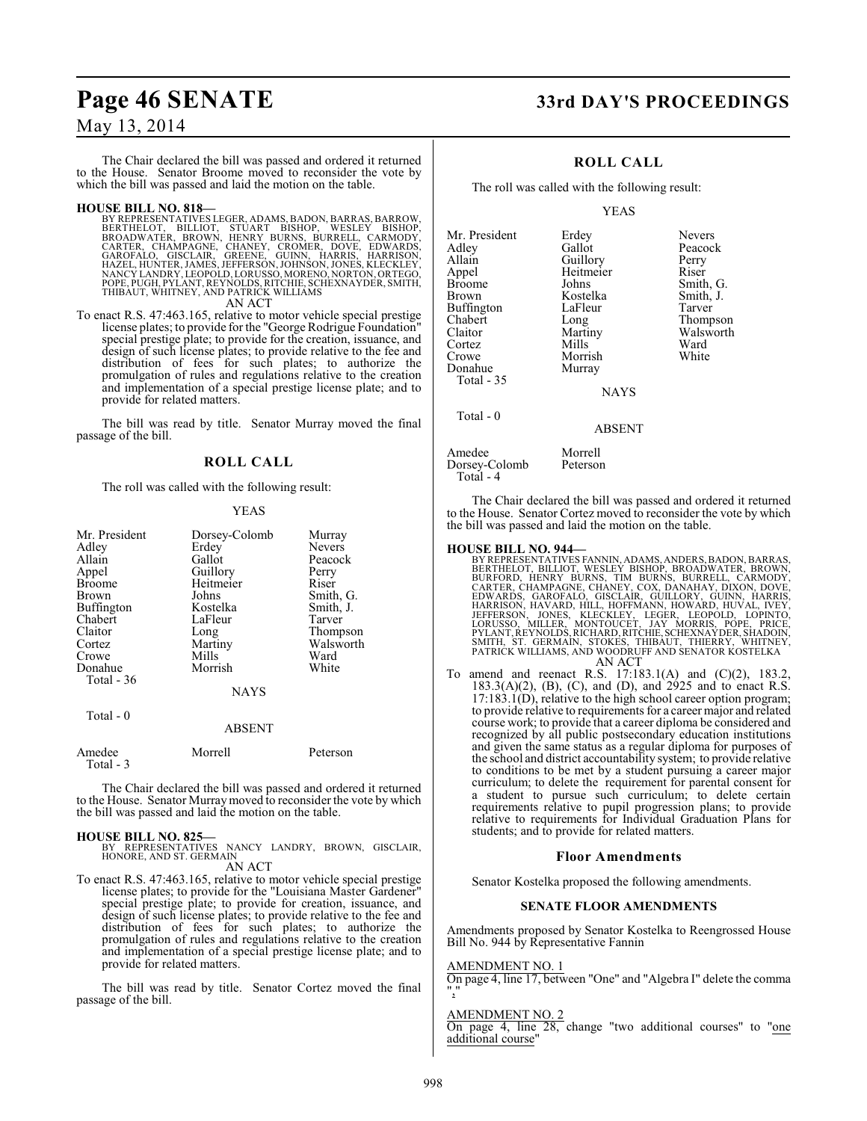The Chair declared the bill was passed and ordered it returned to the House. Senator Broome moved to reconsider the vote by which the bill was passed and laid the motion on the table.

#### **HOUSE BILL NO. 818—**

BY REPRESENTATIVES LEGER, ADAMS, BADON, BARRAS, BARROW,<br>BERTHELOT, - BILLIOT, - STUART - BISHOP, - WESLEY - BISHOP,<br>BROADWATER, - BROWN, HENRY - BUNNS, BURRELL, CARMODY,<br>CARTER, CHAMPAGNE, CHANEY, CROMER, DOVE, EDWARDS,<br>GA POPE, PUGH, PYLANT, REYNOLDS, RITCHIE, SCHEXNAYDER, SMITH, THIBAUT, WHITNEY, AND PATRICK WILLIAMS AN ACT

To enact R.S. 47:463.165, relative to motor vehicle special prestige license plates; to provide for the "George Rodrigue Foundation" special prestige plate; to provide for the creation, issuance, and design of such license plates; to provide relative to the fee and distribution of fees for such plates; to authorize the promulgation of rules and regulations relative to the creation and implementation of a special prestige license plate; and to provide for related matters.

The bill was read by title. Senator Murray moved the final passage of the bill.

#### **ROLL CALL**

The roll was called with the following result:

#### YEAS

| Mr. President<br>Adley<br>Allain<br>Appel<br><b>Broome</b><br>Brown<br>Buffington<br>Chabert<br>Claitor<br>Cortez | Dorsey-Colomb<br>Erdey<br>Gallot<br>Guillory<br>Heitmeier<br>Johns<br>Kostelka<br>LaFleur<br>Long<br>Martiny | Murray<br><b>Nevers</b><br>Peacock<br>Perry<br>Riser<br>Smith, G.<br>Smith, J.<br>Tarver<br>Thompson<br>Walsworth |
|-------------------------------------------------------------------------------------------------------------------|--------------------------------------------------------------------------------------------------------------|-------------------------------------------------------------------------------------------------------------------|
| Crowe<br>Donahue                                                                                                  | Mills<br>Morrish                                                                                             | Ward<br>White                                                                                                     |
| Total - 36                                                                                                        |                                                                                                              |                                                                                                                   |
|                                                                                                                   | <b>NAYS</b>                                                                                                  |                                                                                                                   |
| Total $-0$                                                                                                        | <b>ABSENT</b>                                                                                                |                                                                                                                   |

| Amedee    | Morrell | Peterson |
|-----------|---------|----------|
| Total - 3 |         |          |

The Chair declared the bill was passed and ordered it returned to the House. Senator Murraymoved to reconsider the vote by which the bill was passed and laid the motion on the table.

#### **HOUSE BILL NO. 825—**

BY REPRESENTATIVES NANCY LANDRY, BROWN, GISCLAIR, HONORE, AND ST. GERMAIN

AN ACT

To enact R.S. 47:463.165, relative to motor vehicle special prestige license plates; to provide for the "Louisiana Master Gardener" special prestige plate; to provide for creation, issuance, and design of such license plates; to provide relative to the fee and distribution of fees for such plates; to authorize the promulgation of rules and regulations relative to the creation and implementation of a special prestige license plate; and to provide for related matters.

The bill was read by title. Senator Cortez moved the final passage of the bill.

# Page 46 SENATE 33rd DAY'S PROCEEDINGS

## **ROLL CALL**

The roll was called with the following result:

#### YEAS

Mr. President Erdey Nevers<br>Adley Gallot Peacoc Adley Gallot Peacock<br>Allain Guillory Perry Allain Guillory Perry Appel Heitmeier<br>Broome Johns Broome Johns Smith, G.<br>Brown Kostelka Smith, J. Buffington LaFle<br>Chabert Long Chabert Long Thompson<br>Claitor Martiny Walsworth Cortez Mills Ward<br>Crowe Morrish White Donahue Total - 35 Total - 0

Kostelka Smith, J.<br>LaFleur Tarver Martiny Walsworth<br>
Mills Ward

NAYS

#### ABSENT

Amedee Morrell<br>Dorsey-Colomb Peterson Dorsey-Colomb Total - 4

Morrish<br>Murray

The Chair declared the bill was passed and ordered it returned to the House. Senator Cortez moved to reconsider the vote by which the bill was passed and laid the motion on the table.

- **HOUSE BILL NO. 944—**<br>BY REPRESENTATIVES FANNIN, ADAMS, ANDERS, BADON, BARRAS,<br>BERTHELOT, BILLIOT, WESLEY BISHOP, BROADWATER, BROWN,<br>BURFORD, HENRY BURNS, TIM BURNS, BURRELL, CARMODY,<br>CARTER, CHAMPAGNE, CHANEY, COX, DANAHA AN ACT
- To amend and reenact R.S. 17:183.1(A) and (C)(2), 183.2, 183.3(A)(2), (B), (C), and (D), and 2925 and to enact R.S.  $17:183.1(D)$ , relative to the high school career option program; to provide relative to requirements for a career major and related course work; to provide that a career diploma be considered and recognized by all public postsecondary education institutions and given the same status as a regular diploma for purposes of the school and district accountability system; to provide relative to conditions to be met by a student pursuing a career major curriculum; to delete the requirement for parental consent for a student to pursue such curriculum; to delete certain requirements relative to pupil progression plans; to provide relative to requirements for Individual Graduation Plans for students; and to provide for related matters.

#### **Floor Amendments**

Senator Kostelka proposed the following amendments.

#### **SENATE FLOOR AMENDMENTS**

Amendments proposed by Senator Kostelka to Reengrossed House Bill No. 944 by Representative Fannin

#### AMENDMENT NO. 1

On page 4, line 17, between "One" and "Algebra I" delete the comma ","

#### AMENDMENT NO. 2

On page 4, line 28, change "two additional courses" to "one additional course"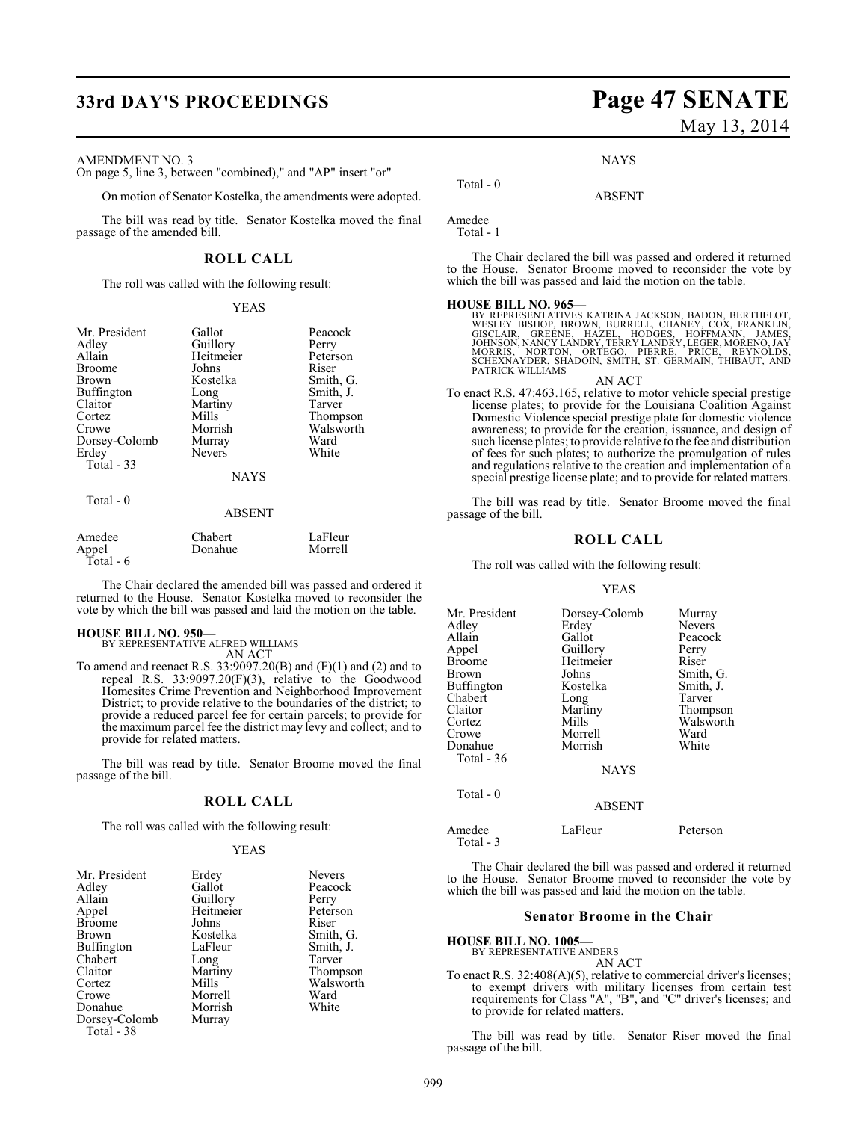# **33rd DAY'S PROCEEDINGS Page 47 SENATE**

#### AMENDMENT NO. 3

On page 5, line 3, between "combined)," and "AP" insert "or"

On motion of Senator Kostelka, the amendments were adopted.

The bill was read by title. Senator Kostelka moved the final passage of the amended bill.

#### **ROLL CALL**

The roll was called with the following result:

#### YEAS

| Mr. President<br>Adley<br>Allain<br><b>Broome</b><br><b>Brown</b><br>Buffington<br>Claitor<br>Cortez<br>Crowe<br>Dorsey-Colomb<br>Erdey<br>Total $-33$ | Gallot<br>Guillory<br>Heitmeier<br>Johns<br>Kostelka<br>Long<br>Martiny<br>Mills<br>Morrish<br>Murray<br><b>Nevers</b><br><b>NAYS</b> | Peacock<br>Perry<br>Peterson<br>Riser<br>Smith, G.<br>Smith, J.<br>Tarver<br>Thompson<br>Walsworth<br>Ward<br>White |
|--------------------------------------------------------------------------------------------------------------------------------------------------------|---------------------------------------------------------------------------------------------------------------------------------------|---------------------------------------------------------------------------------------------------------------------|
| Total - 0                                                                                                                                              |                                                                                                                                       |                                                                                                                     |
|                                                                                                                                                        | <b>ABSENT</b>                                                                                                                         |                                                                                                                     |
| $A = -1$                                                                                                                                               | $C1 - 1 - 1$                                                                                                                          | $T = \Gamma1$                                                                                                       |

| Amedee      | Chabert | LaFleur |
|-------------|---------|---------|
| Appel       | Donahue | Morrell |
| Total - $6$ |         |         |

The Chair declared the amended bill was passed and ordered it returned to the House. Senator Kostelka moved to reconsider the vote by which the bill was passed and laid the motion on the table.

#### **HOUSE BILL NO. 950—**

BY REPRESENTATIVE ALFRED WILLIAMS AN ACT

To amend and reenact R.S. 33:9097.20(B) and (F)(1) and (2) and to repeal R.S. 33:9097.20(F)(3), relative to the Goodwood Homesites Crime Prevention and Neighborhood Improvement District; to provide relative to the boundaries of the district; to provide a reduced parcel fee for certain parcels; to provide for the maximum parcel fee the district may levy and collect; and to provide for related matters.

The bill was read by title. Senator Broome moved the final passage of the bill.

#### **ROLL CALL**

The roll was called with the following result:

#### YEAS

| Mr. President | Erdey     | <b>Nevers</b> |
|---------------|-----------|---------------|
| Adley         | Gallot    | Peacock       |
| Allain        | Guillory  | Perry         |
| Appel         | Heitmeier | Peterson      |
| <b>Broome</b> | Johns     | Riser         |
| Brown         | Kostelka  | Smith, G.     |
| Buffington    | LaFleur   | Smith, J.     |
| Chabert       | Long      | Tarver        |
| Claitor       | Martiny   | Thompson      |
| Cortez        | Mills     | Walsworth     |
| Crowe         | Morrell   | Ward          |
| Donahue       | Morrish   | White         |
| Dorsey-Colomb | Murray    |               |
| Total - 38    |           |               |

# May 13, 2014

**NAYS** 

ABSENT

Amedee Total - 1

Total - 0

The Chair declared the bill was passed and ordered it returned to the House. Senator Broome moved to reconsider the vote by which the bill was passed and laid the motion on the table.

**HOUSE BILL NO. 965—** BY REPRESENTATIVES KATRINA JACKSON, BADON, BERTHELOT, WESLEY BISHOP, BROWN, BURRELL, CHANEY, COX, FRANKLIN,<br>GISCLAIR, GREENE, HAZEL, HODGES, HOFFMANN, JAMES,<br>JOHNSON,NANCYLANDRY,TERRYLANDRY,LEGER,MORENO,JAY<br>MORRIS, NORTON, ORTEGO, PIERRE, PRICE, REYNOLDS,<br>SCHEXNAYDER,SHADOIN,

#### AN ACT

To enact R.S. 47:463.165, relative to motor vehicle special prestige license plates; to provide for the Louisiana Coalition Against Domestic Violence special prestige plate for domestic violence awareness; to provide for the creation, issuance, and design of such license plates; to provide relative to the fee and distribution of fees for such plates; to authorize the promulgation of rules and regulations relative to the creation and implementation of a special prestige license plate; and to provide for related matters.

The bill was read by title. Senator Broome moved the final passage of the bill.

#### **ROLL CALL**

The roll was called with the following result:

#### YEAS

| Mr. President | Dorsey-Colomb | Murray        |
|---------------|---------------|---------------|
| Adley         | Erdey         | <b>Nevers</b> |
| Allain        | Gallot        | Peacock       |
| Appel         | Guillory      | Perry         |
| Broome        | Heitmeier     | Riser         |
| Brown         | Johns         | Smith, G.     |
| Buffington    | Kostelka      | Smith, J.     |
| Chabert       | Long          | Tarver        |
| Claitor       | Martiny       | Thompson      |
| Cortez        | Mills         | Walsworth     |
| Crowe         | Morrell       | Ward          |
| Donahue       | Morrish       | White         |
| Total - 36    |               |               |
|               | <b>NAYS</b>   |               |
| Total - 0     |               |               |
|               | <b>ABSENT</b> |               |
|               |               |               |

Amedee LaFleur Peterson Total - 3

The Chair declared the bill was passed and ordered it returned to the House. Senator Broome moved to reconsider the vote by which the bill was passed and laid the motion on the table.

#### **Senator Broome in the Chair**

**HOUSE BILL NO. 1005—**

BY REPRESENTATIVE ANDERS

AN ACT

To enact R.S. 32:408(A)(5), relative to commercial driver's licenses; to exempt drivers with military licenses from certain test requirements for Class "A", "B", and "C" driver's licenses; and to provide for related matters.

The bill was read by title. Senator Riser moved the final passage of the bill.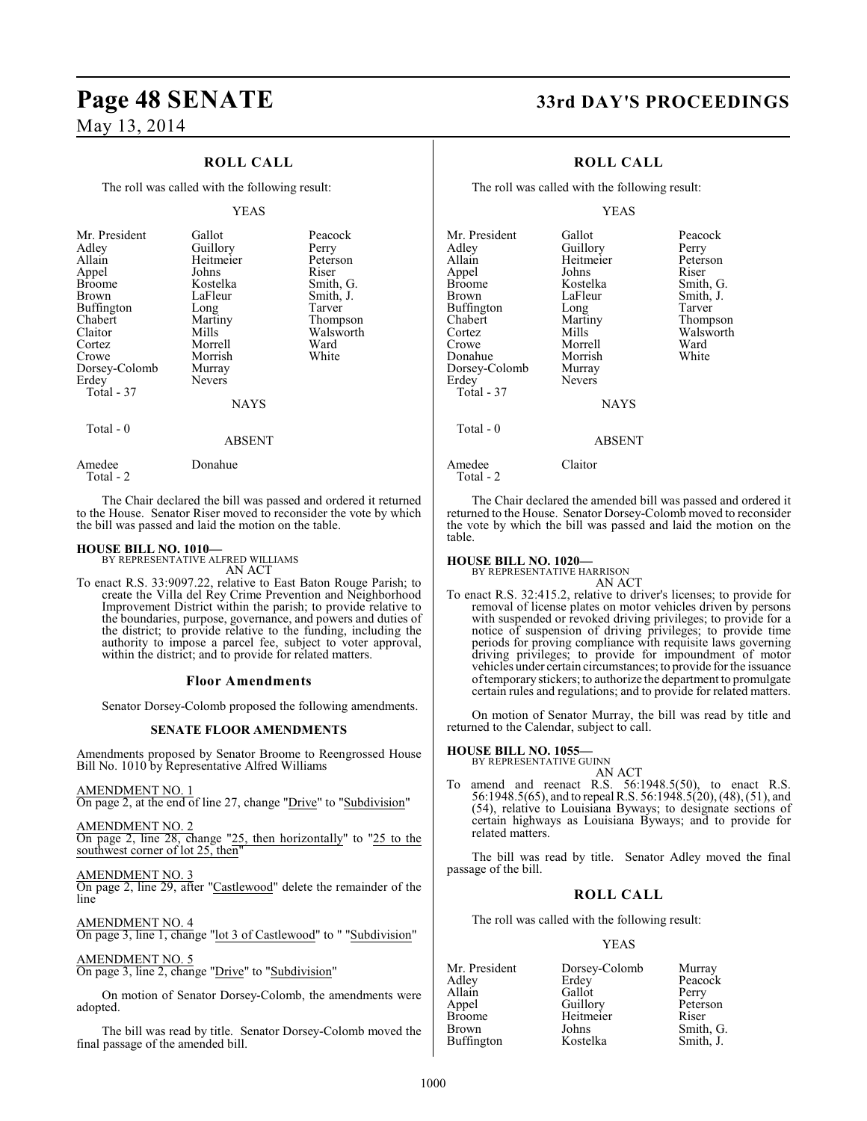## **ROLL CALL**

The roll was called with the following result:

#### YEAS

| Mr. President<br>Adley<br>Allain<br>Appel<br><b>Broome</b><br>Brown<br>Buffington<br>Chabert<br>Claitor<br>Cortez<br>Crowe<br>Dorsey-Colomb<br>Erdey<br>Total - 37 | Gallot<br>Guillory<br>Heitmeier<br>Johns<br>Kostelka<br>LaFleur<br>Long<br>Martiny<br>Mills<br>Morrell<br>Morrish<br>Murray<br><b>Nevers</b> | Peacock<br>Perry<br>Peterson<br>Riser<br>Smith, G.<br>Smith, J.<br>Tarver<br>Thompson<br>Walsworth<br>Ward<br>White |
|--------------------------------------------------------------------------------------------------------------------------------------------------------------------|----------------------------------------------------------------------------------------------------------------------------------------------|---------------------------------------------------------------------------------------------------------------------|
|                                                                                                                                                                    | <b>NAYS</b>                                                                                                                                  |                                                                                                                     |
| Total - 0                                                                                                                                                          | ABSENT                                                                                                                                       |                                                                                                                     |

The Chair declared the bill was passed and ordered it returned to the House. Senator Riser moved to reconsider the vote by which the bill was passed and laid the motion on the table.

#### **HOUSE BILL NO. 1010—**

Amedee Donahue

Total - 2

BY REPRESENTATIVE ALFRED WILLIAMS AN ACT

To enact R.S. 33:9097.22, relative to East Baton Rouge Parish; to create the Villa del Rey Crime Prevention and Neighborhood Improvement District within the parish; to provide relative to the boundaries, purpose, governance, and powers and duties of the district; to provide relative to the funding, including the authority to impose a parcel fee, subject to voter approval, within the district; and to provide for related matters.

#### **Floor Amendments**

Senator Dorsey-Colomb proposed the following amendments.

#### **SENATE FLOOR AMENDMENTS**

Amendments proposed by Senator Broome to Reengrossed House Bill No. 1010 by Representative Alfred Williams

AMENDMENT NO. 1

On page 2, at the end of line 27, change "Drive" to "Subdivision"

AMENDMENT NO. 2 On page 2, line 28, change "25, then horizontally" to "25 to the southwest corner of lot 25, then

AMENDMENT NO. 3

On page 2, line 29, after "Castlewood" delete the remainder of the line

AMENDMENT NO. 4 On page 3, line 1, change "lot 3 of Castlewood" to " "Subdivision"

### AMENDMENT NO. 5

On page 3, line 2, change "Drive" to "Subdivision"

On motion of Senator Dorsey-Colomb, the amendments were adopted.

The bill was read by title. Senator Dorsey-Colomb moved the final passage of the amended bill.

# **Page 48 SENATE 33rd DAY'S PROCEEDINGS**

## **ROLL CALL**

The roll was called with the following result:

#### YEAS

Mr. President Gallot Peacock<br>Adley Guillory Perry Adley Guillory Perry<br>Allain Heitmeier Peterson Heitmeier Peters<br>Johns Riser Appel Johns<br>Broome Kostelka Broome Kostelka Smith, G.<br>Brown LaFleur Smith, J. Buffington Long<br>Chabert Martiny Chabert Martiny Thompson Cortez Mills Walsworth<br>Crowe Morrell Ward Crowe Morrell Ward<br>
Donahue Morrish White Morrish<br>Murray Dorsey-Colomb<br>Erdev Nevers Total - 37 Total - 0

LaFleur Smith, J.<br>Long Tarver

**NAYS** 

#### ABSENT

Amedee Claitor

Total - 2

The Chair declared the amended bill was passed and ordered it returned to the House. Senator Dorsey-Colomb moved to reconsider the vote by which the bill was passed and laid the motion on the table.

**HOUSE BILL NO. 1020—** BY REPRESENTATIVE HARRISON AN ACT

To enact R.S. 32:415.2, relative to driver's licenses; to provide for removal of license plates on motor vehicles driven by persons with suspended or revoked driving privileges; to provide for a notice of suspension of driving privileges; to provide time periods for proving compliance with requisite laws governing driving privileges; to provide for impoundment of motor vehicles under certain circumstances; to provide for the issuance oftemporarystickers; to authorize the department to promulgate certain rules and regulations; and to provide for related matters.

On motion of Senator Murray, the bill was read by title and returned to the Calendar, subject to call.

#### **HOUSE BILL NO. 1055—**

BY REPRESENTATIVE GUINN

AN ACT To amend and reenact R.S. 56:1948.5(50), to enact R.S. 56:1948.5(65), and to repeal R.S. 56:1948.5(20), (48), (51), and (54), relative to Louisiana Byways; to designate sections of certain highways as Louisiana Byways; and to provide for related matters.

The bill was read by title. Senator Adley moved the final passage of the bill.

## **ROLL CALL**

The roll was called with the following result:

#### YEAS

| Mr. President     | Dorsey-Colomb | Murray    |
|-------------------|---------------|-----------|
| Adley             | Erdey         | Peacock   |
| Allain            | Gallot        | Perry     |
| Appel             | Guillory      | Peterson  |
| <b>Broome</b>     | Heitmeier     | Riser     |
| <b>Brown</b>      | Johns         | Smith, G. |
| <b>Buffington</b> | Kostelka      | Smith, J. |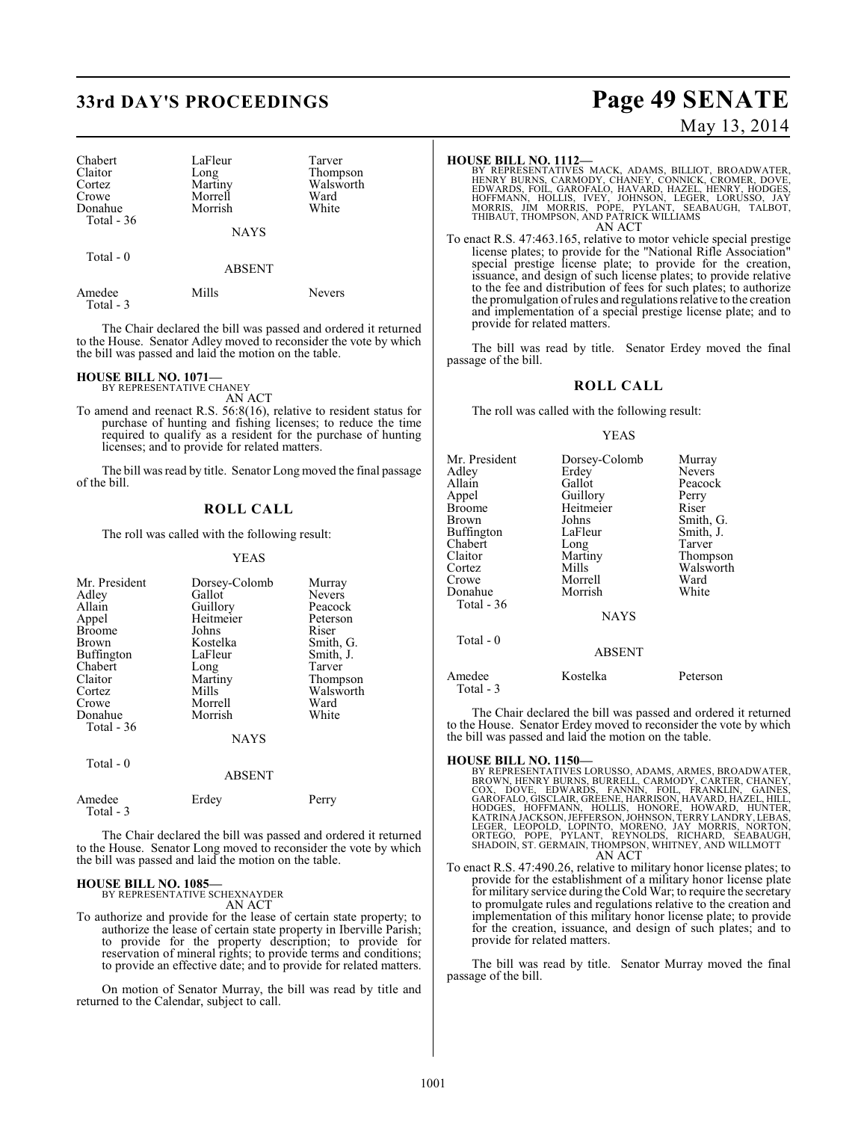# **33rd DAY'S PROCEEDINGS Page 49 SENATE**

| Chabert     | LaFleur     | Tarver    |
|-------------|-------------|-----------|
| Claitor     | Long        | Thompson  |
| Cortez      | Martiny     | Walsworth |
| Crowe       | Morrell     | Ward      |
| Donahue     | Morrish     | White     |
| Total $-36$ |             |           |
|             | <b>NAYS</b> |           |
| Total - 0   |             |           |
|             |             |           |

Amedee Mills Nevers Total - 3

The Chair declared the bill was passed and ordered it returned to the House. Senator Adley moved to reconsider the vote by which the bill was passed and laid the motion on the table.

#### **HOUSE BILL NO. 1071—**

BY REPRESENTATIVE CHANEY AN ACT

To amend and reenact R.S. 56:8(16), relative to resident status for purchase of hunting and fishing licenses; to reduce the time required to qualify as a resident for the purchase of hunting licenses; and to provide for related matters.

The bill was read by title. Senator Long moved the final passage of the bill.

#### **ROLL CALL**

The roll was called with the following result:

#### YEAS

| Mr. President<br>Adley<br>Allain<br>Appel<br><b>Broome</b><br><b>Brown</b> | Dorsey-Colomb<br>Gallot<br>Guillory<br>Heitmeier<br>Johns<br>Kostelka | Murray<br><b>Nevers</b><br>Peacock<br>Peterson<br>Riser<br>Smith, G. |
|----------------------------------------------------------------------------|-----------------------------------------------------------------------|----------------------------------------------------------------------|
| Buffington<br>Chabert                                                      | LaFleur<br>Long                                                       | Smith, J.<br>Tarver                                                  |
| Claitor<br>Cortez                                                          | Martiny<br>Mills                                                      | Thompson<br>Walsworth                                                |
| Crowe                                                                      | Morrell                                                               | Ward                                                                 |
| Donahue<br>Total $-36$                                                     | Morrish                                                               | White                                                                |
|                                                                            | <b>NAYS</b>                                                           |                                                                      |
| Total - 0                                                                  | 1.00131T                                                              |                                                                      |

|                     | ABSENT |       |
|---------------------|--------|-------|
| Amedee<br>Total - 3 | Erdey  | Perry |

The Chair declared the bill was passed and ordered it returned to the House. Senator Long moved to reconsider the vote by which the bill was passed and laid the motion on the table.

#### **HOUSE BILL NO. 1085—** BY REPRESENTATIVE SCHEXNAYDER

AN ACT

To authorize and provide for the lease of certain state property; to authorize the lease of certain state property in Iberville Parish; to provide for the property description; to provide for reservation of mineral rights; to provide terms and conditions; to provide an effective date; and to provide for related matters.

On motion of Senator Murray, the bill was read by title and returned to the Calendar, subject to call.

# May 13, 2014

**HOUSE BILL NO. 1112—**<br>BY REPRESENTATIVES MACK, ADAMS, BILLIOT, BROADWATER,<br>HENRY BURNS, CARMODY, CHANEY, CONNICK, CROMER, DOVE,<br>EDWARDS, FOIL, GAROFALO, HAVARD, HAZEL, HENRY, HODGES,<br>HOFFMANN, HOLLIS, IVEY, JOHNSON, LEGER AN ACT

To enact R.S. 47:463.165, relative to motor vehicle special prestige license plates; to provide for the "National Rifle Association" special prestige license plate; to provide for the creation, issuance, and design of such license plates; to provide relative to the fee and distribution of fees for such plates; to authorize the promulgation of rules and regulations relative to the creation and implementation of a special prestige license plate; and to provide for related matters.

The bill was read by title. Senator Erdey moved the final passage of the bill.

### **ROLL CALL**

The roll was called with the following result:

#### YEAS

| Mr. President<br>Adlev<br>Allain<br>Appel<br>Broome<br>Brown<br>Buffington<br>Chabert<br>Claitor<br>Cortez<br>Crowe<br>Donahue<br>Total $-36$<br>Total - 0 | Dorsey-Colomb<br>Erdey<br>Gallot<br>Guillory<br>Heitmeier<br>Johns<br>LaFleur<br>Long<br>Martiny<br>Mills<br>Morrell<br>Morrish<br><b>NAYS</b><br><b>ABSENT</b> | Murray<br>Nevers<br>Peacock<br>Perry<br>Riser<br>Smith, G.<br>Smith, J.<br>Tarver<br>Thompson<br>Walsworth<br>Ward<br>White |
|------------------------------------------------------------------------------------------------------------------------------------------------------------|-----------------------------------------------------------------------------------------------------------------------------------------------------------------|-----------------------------------------------------------------------------------------------------------------------------|
| Amedee<br>Total $-3$                                                                                                                                       | Kostelka                                                                                                                                                        | Peterson                                                                                                                    |

The Chair declared the bill was passed and ordered it returned to the House. Senator Erdey moved to reconsider the vote by which the bill was passed and laid the motion on the table.

#### **HOUSE BILL NO. 1150—**

BY REPRESENTATIVES LORUSSO, ADAMS, ARMES, BROADWATER, CROWN, HENRY BURNS, BURRELL, CARMODY, CARTER, CHANEY, COX, DOVE, EDWARDS, FANNIN, FOIL, FRANKLIN, GAINES, GAROFALO, GISCLAIR, GREENE, HARRISON, HAVARD, HAZEL, HILL, HOD AN ACT

To enact R.S. 47:490.26, relative to military honor license plates; to provide for the establishment of a military honor license plate for military service during theCold War; to require the secretary to promulgate rules and regulations relative to the creation and implementation of this military honor license plate; to provide for the creation, issuance, and design of such plates; and to provide for related matters.

The bill was read by title. Senator Murray moved the final passage of the bill.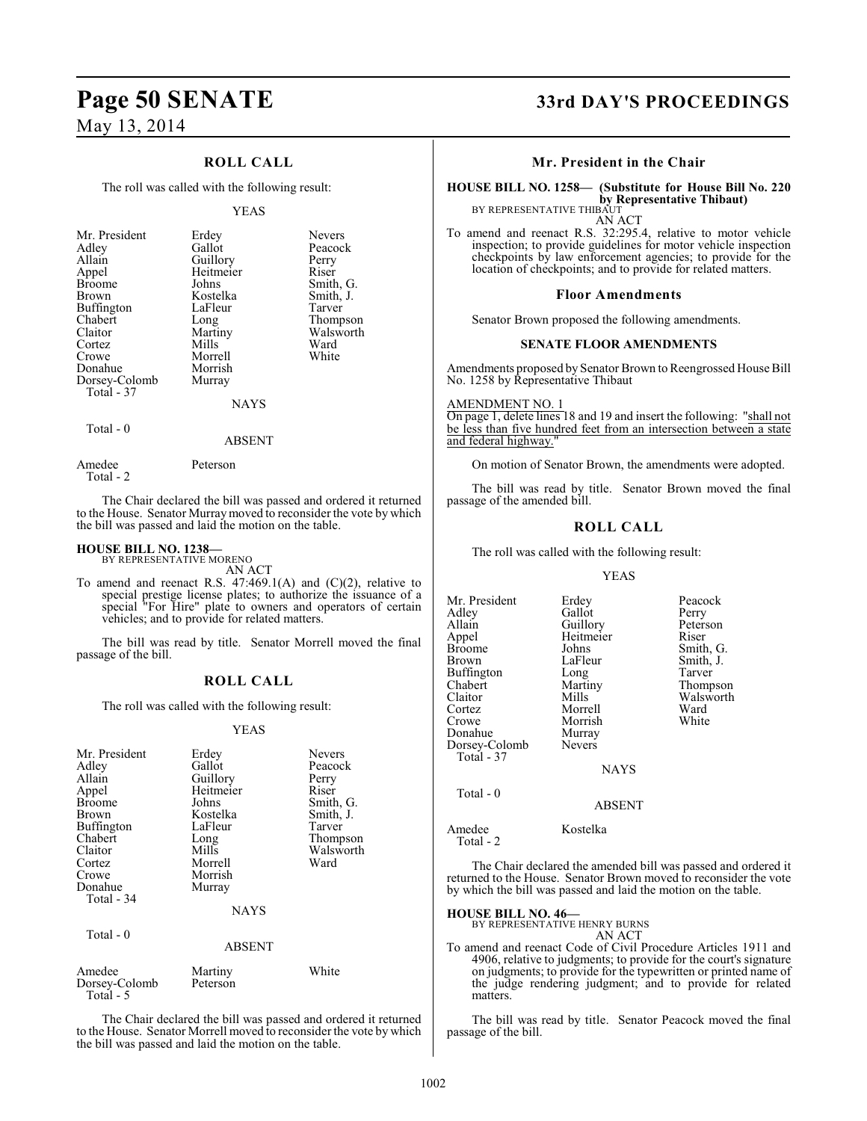## **ROLL CALL**

The roll was called with the following result:

#### YEAS

| Mr. President<br>Adley<br>Allain<br>Appel<br><b>Broome</b><br><b>Brown</b><br>Buffington<br>Chabert<br>Claitor<br>Cortez<br>Crowe | Erdey<br>Gallot<br>Guillory<br>Heitmeier<br>Johns<br>Kostelka<br>LaFleur<br>Long<br>Martiny<br>Mills<br>Morrell | <b>Nevers</b><br>Peacock<br>Perry<br>Riser<br>Smith, G.<br>Smith, J.<br>Tarver<br>Thompson<br>Walsworth<br>Ward<br>White |
|-----------------------------------------------------------------------------------------------------------------------------------|-----------------------------------------------------------------------------------------------------------------|--------------------------------------------------------------------------------------------------------------------------|
| Donahue<br>Dorsey-Colomb                                                                                                          | Morrish<br>Murray                                                                                               |                                                                                                                          |
| Total - 37                                                                                                                        | <b>NAYS</b>                                                                                                     |                                                                                                                          |

Total - 0

Total - 2

Amedee Peterson

The Chair declared the bill was passed and ordered it returned to the House. Senator Murraymoved to reconsider the vote by which the bill was passed and laid the motion on the table.

ABSENT

#### **HOUSE BILL NO. 1238—**

BY REPRESENTATIVE MORENO AN ACT

To amend and reenact R.S.  $47:469.1(A)$  and  $(C)(2)$ , relative to special prestige license plates; to authorize the issuance of a special "For Hire" plate to owners and operators of certain vehicles; and to provide for related matters.

The bill was read by title. Senator Morrell moved the final passage of the bill.

#### **ROLL CALL**

The roll was called with the following result:

#### YEAS

| Mr. President<br>Adley<br>Allain<br>Appel<br><b>Broome</b><br>Brown<br><b>Buffington</b><br>Chabert<br>Claitor<br>Cortez<br>Crowe<br>Donahue<br>Total - 34 | Erdey<br>Gallot<br>Guillory<br>Heitmeier<br>Johns<br>Kostelka<br>LaFleur<br>Long<br>Mills<br>Morrell<br>Morrish<br>Murray | <b>Nevers</b><br>Peacock<br>Perry<br>Riser<br>Smith, G.<br>Smith, J.<br>Tarver<br>Thompson<br>Walsworth<br>Ward |
|------------------------------------------------------------------------------------------------------------------------------------------------------------|---------------------------------------------------------------------------------------------------------------------------|-----------------------------------------------------------------------------------------------------------------|
|                                                                                                                                                            | <b>NAYS</b>                                                                                                               |                                                                                                                 |
| Total - 0                                                                                                                                                  | <b>ABSENT</b>                                                                                                             |                                                                                                                 |
| Amedee<br>Dorsey-Colomb<br>Total - 5                                                                                                                       | Martiny<br>Peterson                                                                                                       | White                                                                                                           |

The Chair declared the bill was passed and ordered it returned to the House. Senator Morrell moved to reconsider the vote by which the bill was passed and laid the motion on the table.

# **Page 50 SENATE 33rd DAY'S PROCEEDINGS**

#### **Mr. President in the Chair**

# **HOUSE BILL NO. 1258— (Substitute for House Bill No. 220**

**by Representative Thibaut)**<br>BY REPRESENTATIVE THIBAUT

AN ACT To amend and reenact R.S. 32:295.4, relative to motor vehicle inspection; to provide guidelines for motor vehicle inspection checkpoints by law enforcement agencies; to provide for the location of checkpoints; and to provide for related matters.

#### **Floor Amendments**

Senator Brown proposed the following amendments.

#### **SENATE FLOOR AMENDMENTS**

Amendments proposed by Senator Brown to Reengrossed House Bill No. 1258 by Representative Thibaut

AMENDMENT NO. 1 On page 1, delete lines 18 and 19 and insert the following: "shall not be less than five hundred feet from an intersection between a state and federal highway.

On motion of Senator Brown, the amendments were adopted.

The bill was read by title. Senator Brown moved the final passage of the amended bill.

#### **ROLL CALL**

The roll was called with the following result:

#### YEAS

| Mr. President       | Erdey       | Peacock   |
|---------------------|-------------|-----------|
| Adlev               | Gallot      |           |
|                     |             | Perry     |
| Allain              | Guillory    | Peterson  |
| Appel               | Heitmeier   | Riser     |
| Broome              | Johns       | Smith, G. |
| Brown               | LaFleur     | Smith, J. |
| Buffington          | Long        | Tarver    |
| Chabert             | Martiny     | Thompson  |
| Claitor             | Mills       | Walsworth |
| Cortez              | Morrell     | Ward      |
| Crowe               | Morrish     | White     |
| Donahue             | Murray      |           |
| Dorsey-Colomb       | Nevers      |           |
| Total - 37          |             |           |
|                     | <b>NAYS</b> |           |
| Total - 0           |             |           |
|                     | ABSENT      |           |
|                     |             |           |
| Amedee<br>Total - 2 | Kostelka    |           |

The Chair declared the amended bill was passed and ordered it returned to the House. Senator Brown moved to reconsider the vote by which the bill was passed and laid the motion on the table.

**HOUSE BILL NO. 46—** BY REPRESENTATIVE HENRY BURNS

AN ACT

To amend and reenact Code of Civil Procedure Articles 1911 and 4906, relative to judgments; to provide for the court's signature on judgments; to provide for the typewritten or printed name of the judge rendering judgment; and to provide for related matters.

The bill was read by title. Senator Peacock moved the final passage of the bill.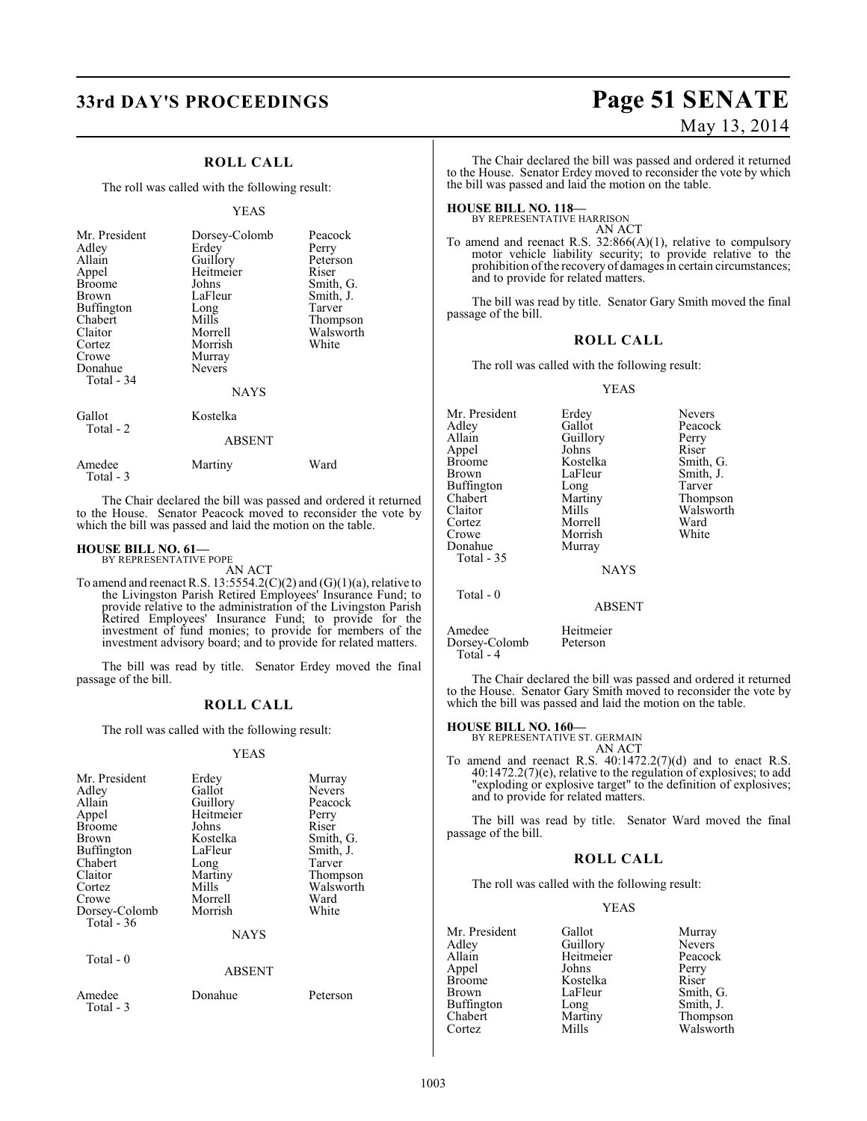## **ROLL CALL**

The roll was called with the following result:

#### YEAS

| Mr. President<br>Adley<br>Allain<br>Appel<br>Broome<br>Brown<br>Buffington<br>Chabert<br>Claitor<br>Cortez<br>Crowe<br>Donahue<br>Total - 34 | Dorsey-Colomb<br>Erdey<br>Guillory<br>Heitmeier<br>Johns<br>LaFleur<br>Long<br>Mills<br>Morrell<br>Morrish<br>Murray<br><b>Nevers</b><br><b>NAYS</b> | Peacock<br>Perry<br>Peterson<br>Riser<br>Smith, G.<br>Smith, J.<br>Tarver<br>Thompson<br>Walsworth<br>White |
|----------------------------------------------------------------------------------------------------------------------------------------------|------------------------------------------------------------------------------------------------------------------------------------------------------|-------------------------------------------------------------------------------------------------------------|
| Gallot<br>Total - 2                                                                                                                          | Kostelka<br><b>ABSENT</b>                                                                                                                            |                                                                                                             |

Amedee Martiny Ward

The Chair declared the bill was passed and ordered it returned to the House. Senator Peacock moved to reconsider the vote by which the bill was passed and laid the motion on the table.

#### **HOUSE BILL NO. 61—** BY REPRESENTATIVE POPE

Total - 3

AN ACT

To amend and reenact R.S.  $13:5554.2(C)(2)$  and  $(G)(1)(a)$ , relative to the Livingston Parish Retired Employees' Insurance Fund; to provide relative to the administration of the Livingston Parish Retired Employees' Insurance Fund; to provide for the investment of fund monies; to provide for members of the investment advisory board; and to provide for related matters.

The bill was read by title. Senator Erdey moved the final passage of the bill.

#### **ROLL CALL**

The roll was called with the following result:

#### YEAS

| Mr. President<br>Adley<br>Allain<br>Appel<br><b>Broome</b><br>Brown<br>Buffington<br>Chabert<br>Claitor<br>Cortez<br>Crowe<br>Dorsey-Colomb<br>Total $-36$<br>Total - 0 | Erdey<br>Gallot<br>Guillory<br>Heitmeier<br>Johns<br>Kostelka<br>LaFleur<br>Long<br>Martiny<br>Mills<br>Morrell<br>Morrish<br><b>NAYS</b> | Murray<br><b>Nevers</b><br>Peacock<br>Perry<br>Riser<br>Smith, G.<br>Smith, J.<br>Tarver<br>Thompson<br>Walsworth<br>Ward<br>White |
|-------------------------------------------------------------------------------------------------------------------------------------------------------------------------|-------------------------------------------------------------------------------------------------------------------------------------------|------------------------------------------------------------------------------------------------------------------------------------|
|                                                                                                                                                                         | <b>ABSENT</b>                                                                                                                             |                                                                                                                                    |
| Amedee<br>Total - 3                                                                                                                                                     | Donahue                                                                                                                                   | Peterson                                                                                                                           |

# **33rd DAY'S PROCEEDINGS Page 51 SENATE** May 13, 2014

The Chair declared the bill was passed and ordered it returned to the House. Senator Erdey moved to reconsider the vote by which the bill was passed and laid the motion on the table.

**HOUSE BILL NO. 118—** BY REPRESENTATIVE HARRISON AN ACT

To amend and reenact R.S. 32:866(A)(1), relative to compulsory motor vehicle liability security; to provide relative to the prohibition ofthe recovery of damages in certain circumstances; and to provide for related matters.

The bill was read by title. Senator Gary Smith moved the final passage of the bill.

#### **ROLL CALL**

The roll was called with the following result:

#### YEAS

| Mr. President | Erdey         | <b>Nevers</b> |
|---------------|---------------|---------------|
| Adlev         | Gallot        | Peacock       |
| Allain        | Guillory      | Perry         |
| Appel         | Johns         | Riser         |
| Broome        | Kostelka      | Smith, G.     |
| Brown         | LaFleur       | Smith, J.     |
| Buffington    | Long          | Tarver        |
| Chabert       | Martiny       | Thompson      |
| Claitor       | Mills         | Walsworth     |
| Cortez        | Morrell       | Ward          |
| Crowe         | Morrish       | White         |
| Donahue       | Murray        |               |
| Total - 35    |               |               |
|               | <b>NAYS</b>   |               |
| Total $-0$    |               |               |
|               | <b>ABSENT</b> |               |

| Amedee        | Heitmeier |
|---------------|-----------|
| Dorsey-Colomb | Peterson  |
| Total - 4     |           |

The Chair declared the bill was passed and ordered it returned to the House. Senator Gary Smith moved to reconsider the vote by which the bill was passed and laid the motion on the table.

# **HOUSE BILL NO. 160—** BY REPRESENTATIVE ST. GERMAIN

AN ACT

To amend and reenact R.S. 40:1472.2(7)(d) and to enact R.S. 40:1472.2(7)(e), relative to the regulation of explosives; to add "exploding or explosive target" to the definition of explosives; and to provide for related matters.

The bill was read by title. Senator Ward moved the final passage of the bill.

#### **ROLL CALL**

The roll was called with the following result:

#### YEAS

| Mr. President     | Gallot    | Murray    |
|-------------------|-----------|-----------|
| Adley             | Guillory  | Nevers    |
| Allain            | Heitmeier | Peacock   |
| Appel             | Johns     | Perry     |
| <b>Broome</b>     | Kostelka  | Riser     |
| Brown             | LaFleur   | Smith, G. |
| <b>Buffington</b> | Long      | Smith, J. |
| Chabert           | Martiny   | Thompson  |
| Cortez            | Mills     | Walsworth |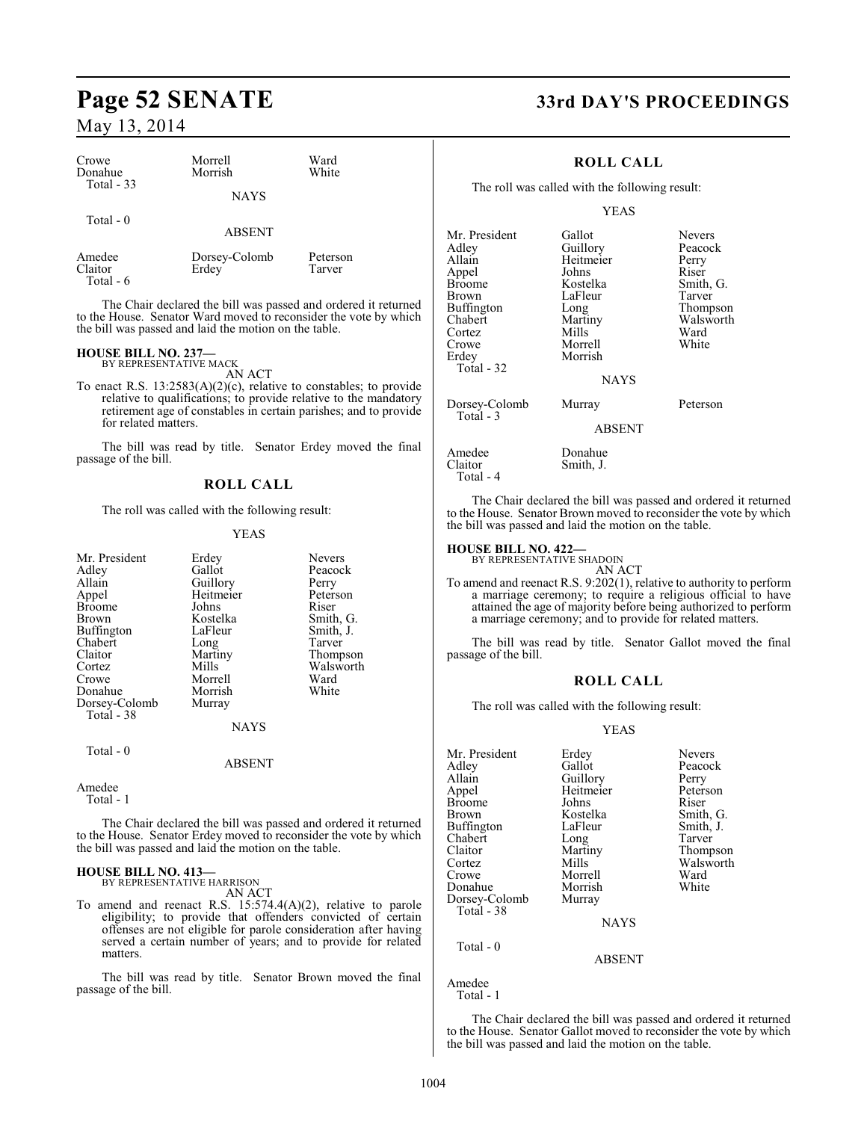| Crowe       | Morrell       | Ward     |  |
|-------------|---------------|----------|--|
| Donahue     | Morrish       | White    |  |
| Total $-33$ | <b>NAYS</b>   |          |  |
| Total $-0$  | <b>ABSENT</b> |          |  |
| Amedee      | Dorsey-Colomb | Peterson |  |
| Claitor     | Erdey         | Tarver   |  |

Total - 6

The Chair declared the bill was passed and ordered it returned to the House. Senator Ward moved to reconsider the vote by which the bill was passed and laid the motion on the table.

# **HOUSE BILL NO. 237—** BY REPRESENTATIVE MACK

AN ACT

To enact R.S. 13:2583(A)(2)(c), relative to constables; to provide relative to qualifications; to provide relative to the mandatory retirement age of constables in certain parishes; and to provide for related matters.

The bill was read by title. Senator Erdey moved the final passage of the bill.

#### **ROLL CALL**

The roll was called with the following result:

#### YEAS

|             | <b>Nevers</b>                                                         |
|-------------|-----------------------------------------------------------------------|
| Gallot      | Peacock                                                               |
|             | Perry                                                                 |
|             | Peterson                                                              |
| Johns       | Riser                                                                 |
| Kostelka    | Smith, G.                                                             |
| LaFleur     | Smith, J.                                                             |
|             | Tarver                                                                |
|             | Thompson                                                              |
| Mills       | Walsworth                                                             |
| Morrell     | Ward                                                                  |
| Morrish     | White                                                                 |
|             |                                                                       |
|             |                                                                       |
| <b>NAYS</b> |                                                                       |
|             |                                                                       |
|             |                                                                       |
|             | Erdey<br>Guillory<br>Heitmeier<br>Long<br>Martiny<br>Murray<br>ABSENT |

Amedee

Total - 1

The Chair declared the bill was passed and ordered it returned to the House. Senator Erdey moved to reconsider the vote by which the bill was passed and laid the motion on the table.

# **HOUSE BILL NO. 413—** BY REPRESENTATIVE HARRISON

AN ACT

To amend and reenact R.S. 15:574.4(A)(2), relative to parole eligibility; to provide that offenders convicted of certain offenses are not eligible for parole consideration after having served a certain number of years; and to provide for related matters.

The bill was read by title. Senator Brown moved the final passage of the bill.

# **Page 52 SENATE 33rd DAY'S PROCEEDINGS**

## **ROLL CALL**

The roll was called with the following result:

#### YEAS

| Mr. President | Gallot        | <b>Nevers</b> |
|---------------|---------------|---------------|
| Adley         | Guillory      | Peacock       |
| Allain        | Heitmeier     | Perry         |
| Appel         | Johns         | Riser         |
| <b>Broome</b> | Kostelka      | Smith, G.     |
| Brown         | LaFleur       | Tarver        |
| Buffington    | Long          | Thompson      |
| Chabert       | Martiny       | Walsworth     |
| Cortez        | Mills         | Ward          |
| Crowe         | Morrell       | White         |
| Erdey         | Morrish       |               |
| Total - 32    |               |               |
|               | <b>NAYS</b>   |               |
| Dorsey-Colomb | Murray        | Peterson      |
| Total - 3     | <b>ABSENT</b> |               |
| Amedee        | Donahue       |               |
| Claitor       | Smith, J.     |               |

The Chair declared the bill was passed and ordered it returned to the House. Senator Brown moved to reconsider the vote by which the bill was passed and laid the motion on the table.

#### **HOUSE BILL NO. 422—** BY REPRESENTATIVE SHADOIN

Total - 4

AN ACT To amend and reenact R.S. 9:202(1), relative to authority to perform a marriage ceremony; to require a religious official to have attained the age of majority before being authorized to perform a marriage ceremony; and to provide for related matters.

The bill was read by title. Senator Gallot moved the final passage of the bill.

#### **ROLL CALL**

The roll was called with the following result:

#### YEAS

| Mr. President | Erdey         | <b>Nevers</b> |
|---------------|---------------|---------------|
| Adley         | Gallot        | Peacock       |
| Allain        | Guillory      | Perry         |
| Appel         | Heitmeier     | Peterson      |
| <b>Broome</b> | Johns         | Riser         |
| Brown         | Kostelka      | Smith, G.     |
| Buffington    | LaFleur       | Smith, J.     |
| Chabert       | Long          | Tarver        |
| Claitor       | Martiny       | Thompson      |
| Cortez        | Mills         | Walsworth     |
| Crowe         | Morrell       | Ward          |
| Donahue       | Morrish       | White         |
| Dorsey-Colomb | Murray        |               |
| Total - 38    |               |               |
|               | <b>NAYS</b>   |               |
| Total $-0$    |               |               |
|               | <b>ABSENT</b> |               |

Amedee Total - 1

The Chair declared the bill was passed and ordered it returned to the House. Senator Gallot moved to reconsider the vote by which the bill was passed and laid the motion on the table.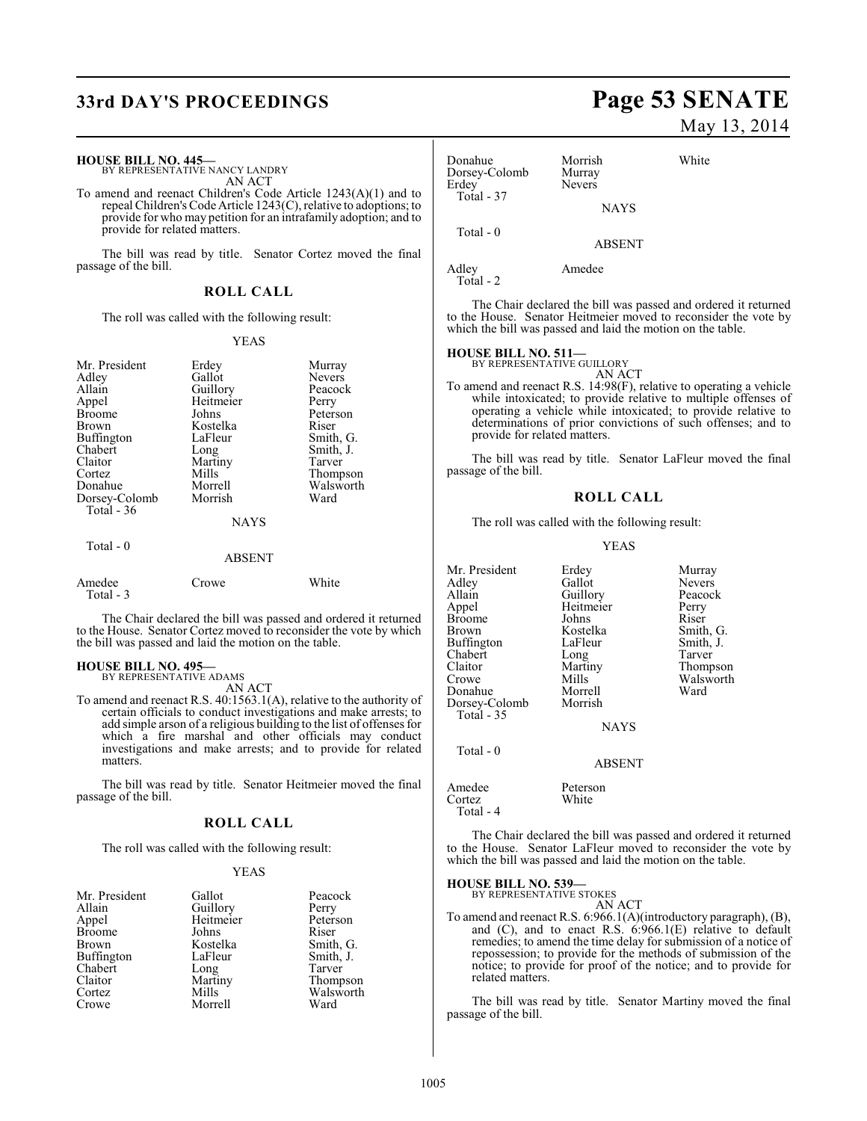# **33rd DAY'S PROCEEDINGS Page 53 SENATE**

#### **HOUSE BILL NO. 445—**

BY REPRESENTATIVE NANCY LANDRY AN ACT

To amend and reenact Children's Code Article 1243(A)(1) and to repeal Children's Code Article 1243(C), relative to adoptions; to provide for who may petition for an intrafamily adoption; and to provide for related matters.

The bill was read by title. Senator Cortez moved the final passage of the bill.

#### **ROLL CALL**

The roll was called with the following result:

#### YEAS

| Mr. President<br>Adley<br>Allain<br>Appel<br><b>Broome</b><br>Brown<br><b>Buffington</b><br>Chabert<br>Claitor<br>Cortez<br>Donahue<br>Dorsey-Colomb<br>Total $-36$<br>Total - 0 | Erdey<br>Gallot<br>Guillory<br>Heitmeier<br>Johns<br>Kostelka<br>LaFleur<br>Long<br>Martiny<br>Mills<br>Morrell<br>Morrish<br><b>NAYS</b><br><b>ABSENT</b> | Murray<br><b>Nevers</b><br>Peacock<br>Perry<br>Peterson<br>Riser<br>Smith, G.<br>Smith, J.<br>Tarver<br>Thompson<br>Walsworth<br>Ward |
|----------------------------------------------------------------------------------------------------------------------------------------------------------------------------------|------------------------------------------------------------------------------------------------------------------------------------------------------------|---------------------------------------------------------------------------------------------------------------------------------------|
|                                                                                                                                                                                  |                                                                                                                                                            |                                                                                                                                       |
| Amedee<br>Total - 3                                                                                                                                                              | Crowe                                                                                                                                                      | White                                                                                                                                 |

The Chair declared the bill was passed and ordered it returned to the House. Senator Cortez moved to reconsider the vote by which the bill was passed and laid the motion on the table.

# **HOUSE BILL NO. 495—** BY REPRESENTATIVE ADAMS

AN ACT

To amend and reenact R.S. 40:1563.1(A), relative to the authority of certain officials to conduct investigations and make arrests; to add simple arson of a religious building to the list of offenses for which a fire marshal and other officials may conduct investigations and make arrests; and to provide for related matters.

The bill was read by title. Senator Heitmeier moved the final passage of the bill.

#### **ROLL CALL**

The roll was called with the following result:

#### YEAS

| Mr. President     | Gallot                | Peacock   |
|-------------------|-----------------------|-----------|
| Allain            | Guillory<br>Heitmeier | Perry     |
| Appel             |                       | Peterson  |
| <b>Broome</b>     | Johns                 | Riser     |
| <b>Brown</b>      | Kostelka              | Smith, G. |
| <b>Buffington</b> | LaFleur               | Smith, J. |
| Chabert           | Long                  | Tarver    |
| Claitor           | Martiny               | Thompson  |
| Cortez            | Mills                 | Walsworth |
| Crowe             | Morrell               | Ward      |

# May 13, 2014

Donahue Morrish White<br>Dorsey-Colomb Murray Dorsey-Colomb<br>Erdey Nevers Total - 37 NAYS Total - 0 ABSENT Adley Amedee Total - 2

The Chair declared the bill was passed and ordered it returned to the House. Senator Heitmeier moved to reconsider the vote by which the bill was passed and laid the motion on the table.

#### **HOUSE BILL NO. 511—**

BY REPRESENTATIVE GUILLORY

AN ACT To amend and reenact R.S. 14:98(F), relative to operating a vehicle while intoxicated; to provide relative to multiple offenses of operating a vehicle while intoxicated; to provide relative to determinations of prior convictions of such offenses; and to provide for related matters.

The bill was read by title. Senator LaFleur moved the final passage of the bill.

#### **ROLL CALL**

The roll was called with the following result:

#### YEAS

| Mr. President | Erdey         | Murray        |
|---------------|---------------|---------------|
| Adlev         | Gallot        | <b>Nevers</b> |
| Allain        | Guillory      | Peacock       |
| Appel         | Heitmeier     | Perry         |
| Broome        | Johns         | Riser         |
| Brown         | Kostelka      | Smith, G.     |
| Buffington    | LaFleur       | Smith, J.     |
| Chabert       | Long          | Tarver        |
| Claitor       | Martiny       | Thompson      |
| Crowe         | Mills         | Walsworth     |
| Donahue       | Morrell       | Ward          |
| Dorsey-Colomb | Morrish       |               |
| Total - 35    |               |               |
|               | <b>NAYS</b>   |               |
| Total - 0     |               |               |
|               | <b>ABSENT</b> |               |
|               |               |               |

Amedee Peterson<br>Cortez White Cortez Total - 4

The Chair declared the bill was passed and ordered it returned to the House. Senator LaFleur moved to reconsider the vote by which the bill was passed and laid the motion on the table.

#### **HOUSE BILL NO. 539—**

BY REPRESENTATIVE STOKES AN ACT

To amend and reenact R.S. 6:966.1(A)(introductory paragraph), (B), and (C), and to enact R.S. 6:966.1(E) relative to default remedies; to amend the time delay for submission of a notice of repossession; to provide for the methods of submission of the notice; to provide for proof of the notice; and to provide for related matters.

The bill was read by title. Senator Martiny moved the final passage of the bill.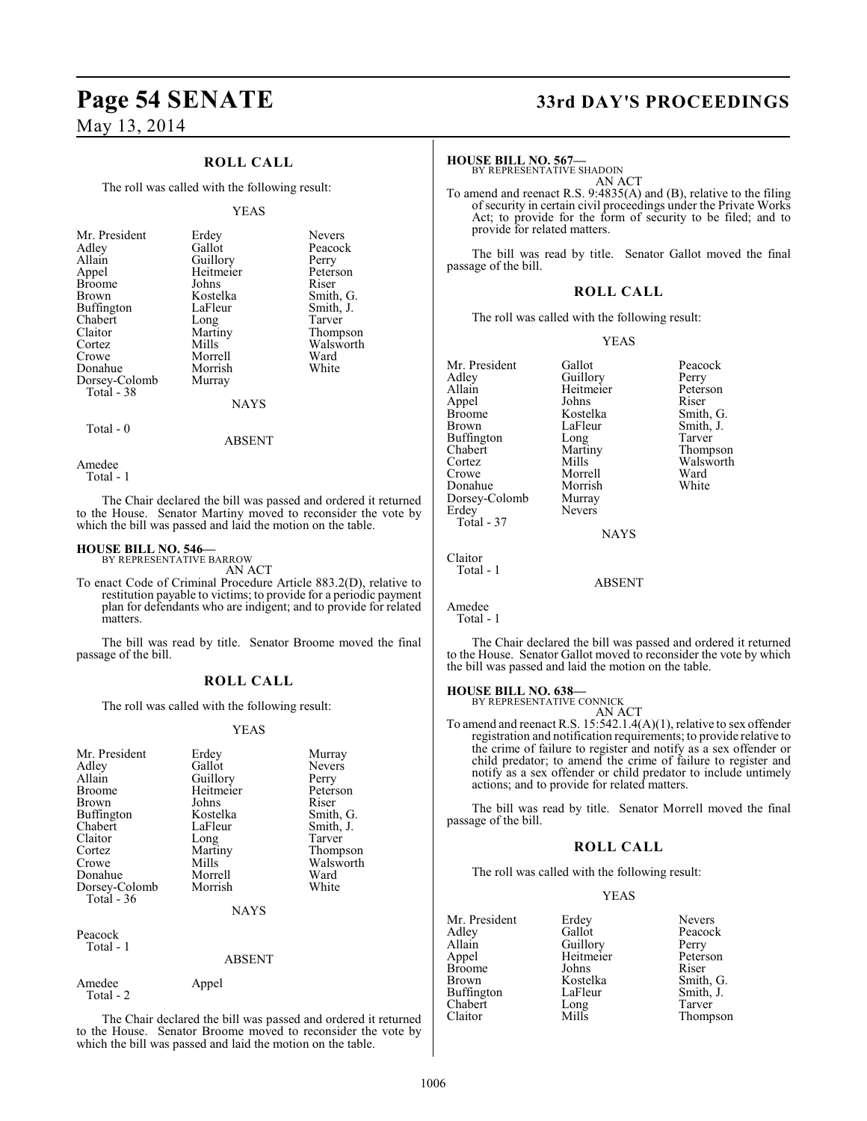## **ROLL CALL**

The roll was called with the following result:

#### YEAS

| Mr. President | Erdey       | <b>Nevers</b> |
|---------------|-------------|---------------|
| Adley         | Gallot      | Peacock       |
| Allain        | Guillory    | Perry         |
| Appel         | Heitmeier   | Peterson      |
| <b>Broome</b> | Johns       | Riser         |
| Brown         | Kostelka    | Smith, G.     |
| Buffington    | LaFleur     | Smith, J.     |
| Chabert       | Long        | Tarver        |
| Claitor       | Martiny     | Thompson      |
| Cortez        | Mills       | Walsworth     |
| Crowe         | Morrell     | Ward          |
| Donahue       | Morrish     | White         |
| Dorsey-Colomb | Murray      |               |
| Total - 38    |             |               |
|               | <b>NAYS</b> |               |
|               |             |               |

#### ABSENT

Amedee

Total - 0

Total - 1

The Chair declared the bill was passed and ordered it returned to the House. Senator Martiny moved to reconsider the vote by which the bill was passed and laid the motion on the table.

#### **HOUSE BILL NO. 546—**

Amedee Appel

Total - 2

BY REPRESENTATIVE BARROW AN ACT

To enact Code of Criminal Procedure Article 883.2(D), relative to restitution payable to victims; to provide for a periodic payment plan for defendants who are indigent; and to provide for related matters.

The bill was read by title. Senator Broome moved the final passage of the bill.

#### **ROLL CALL**

The roll was called with the following result:

#### YEAS

| Mr. President<br>Adley<br>Allain<br><b>Broome</b><br><b>Brown</b><br><b>Buffington</b><br>Chabert<br>Claitor<br>Cortez<br>Crowe<br>Donahue<br>Dorsey-Colomb<br>Total - 36 | Erdey<br>Gallot<br>Guillory<br>Heitmeier<br>Johns<br>Kostelka<br>LaFleur<br>Long<br>Martiny<br>Mills<br>Morrell<br>Morrish<br><b>NAYS</b> | Murray<br><b>Nevers</b><br>Perry<br>Peterson<br>Riser<br>Smith, G.<br>Smith, J.<br>Tarver<br>Thompson<br>Walsworth<br>Ward<br>White |
|---------------------------------------------------------------------------------------------------------------------------------------------------------------------------|-------------------------------------------------------------------------------------------------------------------------------------------|-------------------------------------------------------------------------------------------------------------------------------------|
| Peacock<br>Total - 1                                                                                                                                                      | ABSENT                                                                                                                                    |                                                                                                                                     |

The Chair declared the bill was passed and ordered it returned to the House. Senator Broome moved to reconsider the vote by which the bill was passed and laid the motion on the table.

# **Page 54 SENATE 33rd DAY'S PROCEEDINGS**

#### **HOUSE BILL NO. 567—**

BY REPRESENTATIVE SHADOIN AN ACT

To amend and reenact R.S. 9:4835(A) and (B), relative to the filing of security in certain civil proceedings under the Private Works Act; to provide for the form of security to be filed; and to provide for related matters.

The bill was read by title. Senator Gallot moved the final passage of the bill.

#### **ROLL CALL**

The roll was called with the following result:

#### YEAS

| Mr. President<br>Adley<br>Allain<br>Appel<br><b>Broome</b><br>Brown<br><b>Buffington</b><br>Chabert<br>Cortez<br>Crowe<br>Donahue<br>Dorsey-Colomb | Gallot<br>Guillory<br>Heitmeier<br>Johns<br>Kostelka<br>LaFleur<br>Long<br>Martiny<br>Mills<br>Morrell<br>Morrish<br>Murray | Peacock<br>Perry<br>Peterson<br>Riser<br>Smith, G.<br>Smith, J.<br>Tarver<br>Thompson<br>Walsworth<br>Ward<br>White |
|----------------------------------------------------------------------------------------------------------------------------------------------------|-----------------------------------------------------------------------------------------------------------------------------|---------------------------------------------------------------------------------------------------------------------|
| Erdey<br>Total - 37                                                                                                                                | Nevers<br><b>NAYS</b>                                                                                                       |                                                                                                                     |
| Claitor<br>Total - 1                                                                                                                               | ABSENT                                                                                                                      |                                                                                                                     |
| Amedee                                                                                                                                             |                                                                                                                             |                                                                                                                     |

Total - 1

The Chair declared the bill was passed and ordered it returned to the House. Senator Gallot moved to reconsider the vote by which the bill was passed and laid the motion on the table.

## **HOUSE BILL NO. 638—**

BY REPRESENTATIVE CONNICK AN ACT

To amend and reenact R.S. 15:542.1.4(A)(1), relative to sex offender registration and notification requirements; to provide relative to the crime of failure to register and notify as a sex offender or child predator; to amend the crime of failure to register and notify as a sex offender or child predator to include untimely actions; and to provide for related matters.

The bill was read by title. Senator Morrell moved the final passage of the bill.

#### **ROLL CALL**

The roll was called with the following result:

#### YEAS

| Mr. President | Erdey     | <b>Nevers</b> |
|---------------|-----------|---------------|
| Adley         | Gallot    | Peacock       |
| Allain        | Guillory  | Perry         |
| Appel         | Heitmeier | Peterson      |
| <b>Broome</b> | Johns     | Riser         |
| <b>Brown</b>  | Kostelka  | Smith, G.     |
| Buffington    | LaFleur   | Smith, J.     |
| Chabert       | Long      | Tarver        |
| Claitor       | Mills     | Thompso:      |

Thompson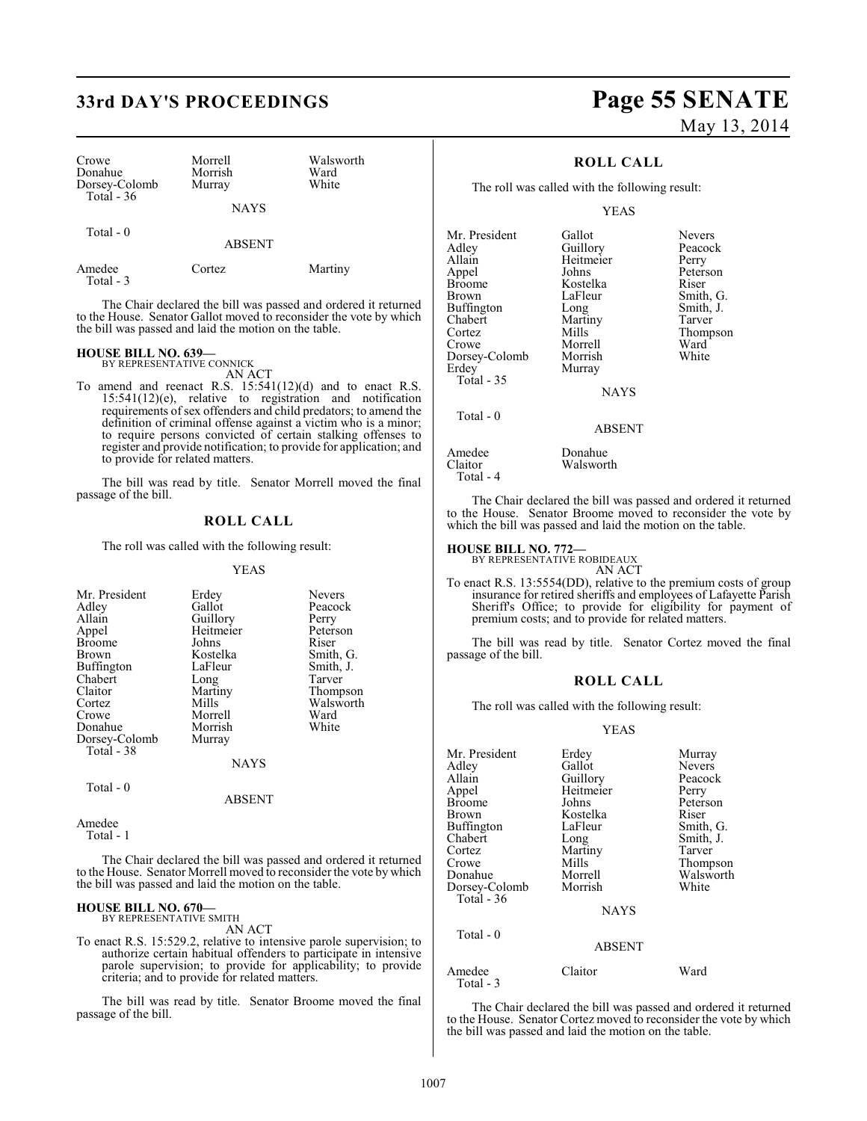# **33rd DAY'S PROCEEDINGS Page 55 SENATE**

| Crowe<br>Donahue<br>Dorsey-Colomb<br>Total $-36$ | Morrell<br>Morrish<br>Murray | Walsworth<br>Ward<br>White |
|--------------------------------------------------|------------------------------|----------------------------|
|                                                  | <b>NAYS</b>                  |                            |
| Total - 0                                        | <b>ABSENT</b>                |                            |
| Amedee                                           | 'ortez                       | Martiny                    |

Total - 3

The Chair declared the bill was passed and ordered it returned to the House. Senator Gallot moved to reconsider the vote by which the bill was passed and laid the motion on the table.

#### **HOUSE BILL NO. 639—** BY REPRESENTATIVE CONNICK

AN ACT

To amend and reenact R.S. 15:541(12)(d) and to enact R.S. 15:541(12)(e), relative to registration and notification requirements of sex offenders and child predators; to amend the definition of criminal offense against a victim who is a minor; to require persons convicted of certain stalking offenses to register and provide notification; to provide for application; and to provide for related matters.

The bill was read by title. Senator Morrell moved the final passage of the bill.

## **ROLL CALL**

The roll was called with the following result:

#### YEAS

| Erdey<br>Gallot<br>Guillory<br>Heitmeier<br>Johns<br>Kostelka<br>LaFleur<br>Long<br>Martiny<br>Mills<br>Morrell<br>Morrish<br>Murray | <b>Nevers</b><br>Peacock<br>Perry<br>Peterson<br>Riser<br>Smith, G.<br>Smith, J.<br>Tarver<br>Thompson<br>Walsworth<br>Ward<br>White |
|--------------------------------------------------------------------------------------------------------------------------------------|--------------------------------------------------------------------------------------------------------------------------------------|
| <b>NAYS</b>                                                                                                                          |                                                                                                                                      |
|                                                                                                                                      |                                                                                                                                      |

Total - 0

Amedee Total - 1

The Chair declared the bill was passed and ordered it returned to the House. Senator Morrell moved to reconsider the vote by which the bill was passed and laid the motion on the table.

ABSENT

#### **HOUSE BILL NO. 670—** BY REPRESENTATIVE SMITH

AN ACT

To enact R.S. 15:529.2, relative to intensive parole supervision; to authorize certain habitual offenders to participate in intensive parole supervision; to provide for applicability; to provide criteria; and to provide for related matters.

The bill was read by title. Senator Broome moved the final passage of the bill.

# May 13, 2014

## **ROLL CALL**

The roll was called with the following result:

Murray

Walsworth

#### YEAS

Mr. President Gallot Nevers<br>Adley Guillory Peacock Adley Guillory Peaco<br>Allain Heitmeier Perry Allain Heitmeier<br>Appel Johns Appel Johns Peterson Broome Kostelka<br>Brown LaFleur Buffington Long Smith,<br>
Chabert Martiny Tarver Chabert Martiny<br>Cortez Mills Cortez Mills Thompson Dorsey-Colomb<br>Erdey Total - 35

LaFleur Smith, G.<br>
Long Smith, J. Morrell Ward<br>
Morrish White

NAYS

#### ABSENT

| Amedee    | Donahue |
|-----------|---------|
| Claitor   | Walswor |
| Total - 4 |         |

Total - 0

The Chair declared the bill was passed and ordered it returned to the House. Senator Broome moved to reconsider the vote by which the bill was passed and laid the motion on the table.

# **HOUSE BILL NO. 772—** BY REPRESENTATIVE ROBIDEAUX

AN ACT

To enact R.S. 13:5554(DD), relative to the premium costs of group insurance for retired sheriffs and employees of Lafayette Parish Sheriff's Office; to provide for eligibility for payment of premium costs; and to provide for related matters.

The bill was read by title. Senator Cortez moved the final passage of the bill.

#### **ROLL CALL**

The roll was called with the following result:

#### YEAS

| Mr. President       | Erdey         | Murray        |
|---------------------|---------------|---------------|
| Adley               | Gallot        | <b>Nevers</b> |
| Allain              | Guillory      | Peacock       |
| Appel               | Heitmeier     | Perry         |
| <b>Broome</b>       | Johns         | Peterson      |
| Brown               | Kostelka      | Riser         |
| Buffington          | LaFleur       | Smith, G.     |
| Chabert             | Long          | Smith, J.     |
| Cortez              | Martiny       | Tarver        |
| Crowe               | Mills         | Thompson      |
| Donahue             | Morrell       | Walsworth     |
| Dorsey-Colomb       | Morrish       | White         |
| Total - 36          |               |               |
|                     | <b>NAYS</b>   |               |
| Total $-0$          |               |               |
|                     | <b>ABSENT</b> |               |
| Amedee<br>Total - 3 | Claitor       | Ward          |

The Chair declared the bill was passed and ordered it returned to the House. Senator Cortez moved to reconsider the vote by which the bill was passed and laid the motion on the table.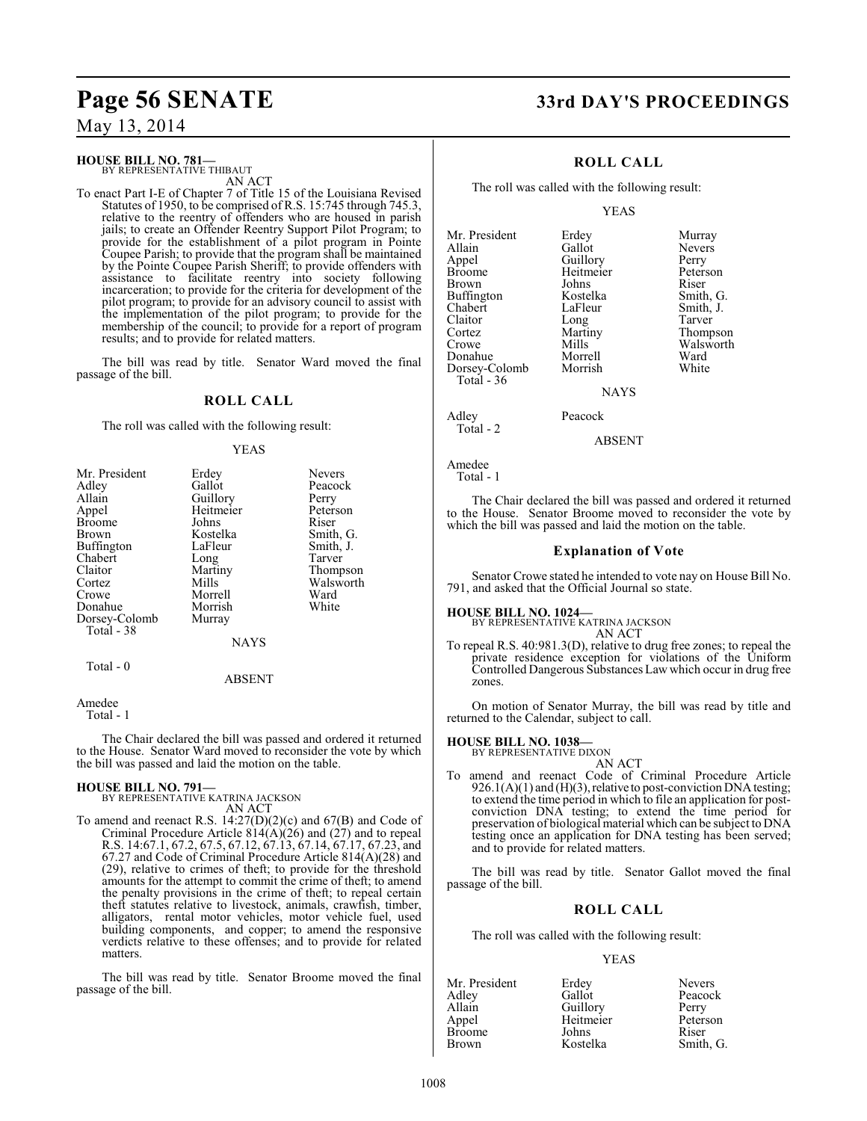#### **HOUSE BILL NO. 781—** BY REPRESENTATIVE THIBAUT

AN ACT

To enact Part I-E of Chapter 7 of Title 15 of the Louisiana Revised Statutes of 1950, to be comprised of R.S. 15:745 through 745.3, relative to the reentry of offenders who are housed in parish jails; to create an Offender Reentry Support Pilot Program; to provide for the establishment of a pilot program in Pointe Coupee Parish; to provide that the program shall be maintained by the Pointe Coupee Parish Sheriff; to provide offenders with assistance to facilitate reentry into society following incarceration; to provide for the criteria for development of the pilot program; to provide for an advisory council to assist with the implementation of the pilot program; to provide for the membership of the council; to provide for a report of program results; and to provide for related matters.

The bill was read by title. Senator Ward moved the final passage of the bill.

## **ROLL CALL**

The roll was called with the following result:

#### YEAS

| Mr. President | Erdey       | <b>Nevers</b> |
|---------------|-------------|---------------|
| Adley         | Gallot      | Peacock       |
| Allain        | Guillory    | Perry         |
| Appel         | Heitmeier   | Peterson      |
| <b>Broome</b> | Johns       | Riser         |
| <b>Brown</b>  | Kostelka    | Smith, G.     |
| Buffington    | LaFleur     | Smith, J.     |
| Chabert       | Long        | Tarver        |
| Claitor       | Martiny     | Thompson      |
| Cortez        | Mills       | Walsworth     |
| Crowe         | Morrell     | Ward          |
| Donahue       | Morrish     | White         |
| Dorsey-Colomb | Murray      |               |
| Total - 38    |             |               |
|               | <b>NAYS</b> |               |
| Total $-0$    |             |               |
|               | ABSENT      |               |

Amedee Total - 1

The Chair declared the bill was passed and ordered it returned to the House. Senator Ward moved to reconsider the vote by which the bill was passed and laid the motion on the table.

#### **HOUSE BILL NO. 791—**

BY REPRESENTATIVE KATRINA JACKSON AN ACT

To amend and reenact R.S. 14:27(D)(2)(c) and 67(B) and Code of Criminal Procedure Article  $814(A)(26)$  and  $(27)$  and to repeal R.S. 14:67.1, 67.2, 67.5, 67.12, 67.13, 67.14, 67.17, 67.23, and 67.27 and Code of Criminal Procedure Article 814(A)(28) and (29), relative to crimes of theft; to provide for the threshold amounts for the attempt to commit the crime of theft; to amend the penalty provisions in the crime of theft; to repeal certain theft statutes relative to livestock, animals, crawfish, timber, alligators, rental motor vehicles, motor vehicle fuel, used building components, and copper; to amend the responsive verdicts relative to these offenses; and to provide for related matters.

The bill was read by title. Senator Broome moved the final passage of the bill.

# **Page 56 SENATE 33rd DAY'S PROCEEDINGS**

## **ROLL CALL**

The roll was called with the following result:

#### YEAS

Mr. President Erdey Murray<br>Allain Gallot Nevers Allain Gallot Nevers Appel Guillory Perry<br>Broome Heitmeier Peterson Broome Heitmeier Peters<br>Brown Johns Riser Buffington Kostelka<br>Chabert LaFleur Chabert LaFleur Smith, J.<br>Claitor Long Tarver Claitor Long<br>Cortez Martiny Cortez Martiny Thompson<br>Crowe Mills Walsworth Donahue Morrell Ward Dorsey-Colomb Total - 36

Johns Riser<br>Kostelka Smith, G. Mills Walsworth<br>
Morrell Ward

NAYS Adley Peacock

## ABSENT

Amedee Total - 1

Total - 2

The Chair declared the bill was passed and ordered it returned to the House. Senator Broome moved to reconsider the vote by which the bill was passed and laid the motion on the table.

### **Explanation of Vote**

Senator Crowe stated he intended to vote nay on House Bill No. 791, and asked that the Official Journal so state.

#### **HOUSE BILL NO. 1024—**

BY REPRESENTATIVE KATRINA JACKSON

AN ACT To repeal R.S. 40:981.3(D), relative to drug free zones; to repeal the private residence exception for violations of the Uniform Controlled Dangerous Substances Law which occur in drug free zones.

On motion of Senator Murray, the bill was read by title and returned to the Calendar, subject to call.

#### **HOUSE BILL NO. 1038—**

BY REPRESENTATIVE DIXON

AN ACT To amend and reenact Code of Criminal Procedure Article 926.1(A)(1) and (H)(3), relative to post-conviction DNA testing; to extend the time period in which to file an application for postconviction DNA testing; to extend the time period for preservation of biological material which can be subject to DNA testing once an application for DNA testing has been served; and to provide for related matters.

The bill was read by title. Senator Gallot moved the final passage of the bill.

#### **ROLL CALL**

The roll was called with the following result:

#### YEAS

| Mr. President | Erdey     | <b>Nevers</b> |
|---------------|-----------|---------------|
| Adley         | Gallot    | Peacock       |
| Allain        | Guillory  | Perry         |
| Appel         | Heitmeier | Peterson      |
| Broome        | Johns     | Riser         |
| Brown         | Kostelka  | Smith, G.     |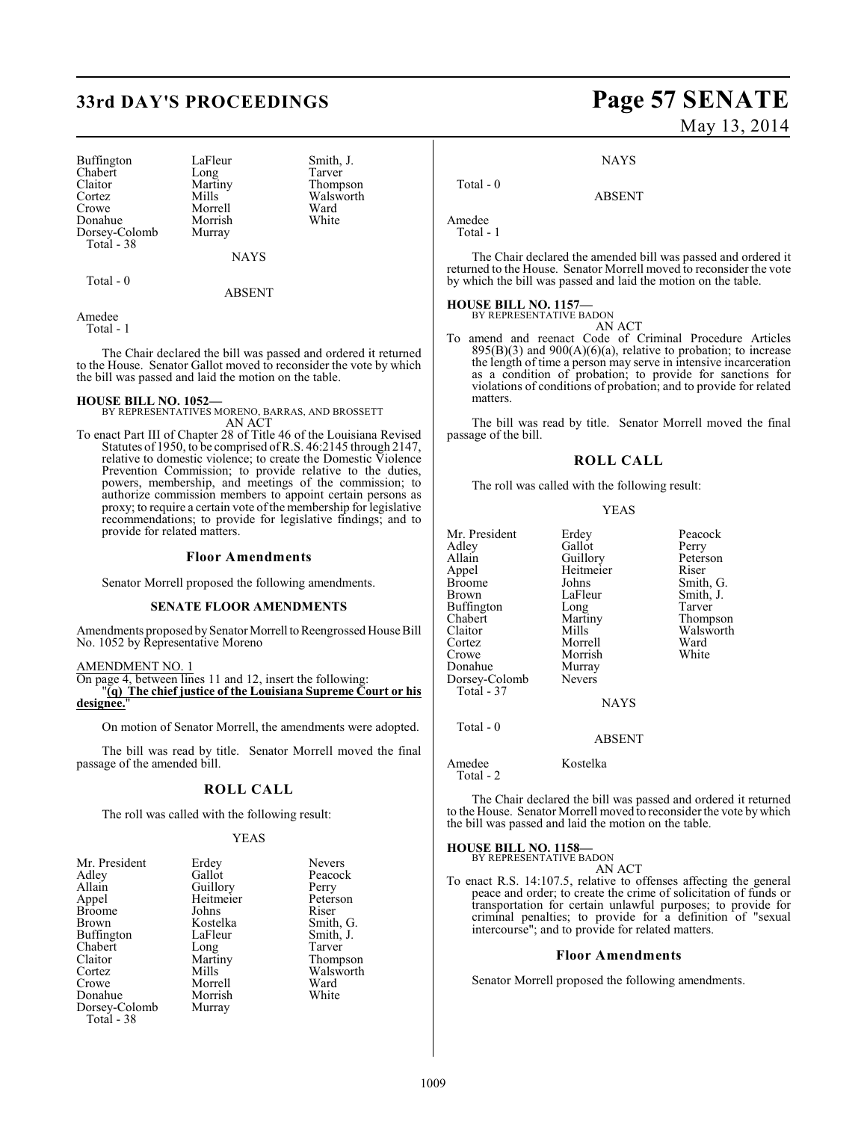# **33rd DAY'S PROCEEDINGS Page 57 SENATE**

Buffington LaFleur Smith, J.<br>
Chabert Long Tarver Chabert Long<br>Claitor Martiny Claitor Martiny Thompson<br>Cortez Mills Walsworth Cortez Mills Walsworth Donahue Morrish<br>Dorsey-Colomb Murray Dorsey-Colomb Total - 38

Morrell Ward<br>
Morrish White

NAYS

Total - 0

ABSENT

Amedee

Total - 1

The Chair declared the bill was passed and ordered it returned to the House. Senator Gallot moved to reconsider the vote by which the bill was passed and laid the motion on the table.

**HOUSE BILL NO. 1052—** BY REPRESENTATIVES MORENO, BARRAS, AND BROSSETT AN ACT

To enact Part III of Chapter 28 of Title 46 of the Louisiana Revised Statutes of 1950, to be comprised of R.S. 46:2145 through 2147, relative to domestic violence; to create the Domestic Violence Prevention Commission; to provide relative to the duties, powers, membership, and meetings of the commission; to authorize commission members to appoint certain persons as proxy; to require a certain vote of the membership for legislative recommendations; to provide for legislative findings; and to provide for related matters.

#### **Floor Amendments**

Senator Morrell proposed the following amendments.

#### **SENATE FLOOR AMENDMENTS**

Amendments proposed by Senator Morrell to Reengrossed House Bill No. 1052 by Representative Moreno

AMENDMENT NO. 1

On page 4, between lines 11 and 12, insert the following: "**(q) The chief justice of the Louisiana Supreme Court or his designee.**"

On motion of Senator Morrell, the amendments were adopted.

The bill was read by title. Senator Morrell moved the final passage of the amended bill.

#### **ROLL CALL**

The roll was called with the following result:

#### **YEAS**

| Mr. President | Erdey     | <b>Nevers</b> |
|---------------|-----------|---------------|
| Adley         | Gallot    | Peacoc        |
| Allain        | Guillory  | Perry         |
| Appel         | Heitmeier | Petersc       |
| <b>Broome</b> | Johns     | Riser         |
| Brown         | Kostelka  | Smith,        |
| Buffington    | LaFleur   | Smith,        |
| Chabert       | Long      | Tarver        |
| Claitor       | Martiny   | Thomp         |
| Cortez        | Mills     | Walsw         |
| Crowe         | Morrell   | Ward          |
| Donahue       | Morrish   | White         |
| Dorsey-Colomb | Murray    |               |
| Total - 38    |           |               |

Peacock Perry Peterson<br>Riser Smith, G. Smith, J.<br>Tarver Thompson Walsworth<br>Ward White

# May 13, 2014

**NAYS** 

ABSENT

Amedee Total - 1

Total - 0

The Chair declared the amended bill was passed and ordered it returned to the House. Senator Morrell moved to reconsider the vote by which the bill was passed and laid the motion on the table.

# **HOUSE BILL NO. 1157—** BY REPRESENTATIVE BADON

AN ACT

To amend and reenact Code of Criminal Procedure Articles  $895(B)(3)$  and  $900(A)(6)(a)$ , relative to probation; to increase the length of time a person may serve in intensive incarceration as a condition of probation; to provide for sanctions for violations of conditions of probation; and to provide for related matters.

The bill was read by title. Senator Morrell moved the final passage of the bill.

#### **ROLL CALL**

The roll was called with the following result:

#### YEAS

| Mr. President<br>Adley<br>Allain<br>Appel<br><b>Broome</b><br><b>Brown</b><br><b>Buffington</b><br>Chabert<br>Claitor<br>Cortez<br>Crowe<br>Donahue<br>Dorsey-Colomb<br>Total - 37 | Erdey<br>Gallot<br>Guillory<br>Heitmeier<br>Johns<br>LaFleur<br>Long<br>Martiny<br>Mills<br>Morrell<br>Morrish<br>Murray<br><b>Nevers</b><br><b>NAYS</b> | Peacock<br>Perry<br>Peterson<br>Riser<br>Smith, G.<br>Smith, J.<br>Tarver<br>Thompson<br>Walsworth<br>Ward<br>White |
|------------------------------------------------------------------------------------------------------------------------------------------------------------------------------------|----------------------------------------------------------------------------------------------------------------------------------------------------------|---------------------------------------------------------------------------------------------------------------------|
| Total - 0                                                                                                                                                                          |                                                                                                                                                          |                                                                                                                     |

ABSENT

Amedee Kostelka Total - 2

The Chair declared the bill was passed and ordered it returned to the House. Senator Morrell moved to reconsider the vote by which the bill was passed and laid the motion on the table.

**HOUSE BILL NO. 1158—**

BY REPRESENTATIVE BADON AN ACT

To enact R.S. 14:107.5, relative to offenses affecting the general peace and order; to create the crime of solicitation of funds or transportation for certain unlawful purposes; to provide for criminal penalties; to provide for a definition of "sexual intercourse"; and to provide for related matters.

#### **Floor Amendments**

Senator Morrell proposed the following amendments.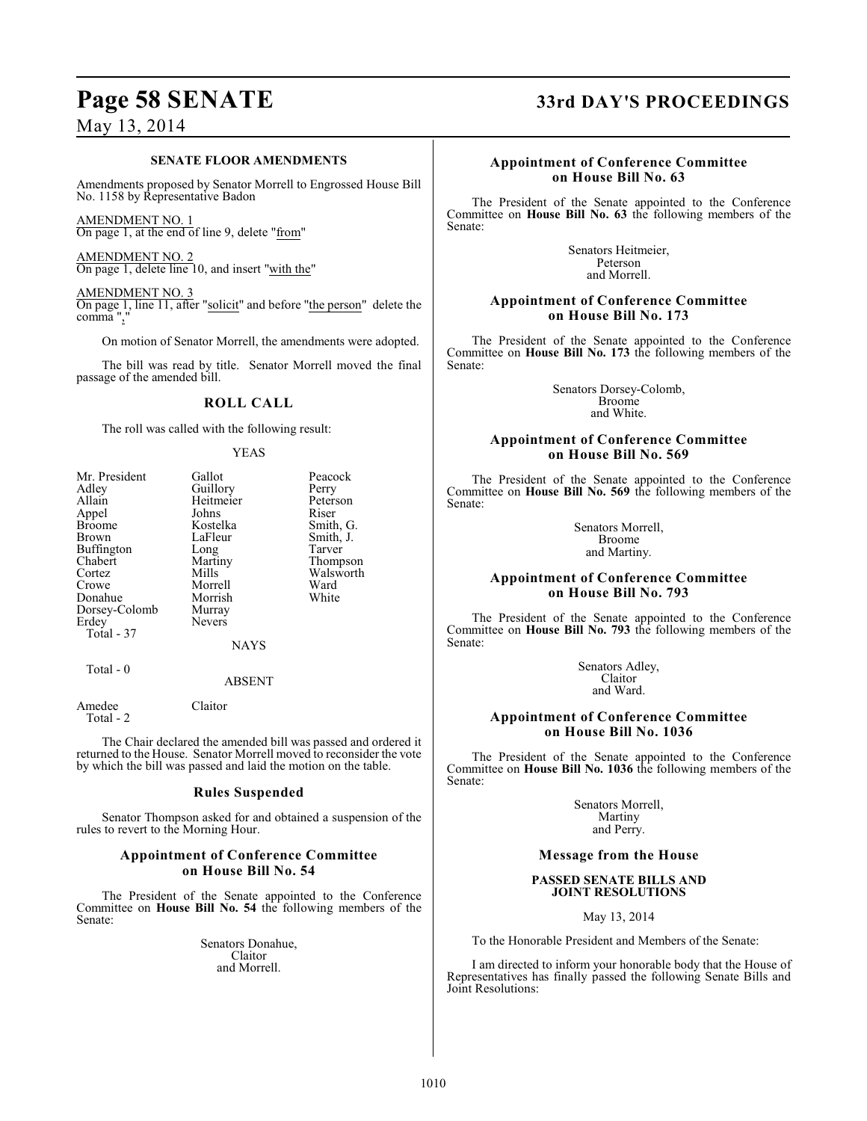#### **SENATE FLOOR AMENDMENTS**

Amendments proposed by Senator Morrell to Engrossed House Bill No. 1158 by Representative Badon

AMENDMENT NO. 1 On page 1, at the end of line 9, delete "from"

AMENDMENT NO. 2 On page 1, delete line 10, and insert "with the"

AMENDMENT NO. 3 On page 1, line 11, after "solicit" and before "the person" delete the comma ","

On motion of Senator Morrell, the amendments were adopted.

The bill was read by title. Senator Morrell moved the final passage of the amended bill.

#### **ROLL CALL**

The roll was called with the following result:

#### YEAS

| Mr. President | Gallot        | Peacock   |
|---------------|---------------|-----------|
| Adley         | Guillory      | Perry     |
| Allain        | Heitmeier     | Peterson  |
| Appel         | Johns         | Riser     |
| <b>Broome</b> | Kostelka      | Smith, G. |
| Brown         | LaFleur       | Smith, J. |
| Buffington    | Long          | Tarver    |
| Chabert       | Martiny       | Thompson  |
| Cortez        | Mills         | Walsworth |
| Crowe         | Morrell       | Ward      |
| Donahue       | Morrish       | White     |
| Dorsey-Colomb | Murray        |           |
| Erdey         | <b>Nevers</b> |           |
| Total - 37    |               |           |
|               | <b>NAYS</b>   |           |
| Total - 0     |               |           |
|               | ABSENT        |           |

#### ABSENT

Amedee Claitor Total - 2

The Chair declared the amended bill was passed and ordered it returned to the House. Senator Morrell moved to reconsider the vote by which the bill was passed and laid the motion on the table.

#### **Rules Suspended**

Senator Thompson asked for and obtained a suspension of the rules to revert to the Morning Hour.

#### **Appointment of Conference Committee on House Bill No. 54**

The President of the Senate appointed to the Conference Committee on **House Bill No. 54** the following members of the Senate:

> Senators Donahue, Claitor and Morrell.

# **Page 58 SENATE 33rd DAY'S PROCEEDINGS**

#### **Appointment of Conference Committee on House Bill No. 63**

The President of the Senate appointed to the Conference Committee on **House Bill No. 63** the following members of the Senate:

> Senators Heitmeier, Peterson and Morrell.

#### **Appointment of Conference Committee on House Bill No. 173**

The President of the Senate appointed to the Conference Committee on **House Bill No. 173** the following members of the Senate:

> Senators Dorsey-Colomb, Broome and White.

#### **Appointment of Conference Committee on House Bill No. 569**

The President of the Senate appointed to the Conference Committee on **House Bill No. 569** the following members of the Senate:

> Senators Morrell, Broome and Martiny.

### **Appointment of Conference Committee on House Bill No. 793**

The President of the Senate appointed to the Conference Committee on **House Bill No. 793** the following members of the Senate:

> Senators Adley, Claitor and Ward.

### **Appointment of Conference Committee on House Bill No. 1036**

The President of the Senate appointed to the Conference Committee on **House Bill No. 1036** the following members of the Senate:

> Senators Morrell, Martiny and Perry.

#### **Message from the House**

#### **PASSED SENATE BILLS AND JOINT RESOLUTIONS**

May 13, 2014

To the Honorable President and Members of the Senate:

I am directed to inform your honorable body that the House of Representatives has finally passed the following Senate Bills and Joint Resolutions: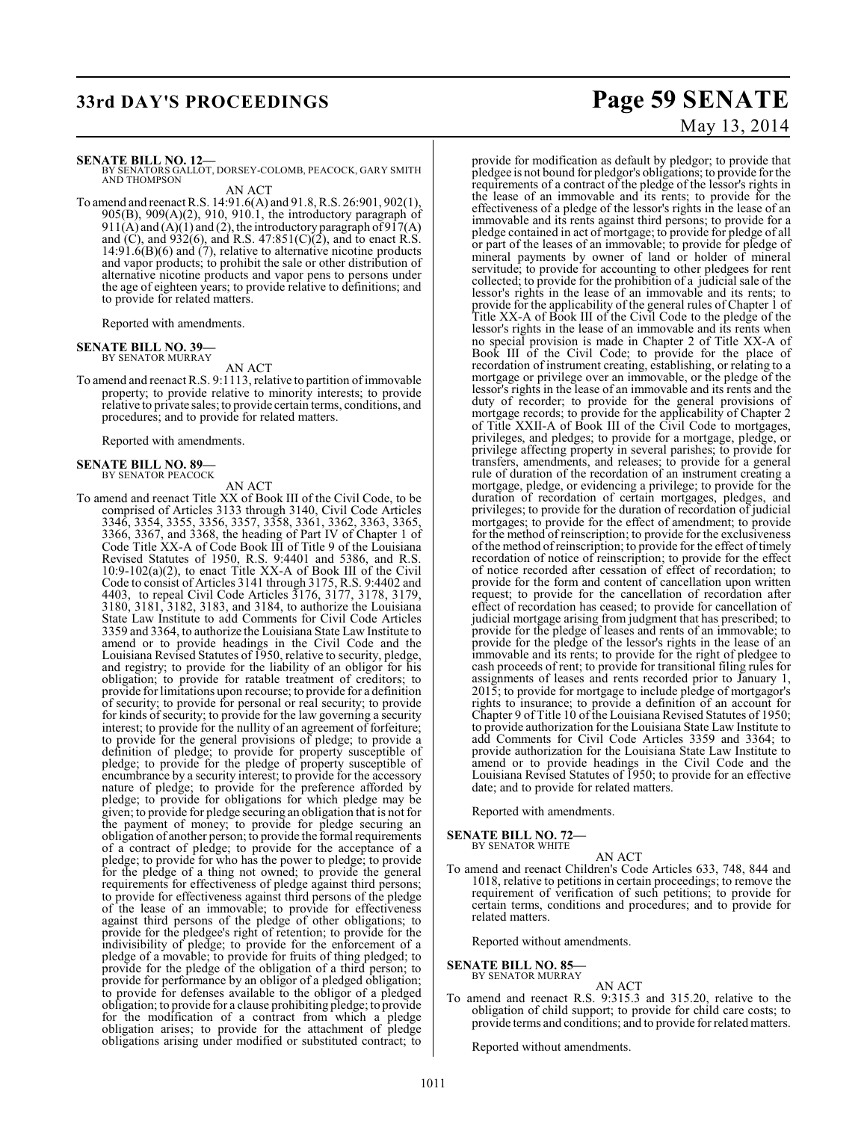**SENATE BILL NO. 12—**<br>BY SENATORS GALLOT, DORSEY-COLOMB, PEACOCK, GARY SMITH<br>AND THOMPSON

AN ACT To amend and reenact R.S. 14:91.6(A) and 91.8, R.S. 26:901, 902(1), 905(B), 909(A)(2), 910, 910.1, the introductory paragraph of  $911(A)$  and  $(A)(1)$  and  $(2)$ , the introductory paragraph of  $917(A)$ and  $(C)$ , and  $932(6)$ , and R.S.  $47:851(C)(2)$ , and to enact R.S.  $14:91.6(B)(6)$  and  $(7)$ , relative to alternative nicotine products and vapor products; to prohibit the sale or other distribution of alternative nicotine products and vapor pens to persons under the age of eighteen years; to provide relative to definitions; and to provide for related matters.

Reported with amendments.

#### **SENATE BILL NO. 39—** BY SENATOR MURRAY

AN ACT

To amend and reenact R.S. 9:1113, relative to partition of immovable property; to provide relative to minority interests; to provide relative to private sales; to provide certain terms, conditions, and procedures; and to provide for related matters.

Reported with amendments.

# **SENATE BILL NO. 89—** BY SENATOR PEACOCK

AN ACT

To amend and reenact Title XX of Book III of the Civil Code, to be comprised of Articles 3133 through 3140, Civil Code Articles 3346, 3354, 3355, 3356, 3357, 3358, 3361, 3362, 3363, 3365, 3366, 3367, and 3368, the heading of Part IV of Chapter 1 of Code Title XX-A of Code Book III of Title 9 of the Louisiana Revised Statutes of 1950, R.S. 9:4401 and 5386, and R.S. 10:9-102(a)(2), to enact Title XX-A of Book III of the Civil Code to consist of Articles 3141 through 3175, R.S. 9:4402 and 4403, to repeal Civil Code Articles 3176, 3177, 3178, 3179, 3180, 3181, 3182, 3183, and 3184, to authorize the Louisiana State Law Institute to add Comments for Civil Code Articles 3359 and 3364, to authorize the Louisiana State Law Institute to amend or to provide headings in the Civil Code and the Louisiana Revised Statutes of 1950, relative to security, pledge, and registry; to provide for the liability of an obligor for his obligation; to provide for ratable treatment of creditors; to provide for limitations upon recourse; to provide for a definition of security; to provide for personal or real security; to provide for kinds of security; to provide for the law governing a security interest; to provide for the nullity of an agreement of forfeiture; to provide for the general provisions of pledge; to provide a definition of pledge; to provide for property susceptible of pledge; to provide for the pledge of property susceptible of encumbrance by a security interest; to provide for the accessory nature of pledge; to provide for the preference afforded by pledge; to provide for obligations for which pledge may be given; to provide for pledge securing an obligation that is not for the payment of money; to provide for pledge securing an obligation of another person; to provide the formal requirements of a contract of pledge; to provide for the acceptance of a pledge; to provide for who has the power to pledge; to provide for the pledge of a thing not owned; to provide the general requirements for effectiveness of pledge against third persons; to provide for effectiveness against third persons of the pledge of the lease of an immovable; to provide for effectiveness against third persons of the pledge of other obligations; to provide for the pledgee's right of retention; to provide for the indivisibility of pledge; to provide for the enforcement of a pledge of a movable; to provide for fruits of thing pledged; to provide for the pledge of the obligation of a third person; to provide for performance by an obligor of a pledged obligation; to provide for defenses available to the obligor of a pledged obligation; to provide for a clause prohibiting pledge; to provide for the modification of a contract from which a pledge obligation arises; to provide for the attachment of pledge obligations arising under modified or substituted contract; to

# **33rd DAY'S PROCEEDINGS Page 59 SENATE** May 13, 2014

provide for modification as default by pledgor; to provide that pledgee is not bound for pledgor's obligations; to provide for the requirements of a contract of the pledge of the lessor's rights in the lease of an immovable and its rents; to provide for the effectiveness of a pledge of the lessor's rights in the lease of an immovable and its rents against third persons; to provide for a pledge contained in act of mortgage; to provide for pledge of all or part of the leases of an immovable; to provide for pledge of mineral payments by owner of land or holder of mineral servitude; to provide for accounting to other pledgees for rent collected; to provide for the prohibition of a judicial sale of the lessor's rights in the lease of an immovable and its rents; to provide for the applicability of the general rules of Chapter 1 of Title XX-A of Book III of the Civil Code to the pledge of the lessor's rights in the lease of an immovable and its rents when no special provision is made in Chapter 2 of Title XX-A of Book III of the Civil Code; to provide for the place of recordation of instrument creating, establishing, or relating to a mortgage or privilege over an immovable, or the pledge of the lessor's rights in the lease of an immovable and its rents and the duty of recorder; to provide for the general provisions of mortgage records; to provide for the applicability of Chapter 2 of Title XXII-A of Book III of the Civil Code to mortgages, privileges, and pledges; to provide for a mortgage, pledge, or privilege affecting property in several parishes; to provide for transfers, amendments, and releases; to provide for a general rule of duration of the recordation of an instrument creating a mortgage, pledge, or evidencing a privilege; to provide for the duration of recordation of certain mortgages, pledges, and privileges; to provide for the duration of recordation of judicial mortgages; to provide for the effect of amendment; to provide for the method of reinscription; to provide for the exclusiveness of the method ofreinscription; to provide for the effect of timely recordation of notice of reinscription; to provide for the effect of notice recorded after cessation of effect of recordation; to provide for the form and content of cancellation upon written request; to provide for the cancellation of recordation after effect of recordation has ceased; to provide for cancellation of judicial mortgage arising from judgment that has prescribed; to provide for the pledge of leases and rents of an immovable; to provide for the pledge of the lessor's rights in the lease of an immovable and its rents; to provide for the right of pledgee to cash proceeds of rent; to provide for transitional filing rules for assignments of leases and rents recorded prior to January 1, 2015; to provide for mortgage to include pledge of mortgagor's rights to insurance; to provide a definition of an account for Chapter 9 of Title 10 of the Louisiana Revised Statutes of 1950; to provide authorization for the Louisiana State Law Institute to add Comments for Civil Code Articles 3359 and 3364; to provide authorization for the Louisiana State Law Institute to amend or to provide headings in the Civil Code and the Louisiana Revised Statutes of 1950; to provide for an effective date; and to provide for related matters.

Reported with amendments.

**SENATE BILL NO. 72—** BY SENATOR WHITE

- AN ACT
- To amend and reenact Children's Code Articles 633, 748, 844 and 1018, relative to petitions in certain proceedings; to remove the requirement of verification of such petitions; to provide for certain terms, conditions and procedures; and to provide for related matters.

Reported without amendments.

**SENATE BILL NO. 85—** BY SENATOR MURRAY

AN ACT

To amend and reenact R.S. 9:315.3 and 315.20, relative to the obligation of child support; to provide for child care costs; to provide terms and conditions; and to provide for related matters.

Reported without amendments.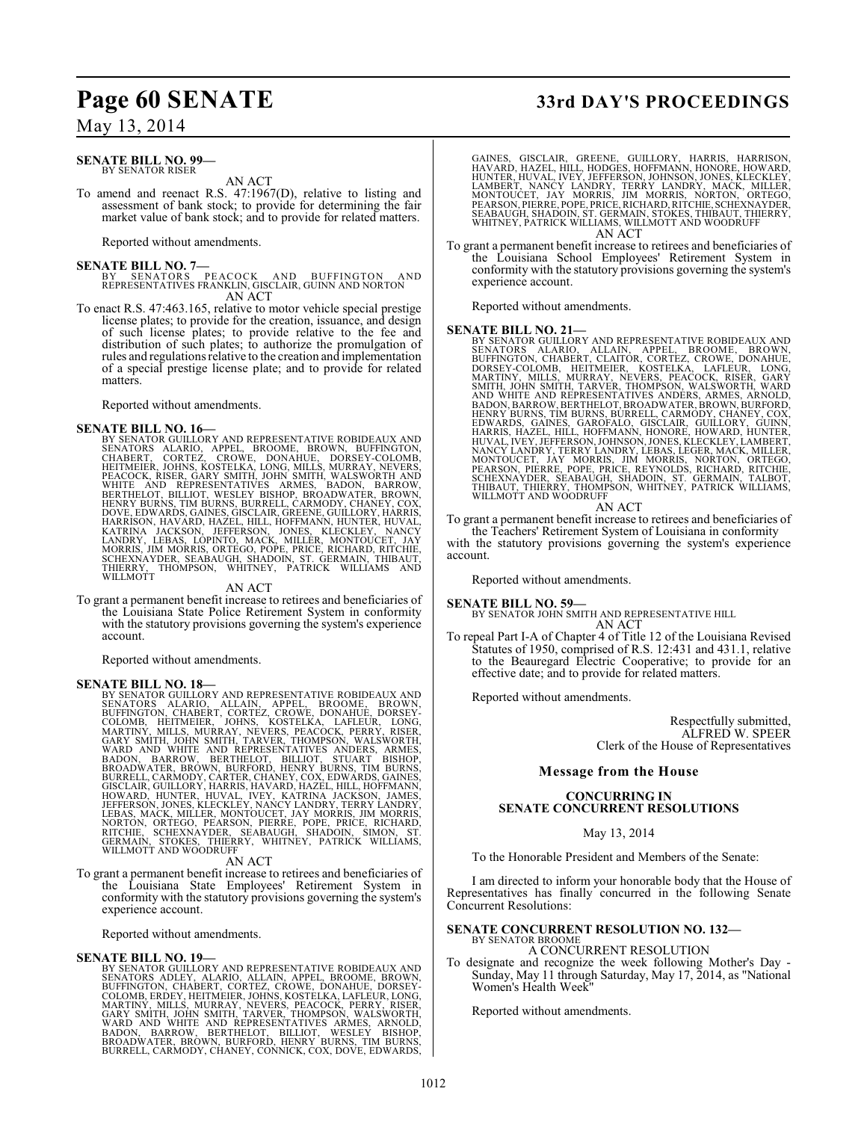#### **SENATE BILL NO. 99—** BY SENATOR RISER

AN ACT

To amend and reenact R.S. 47:1967(D), relative to listing and assessment of bank stock; to provide for determining the fair market value of bank stock; and to provide for related matters.

Reported without amendments.

#### **SENATE BILL NO. 7—**

BY SENATORS PEACOCK AND BUFFINGTON AND REPRESENTATIVES FRANKLIN, GISCLAIR, GUINN AND NORTON AN ACT

To enact R.S. 47:463.165, relative to motor vehicle special prestige license plates; to provide for the creation, issuance, and design of such license plates; to provide relative to the fee and distribution of such plates; to authorize the promulgation of rules and regulations relative to the creation and implementation of a special prestige license plate; and to provide for related matters.

Reported without amendments.

**SENATE BILL NO. 16—**<br>BY SENATOR GUILLORY AND REPRESENTATIVE ROBIDEAUX AND<br>SENATOR GUILLORY AND REPRESENTATIVE ROBIDEAUX AND<br>CHABERT, CORTEZ, CROWE, DONAHUE, DORSEY-COLOMB,<br>HEITMEIER, JOHNS, KOSTELKA, LONG, MILLS, MURRAY, HARRISON, HAVARD, HAZEL, HILL, HOFFMANN, HUNTER, HUVAL,<br>KATRINA JACKSON, JEFFERSON, JONES, KLECKLEY, NANCY<br>LANDRY, LEBAS, LOPINTO, MACK, MILLER, MONTOUCET, JAY<br>MORRIS, JIM MORRIS, ORTEGO, POPE, PRICE, RICHARD, RITCHIE,<br>SCH

#### AN ACT

To grant a permanent benefit increase to retirees and beneficiaries of the Louisiana State Police Retirement System in conformity with the statutory provisions governing the system's experience account.

Reported without amendments.

**SENATE BILL NO. 18—**<br>BY SENATOR GUILLORY AND REPRESENTATIVE ROBIDEAUX AND<br>BENATOR GUILLORY AND REPRESENTATIVE ROBIDEAUX AND<br>ENFINGTON, CHABERT, CORTEZ, CROWE, DONAHUE, DORSEY-<br>COLOMB, HEITMEIER, JOHNS, KOSTELKA, LAFLEUR,

To grant a permanent benefit increase to retirees and beneficiaries of the Louisiana State Employees' Retirement System in conformity with the statutory provisions governing the system's experience account.

Reported without amendments.

**SENATE BILL NO. 19-**<br>BY SENATOR GUILLORY AND REPRESENTATIVE ROBIDEAUX AND BY SENATOR GUILLORY AND REPRESENTATIVE ROBIDEAUX AND<br>SENATORS ADLEY, ALARIO, ALLAIN, APPEL, BROOME, BROWN,<br>BUFFINGTON, CHABERT, CORTEZ, CROWE, DONAHUE, DORSEY-<br>COLOMB, ERDEY, HEITMEIER, JOHNS, KOSTELKA, LAFLEUR, LONG,<br>MART

# **Page 60 SENATE 33rd DAY'S PROCEEDINGS**

GAINES, GISCLAIR, GREENE, GUILLORY, HARRIS, HARRISON,<br>HAVARD, HAZEL, HILL, HODGES, HOFFMANN, HONORE, HOWARD,<br>HUNTER, HUVAL, IVEY, JEFFERSON, JOHNSON, JONES, KLECKLEY,<br>LAMBERT, NANCY LANDRY, TERRY LANDRY, MACK, MILLER,<br>MONT WHITNEY, PATRICK WILLIAMS, WILLMOTT AND WOODRUFF AN ACT

To grant a permanent benefit increase to retirees and beneficiaries of the Louisiana School Employees' Retirement System in conformity with the statutory provisions governing the system's experience account.

Reported without amendments.

**SENATE BILL NO. 21—**<br>BY SENATOR GUILLORY AND REPRESENTATIVE ROBIDEAUX AND BY SENATOR GUILLORY AND REPRESENTATIVE ROBIDEAUX AND<br>SENATORS - ALARIO, - ALLAIN, - APPEL, - BROOME, - BROWN,<br>BUFFINGTON, CHABERT, CLAITOR, CORTEZ, CROWE, DONAHUE,<br>DORSEY-COLOMB, - HEITMEIER, - KOSTELKA, - LAFLEUR, - LONG, HENRY BURNS, TIM BURNS, BURRELL, CARMODY, CHANEY, COX,<br>EDWARDS, GAINES, GAROFALO, GISCLAIR, GUILLORY, GUINN,<br>HARRIS, HAZEL, HILL, HOFFMANN, HONORE, HOWARD, HUNTER,<br>HUVAL, IVEY, JEFFERSON, JOHNSON, JONES, KLECKLEY, LAMBERT,

#### AN ACT

To grant a permanent benefit increase to retirees and beneficiaries of the Teachers' Retirement System of Louisiana in conformity

with the statutory provisions governing the system's experience account.

Reported without amendments.

### **SENATE BILL NO. 59—**

BY SENATOR JOHN SMITH AND REPRESENTATIVE HILL AN ACT

To repeal Part I-A of Chapter 4 of Title 12 of the Louisiana Revised Statutes of 1950, comprised of R.S. 12:431 and 431.1, relative to the Beauregard Electric Cooperative; to provide for an effective date; and to provide for related matters.

Reported without amendments.

Respectfully submitted, ALFRED W. SPEER Clerk of the House of Representatives

#### **Message from the House**

#### **CONCURRING IN SENATE CONCURRENT RESOLUTIONS**

#### May 13, 2014

To the Honorable President and Members of the Senate:

I am directed to inform your honorable body that the House of Representatives has finally concurred in the following Senate Concurrent Resolutions:

#### **SENATE CONCURRENT RESOLUTION NO. 132—** BY SENATOR BROOME

A CONCURRENT RESOLUTION

To designate and recognize the week following Mother's Day - Sunday, May 11 through Saturday, May 17, 2014, as "National Women's Health Week"

Reported without amendments.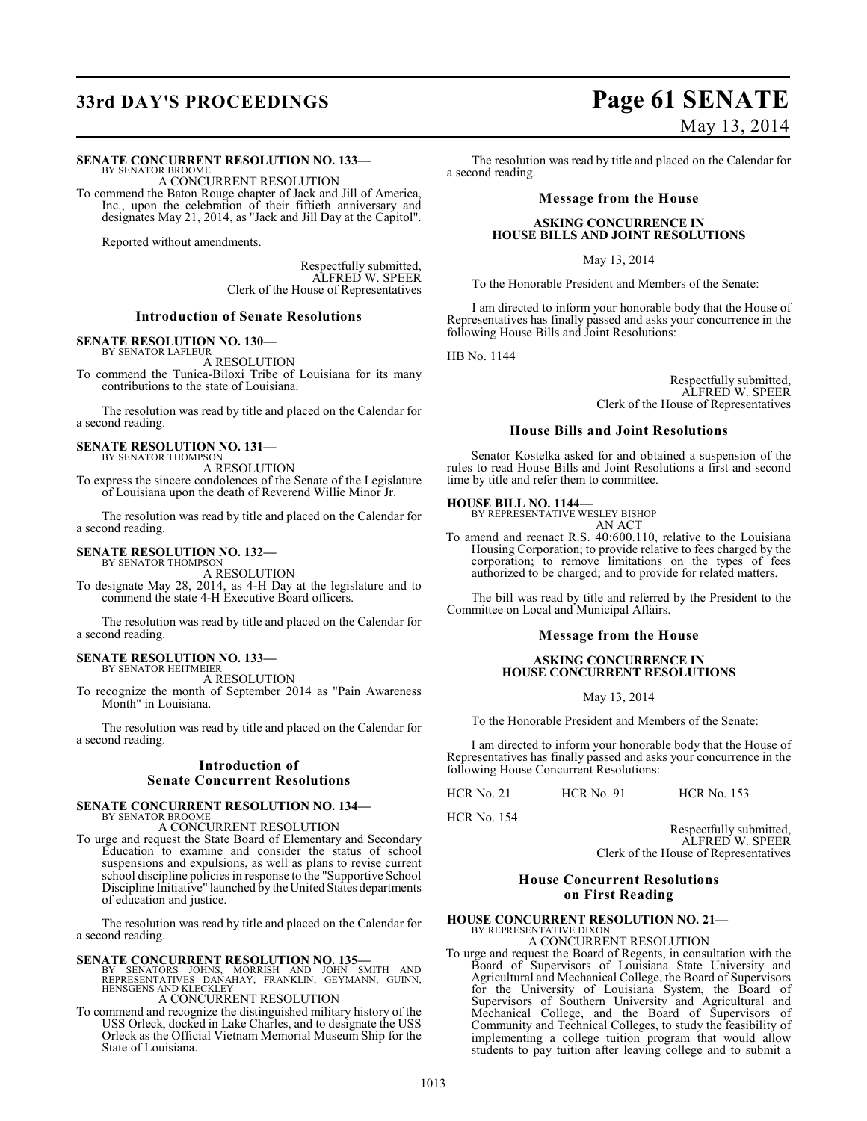# **33rd DAY'S PROCEEDINGS Page 61 SENATE**

#### **SENATE CONCURRENT RESOLUTION NO. 133—**

BY SENATOR BROOME A CONCURRENT RESOLUTION

To commend the Baton Rouge chapter of Jack and Jill of America, Inc., upon the celebration of their fiftieth anniversary and designates May 21, 2014, as "Jack and Jill Day at the Capitol".

Reported without amendments.

Respectfully submitted, ALFRED W. SPEER Clerk of the House of Representatives

#### **Introduction of Senate Resolutions**

#### **SENATE RESOLUTION NO. 130—**

BY SENATOR LAFLEUR A RESOLUTION

To commend the Tunica-Biloxi Tribe of Louisiana for its many contributions to the state of Louisiana.

The resolution was read by title and placed on the Calendar for a second reading.

#### **SENATE RESOLUTION NO. 131—** BY SENATOR THOMPSON

A RESOLUTION

To express the sincere condolences of the Senate of the Legislature of Louisiana upon the death of Reverend Willie Minor Jr.

The resolution was read by title and placed on the Calendar for a second reading.

#### **SENATE RESOLUTION NO. 132—**

BY SENATOR THOMPSON A RESOLUTION

To designate May 28, 2014, as 4-H Day at the legislature and to commend the state 4-H Executive Board officers.

The resolution was read by title and placed on the Calendar for a second reading.

#### **SENATE RESOLUTION NO. 133—**

BY SENATOR HEITMEIER A RESOLUTION

To recognize the month of September 2014 as "Pain Awareness Month" in Louisiana.

The resolution was read by title and placed on the Calendar for a second reading.

#### **Introduction of Senate Concurrent Resolutions**

#### **SENATE CONCURRENT RESOLUTION NO. 134—** BY SENATOR BROOME

A CONCURRENT RESOLUTION

To urge and request the State Board of Elementary and Secondary Education to examine and consider the status of school suspensions and expulsions, as well as plans to revise current school discipline policies in response to the "Supportive School Discipline Initiative" launched by the United States departments of education and justice.

The resolution was read by title and placed on the Calendar for a second reading.

#### **SENATE CONCURRENT RESOLUTION NO. 135—**

BY SENATORS JOHNS, MORRISH AND JOHN SMITH AND<br>REPRESENTATIVES DANAHAY, FRANKLIN, GEYMANN, GUINN,<br>HENSGENS AND KLECKLEY<br>A CONCURRENT RESOLUTION

To commend and recognize the distinguished military history of the USS Orleck, docked in Lake Charles, and to designate the USS Orleck as the Official Vietnam Memorial Museum Ship for the State of Louisiana.

# May 13, 2014

The resolution was read by title and placed on the Calendar for a second reading.

#### **Message from the House**

#### **ASKING CONCURRENCE IN HOUSE BILLS AND JOINT RESOLUTIONS**

May 13, 2014

To the Honorable President and Members of the Senate:

I am directed to inform your honorable body that the House of Representatives has finally passed and asks your concurrence in the following House Bills and Joint Resolutions:

HB No. 1144

Respectfully submitted, ALFRED W. SPEER Clerk of the House of Representatives

#### **House Bills and Joint Resolutions**

Senator Kostelka asked for and obtained a suspension of the rules to read House Bills and Joint Resolutions a first and second time by title and refer them to committee.

#### **HOUSE BILL NO. 1144—**

BY REPRESENTATIVE WESLEY BISHOP AN ACT

To amend and reenact R.S. 40:600.110, relative to the Louisiana Housing Corporation; to provide relative to fees charged by the corporation; to remove limitations on the types of fees authorized to be charged; and to provide for related matters.

The bill was read by title and referred by the President to the Committee on Local and Municipal Affairs.

#### **Message from the House**

#### **ASKING CONCURRENCE IN HOUSE CONCURRENT RESOLUTIONS**

May 13, 2014

To the Honorable President and Members of the Senate:

I am directed to inform your honorable body that the House of Representatives has finally passed and asks your concurrence in the following House Concurrent Resolutions:

HCR No. 21 HCR No. 91 HCR No. 153

HCR No. 154

Respectfully submitted, ALFRED W. SPEER Clerk of the House of Representatives

#### **House Concurrent Resolutions on First Reading**

#### **HOUSE CONCURRENT RESOLUTION NO. 21—** BY REPRESENTATIVE DIXON

A CONCURRENT RESOLUTION

To urge and request the Board of Regents, in consultation with the Board of Supervisors of Louisiana State University and Agricultural and Mechanical College, the Board of Supervisors for the University of Louisiana System, the Board of Supervisors of Southern University and Agricultural and Mechanical College, and the Board of Supervisors of Community and Technical Colleges, to study the feasibility of implementing a college tuition program that would allow students to pay tuition after leaving college and to submit a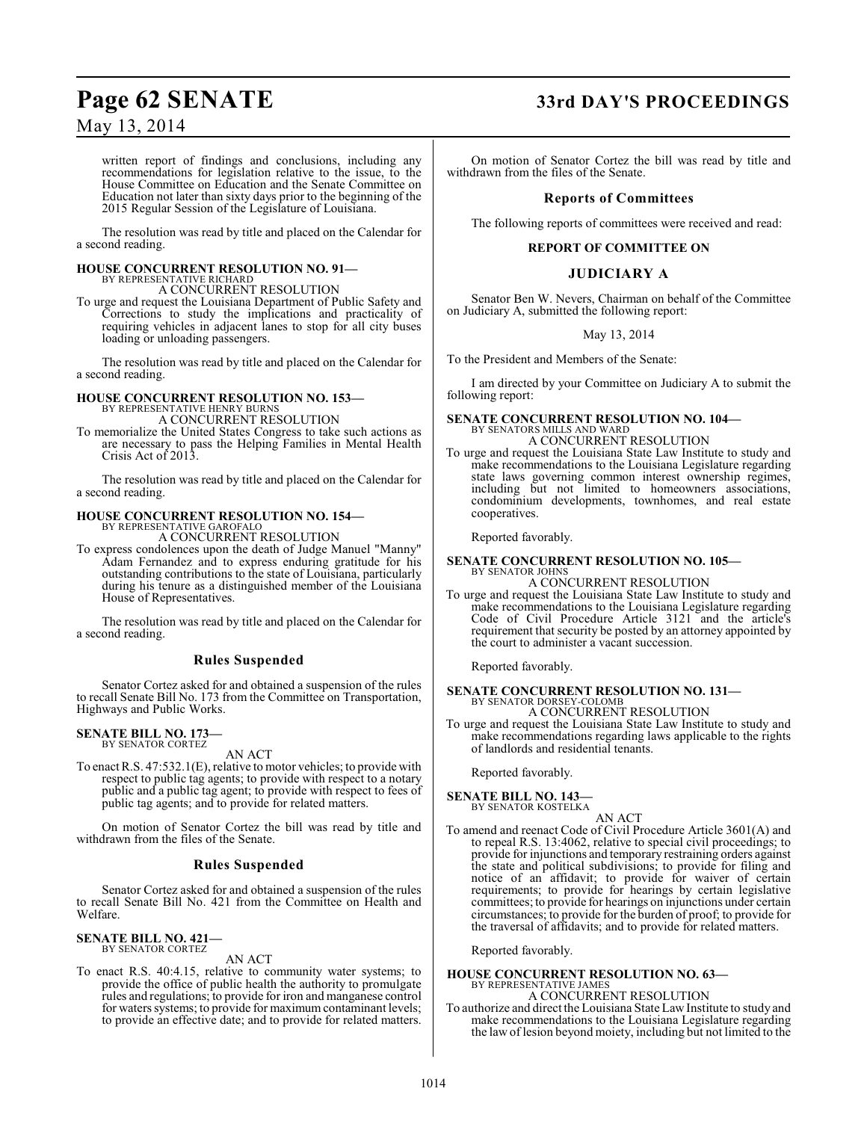written report of findings and conclusions, including any recommendations for legislation relative to the issue, to the House Committee on Education and the Senate Committee on Education not later than sixty days prior to the beginning of the 2015 Regular Session of the Legislature of Louisiana.

The resolution was read by title and placed on the Calendar for a second reading.

#### **HOUSE CONCURRENT RESOLUTION NO. 91—** BY REPRESENTATIVE RICHARD

A CONCURRENT RESOLUTION

To urge and request the Louisiana Department of Public Safety and Corrections to study the implications and practicality of requiring vehicles in adjacent lanes to stop for all city buses loading or unloading passengers.

The resolution was read by title and placed on the Calendar for a second reading.

# **HOUSE CONCURRENT RESOLUTION NO. 153—** BY REPRESENTATIVE HENRY BURNS

A CONCURRENT RESOLUTION

To memorialize the United States Congress to take such actions as are necessary to pass the Helping Families in Mental Health Crisis Act of 2013.

The resolution was read by title and placed on the Calendar for a second reading.

#### **HOUSE CONCURRENT RESOLUTION NO. 154—** BY REPRESENTATIVE GAROFALO

A CONCURRENT RESOLUTION

To express condolences upon the death of Judge Manuel "Manny" Adam Fernandez and to express enduring gratitude for his outstanding contributions to the state of Louisiana, particularly during his tenure as a distinguished member of the Louisiana House of Representatives.

The resolution was read by title and placed on the Calendar for a second reading.

## **Rules Suspended**

Senator Cortez asked for and obtained a suspension of the rules to recall Senate Bill No. 173 from the Committee on Transportation, Highways and Public Works.

# **SENATE BILL NO. 173—** BY SENATOR CORTEZ

AN ACT

To enact R.S. 47:532.1(E), relative to motor vehicles; to provide with respect to public tag agents; to provide with respect to a notary public and a public tag agent; to provide with respect to fees of public tag agents; and to provide for related matters.

On motion of Senator Cortez the bill was read by title and withdrawn from the files of the Senate.

## **Rules Suspended**

Senator Cortez asked for and obtained a suspension of the rules to recall Senate Bill No. 421 from the Committee on Health and Welfare.

#### **SENATE BILL NO. 421—** BY SENATOR CORTEZ

## AN ACT

To enact R.S. 40:4.15, relative to community water systems; to provide the office of public health the authority to promulgate rules and regulations; to provide for iron and manganese control for waters systems; to provide for maximum contaminant levels; to provide an effective date; and to provide for related matters.

# **Page 62 SENATE 33rd DAY'S PROCEEDINGS**

On motion of Senator Cortez the bill was read by title and withdrawn from the files of the Senate.

## **Reports of Committees**

The following reports of committees were received and read:

## **REPORT OF COMMITTEE ON**

## **JUDICIARY A**

Senator Ben W. Nevers, Chairman on behalf of the Committee on Judiciary A, submitted the following report:

### May 13, 2014

To the President and Members of the Senate:

I am directed by your Committee on Judiciary A to submit the following report:

# **SENATE CONCURRENT RESOLUTION NO. 104—** BY SENATORS MILLS AND WARD

A CONCURRENT RESOLUTION

To urge and request the Louisiana State Law Institute to study and make recommendations to the Louisiana Legislature regarding state laws governing common interest ownership regimes, including but not limited to homeowners associations, condominium developments, townhomes, and real estate cooperatives.

Reported favorably.

#### **SENATE CONCURRENT RESOLUTION NO. 105—** BY SENATOR JOHNS

A CONCURRENT RESOLUTION

To urge and request the Louisiana State Law Institute to study and make recommendations to the Louisiana Legislature regarding Code of Civil Procedure Article 3121 and the article's requirement that security be posted by an attorney appointed by the court to administer a vacant succession.

Reported favorably.

# **SENATE CONCURRENT RESOLUTION NO. 131—** BY SENATOR DORSEY-COLOMB

A CONCURRENT RESOLUTION To urge and request the Louisiana State Law Institute to study and make recommendations regarding laws applicable to the rights of landlords and residential tenants.

Reported favorably.

## **SENATE BILL NO. 143—**

BY SENATOR KOSTELKA

AN ACT To amend and reenact Code of Civil Procedure Article 3601(A) and to repeal R.S. 13:4062, relative to special civil proceedings; to provide for injunctions and temporary restraining orders against the state and political subdivisions; to provide for filing and notice of an affidavit; to provide for waiver of certain requirements; to provide for hearings by certain legislative committees; to provide for hearings on injunctions under certain circumstances; to provide for the burden of proof; to provide for the traversal of affidavits; and to provide for related matters.

Reported favorably.

#### **HOUSE CONCURRENT RESOLUTION NO. 63—** BY REPRESENTATIVE JAMES

A CONCURRENT RESOLUTION To authorize and direct the Louisiana State Law Institute to study and make recommendations to the Louisiana Legislature regarding the law of lesion beyond moiety, including but not limited to the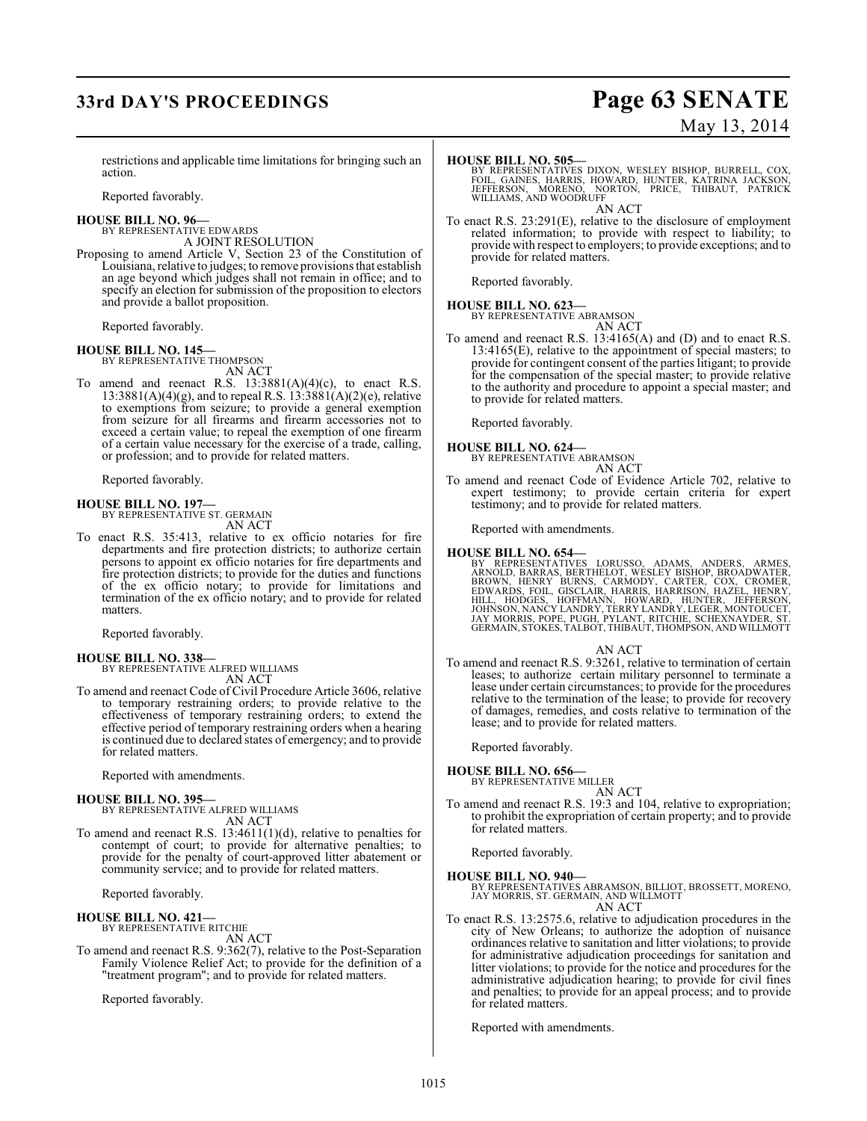# **33rd DAY'S PROCEEDINGS Page 63 SENATE**

# May 13, 2014

restrictions and applicable time limitations for bringing such an action.

Reported favorably.

#### **HOUSE BILL NO. 96—**

BY REPRESENTATIVE EDWARDS A JOINT RESOLUTION

Proposing to amend Article V, Section 23 of the Constitution of Louisiana, relative to judges; to remove provisions that establish an age beyond which judges shall not remain in office; and to specify an election for submission of the proposition to electors and provide a ballot proposition.

Reported favorably.

**HOUSE BILL NO. 145—** BY REPRESENTATIVE THOMPSON AN ACT

To amend and reenact R.S.  $13:3881(A)(4)(c)$ , to enact R.S.  $13:3881(A)(4)(g)$ , and to repeal R.S.  $13:3881(A)(2)(e)$ , relative to exemptions from seizure; to provide a general exemption from seizure for all firearms and firearm accessories not to exceed a certain value; to repeal the exemption of one firearm of a certain value necessary for the exercise of a trade, calling, or profession; and to provide for related matters.

Reported favorably.

#### **HOUSE BILL NO. 197—** BY REPRESENTATIVE ST. GERMAIN

AN ACT

To enact R.S. 35:413, relative to ex officio notaries for fire departments and fire protection districts; to authorize certain persons to appoint ex officio notaries for fire departments and fire protection districts; to provide for the duties and functions of the ex officio notary; to provide for limitations and termination of the ex officio notary; and to provide for related matters.

Reported favorably.

#### **HOUSE BILL NO. 338—**

BY REPRESENTATIVE ALFRED WILLIAMS AN ACT

To amend and reenact Code of Civil Procedure Article 3606, relative to temporary restraining orders; to provide relative to the effectiveness of temporary restraining orders; to extend the effective period of temporary restraining orders when a hearing is continued due to declared states of emergency; and to provide for related matters.

Reported with amendments.

#### **HOUSE BILL NO. 395—**

BY REPRESENTATIVE ALFRED WILLIAMS AN ACT

To amend and reenact R.S. 13:4611(1)(d), relative to penalties for contempt of court; to provide for alternative penalties; to provide for the penalty of court-approved litter abatement or community service; and to provide for related matters.

Reported favorably.

# **HOUSE BILL NO. 421—** BY REPRESENTATIVE RITCHIE

AN ACT

To amend and reenact R.S. 9:362(7), relative to the Post-Separation Family Violence Relief Act; to provide for the definition of a "treatment program"; and to provide for related matters.

Reported favorably.

#### **HOUSE BILL NO. 505—**

BY REPRESENTATIVES DIXON, WESLEY BISHOP, BURRELL, COX,<br>FOIL, GAINES, HARRIS, HOWARD, HUNTER, KATRINA JACKSON,<br>JEFFERSON, MORENO, NORTON, PRICE, THIBAUT, PATRICK<br>WILLIAMS, AND WOODRUFF AN ACT

To enact R.S. 23:291(E), relative to the disclosure of employment related information; to provide with respect to liability; to provide with respect to employers; to provide exceptions; and to provide for related matters.

Reported favorably.

#### **HOUSE BILL NO. 623—**

BY REPRESENTATIVE ABRAMSON

AN ACT

To amend and reenact R.S. 13:4165(A) and (D) and to enact R.S. 13:4165(E), relative to the appointment of special masters; to provide for contingent consent of the parties litigant; to provide for the compensation of the special master; to provide relative to the authority and procedure to appoint a special master; and to provide for related matters.

Reported favorably.

**HOUSE BILL NO. 624—**

BY REPRESENTATIVE ABRAMSON AN ACT

To amend and reenact Code of Evidence Article 702, relative to expert testimony; to provide certain criteria for expert testimony; and to provide for related matters.

Reported with amendments.

#### **HOUSE BILL NO. 654—**

BY REPRESENTATIVES LORUSSO, ADAMS, ANDERS, ARMEE,<br>ARNOLD, BARRAS, BERTHELOT, WESLEY BISHOP, BROADWATER,<br>BROWN, HENRY BURNS, CARMODY, CARTER, COX, CROMER,<br>EDWARDS, FOIL, GISCLAIR, HARRIS, HARRISON, HAZEL, HENRY,<br>HILL, HODGE

#### AN ACT

To amend and reenact R.S. 9:3261, relative to termination of certain leases; to authorize certain military personnel to terminate a lease under certain circumstances; to provide for the procedures relative to the termination of the lease; to provide for recovery of damages, remedies, and costs relative to termination of the lease; and to provide for related matters.

Reported favorably.

**HOUSE BILL NO. 656—** BY REPRESENTATIVE MILLER

AN ACT

To amend and reenact R.S. 19:3 and 104, relative to expropriation; to prohibit the expropriation of certain property; and to provide for related matters.

Reported favorably.

**HOUSE BILL NO. 940—**

BY REPRESENTATIVES ABRAMSON, BILLIOT, BROSSETT, MORENO, JAY MORRIS, ST. GERMAIN, AND WILLMOTT AN ACT

To enact R.S. 13:2575.6, relative to adjudication procedures in the city of New Orleans; to authorize the adoption of nuisance ordinances relative to sanitation and litter violations; to provide for administrative adjudication proceedings for sanitation and litter violations; to provide for the notice and procedures for the administrative adjudication hearing; to provide for civil fines and penalties; to provide for an appeal process; and to provide for related matters.

Reported with amendments.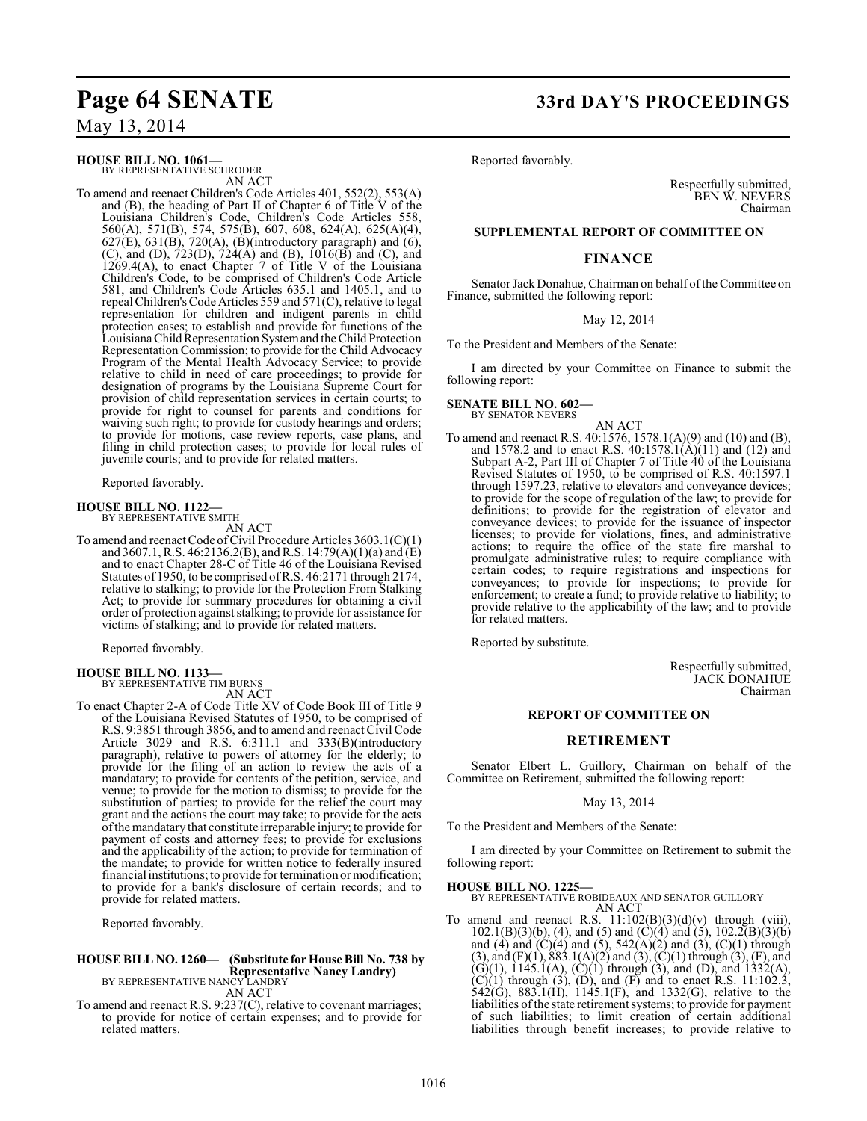#### **HOUSE BILL NO. 1061—** BY REPRESENTATIVE SCHRODER

AN ACT

To amend and reenact Children's Code Articles 401, 552(2), 553(A) and (B), the heading of Part II of Chapter 6 of Title V of the Louisiana Children's Code, Children's Code Articles 558, 560(A), 571(B), 574, 575(B), 607, 608, 624(A), 625(A)(4),  $627(E)$ ,  $631(B)$ ,  $720(A)$ ,  $(B)$ (introductory paragraph) and  $(6)$ , (C), and (D), 723(D), 724(A) and (B), 1016(B) and (C), and 1269.4(A), to enact Chapter 7 of Title V of the Louisiana Children's Code, to be comprised of Children's Code Article 581, and Children's Code Articles 635.1 and 1405.1, and to repeal Children's Code Articles 559 and 571(C), relative to legal representation for children and indigent parents in child protection cases; to establish and provide for functions of the Louisiana Child Representation System and the Child Protection Representation Commission; to provide for the Child Advocacy Program of the Mental Health Advocacy Service; to provide relative to child in need of care proceedings; to provide for designation of programs by the Louisiana Supreme Court for provision of child representation services in certain courts; to provide for right to counsel for parents and conditions for waiving such right; to provide for custody hearings and orders; to provide for motions, case review reports, case plans, and filing in child protection cases; to provide for local rules of juvenile courts; and to provide for related matters.

Reported favorably.

#### **HOUSE BILL NO. 1122—** BY REPRESENTATIVE SMITH

AN ACT

To amend and reenactCode of Civil Procedure Articles 3603.1(C)(1) and 3607.1, R.S. 46:2136.2(B), and R.S. 14:79(A)(1)(a) and (E) and to enact Chapter 28-C of Title 46 of the Louisiana Revised Statutes of 1950, to be comprised of R.S. 46:2171 through 2174, relative to stalking; to provide for the Protection From Stalking Act; to provide for summary procedures for obtaining a civil order of protection against stalking; to provide for assistance for victims of stalking; and to provide for related matters.

Reported favorably.

#### **HOUSE BILL NO. 1133—** BY REPRESENTATIVE TIM BURNS

AN ACT

To enact Chapter 2-A of Code Title XV of Code Book III of Title 9 of the Louisiana Revised Statutes of 1950, to be comprised of R.S. 9:3851 through 3856, and to amend and reenact Civil Code Article 3029 and R.S. 6:311.1 and 333(B)(introductory paragraph), relative to powers of attorney for the elderly; to provide for the filing of an action to review the acts of a mandatary; to provide for contents of the petition, service, and venue; to provide for the motion to dismiss; to provide for the substitution of parties; to provide for the relief the court may grant and the actions the court may take; to provide for the acts of the mandatary that constitute irreparable injury; to provide for payment of costs and attorney fees; to provide for exclusions and the applicability of the action; to provide for termination of the mandate; to provide for written notice to federally insured financial institutions; to provide for termination or modification; to provide for a bank's disclosure of certain records; and to provide for related matters.

Reported favorably.

## **HOUSE BILL NO. 1260— (Substitute for House Bill No. 738 by Representative Nancy Landry)**<br>BY REPRESENTATIVE NANCY LANDRY AN ACT

To amend and reenact R.S. 9:237(C), relative to covenant marriages; to provide for notice of certain expenses; and to provide for related matters.

Reported favorably.

Respectfully submitted, BEN W. NEVERS Chairman

#### **SUPPLEMENTAL REPORT OF COMMITTEE ON**

#### **FINANCE**

Senator Jack Donahue, Chairman on behalf of the Committee on Finance, submitted the following report:

May 12, 2014

To the President and Members of the Senate:

I am directed by your Committee on Finance to submit the following report:

# **SENATE BILL NO. 602—** BY SENATOR NEVERS

AN ACT

To amend and reenact R.S. 40:1576, 1578.1(A)(9) and (10) and (B), and 1578.2 and to enact R.S.  $40:1578.1(A)(11)$  and (12) and Subpart A-2, Part III of Chapter 7 of Title 40 of the Louisiana Revised Statutes of 1950, to be comprised of R.S. 40:1597.1 through 1597.23, relative to elevators and conveyance devices; to provide for the scope of regulation of the law; to provide for definitions; to provide for the registration of elevator and conveyance devices; to provide for the issuance of inspector licenses; to provide for violations, fines, and administrative actions; to require the office of the state fire marshal to promulgate administrative rules; to require compliance with certain codes; to require registrations and inspections for conveyances; to provide for inspections; to provide for enforcement; to create a fund; to provide relative to liability; to provide relative to the applicability of the law; and to provide for related matters.

Reported by substitute.

Respectfully submitted, JACK DONAHUE Chairman

#### **REPORT OF COMMITTEE ON**

#### **RETIREMENT**

Senator Elbert L. Guillory, Chairman on behalf of the Committee on Retirement, submitted the following report:

#### May 13, 2014

To the President and Members of the Senate:

I am directed by your Committee on Retirement to submit the following report:

#### **HOUSE BILL NO. 1225—**

BY REPRESENTATIVE ROBIDEAUX AND SENATOR GUILLORY AN ACT

To amend and reenact R.S.  $11:102(B)(3)(d)(v)$  through (viii),  $102.1(B)(3)(b)$ , (4), and (5) and (C)(4) and (5),  $102.2(B)(3)(b)$ and (4) and (C)(4) and (5),  $542(A)(2)$  and (3), (C)(1) through  $(3)$ , and  $(F)(1)$ ,  $883.1(A)(2)$  and  $(3)$ ,  $(C)(1)$  through  $(3)$ ,  $(F)$ , and  $(G)(1)$ , 1145.1(A),  $(C)(1)$  through (3), and (D), and 1332(A),  $(C)(1)$  through  $(3)$ ,  $(D)$ , and  $(F)$  and to enact R.S. 11:102.3, 542(G), 883.1(H), 1145.1(F), and 1332(G), relative to the liabilities of the state retirement systems; to provide for payment of such liabilities; to limit creation of certain additional liabilities through benefit increases; to provide relative to

# **Page 64 SENATE 33rd DAY'S PROCEEDINGS**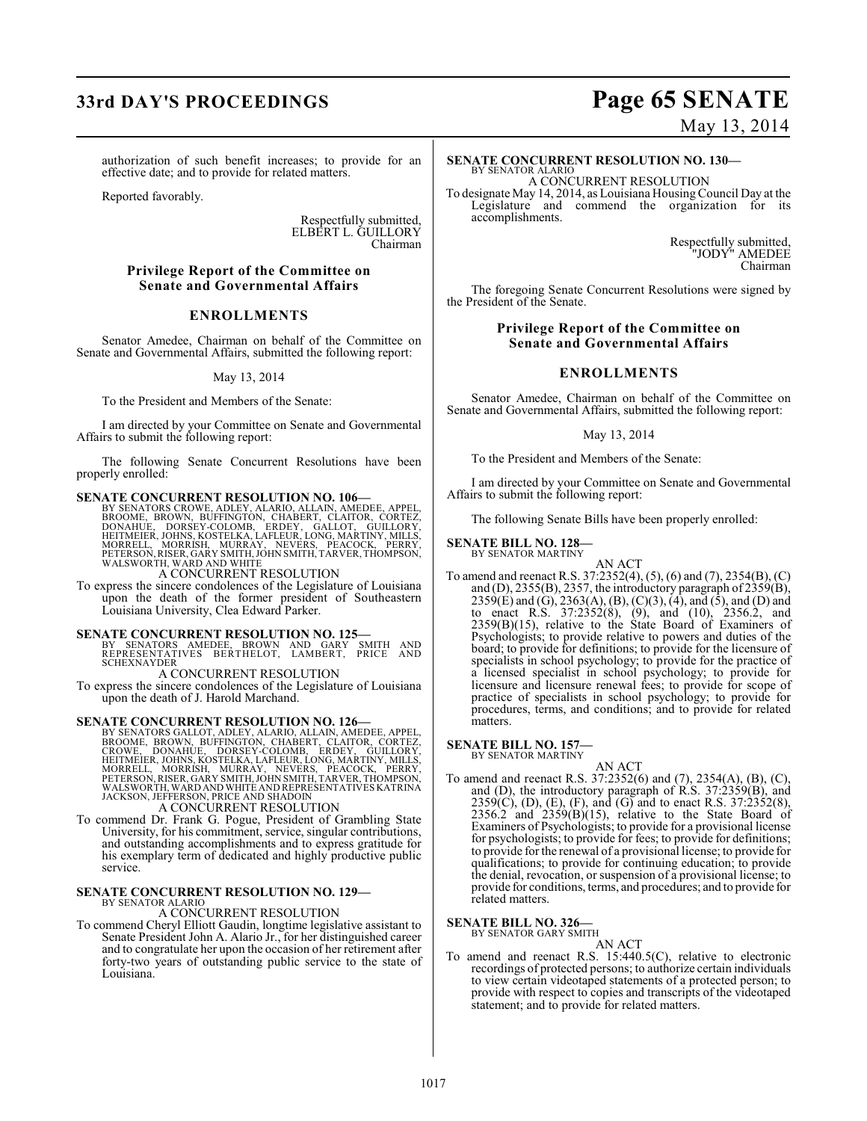# **33rd DAY'S PROCEEDINGS Page 65 SENATE**

authorization of such benefit increases; to provide for an effective date; and to provide for related matters.

Reported favorably.

Respectfully submitted, ELBERT L. GUILLORY Chairman

### **Privilege Report of the Committee on Senate and Governmental Affairs**

#### **ENROLLMENTS**

Senator Amedee, Chairman on behalf of the Committee on Senate and Governmental Affairs, submitted the following report:

May 13, 2014

To the President and Members of the Senate:

I am directed by your Committee on Senate and Governmental Affairs to submit the following report:

The following Senate Concurrent Resolutions have been properly enrolled:

**SENATE CONCURRENT RESOLUTION NO. 106—**<br>BY SENATORS CROWE, ADLEY, ALARIO, ALLAIN, AMEDEE, APPEL, BROME, BROWE, BOOKE, BOOK, CHABGRT, CLAITOR, CORTEZ,<br>DONAHUE, DORSEY-COLOMB, ERDEY, GALLOT, GUILLORY,<br>HEITMEIER, JOHNS, KOSTE

A CONCURRENT RESOLUTION

To express the sincere condolences of the Legislature of Louisiana upon the death of the former president of Southeastern Louisiana University, Clea Edward Parker.

#### **SENATE CONCURRENT RESOLUTION NO. 125—**

BY SENATORS AMEDEE, BROWN AND GARY SMITH AND REPRESENTATIVES BERTHELOT, LAMBERT, PRICE AND SCHEXNAYDER

A CONCURRENT RESOLUTION

To express the sincere condolences of the Legislature of Louisiana upon the death of J. Harold Marchand.

**SENATE CONCURRENT RESOLUTION NO. 126**<br>BY SENATORS GALLOT, ADLEY, ALARIO, ALLAIN, AMEDEE, APPEL,<br>BROOME, BROWN, BUFFINGTON, CHABERT, CLAITOR, CORTEZ,<br>CROWE, DONAHUE, DORSEY-COLOMB, ERDEY, GUILLORY,<br>HEITMEIER, JOHNS, KOSTEL WALSWORTH, WARD AND WHITE AND REPRESENTATIVES KATRINA JACKSON, JEFFERSON, PRICE AND SHADOIN

A CONCURRENT RESOLUTION

To commend Dr. Frank G. Pogue, President of Grambling State University, for his commitment, service, singular contributions, and outstanding accomplishments and to express gratitude for his exemplary term of dedicated and highly productive public service.

#### **SENATE CONCURRENT RESOLUTION NO. 129—**

BY SENATOR ALARIO A CONCURRENT RESOLUTION

To commend Cheryl Elliott Gaudin, longtime legislative assistant to Senate President John A. Alario Jr., for her distinguished career and to congratulate her upon the occasion of her retirement after forty-two years of outstanding public service to the state of Louisiana.

May 13, 2014

#### **SENATE CONCURRENT RESOLUTION NO. 130—** BY SENATOR ALARIO

A CONCURRENT RESOLUTION

To designate May 14, 2014, as Louisiana Housing Council Day at the Legislature and commend the organization for its accomplishments.

> Respectfully submitted, "JODY" AMEDEE Chairman

The foregoing Senate Concurrent Resolutions were signed by the President of the Senate.

### **Privilege Report of the Committee on Senate and Governmental Affairs**

### **ENROLLMENTS**

Senator Amedee, Chairman on behalf of the Committee on Senate and Governmental Affairs, submitted the following report:

#### May 13, 2014

To the President and Members of the Senate:

I am directed by your Committee on Senate and Governmental Affairs to submit the following report:

The following Senate Bills have been properly enrolled:

**SENATE BILL NO. 128—** BY SENATOR MARTINY

AN ACT

To amend and reenact R.S. 37:2352(4), (5), (6) and (7), 2354(B), (C) and (D), 2355(B), 2357, the introductory paragraph of  $235\overset{\circ}{9}$ (B), 2359(E) and (G), 2363(A), (B), (C)(3), (4), and (5), and (D) and to enact R.S. 37:2352(8), (9), and (10), 2356.2, and 2359(B)(15), relative to the State Board of Examiners of Psychologists; to provide relative to powers and duties of the board; to provide for definitions; to provide for the licensure of specialists in school psychology; to provide for the practice of a licensed specialist in school psychology; to provide for licensure and licensure renewal fees; to provide for scope of practice of specialists in school psychology; to provide for procedures, terms, and conditions; and to provide for related matters.

# **SENATE BILL NO. 157-**<br>BY SENATOR MARTINY

BY SENATOR MARTINY AN ACT

To amend and reenact R.S. 37:2352(6) and (7), 2354(A), (B), (C), and (D), the introductory paragraph of R.S. 37:2359(B), and  $2359(C)$ , (D), (E), (F), and (G) and to enact R.S. 37:2352(8),  $2356.2$  and  $2359(B)(15)$ , relative to the State Board of Examiners of Psychologists; to provide for a provisional license for psychologists; to provide for fees; to provide for definitions; to provide for the renewal of a provisional license; to provide for qualifications; to provide for continuing education; to provide the denial, revocation, or suspension of a provisional license; to provide for conditions, terms, and procedures; and to provide for related matters.

#### **SENATE BILL NO. 326—** BY SENATOR GARY SMITH

AN ACT

To amend and reenact R.S. 15:440.5(C), relative to electronic recordings of protected persons; to authorize certain individuals to view certain videotaped statements of a protected person; to provide with respect to copies and transcripts of the videotaped statement; and to provide for related matters.